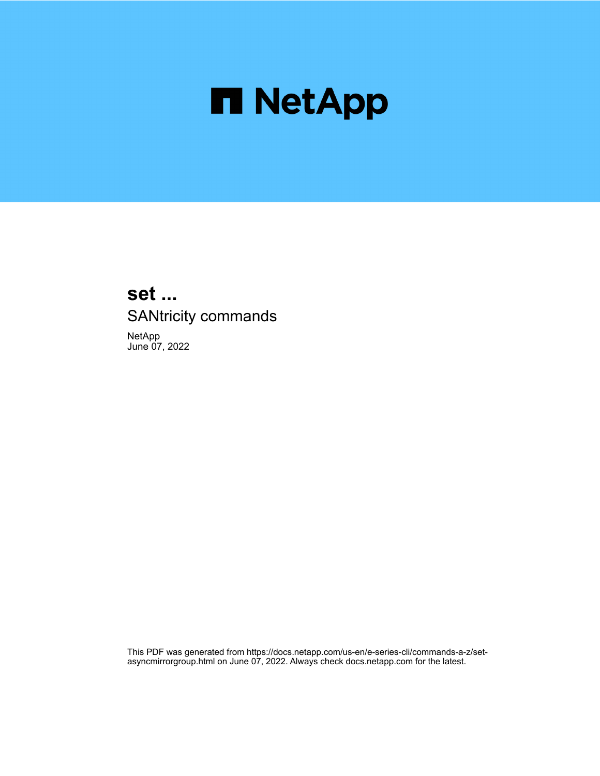

# **set ...** SANtricity commands

NetApp June 07, 2022

This PDF was generated from https://docs.netapp.com/us-en/e-series-cli/commands-a-z/setasyncmirrorgroup.html on June 07, 2022. Always check docs.netapp.com for the latest.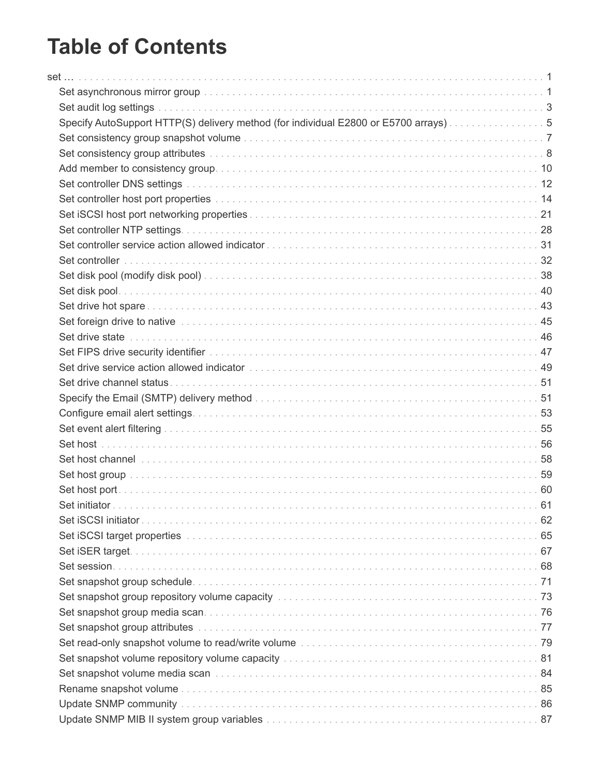# **Table of Contents**

| Specify AutoSupport HTTP(S) delivery method (for individual E2800 or E5700 arrays)5                                                                                                                                            |  |
|--------------------------------------------------------------------------------------------------------------------------------------------------------------------------------------------------------------------------------|--|
|                                                                                                                                                                                                                                |  |
|                                                                                                                                                                                                                                |  |
|                                                                                                                                                                                                                                |  |
|                                                                                                                                                                                                                                |  |
|                                                                                                                                                                                                                                |  |
|                                                                                                                                                                                                                                |  |
|                                                                                                                                                                                                                                |  |
|                                                                                                                                                                                                                                |  |
|                                                                                                                                                                                                                                |  |
|                                                                                                                                                                                                                                |  |
|                                                                                                                                                                                                                                |  |
|                                                                                                                                                                                                                                |  |
|                                                                                                                                                                                                                                |  |
|                                                                                                                                                                                                                                |  |
|                                                                                                                                                                                                                                |  |
|                                                                                                                                                                                                                                |  |
|                                                                                                                                                                                                                                |  |
|                                                                                                                                                                                                                                |  |
|                                                                                                                                                                                                                                |  |
|                                                                                                                                                                                                                                |  |
|                                                                                                                                                                                                                                |  |
| Set host channel in the continuum of the control of the control of the control of the control of the control of the control of the control of the control of the control of the control of the control of the control of the c |  |
|                                                                                                                                                                                                                                |  |
|                                                                                                                                                                                                                                |  |
|                                                                                                                                                                                                                                |  |
|                                                                                                                                                                                                                                |  |
|                                                                                                                                                                                                                                |  |
|                                                                                                                                                                                                                                |  |
|                                                                                                                                                                                                                                |  |
|                                                                                                                                                                                                                                |  |
| Set snapshot group repository volume capacity manufacture entertainment contains and 73                                                                                                                                        |  |
|                                                                                                                                                                                                                                |  |
|                                                                                                                                                                                                                                |  |
|                                                                                                                                                                                                                                |  |
|                                                                                                                                                                                                                                |  |
|                                                                                                                                                                                                                                |  |
|                                                                                                                                                                                                                                |  |
|                                                                                                                                                                                                                                |  |
|                                                                                                                                                                                                                                |  |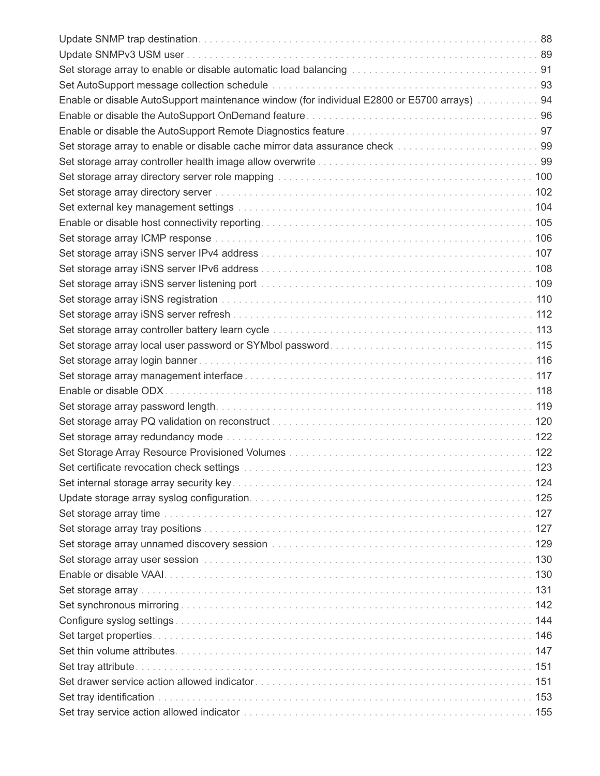| Enable or disable AutoSupport maintenance window (for individual E2800 or E5700 arrays)  94                                                                              |  |
|--------------------------------------------------------------------------------------------------------------------------------------------------------------------------|--|
|                                                                                                                                                                          |  |
|                                                                                                                                                                          |  |
| Set storage array to enable or disable cache mirror data assurance check [1, 1, 1, 1, 1, 1, 1, 1, 1, 1, 1, 1, 1, 99]                                                     |  |
|                                                                                                                                                                          |  |
|                                                                                                                                                                          |  |
|                                                                                                                                                                          |  |
|                                                                                                                                                                          |  |
|                                                                                                                                                                          |  |
|                                                                                                                                                                          |  |
|                                                                                                                                                                          |  |
|                                                                                                                                                                          |  |
| Set storage array iSNS server listening port manufactured contained and set storage array iSNS server listening port manufactured contained and the storage state of 109 |  |
|                                                                                                                                                                          |  |
|                                                                                                                                                                          |  |
|                                                                                                                                                                          |  |
|                                                                                                                                                                          |  |
|                                                                                                                                                                          |  |
|                                                                                                                                                                          |  |
|                                                                                                                                                                          |  |
|                                                                                                                                                                          |  |
|                                                                                                                                                                          |  |
|                                                                                                                                                                          |  |
|                                                                                                                                                                          |  |
|                                                                                                                                                                          |  |
|                                                                                                                                                                          |  |
|                                                                                                                                                                          |  |
|                                                                                                                                                                          |  |
|                                                                                                                                                                          |  |
|                                                                                                                                                                          |  |
|                                                                                                                                                                          |  |
|                                                                                                                                                                          |  |
|                                                                                                                                                                          |  |
|                                                                                                                                                                          |  |
|                                                                                                                                                                          |  |
|                                                                                                                                                                          |  |
|                                                                                                                                                                          |  |
|                                                                                                                                                                          |  |
|                                                                                                                                                                          |  |
|                                                                                                                                                                          |  |
|                                                                                                                                                                          |  |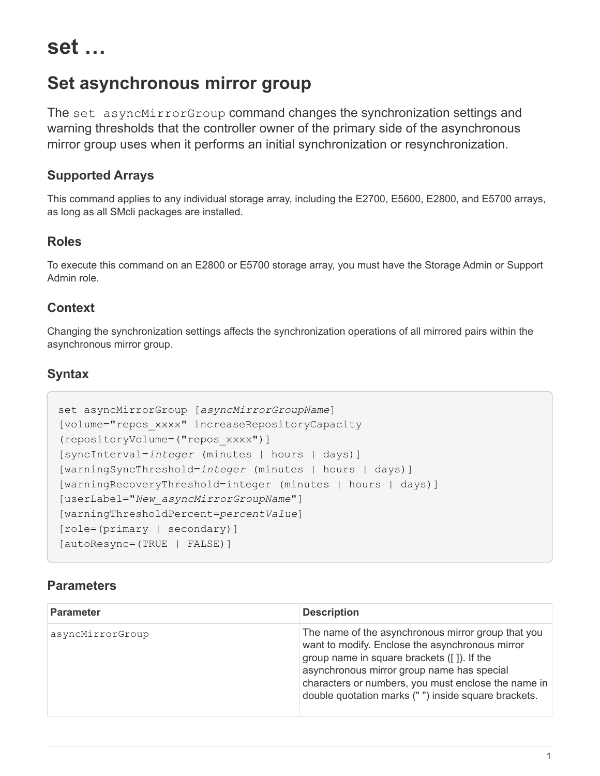<span id="page-4-0"></span>**set …**

# <span id="page-4-1"></span>**Set asynchronous mirror group**

The set asyncMirrorGroup command changes the synchronization settings and warning thresholds that the controller owner of the primary side of the asynchronous mirror group uses when it performs an initial synchronization or resynchronization.

### **Supported Arrays**

This command applies to any individual storage array, including the E2700, E5600, E2800, and E5700 arrays, as long as all SMcli packages are installed.

### **Roles**

To execute this command on an E2800 or E5700 storage array, you must have the Storage Admin or Support Admin role.

### **Context**

Changing the synchronization settings affects the synchronization operations of all mirrored pairs within the asynchronous mirror group.

### **Syntax**

```
set asyncMirrorGroup [asyncMirrorGroupName]
[volume="repos_xxxx" increaseRepositoryCapacity
(repositoryVolume=("repos_xxxx")]
[syncInterval=integer (minutes | hours | days)]
[warningSyncThreshold=integer (minutes | hours | days)]
[warningRecoveryThreshold=integer (minutes | hours | days)]
[userLabel="New_asyncMirrorGroupName"]
[warningThresholdPercent=percentValue]
[role=(primary | secondary)]
[autoResync=(TRUE | FALSE)]
```

| <b>Parameter</b> | <b>Description</b>                                                                                                                                                                                                                                                                                              |
|------------------|-----------------------------------------------------------------------------------------------------------------------------------------------------------------------------------------------------------------------------------------------------------------------------------------------------------------|
| asyncMirrorGroup | The name of the asynchronous mirror group that you<br>want to modify. Enclose the asynchronous mirror<br>group name in square brackets ([]). If the<br>asynchronous mirror group name has special<br>characters or numbers, you must enclose the name in<br>double quotation marks ("") inside square brackets. |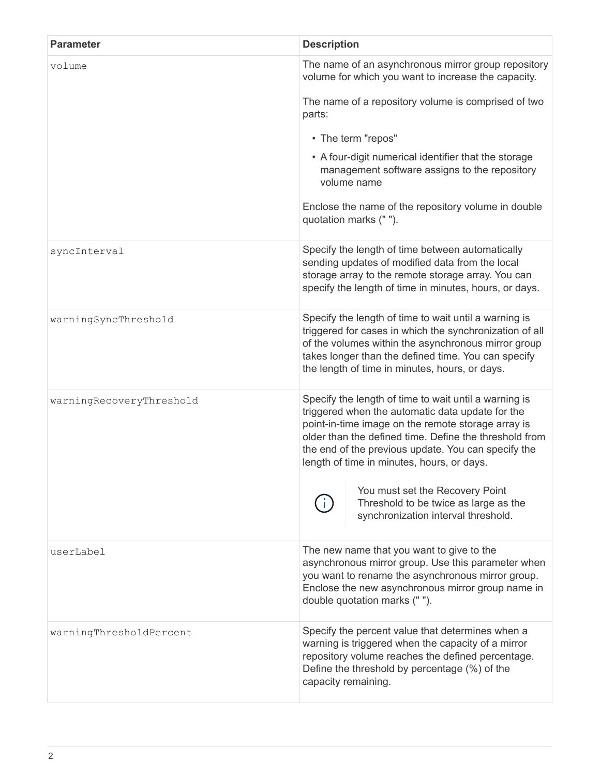| <b>Parameter</b>         | <b>Description</b>                                                                                                                                                                                                                                                                                                                                                                                         |
|--------------------------|------------------------------------------------------------------------------------------------------------------------------------------------------------------------------------------------------------------------------------------------------------------------------------------------------------------------------------------------------------------------------------------------------------|
| volume                   | The name of an asynchronous mirror group repository<br>volume for which you want to increase the capacity.                                                                                                                                                                                                                                                                                                 |
|                          | The name of a repository volume is comprised of two<br>parts:                                                                                                                                                                                                                                                                                                                                              |
|                          | • The term "repos"                                                                                                                                                                                                                                                                                                                                                                                         |
|                          | • A four-digit numerical identifier that the storage<br>management software assigns to the repository<br>volume name                                                                                                                                                                                                                                                                                       |
|                          | Enclose the name of the repository volume in double<br>quotation marks ("").                                                                                                                                                                                                                                                                                                                               |
| syncInterval             | Specify the length of time between automatically<br>sending updates of modified data from the local<br>storage array to the remote storage array. You can<br>specify the length of time in minutes, hours, or days.                                                                                                                                                                                        |
| warningSyncThreshold     | Specify the length of time to wait until a warning is<br>triggered for cases in which the synchronization of all<br>of the volumes within the asynchronous mirror group<br>takes longer than the defined time. You can specify<br>the length of time in minutes, hours, or days.                                                                                                                           |
| warningRecoveryThreshold | Specify the length of time to wait until a warning is<br>triggered when the automatic data update for the<br>point-in-time image on the remote storage array is<br>older than the defined time. Define the threshold from<br>the end of the previous update. You can specify the<br>length of time in minutes, hours, or days.<br>You must set the Recovery Point<br>Threshold to be twice as large as the |
|                          | synchronization interval threshold.                                                                                                                                                                                                                                                                                                                                                                        |
| userLabel                | The new name that you want to give to the<br>asynchronous mirror group. Use this parameter when<br>you want to rename the asynchronous mirror group.<br>Enclose the new asynchronous mirror group name in<br>double quotation marks ("").                                                                                                                                                                  |
| warningThresholdPercent  | Specify the percent value that determines when a<br>warning is triggered when the capacity of a mirror<br>repository volume reaches the defined percentage.<br>Define the threshold by percentage (%) of the<br>capacity remaining.                                                                                                                                                                        |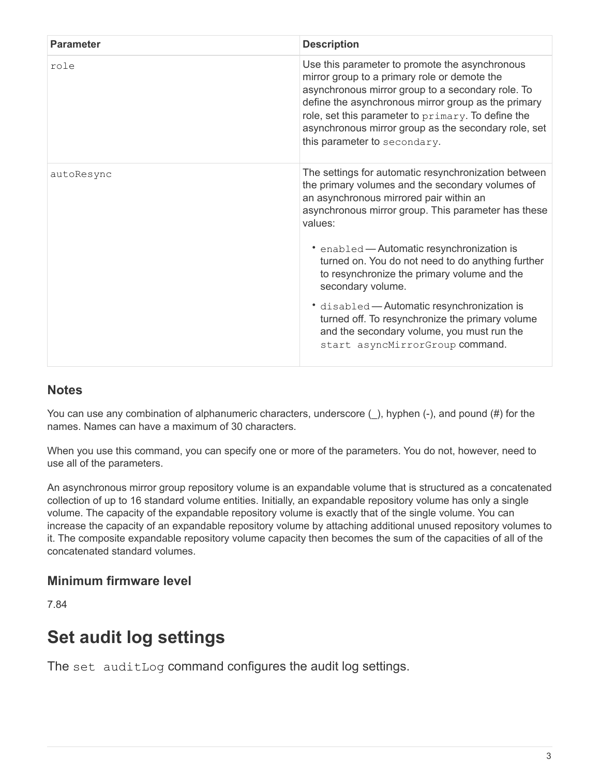| <b>Parameter</b> | <b>Description</b>                                                                                                                                                                                                                                                                                                                                       |
|------------------|----------------------------------------------------------------------------------------------------------------------------------------------------------------------------------------------------------------------------------------------------------------------------------------------------------------------------------------------------------|
| role             | Use this parameter to promote the asynchronous<br>mirror group to a primary role or demote the<br>asynchronous mirror group to a secondary role. To<br>define the asynchronous mirror group as the primary<br>role, set this parameter to primary. To define the<br>asynchronous mirror group as the secondary role, set<br>this parameter to secondary. |
| autoResync       | The settings for automatic resynchronization between<br>the primary volumes and the secondary volumes of<br>an asynchronous mirrored pair within an<br>asynchronous mirror group. This parameter has these<br>values:                                                                                                                                    |
|                  | • enabled - Automatic resynchronization is<br>turned on. You do not need to do anything further<br>to resynchronize the primary volume and the<br>secondary volume.                                                                                                                                                                                      |
|                  | * disabled - Automatic resynchronization is<br>turned off. To resynchronize the primary volume<br>and the secondary volume, you must run the<br>start asyncMirrorGroup command.                                                                                                                                                                          |

### **Notes**

You can use any combination of alphanumeric characters, underscore (), hyphen (-), and pound (#) for the names. Names can have a maximum of 30 characters.

When you use this command, you can specify one or more of the parameters. You do not, however, need to use all of the parameters.

An asynchronous mirror group repository volume is an expandable volume that is structured as a concatenated collection of up to 16 standard volume entities. Initially, an expandable repository volume has only a single volume. The capacity of the expandable repository volume is exactly that of the single volume. You can increase the capacity of an expandable repository volume by attaching additional unused repository volumes to it. The composite expandable repository volume capacity then becomes the sum of the capacities of all of the concatenated standard volumes.

# **Minimum firmware level**

7.84

# <span id="page-6-0"></span>**Set audit log settings**

The set auditLog command configures the audit log settings.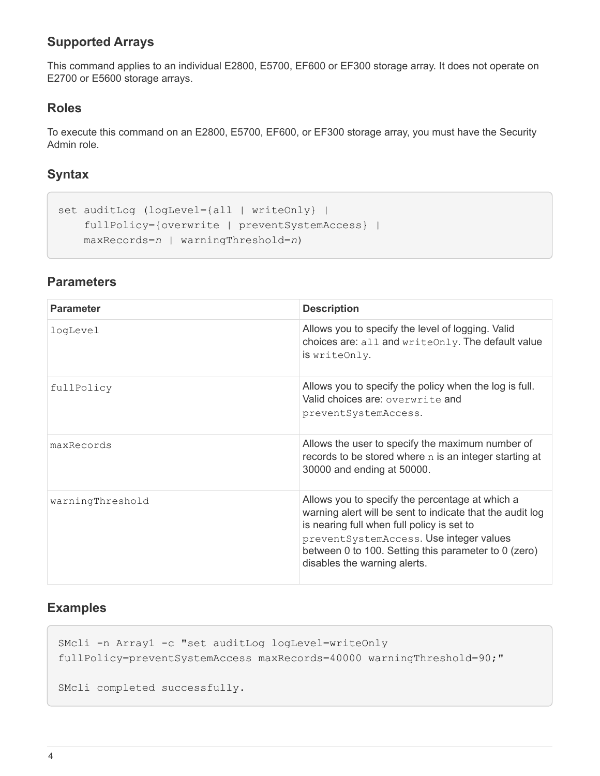# **Supported Arrays**

This command applies to an individual E2800, E5700, EF600 or EF300 storage array. It does not operate on E2700 or E5600 storage arrays.

### **Roles**

To execute this command on an E2800, E5700, EF600, or EF300 storage array, you must have the Security Admin role.

# **Syntax**

```
set auditLog (logLevel={all | writeOnly} |
      fullPolicy={overwrite | preventSystemAccess} |
     maxRecords=n | warningThreshold=n)
```
### **Parameters**

| <b>Parameter</b> | <b>Description</b>                                                                                                                                                                                                                                                                            |
|------------------|-----------------------------------------------------------------------------------------------------------------------------------------------------------------------------------------------------------------------------------------------------------------------------------------------|
| logLevel         | Allows you to specify the level of logging. Valid<br>choices are: all and writeOnly. The default value<br>is writeOnly.                                                                                                                                                                       |
| fullPolicy       | Allows you to specify the policy when the log is full.<br>Valid choices are: overwrite and<br>preventSystemAccess.                                                                                                                                                                            |
| maxRecords       | Allows the user to specify the maximum number of<br>records to be stored where $n$ is an integer starting at<br>30000 and ending at 50000.                                                                                                                                                    |
| warningThreshold | Allows you to specify the percentage at which a<br>warning alert will be sent to indicate that the audit log<br>is nearing full when full policy is set to<br>preventSystemAccess. Use integer values<br>between 0 to 100. Setting this parameter to 0 (zero)<br>disables the warning alerts. |

### **Examples**

```
SMcli -n Array1 -c "set auditLog logLevel=writeOnly
fullPolicy=preventSystemAccess maxRecords=40000 warningThreshold=90;"
```

```
SMcli completed successfully.
```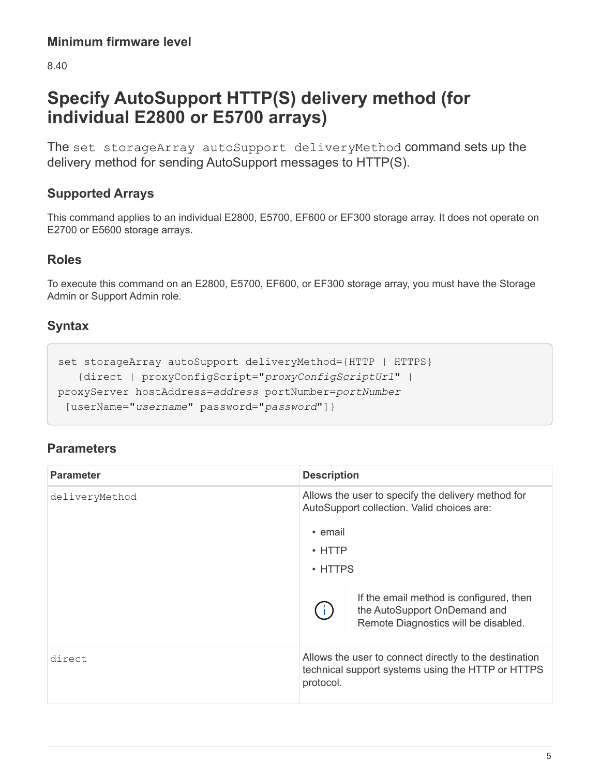8.40

# <span id="page-8-0"></span>**Specify AutoSupport HTTP(S) delivery method (for individual E2800 or E5700 arrays)**

The set storageArray autoSupport deliveryMethod command sets up the delivery method for sending AutoSupport messages to HTTP(S).

# **Supported Arrays**

This command applies to an individual E2800, E5700, EF600 or EF300 storage array. It does not operate on E2700 or E5600 storage arrays.

### **Roles**

To execute this command on an E2800, E5700, EF600, or EF300 storage array, you must have the Storage Admin or Support Admin role.

# **Syntax**

```
set storageArray autoSupport deliveryMethod={HTTP | HTTPS}
     {direct | proxyConfigScript="proxyConfigScriptUrl" |
proxyServer hostAddress=address portNumber=portNumber
  [userName="username" password="password"]}
```

| <b>Parameter</b> | <b>Description</b>                                                                                                       |
|------------------|--------------------------------------------------------------------------------------------------------------------------|
| deliveryMethod   | Allows the user to specify the delivery method for<br>AutoSupport collection. Valid choices are:                         |
|                  | • email                                                                                                                  |
|                  | $\cdot$ HTTP                                                                                                             |
|                  | $\cdot$ HTTPS                                                                                                            |
|                  | If the email method is configured, then<br>the AutoSupport OnDemand and<br>Remote Diagnostics will be disabled.          |
| direct           | Allows the user to connect directly to the destination<br>technical support systems using the HTTP or HTTPS<br>protocol. |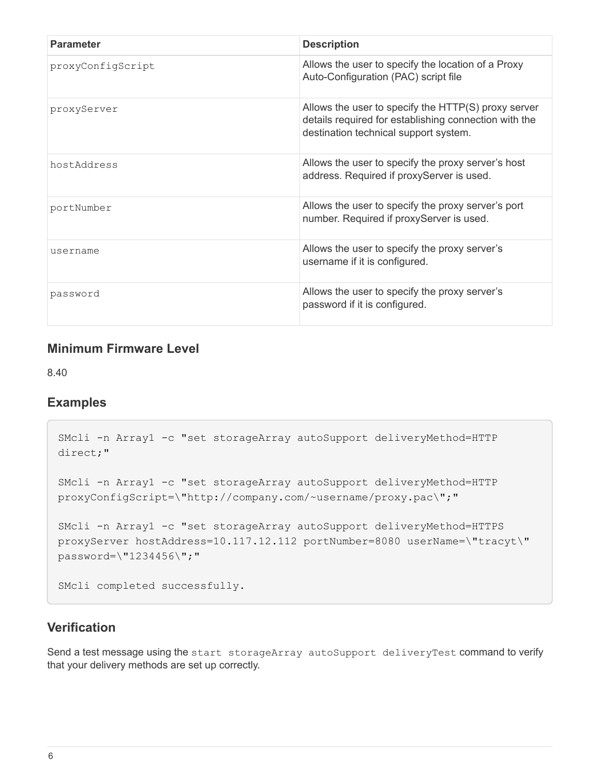| <b>Parameter</b>  | <b>Description</b>                                                                                                                                    |
|-------------------|-------------------------------------------------------------------------------------------------------------------------------------------------------|
| proxyConfigScript | Allows the user to specify the location of a Proxy<br>Auto-Configuration (PAC) script file                                                            |
| proxyServer       | Allows the user to specify the HTTP(S) proxy server<br>details required for establishing connection with the<br>destination technical support system. |
| hostAddress       | Allows the user to specify the proxy server's host<br>address. Required if proxyServer is used.                                                       |
| portNumber        | Allows the user to specify the proxy server's port<br>number. Required if proxyServer is used.                                                        |
| username          | Allows the user to specify the proxy server's<br>username if it is configured.                                                                        |
| password          | Allows the user to specify the proxy server's<br>password if it is configured.                                                                        |

#### **Minimum Firmware Level**

8.40

#### **Examples**

```
SMcli -n Array1 -c "set storageArray autoSupport deliveryMethod=HTTP
direct;"
SMcli -n Array1 -c "set storageArray autoSupport deliveryMethod=HTTP
proxyConfigScript=\"http://company.com/~username/proxy.pac\";"
SMcli -n Array1 -c "set storageArray autoSupport deliveryMethod=HTTPS
proxyServer hostAddress=10.117.12.112 portNumber=8080 userName=\"tracyt\"
password=\"1234456\";"
SMcli completed successfully.
```
### **Verification**

Send a test message using the start storageArray autoSupport deliveryTest command to verify that your delivery methods are set up correctly.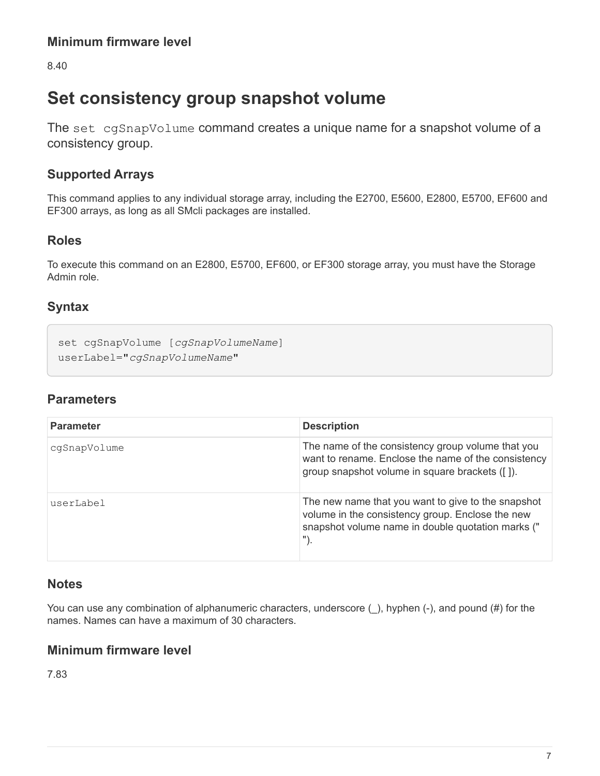8.40

# <span id="page-10-0"></span>**Set consistency group snapshot volume**

The set cgSnapVolume command creates a unique name for a snapshot volume of a consistency group.

# **Supported Arrays**

This command applies to any individual storage array, including the E2700, E5600, E2800, E5700, EF600 and EF300 arrays, as long as all SMcli packages are installed.

### **Roles**

To execute this command on an E2800, E5700, EF600, or EF300 storage array, you must have the Storage Admin role.

# **Syntax**

```
set cgSnapVolume [cgSnapVolumeName]
userLabel="cgSnapVolumeName"
```
# **Parameters**

| <b>Parameter</b> | <b>Description</b>                                                                                                                                                    |
|------------------|-----------------------------------------------------------------------------------------------------------------------------------------------------------------------|
| cqSnapVolume     | The name of the consistency group volume that you<br>want to rename. Enclose the name of the consistency<br>group snapshot volume in square brackets ([]).            |
| userLabel        | The new name that you want to give to the snapshot<br>volume in the consistency group. Enclose the new<br>snapshot volume name in double quotation marks ("<br>$")$ . |

### **Notes**

You can use any combination of alphanumeric characters, underscore (), hyphen (-), and pound (#) for the names. Names can have a maximum of 30 characters.

### **Minimum firmware level**

7.83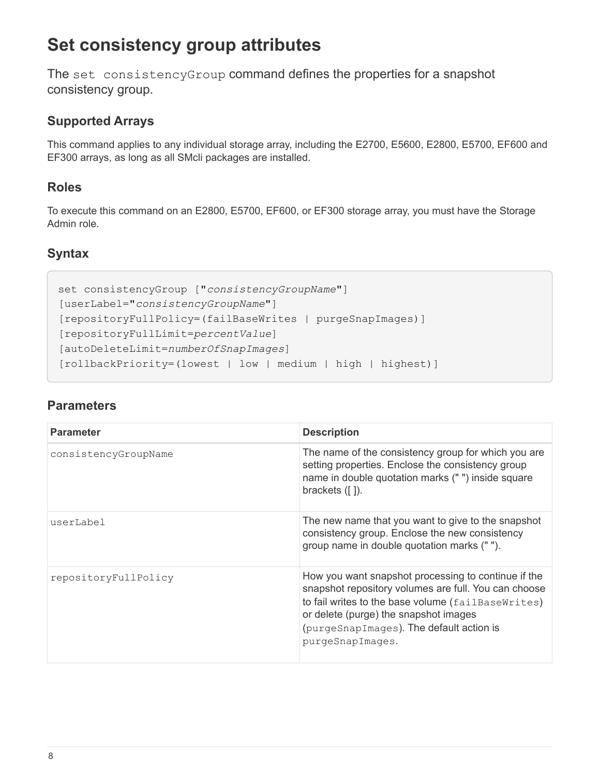# <span id="page-11-0"></span>**Set consistency group attributes**

The set consistencyGroup command defines the properties for a snapshot consistency group.

# **Supported Arrays**

This command applies to any individual storage array, including the E2700, E5600, E2800, E5700, EF600 and EF300 arrays, as long as all SMcli packages are installed.

# **Roles**

To execute this command on an E2800, E5700, EF600, or EF300 storage array, you must have the Storage Admin role.

# **Syntax**

```
set consistencyGroup ["consistencyGroupName"]
[userLabel="consistencyGroupName"]
[repositoryFullPolicy=(failBaseWrites | purgeSnapImages)]
[repositoryFullLimit=percentValue]
[autoDeleteLimit=numberOfSnapImages]
[rollbackPriority=(lowest | low | medium | high | highest)]
```

| <b>Parameter</b>     | <b>Description</b>                                                                                                                                                                                                                                                         |
|----------------------|----------------------------------------------------------------------------------------------------------------------------------------------------------------------------------------------------------------------------------------------------------------------------|
| consistencyGroupName | The name of the consistency group for which you are<br>setting properties. Enclose the consistency group<br>name in double quotation marks ("") inside square<br>brackets $( [ ] )$ .                                                                                      |
| userLabel            | The new name that you want to give to the snapshot<br>consistency group. Enclose the new consistency<br>group name in double quotation marks ("").                                                                                                                         |
| repositoryFullPolicy | How you want snapshot processing to continue if the<br>snapshot repository volumes are full. You can choose<br>to fail writes to the base volume (failBaseWrites)<br>or delete (purge) the snapshot images<br>(purgeSnapImages). The default action is<br>purgeSnapImages. |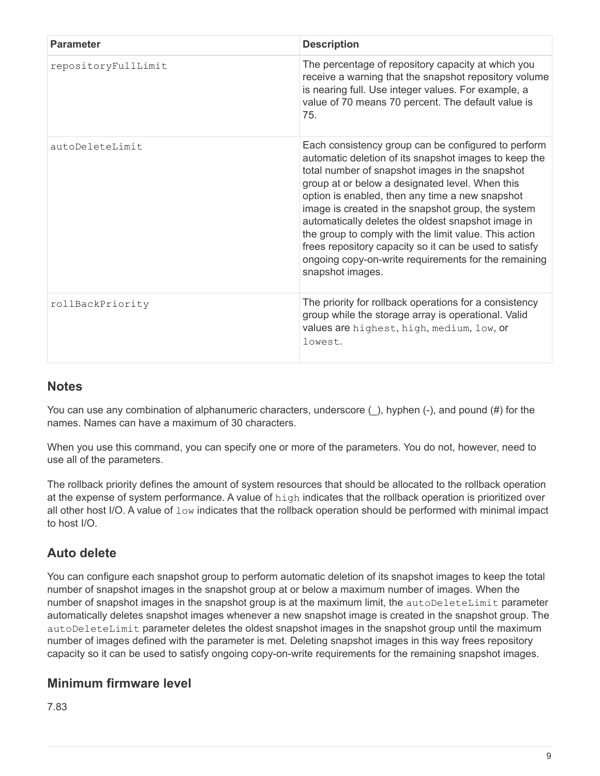| <b>Parameter</b>    | <b>Description</b>                                                                                                                                                                                                                                                                                                                                                                                                                                                                                                                                                               |
|---------------------|----------------------------------------------------------------------------------------------------------------------------------------------------------------------------------------------------------------------------------------------------------------------------------------------------------------------------------------------------------------------------------------------------------------------------------------------------------------------------------------------------------------------------------------------------------------------------------|
| repositoryFullLimit | The percentage of repository capacity at which you<br>receive a warning that the snapshot repository volume<br>is nearing full. Use integer values. For example, a<br>value of 70 means 70 percent. The default value is<br>75.                                                                                                                                                                                                                                                                                                                                                  |
| autoDeleteLimit     | Each consistency group can be configured to perform<br>automatic deletion of its snapshot images to keep the<br>total number of snapshot images in the snapshot<br>group at or below a designated level. When this<br>option is enabled, then any time a new snapshot<br>image is created in the snapshot group, the system<br>automatically deletes the oldest snapshot image in<br>the group to comply with the limit value. This action<br>frees repository capacity so it can be used to satisfy<br>ongoing copy-on-write requirements for the remaining<br>snapshot images. |
| rollBackPriority    | The priority for rollback operations for a consistency<br>group while the storage array is operational. Valid<br>values are highest, high, medium, low, or<br>lowest.                                                                                                                                                                                                                                                                                                                                                                                                            |

### **Notes**

You can use any combination of alphanumeric characters, underscore  $($ ), hyphen  $(-)$ , and pound  $(\#)$  for the names. Names can have a maximum of 30 characters.

When you use this command, you can specify one or more of the parameters. You do not, however, need to use all of the parameters.

The rollback priority defines the amount of system resources that should be allocated to the rollback operation at the expense of system performance. A value of  $high$  indicates that the rollback operation is prioritized over all other host I/O. A value of  $low$  indicates that the rollback operation should be performed with minimal impact to host I/O.

# **Auto delete**

You can configure each snapshot group to perform automatic deletion of its snapshot images to keep the total number of snapshot images in the snapshot group at or below a maximum number of images. When the number of snapshot images in the snapshot group is at the maximum limit, the autoDeleteLimit parameter automatically deletes snapshot images whenever a new snapshot image is created in the snapshot group. The autoDeleteLimit parameter deletes the oldest snapshot images in the snapshot group until the maximum number of images defined with the parameter is met. Deleting snapshot images in this way frees repository capacity so it can be used to satisfy ongoing copy-on-write requirements for the remaining snapshot images.

# **Minimum firmware level**

7.83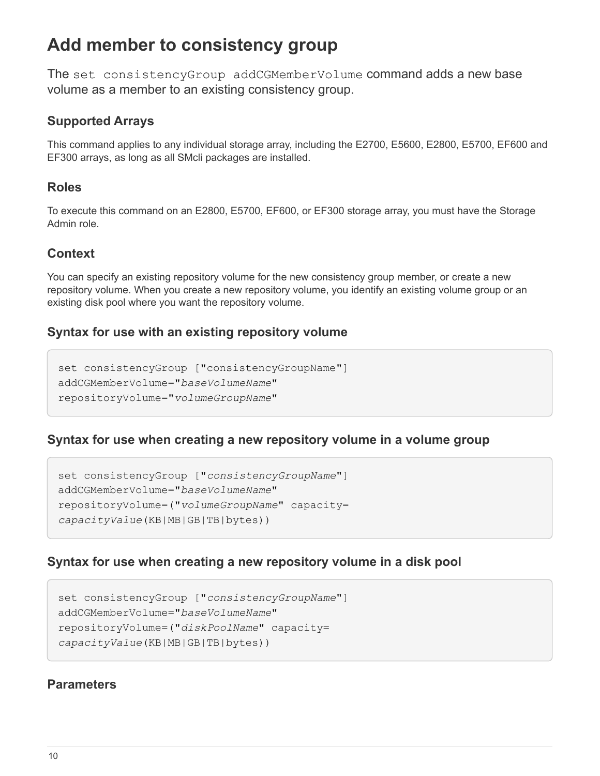# <span id="page-13-0"></span>**Add member to consistency group**

The set consistencyGroup addCGMemberVolume command adds a new base volume as a member to an existing consistency group.

### **Supported Arrays**

This command applies to any individual storage array, including the E2700, E5600, E2800, E5700, EF600 and EF300 arrays, as long as all SMcli packages are installed.

### **Roles**

To execute this command on an E2800, E5700, EF600, or EF300 storage array, you must have the Storage Admin role.

### **Context**

You can specify an existing repository volume for the new consistency group member, or create a new repository volume. When you create a new repository volume, you identify an existing volume group or an existing disk pool where you want the repository volume.

### **Syntax for use with an existing repository volume**

```
set consistencyGroup ["consistencyGroupName"]
addCGMemberVolume="baseVolumeName"
repositoryVolume="volumeGroupName"
```
### **Syntax for use when creating a new repository volume in a volume group**

```
set consistencyGroup ["consistencyGroupName"]
addCGMemberVolume="baseVolumeName"
repositoryVolume=("volumeGroupName" capacity=
capacityValue(KB|MB|GB|TB|bytes))
```
### **Syntax for use when creating a new repository volume in a disk pool**

```
set consistencyGroup ["consistencyGroupName"]
addCGMemberVolume="baseVolumeName"
repositoryVolume=("diskPoolName" capacity=
capacityValue(KB|MB|GB|TB|bytes))
```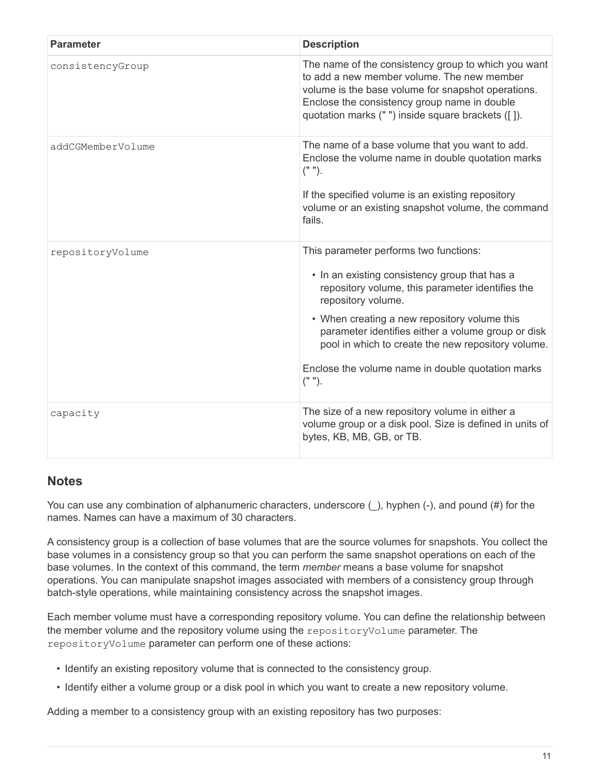| <b>Parameter</b>  | <b>Description</b>                                                                                                                                                                                                                                                                                                                                                                             |
|-------------------|------------------------------------------------------------------------------------------------------------------------------------------------------------------------------------------------------------------------------------------------------------------------------------------------------------------------------------------------------------------------------------------------|
| consistencyGroup  | The name of the consistency group to which you want<br>to add a new member volume. The new member<br>volume is the base volume for snapshot operations.<br>Enclose the consistency group name in double<br>quotation marks (" ") inside square brackets ([]).                                                                                                                                  |
| addCGMemberVolume | The name of a base volume that you want to add.<br>Enclose the volume name in double quotation marks<br>$("")$ .<br>If the specified volume is an existing repository<br>volume or an existing snapshot volume, the command<br>fails.                                                                                                                                                          |
| repositoryVolume  | This parameter performs two functions:<br>• In an existing consistency group that has a<br>repository volume, this parameter identifies the<br>repository volume.<br>• When creating a new repository volume this<br>parameter identifies either a volume group or disk<br>pool in which to create the new repository volume.<br>Enclose the volume name in double quotation marks<br>$("")$ . |
| capacity          | The size of a new repository volume in either a<br>volume group or a disk pool. Size is defined in units of<br>bytes, KB, MB, GB, or TB.                                                                                                                                                                                                                                                       |

# **Notes**

You can use any combination of alphanumeric characters, underscore  $($ ), hyphen  $(-)$ , and pound  $(\#)$  for the names. Names can have a maximum of 30 characters.

A consistency group is a collection of base volumes that are the source volumes for snapshots. You collect the base volumes in a consistency group so that you can perform the same snapshot operations on each of the base volumes. In the context of this command, the term *member* means a base volume for snapshot operations. You can manipulate snapshot images associated with members of a consistency group through batch-style operations, while maintaining consistency across the snapshot images.

Each member volume must have a corresponding repository volume. You can define the relationship between the member volume and the repository volume using the repositoryVolume parameter. The repositoryVolume parameter can perform one of these actions:

- Identify an existing repository volume that is connected to the consistency group.
- Identify either a volume group or a disk pool in which you want to create a new repository volume.

Adding a member to a consistency group with an existing repository has two purposes: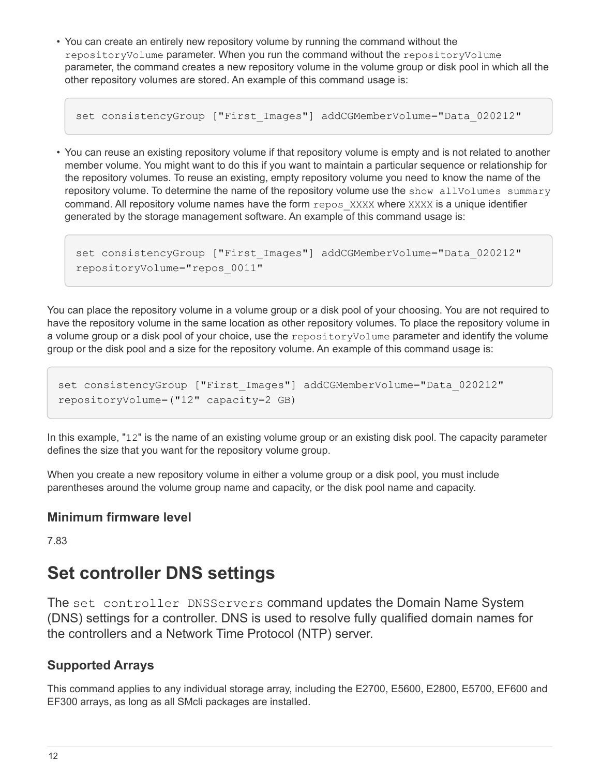• You can create an entirely new repository volume by running the command without the repositoryVolume parameter. When you run the command without the repositoryVolume parameter, the command creates a new repository volume in the volume group or disk pool in which all the other repository volumes are stored. An example of this command usage is:

```
set consistencyGroup ["First Images"] addCGMemberVolume="Data 020212"
```
• You can reuse an existing repository volume if that repository volume is empty and is not related to another member volume. You might want to do this if you want to maintain a particular sequence or relationship for the repository volumes. To reuse an existing, empty repository volume you need to know the name of the repository volume. To determine the name of the repository volume use the show allVolumes summary command. All repository volume names have the form repos XXXX where XXXX is a unique identifier generated by the storage management software. An example of this command usage is:

```
set consistencyGroup ["First Images"] addCGMemberVolume="Data 020212"
repositoryVolume="repos_0011"
```
You can place the repository volume in a volume group or a disk pool of your choosing. You are not required to have the repository volume in the same location as other repository volumes. To place the repository volume in a volume group or a disk pool of your choice, use the repositoryVolume parameter and identify the volume group or the disk pool and a size for the repository volume. An example of this command usage is:

```
set consistencyGroup ["First_Images"] addCGMemberVolume="Data_020212"
repositoryVolume=("12" capacity=2 GB)
```
In this example, "12" is the name of an existing volume group or an existing disk pool. The capacity parameter defines the size that you want for the repository volume group.

When you create a new repository volume in either a volume group or a disk pool, you must include parentheses around the volume group name and capacity, or the disk pool name and capacity.

### **Minimum firmware level**

7.83

# <span id="page-15-0"></span>**Set controller DNS settings**

The set controller DNSServers command updates the Domain Name System (DNS) settings for a controller. DNS is used to resolve fully qualified domain names for the controllers and a Network Time Protocol (NTP) server.

# **Supported Arrays**

This command applies to any individual storage array, including the E2700, E5600, E2800, E5700, EF600 and EF300 arrays, as long as all SMcli packages are installed.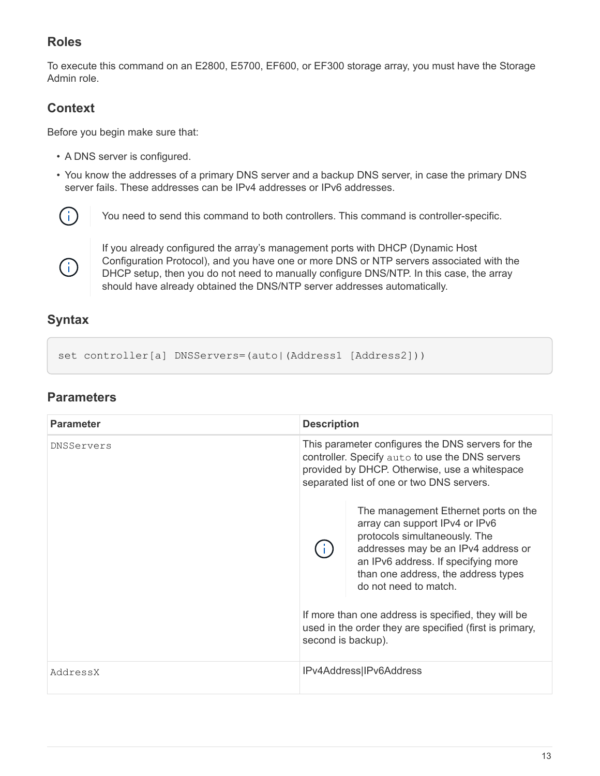# **Roles**

To execute this command on an E2800, E5700, EF600, or EF300 storage array, you must have the Storage Admin role.

### **Context**

Before you begin make sure that:

- A DNS server is configured.
- You know the addresses of a primary DNS server and a backup DNS server, in case the primary DNS server fails. These addresses can be IPv4 addresses or IPv6 addresses.



You need to send this command to both controllers. This command is controller-specific.



If you already configured the array's management ports with DHCP (Dynamic Host Configuration Protocol), and you have one or more DNS or NTP servers associated with the DHCP setup, then you do not need to manually configure DNS/NTP. In this case, the array should have already obtained the DNS/NTP server addresses automatically.

# **Syntax**

set controller[a] DNSServers=(auto|(Address1 [Address2]))

| <b>Parameter</b> | <b>Description</b>                                                                                                                                                                                 |                                                                                                                                                                                                                                                       |
|------------------|----------------------------------------------------------------------------------------------------------------------------------------------------------------------------------------------------|-------------------------------------------------------------------------------------------------------------------------------------------------------------------------------------------------------------------------------------------------------|
| DNSServers       | This parameter configures the DNS servers for the<br>controller. Specify auto to use the DNS servers<br>provided by DHCP. Otherwise, use a whitespace<br>separated list of one or two DNS servers. |                                                                                                                                                                                                                                                       |
|                  |                                                                                                                                                                                                    | The management Ethernet ports on the<br>array can support IPv4 or IPv6<br>protocols simultaneously. The<br>addresses may be an IPv4 address or<br>an IPv6 address. If specifying more<br>than one address, the address types<br>do not need to match. |
|                  | second is backup).                                                                                                                                                                                 | If more than one address is specified, they will be<br>used in the order they are specified (first is primary,                                                                                                                                        |
| AddressX         |                                                                                                                                                                                                    | IPv4Address IPv6Address                                                                                                                                                                                                                               |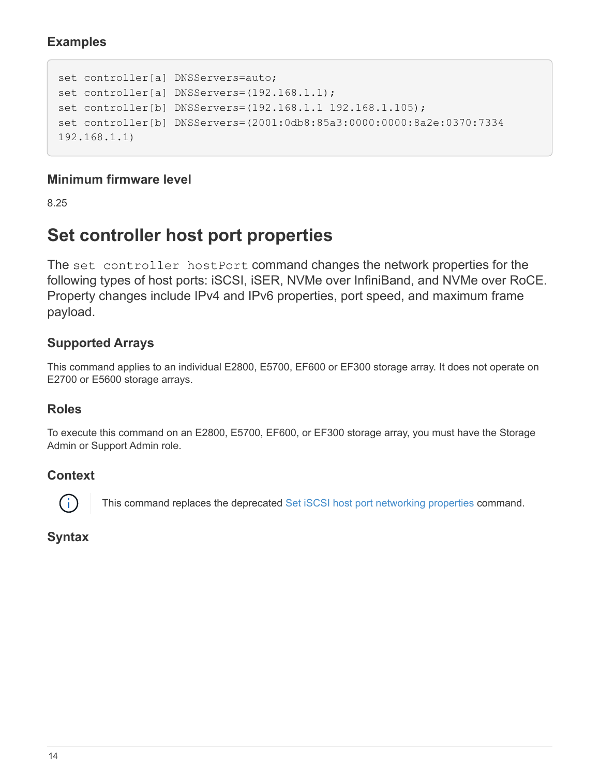### **Examples**

```
set controller[a] DNSServers=auto;
set controller[a] DNSServers=(192.168.1.1);
set controller[b] DNSServers=(192.168.1.1 192.168.1.105);
set controller[b] DNSServers=(2001:0db8:85a3:0000:0000:8a2e:0370:7334
192.168.1.1)
```
### **Minimum firmware level**

8.25

# <span id="page-17-0"></span>**Set controller host port properties**

The set controller hostPort command changes the network properties for the following types of host ports: iSCSI, iSER, NVMe over InfiniBand, and NVMe over RoCE. Property changes include IPv4 and IPv6 properties, port speed, and maximum frame payload.

### **Supported Arrays**

This command applies to an individual E2800, E5700, EF600 or EF300 storage array. It does not operate on E2700 or E5600 storage arrays.

#### **Roles**

To execute this command on an E2800, E5700, EF600, or EF300 storage array, you must have the Storage Admin or Support Admin role.

### **Context**

This command replaces the deprecated [Set iSCSI host port networking properties](#page-24-0) command.

### **Syntax**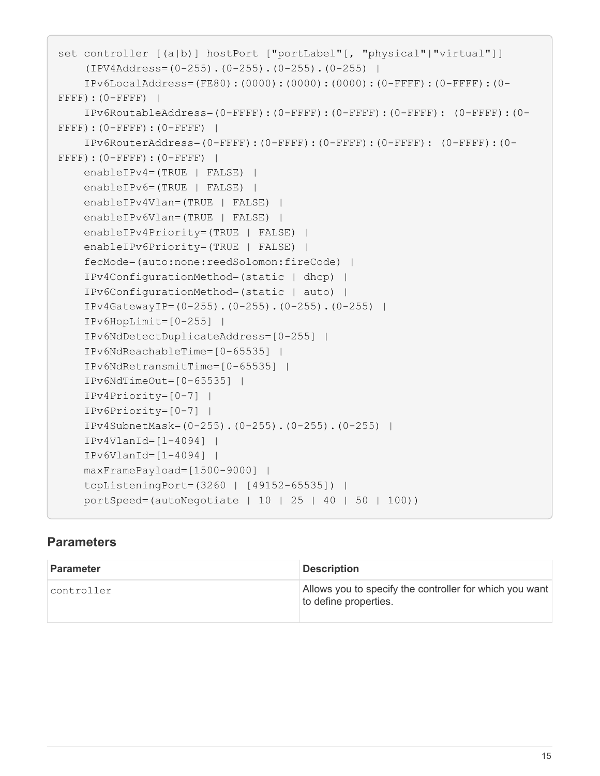```
set controller [(a|b)] hostPort ["portLabel"[, "physical"|"virtual"]]
      (IPV4Address=(0-255).(0-255).(0-255).(0-255) |
      IPv6LocalAddress=(FE80):(0000):(0000):(0000):(0-FFFF):(0-FFFF):(0-
FFFF): (0-FFFF) |
      IPv6RoutableAddress=(0-FFFF):(0-FFFF):(0-FFFF):(0-FFFF): (0-FFFF):(0-
FFFF):(0-FFFF):(0-FFFF) |
      IPv6RouterAddress=(0-FFFF):(0-FFFF):(0-FFFF):(0-FFFF): (0-FFFF):(0-
FFFF):(0-FFFF):(0-FFFF) |
      enableIPv4=(TRUE | FALSE) |
      enableIPv6=(TRUE | FALSE) |
      enableIPv4Vlan=(TRUE | FALSE) |
      enableIPv6Vlan=(TRUE | FALSE) |
      enableIPv4Priority=(TRUE | FALSE) |
      enableIPv6Priority=(TRUE | FALSE) |
      fecMode=(auto:none:reedSolomon:fireCode) |
      IPv4ConfigurationMethod=(static | dhcp) |
      IPv6ConfigurationMethod=(static | auto) |
      IPv4GatewayIP=(0-255).(0-255).(0-255).(0-255) |
      IPv6HopLimit=[0-255] |
      IPv6NdDetectDuplicateAddress=[0-255] |
      IPv6NdReachableTime=[0-65535] |
      IPv6NdRetransmitTime=[0-65535] |
      IPv6NdTimeOut=[0-65535] |
      IPv4Priority=[0-7] |
      IPv6Priority=[0-7] |
      IPv4SubnetMask=(0-255).(0-255).(0-255).(0-255) |
      IPv4VlanId=[1-4094] |
      IPv6VlanId=[1-4094] |
      maxFramePayload=[1500-9000] |
      tcpListeningPort=(3260 | [49152-65535]) |
      portSpeed=(autoNegotiate | 10 | 25 | 40 | 50 | 100))
```

| <b>Parameter</b> | <b>Description</b>                                                               |
|------------------|----------------------------------------------------------------------------------|
| controller       | Allows you to specify the controller for which you want<br>to define properties. |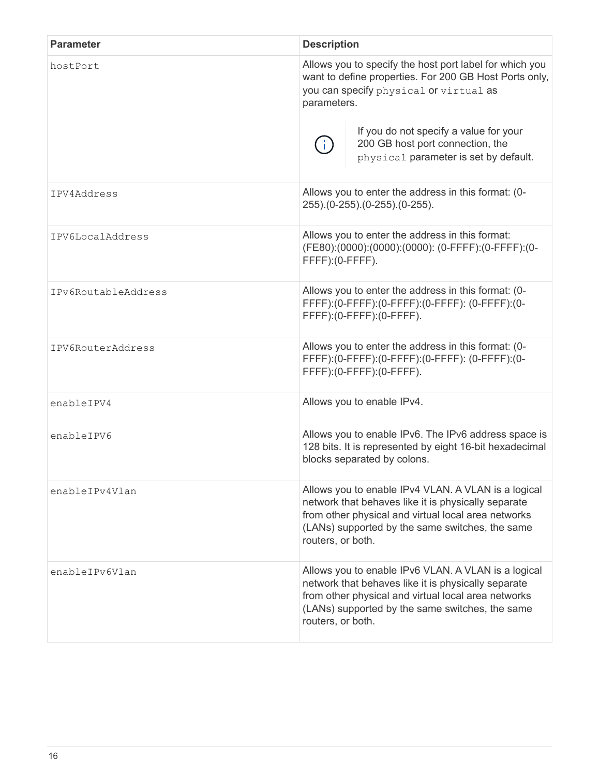| <b>Parameter</b>    | <b>Description</b>                                                                                                                                                                                                                        |  |
|---------------------|-------------------------------------------------------------------------------------------------------------------------------------------------------------------------------------------------------------------------------------------|--|
| hostPort            | Allows you to specify the host port label for which you<br>want to define properties. For 200 GB Host Ports only,<br>you can specify physical or virtual as<br>parameters.                                                                |  |
|                     | If you do not specify a value for your<br>200 GB host port connection, the<br>physical parameter is set by default.                                                                                                                       |  |
| IPV4Address         | Allows you to enter the address in this format: (0-<br>255).(0-255).(0-255).(0-255).                                                                                                                                                      |  |
| IPV6LocalAddress    | Allows you to enter the address in this format:<br>(FE80):(0000):(0000):(0000): (0-FFFF):(0-FFFF):(0-<br>FFFF): (0-FFFF).                                                                                                                 |  |
| IPv6RoutableAddress | Allows you to enter the address in this format: (0-<br>FFFF):(0-FFFF):(0-FFFF):(0-FFFF):(0-FFFF):(0-<br>FFFF):(0-FFFF):(0-FFFF).                                                                                                          |  |
| IPV6RouterAddress   | Allows you to enter the address in this format: (0-<br>FFFF):(0-FFFF):(0-FFFF):(0-FFFF):(0-FFFF):(0-<br>FFFF): (0-FFFF): (0-FFFF).                                                                                                        |  |
| enableIPV4          | Allows you to enable IPv4.                                                                                                                                                                                                                |  |
| enableIPV6          | Allows you to enable IPv6. The IPv6 address space is<br>128 bits. It is represented by eight 16-bit hexadecimal<br>blocks separated by colons.                                                                                            |  |
| enableIPv4Vlan      | Allows you to enable IPv4 VLAN. A VLAN is a logical<br>network that behaves like it is physically separate<br>from other physical and virtual local area networks<br>(LANs) supported by the same switches, the same<br>routers, or both. |  |
| enableIPv6Vlan      | Allows you to enable IPv6 VLAN. A VLAN is a logical<br>network that behaves like it is physically separate<br>from other physical and virtual local area networks<br>(LANs) supported by the same switches, the same<br>routers, or both. |  |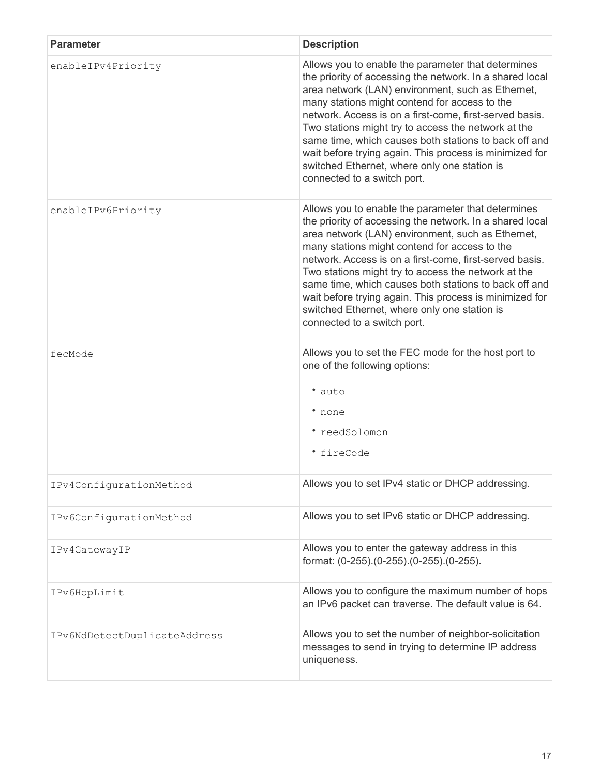| <b>Parameter</b>             | <b>Description</b>                                                                                                                                                                                                                                                                                                                                                                                                                                                                                                                        |
|------------------------------|-------------------------------------------------------------------------------------------------------------------------------------------------------------------------------------------------------------------------------------------------------------------------------------------------------------------------------------------------------------------------------------------------------------------------------------------------------------------------------------------------------------------------------------------|
| enableIPv4Priority           | Allows you to enable the parameter that determines<br>the priority of accessing the network. In a shared local<br>area network (LAN) environment, such as Ethernet,<br>many stations might contend for access to the<br>network. Access is on a first-come, first-served basis.<br>Two stations might try to access the network at the<br>same time, which causes both stations to back off and<br>wait before trying again. This process is minimized for<br>switched Ethernet, where only one station is<br>connected to a switch port. |
| enableIPv6Priority           | Allows you to enable the parameter that determines<br>the priority of accessing the network. In a shared local<br>area network (LAN) environment, such as Ethernet,<br>many stations might contend for access to the<br>network. Access is on a first-come, first-served basis.<br>Two stations might try to access the network at the<br>same time, which causes both stations to back off and<br>wait before trying again. This process is minimized for<br>switched Ethernet, where only one station is<br>connected to a switch port. |
| fecMode                      | Allows you to set the FEC mode for the host port to<br>one of the following options:<br>• auto<br>• none<br>* reedSolomon<br><i>*</i> fireCode                                                                                                                                                                                                                                                                                                                                                                                            |
| IPv4ConfigurationMethod      | Allows you to set IPv4 static or DHCP addressing.                                                                                                                                                                                                                                                                                                                                                                                                                                                                                         |
| IPv6ConfigurationMethod      | Allows you to set IPv6 static or DHCP addressing.                                                                                                                                                                                                                                                                                                                                                                                                                                                                                         |
| IPv4GatewayIP                | Allows you to enter the gateway address in this<br>format: (0-255).(0-255).(0-255).(0-255).                                                                                                                                                                                                                                                                                                                                                                                                                                               |
| IPv6HopLimit                 | Allows you to configure the maximum number of hops<br>an IPv6 packet can traverse. The default value is 64.                                                                                                                                                                                                                                                                                                                                                                                                                               |
| IPv6NdDetectDuplicateAddress | Allows you to set the number of neighbor-solicitation<br>messages to send in trying to determine IP address<br>uniqueness.                                                                                                                                                                                                                                                                                                                                                                                                                |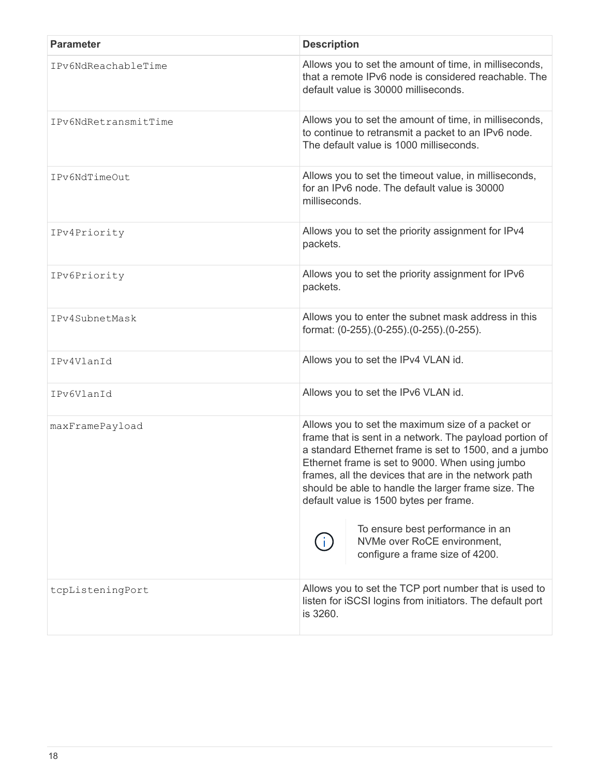| <b>Parameter</b>     | <b>Description</b>                                                                                                                                                                                                                                                                                                                                                                                                                                                                      |
|----------------------|-----------------------------------------------------------------------------------------------------------------------------------------------------------------------------------------------------------------------------------------------------------------------------------------------------------------------------------------------------------------------------------------------------------------------------------------------------------------------------------------|
| IPv6NdReachableTime  | Allows you to set the amount of time, in milliseconds,<br>that a remote IPv6 node is considered reachable. The<br>default value is 30000 milliseconds.                                                                                                                                                                                                                                                                                                                                  |
| IPv6NdRetransmitTime | Allows you to set the amount of time, in milliseconds,<br>to continue to retransmit a packet to an IPv6 node.<br>The default value is 1000 milliseconds.                                                                                                                                                                                                                                                                                                                                |
| IPv6NdTimeOut        | Allows you to set the timeout value, in milliseconds,<br>for an IPv6 node. The default value is 30000<br>milliseconds.                                                                                                                                                                                                                                                                                                                                                                  |
| IPv4Priority         | Allows you to set the priority assignment for IPv4<br>packets.                                                                                                                                                                                                                                                                                                                                                                                                                          |
| IPv6Priority         | Allows you to set the priority assignment for IPv6<br>packets.                                                                                                                                                                                                                                                                                                                                                                                                                          |
| IPv4SubnetMask       | Allows you to enter the subnet mask address in this<br>format: (0-255).(0-255).(0-255).(0-255).                                                                                                                                                                                                                                                                                                                                                                                         |
| IPv4VlanId           | Allows you to set the IPv4 VLAN id.                                                                                                                                                                                                                                                                                                                                                                                                                                                     |
| IPv6VlanId           | Allows you to set the IPv6 VLAN id.                                                                                                                                                                                                                                                                                                                                                                                                                                                     |
| maxFramePayload      | Allows you to set the maximum size of a packet or<br>frame that is sent in a network. The payload portion of<br>a standard Ethernet frame is set to 1500, and a jumbo<br>Ethernet frame is set to 9000. When using jumbo<br>frames, all the devices that are in the network path<br>should be able to handle the larger frame size. The<br>default value is 1500 bytes per frame.<br>To ensure best performance in an<br>NVMe over RoCE environment,<br>configure a frame size of 4200. |
| tcpListeningPort     | Allows you to set the TCP port number that is used to<br>listen for iSCSI logins from initiators. The default port<br>is 3260.                                                                                                                                                                                                                                                                                                                                                          |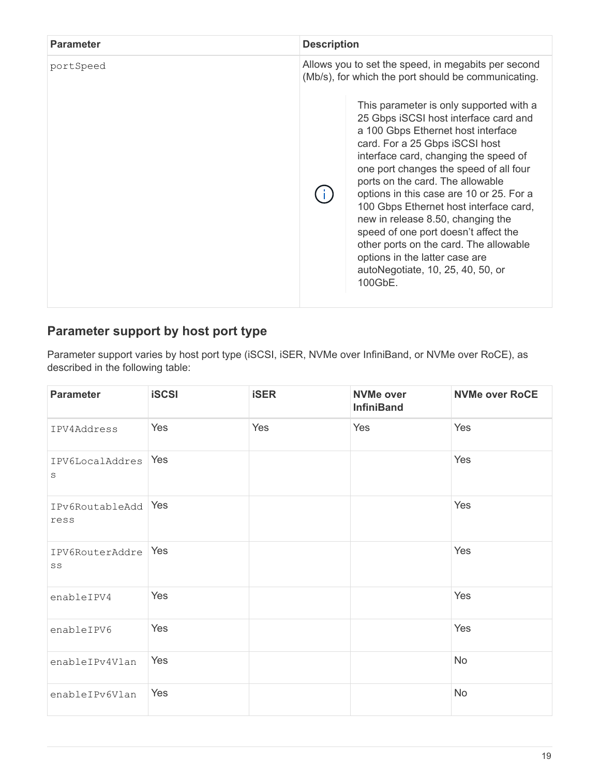| <b>Parameter</b> | <b>Description</b>                                                                                                                                                                                                                                                                                                                                                                            |  |
|------------------|-----------------------------------------------------------------------------------------------------------------------------------------------------------------------------------------------------------------------------------------------------------------------------------------------------------------------------------------------------------------------------------------------|--|
| portSpeed        | Allows you to set the speed, in megabits per second<br>(Mb/s), for which the port should be communicating.<br>This parameter is only supported with a<br>25 Gbps iSCSI host interface card and<br>a 100 Gbps Ethernet host interface<br>card. For a 25 Gbps iSCSI host<br>interface card, changing the speed of<br>one port changes the speed of all four<br>ports on the card. The allowable |  |
|                  | options in this case are 10 or 25. For a<br>100 Gbps Ethernet host interface card,<br>new in release 8.50, changing the<br>speed of one port doesn't affect the<br>other ports on the card. The allowable<br>options in the latter case are<br>autoNegotiate, 10, 25, 40, 50, or<br>100GbE.                                                                                                   |  |

# **Parameter support by host port type**

Parameter support varies by host port type (iSCSI, iSER, NVMe over InfiniBand, or NVMe over RoCE), as described in the following table:

| <b>Parameter</b>           | <b>iSCSI</b> | <b>iSER</b> | <b>NVMe over</b><br><b>InfiniBand</b> | <b>NVMe over RoCE</b> |
|----------------------------|--------------|-------------|---------------------------------------|-----------------------|
| IPV4Address                | Yes          | Yes         | Yes                                   | Yes                   |
| IPV6LocalAddres<br>$\rm s$ | Yes          |             |                                       | Yes                   |
| IPv6RoutableAdd<br>ress    | Yes          |             |                                       | Yes                   |
| IPV6RouterAddre<br>SS      | Yes          |             |                                       | Yes                   |
| enableIPV4                 | Yes          |             |                                       | Yes                   |
| enableIPV6                 | Yes          |             |                                       | Yes                   |
| enableIPv4Vlan             | Yes          |             |                                       | <b>No</b>             |
| enableIPv6Vlan             | Yes          |             |                                       | No                    |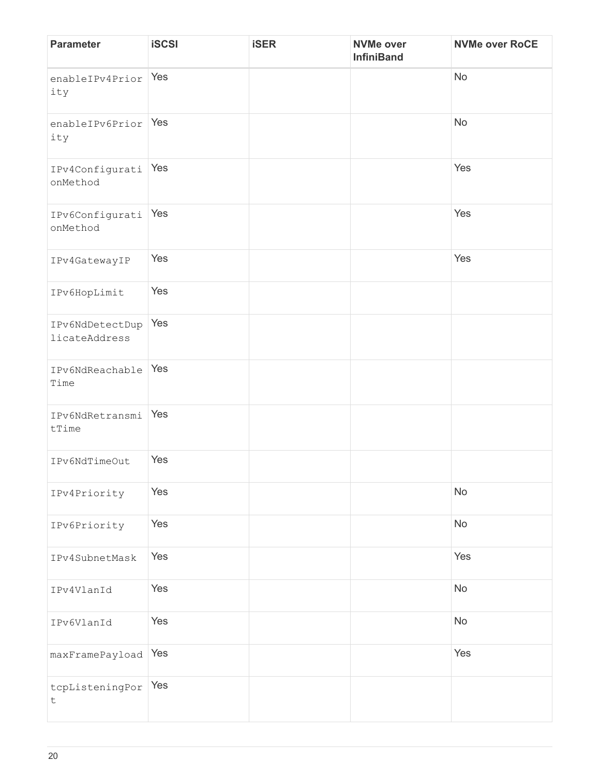| <b>Parameter</b>                 | <b>iSCSI</b> | <b>iSER</b> | <b>NVMe over</b><br><b>InfiniBand</b> | <b>NVMe over RoCE</b> |
|----------------------------------|--------------|-------------|---------------------------------------|-----------------------|
| enableIPv4Prior<br>ity           | Yes          |             |                                       | No                    |
| enableIPv6Prior Yes<br>ity       |              |             |                                       | No                    |
| IPv4Configurati<br>onMethod      | Yes          |             |                                       | Yes                   |
| IPv6Configurati<br>onMethod      | Yes          |             |                                       | Yes                   |
| IPv4GatewayIP                    | Yes          |             |                                       | Yes                   |
| IPv6HopLimit                     | Yes          |             |                                       |                       |
| IPv6NdDetectDup<br>licateAddress | Yes          |             |                                       |                       |
| IPv6NdReachable<br>Time          | Yes          |             |                                       |                       |
| IPv6NdRetransmi<br>tTime         | Yes          |             |                                       |                       |
| IPv6NdTimeOut                    | Yes          |             |                                       |                       |
| IPv4Priority                     | Yes          |             |                                       | No                    |
| IPv6Priority                     | Yes          |             |                                       | No                    |
| IPv4SubnetMask                   | Yes          |             |                                       | Yes                   |
| IPv4VlanId                       | Yes          |             |                                       | No                    |
| IPv6VlanId                       | Yes          |             |                                       | No                    |
| maxFramePayload                  | Yes          |             |                                       | Yes                   |
| tcpListeningPor<br>$\sf t$       | Yes          |             |                                       |                       |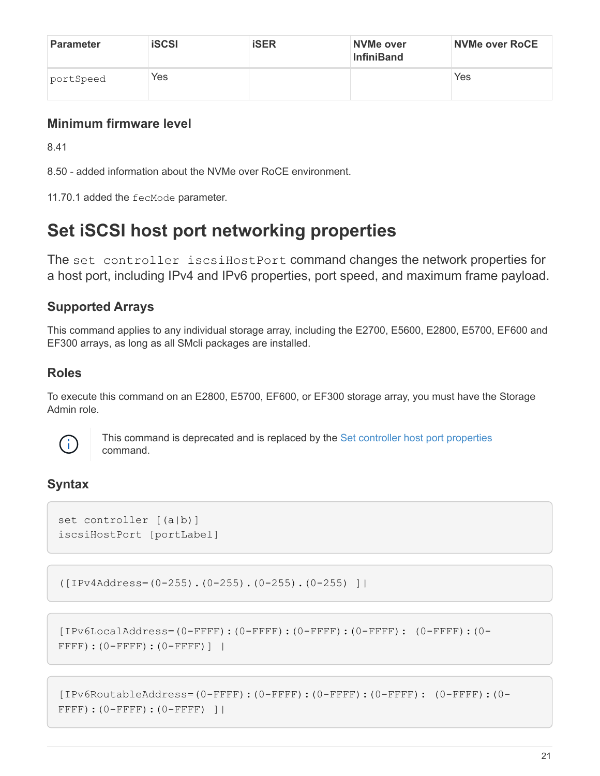| Parameter | <b>iSCSI</b> | <b>iSER</b> | NVMe over<br><b>InfiniBand</b> | <b>NVMe over RoCE</b> |
|-----------|--------------|-------------|--------------------------------|-----------------------|
| portSpeed | Yes          |             |                                | Yes                   |

# **Minimum firmware level**

8.41

8.50 - added information about the NVMe over RoCE environment.

11.70.1 added the fecMode parameter.

# <span id="page-24-0"></span>**Set iSCSI host port networking properties**

The set controller iscsiHostPort command changes the network properties for a host port, including IPv4 and IPv6 properties, port speed, and maximum frame payload.

# **Supported Arrays**

This command applies to any individual storage array, including the E2700, E5600, E2800, E5700, EF600 and EF300 arrays, as long as all SMcli packages are installed.

### **Roles**

To execute this command on an E2800, E5700, EF600, or EF300 storage array, you must have the Storage Admin role.



This command is deprecated and is replaced by the [Set controller host port properties](#page-17-0) command.

# **Syntax**

```
set controller [(a|b)]
iscsiHostPort [portLabel]
```

```
([IPv4Address=(0-255).(0-255).(0-255).(0-255) ]|
```

```
[IPv6LocalAddress=(0-FFFF):(0-FFFF):(0-FFFF):(0-FFFF): (0-FFFF):(0-
FFFF):(0-FFFF):(0-FFFF)] |
```

```
[IPv6RoutableAddress=(0-FFFF):(0-FFFF):(0-FFFF):(0-FFFF): (0-FFFF):(0-
FFFF):(0-FFFF):(0-FFFF) ]|
```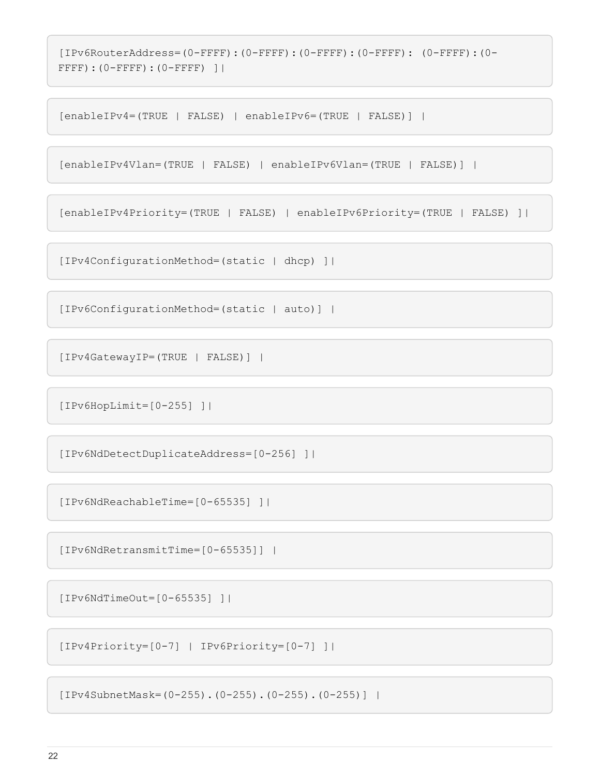```
[IPv6RouterAddress=(0-FFFF):(0-FFFF):(0-FFFF):(0-FFFF): (0-FFFF):(0-
FFFF):(0-FFFF):(0-FFFF) ]|
```
[enableIPv4=(TRUE | FALSE) | enableIPv6=(TRUE | FALSE)] |

```
[enableIPv4Vlan=(TRUE | FALSE) | enableIPv6Vlan=(TRUE | FALSE)] |
```
[enableIPv4Priority=(TRUE | FALSE) | enableIPv6Priority=(TRUE | FALSE) ]|

[IPv4ConfigurationMethod=(static | dhcp) ]|

```
[IPv6ConfigurationMethod=(static | auto)] |
```
[IPv4GatewayIP=(TRUE | FALSE)] |

[IPv6HopLimit=[0-255] ]|

[IPv6NdDetectDuplicateAddress=[0-256] ]|

[IPv6NdReachableTime=[0-65535] ]|

[IPv6NdRetransmitTime=[0-65535]] |

[IPv6NdTimeOut=[0-65535] ]|

```
[IPv4Priority=[0-7] | IPv6Priority=[0-7] ]|
```
[IPv4SubnetMask=(0-255).(0-255).(0-255).(0-255)] |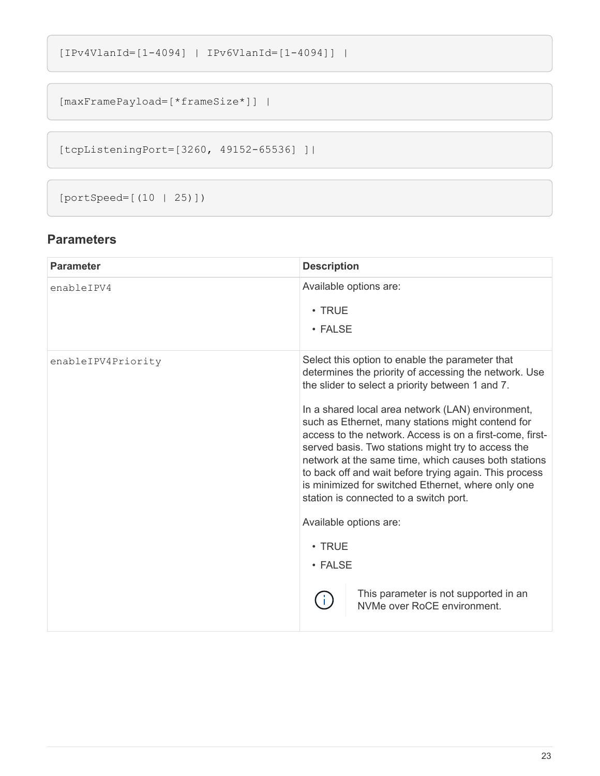```
[IPv4VlanId=[1-4094] | IPv6VlanId=[1-4094]] |
```

```
[maxFramePayload=[*frameSize*]] |
```
[tcpListeningPort=[3260, 49152-65536] ]|

[portSpeed=[(10 | 25)])

| <b>Parameter</b>   | <b>Description</b>                                                                                                                                                                                                                                                                                                                                                                                                                                                                                                                                                                                                                                                                                                                      |
|--------------------|-----------------------------------------------------------------------------------------------------------------------------------------------------------------------------------------------------------------------------------------------------------------------------------------------------------------------------------------------------------------------------------------------------------------------------------------------------------------------------------------------------------------------------------------------------------------------------------------------------------------------------------------------------------------------------------------------------------------------------------------|
| enableIPV4         | Available options are:<br>$\cdot$ TRUE<br>• FALSE                                                                                                                                                                                                                                                                                                                                                                                                                                                                                                                                                                                                                                                                                       |
| enableIPV4Priority | Select this option to enable the parameter that<br>determines the priority of accessing the network. Use<br>the slider to select a priority between 1 and 7.<br>In a shared local area network (LAN) environment,<br>such as Ethernet, many stations might contend for<br>access to the network. Access is on a first-come, first-<br>served basis. Two stations might try to access the<br>network at the same time, which causes both stations<br>to back off and wait before trying again. This process<br>is minimized for switched Ethernet, where only one<br>station is connected to a switch port.<br>Available options are:<br>$\cdot$ TRUE<br>• FALSE<br>This parameter is not supported in an<br>NVMe over RoCE environment. |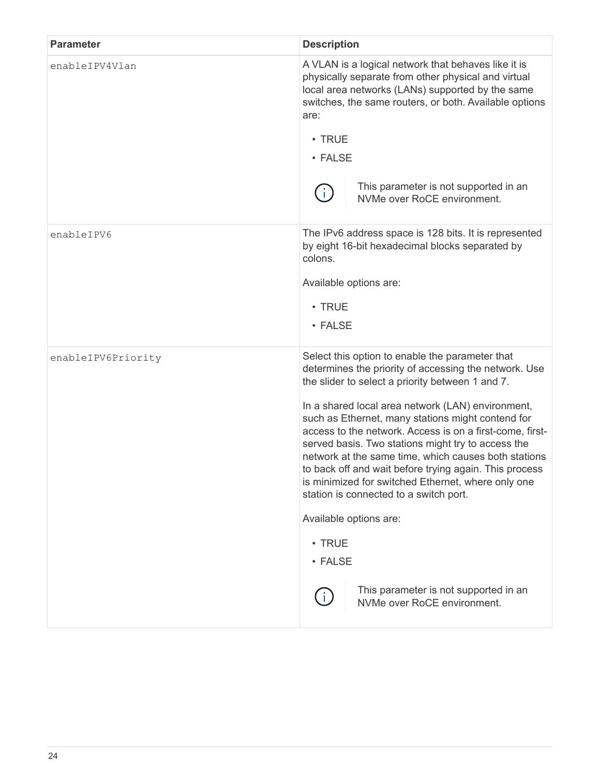| <b>Parameter</b>   | <b>Description</b>                                                                                                                                                                                                                                                                                                                                                                                                                                                                                                                                                                                                                                                                                                                |
|--------------------|-----------------------------------------------------------------------------------------------------------------------------------------------------------------------------------------------------------------------------------------------------------------------------------------------------------------------------------------------------------------------------------------------------------------------------------------------------------------------------------------------------------------------------------------------------------------------------------------------------------------------------------------------------------------------------------------------------------------------------------|
| enableIPV4Vlan     | A VLAN is a logical network that behaves like it is<br>physically separate from other physical and virtual<br>local area networks (LANs) supported by the same<br>switches, the same routers, or both. Available options<br>are:<br>$\cdot$ TRUE<br>• FALSE<br>This parameter is not supported in an<br>Ť.<br>NVMe over RoCE environment.                                                                                                                                                                                                                                                                                                                                                                                         |
| enableIPV6         | The IPv6 address space is 128 bits. It is represented<br>by eight 16-bit hexadecimal blocks separated by<br>colons.<br>Available options are:<br>$\cdot$ TRUE<br>• FALSE                                                                                                                                                                                                                                                                                                                                                                                                                                                                                                                                                          |
| enableIPV6Priority | Select this option to enable the parameter that<br>determines the priority of accessing the network. Use<br>the slider to select a priority between 1 and 7.<br>In a shared local area network (LAN) environment,<br>such as Ethernet, many stations might contend for<br>access to the network. Access is on a first-come, first-<br>served basis. Two stations might try to access the<br>network at the same time, which causes both stations<br>to back off and wait before trying again. This process<br>is minimized for switched Ethernet, where only one<br>station is connected to a switch port.<br>Available options are:<br>• TRUE<br>• FALSE<br>This parameter is not supported in an<br>NVMe over RoCE environment. |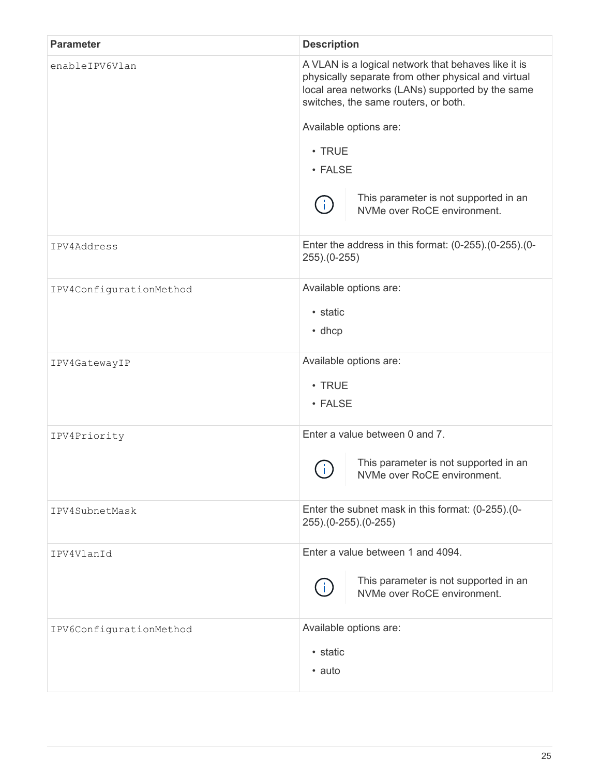| <b>Parameter</b>        | <b>Description</b>                                                                                                                                                                                                                                                                                                                        |
|-------------------------|-------------------------------------------------------------------------------------------------------------------------------------------------------------------------------------------------------------------------------------------------------------------------------------------------------------------------------------------|
| enableIPV6Vlan          | A VLAN is a logical network that behaves like it is<br>physically separate from other physical and virtual<br>local area networks (LANs) supported by the same<br>switches, the same routers, or both.<br>Available options are:<br>$\cdot$ TRUE<br>• FALSE<br>This parameter is not supported in an<br>Ĵ.<br>NVMe over RoCE environment. |
| IPV4Address             | Enter the address in this format: (0-255).(0-255).(0-<br>$255)(0-255)$                                                                                                                                                                                                                                                                    |
| IPV4ConfigurationMethod | Available options are:<br>• static<br>$\cdot$ dhcp                                                                                                                                                                                                                                                                                        |
| IPV4GatewayIP           | Available options are:<br>$\cdot$ TRUE<br>• FALSE                                                                                                                                                                                                                                                                                         |
| IPV4Priority            | Enter a value between 0 and 7.<br>This parameter is not supported in an<br>$\mathbf{L}$<br>NVMe over RoCE environment.                                                                                                                                                                                                                    |
| IPV4SubnetMask          | Enter the subnet mask in this format: (0-255).(0-<br>255).(0-255).(0-255)                                                                                                                                                                                                                                                                 |
| IPV4VlanId              | Enter a value between 1 and 4094.<br>This parameter is not supported in an<br>NVMe over RoCE environment.                                                                                                                                                                                                                                 |
| IPV6ConfigurationMethod | Available options are:<br>• static<br>• auto                                                                                                                                                                                                                                                                                              |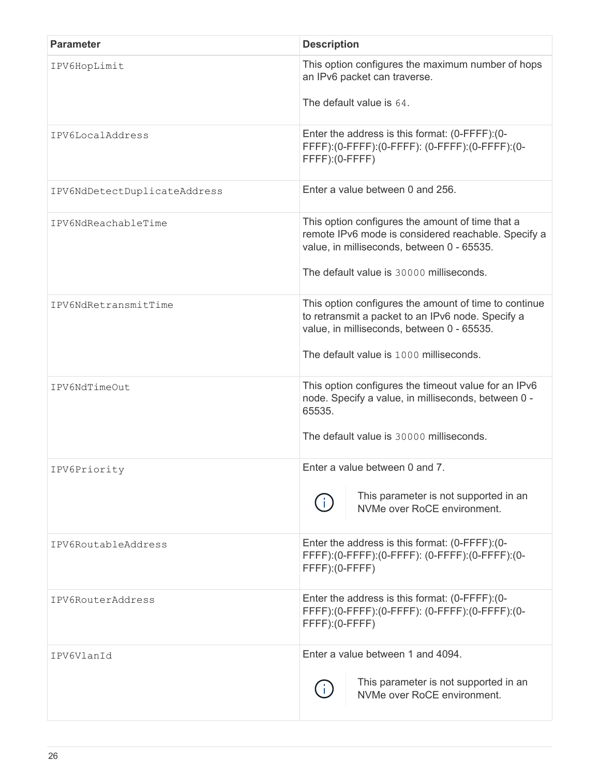| <b>Parameter</b>             | <b>Description</b>                                                                                                                                                                                  |
|------------------------------|-----------------------------------------------------------------------------------------------------------------------------------------------------------------------------------------------------|
| IPV6HopLimit                 | This option configures the maximum number of hops<br>an IPv6 packet can traverse.                                                                                                                   |
|                              | The default value is 64.                                                                                                                                                                            |
| IPV6LocalAddress             | Enter the address is this format: (0-FFFF): (0-<br>FFFF):(0-FFFF):(0-FFFF):(0-FFFF):(0-FFFF):(0-<br>FFFF): (0-FFFF)                                                                                 |
| IPV6NdDetectDuplicateAddress | Enter a value between 0 and 256.                                                                                                                                                                    |
| IPV6NdReachableTime          | This option configures the amount of time that a<br>remote IPv6 mode is considered reachable. Specify a<br>value, in milliseconds, between 0 - 65535.<br>The default value is 30000 milliseconds.   |
| IPV6NdRetransmitTime         | This option configures the amount of time to continue<br>to retransmit a packet to an IPv6 node. Specify a<br>value, in milliseconds, between 0 - 65535.<br>The default value is 1000 milliseconds. |
| IPV6NdTimeOut                | This option configures the timeout value for an IPv6<br>node. Specify a value, in milliseconds, between 0 -<br>65535.<br>The default value is 30000 milliseconds.                                   |
| IPV6Priority                 | Enter a value between 0 and 7.                                                                                                                                                                      |
|                              | This parameter is not supported in an<br>NVMe over RoCE environment.                                                                                                                                |
| IPV6RoutableAddress          | Enter the address is this format: (0-FFFF): (0-<br>FFFF):(0-FFFF):(0-FFFF):(0-FFFF):(0-FFFF):(0-<br>$FFFF):(0-FFFF)$                                                                                |
| IPV6RouterAddress            | Enter the address is this format: (0-FFFF): (0-<br>FFFF):(0-FFFF):(0-FFFF):(0-FFFF):(0-FFFF):(0-<br>FFFF): (0-FFFF)                                                                                 |
| IPV6VlanId                   | Enter a value between 1 and 4094.<br>This parameter is not supported in an<br>NVMe over RoCE environment.                                                                                           |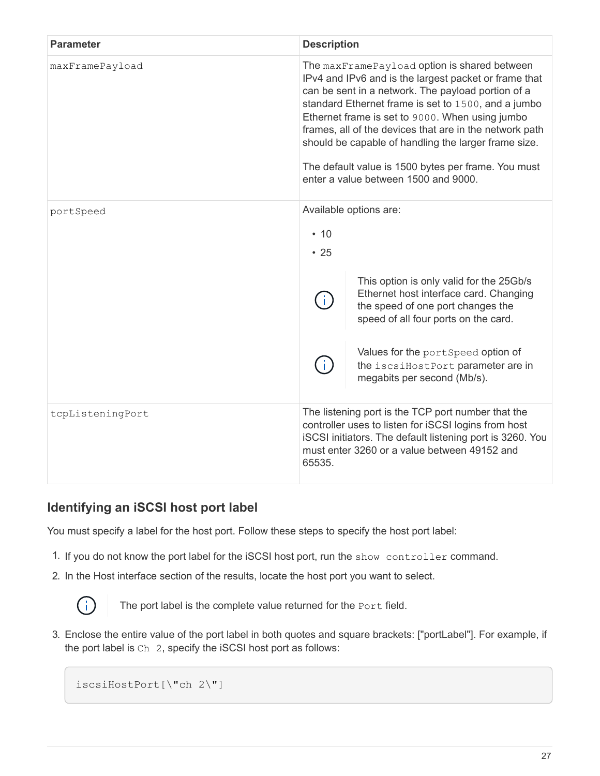| <b>Parameter</b> | <b>Description</b>                                                                                                                                                                                                                                                                                                                                                                                                                                                                      |
|------------------|-----------------------------------------------------------------------------------------------------------------------------------------------------------------------------------------------------------------------------------------------------------------------------------------------------------------------------------------------------------------------------------------------------------------------------------------------------------------------------------------|
| maxFramePayload  | The maxFramePayload option is shared between<br>IPv4 and IPv6 and is the largest packet or frame that<br>can be sent in a network. The payload portion of a<br>standard Ethernet frame is set to 1500, and a jumbo<br>Ethernet frame is set to 9000. When using jumbo<br>frames, all of the devices that are in the network path<br>should be capable of handling the larger frame size.<br>The default value is 1500 bytes per frame. You must<br>enter a value between 1500 and 9000. |
| portSpeed        | Available options are:<br>$\cdot$ 10<br>• 25<br>This option is only valid for the 25Gb/s<br>Ethernet host interface card. Changing<br>the speed of one port changes the<br>speed of all four ports on the card.<br>Values for the portSpeed option of<br>the iscsiHostPort parameter are in<br>megabits per second (Mb/s).                                                                                                                                                              |
| tcpListeningPort | The listening port is the TCP port number that the<br>controller uses to listen for iSCSI logins from host<br>iSCSI initiators. The default listening port is 3260. You<br>must enter 3260 or a value between 49152 and<br>65535.                                                                                                                                                                                                                                                       |

### **Identifying an iSCSI host port label**

You must specify a label for the host port. Follow these steps to specify the host port label:

- 1. If you do not know the port label for the iSCSI host port, run the show controller command.
- 2. In the Host interface section of the results, locate the host port you want to select.



The port label is the complete value returned for the Port field.

3. Enclose the entire value of the port label in both quotes and square brackets: ["portLabel"]. For example, if the port label is Ch 2, specify the iSCSI host port as follows:

iscsiHostPort[\"ch 2\"]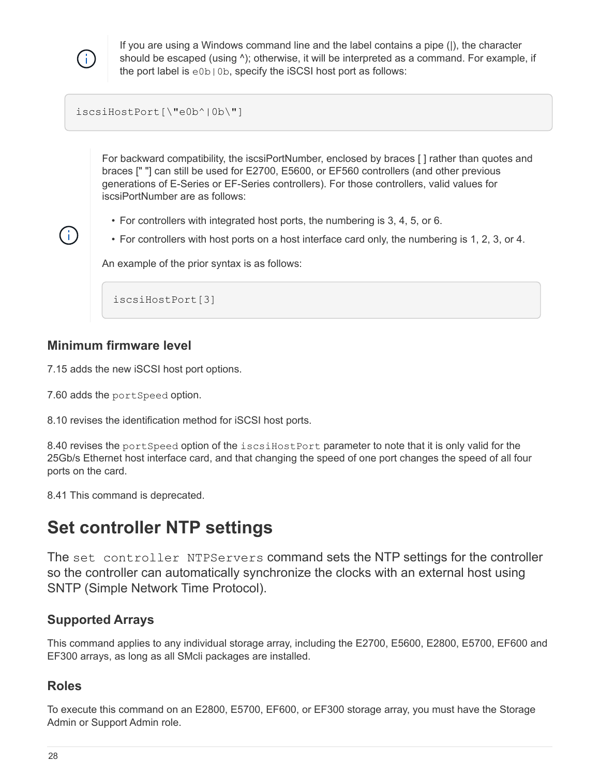

Ť.

If you are using a Windows command line and the label contains a pipe (|), the character should be escaped (using  $\land$ ); otherwise, it will be interpreted as a command. For example, if the port label is e0b|0b, specify the iSCSI host port as follows:

#### iscsiHostPort[\"e0b^|0b\"]

For backward compatibility, the iscsiPortNumber, enclosed by braces [ ] rather than quotes and braces [" "] can still be used for E2700, E5600, or EF560 controllers (and other previous generations of E-Series or EF-Series controllers). For those controllers, valid values for iscsiPortNumber are as follows:

- For controllers with integrated host ports, the numbering is 3, 4, 5, or 6.
- For controllers with host ports on a host interface card only, the numbering is 1, 2, 3, or 4.

An example of the prior syntax is as follows:

iscsiHostPort[3]

#### **Minimum firmware level**

7.15 adds the new iSCSI host port options.

7.60 adds the portSpeed option.

8.10 revises the identification method for iSCSI host ports.

8.40 revises the portSpeed option of the iscsiHostPort parameter to note that it is only valid for the 25Gb/s Ethernet host interface card, and that changing the speed of one port changes the speed of all four ports on the card.

8.41 This command is deprecated.

# <span id="page-31-0"></span>**Set controller NTP settings**

The set controller NTPServers command sets the NTP settings for the controller so the controller can automatically synchronize the clocks with an external host using SNTP (Simple Network Time Protocol).

#### **Supported Arrays**

This command applies to any individual storage array, including the E2700, E5600, E2800, E5700, EF600 and EF300 arrays, as long as all SMcli packages are installed.

#### **Roles**

To execute this command on an E2800, E5700, EF600, or EF300 storage array, you must have the Storage Admin or Support Admin role.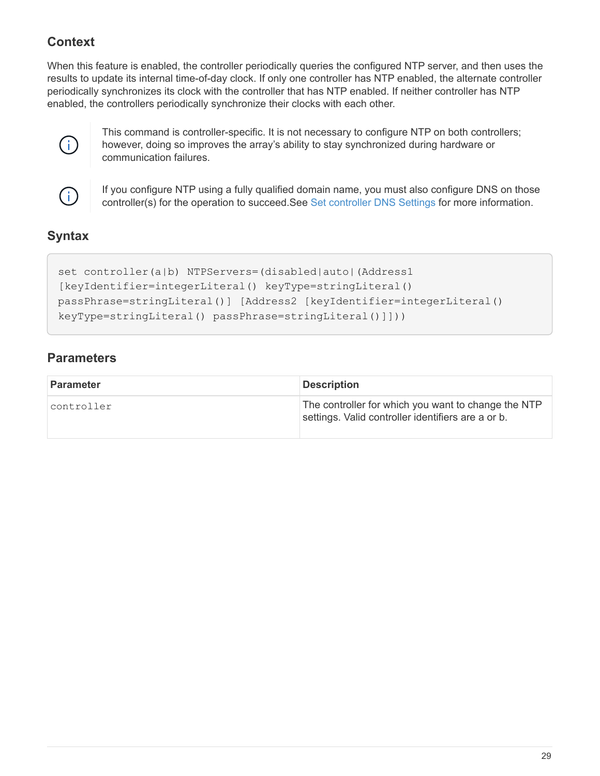# **Context**

When this feature is enabled, the controller periodically queries the configured NTP server, and then uses the results to update its internal time-of-day clock. If only one controller has NTP enabled, the alternate controller periodically synchronizes its clock with the controller that has NTP enabled. If neither controller has NTP enabled, the controllers periodically synchronize their clocks with each other.



This command is controller-specific. It is not necessary to configure NTP on both controllers; however, doing so improves the array's ability to stay synchronized during hardware or communication failures.



If you configure NTP using a fully qualified domain name, you must also configure DNS on those controller(s) for the operation to succeed.See [Set controller DNS Settings](#page-15-0) for more information.

# **Syntax**

```
set controller(a|b) NTPServers=(disabled|auto|(Address1
[keyIdentifier=integerLiteral() keyType=stringLiteral()
passPhrase=stringLiteral()] [Address2 [keyIdentifier=integerLiteral()
keyType=stringLiteral() passPhrase=stringLiteral()]]))
```

| <b>Parameter</b> | <b>Description</b>                                                                                        |
|------------------|-----------------------------------------------------------------------------------------------------------|
| controller       | The controller for which you want to change the NTP<br>settings. Valid controller identifiers are a or b. |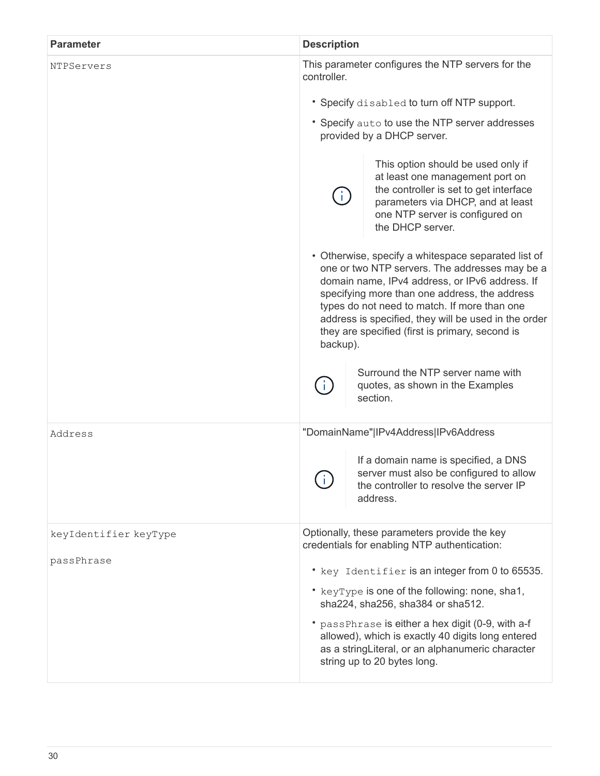| <b>Parameter</b>                    | <b>Description</b>                                                                                                                                                                                                                                                                                                                                                              |
|-------------------------------------|---------------------------------------------------------------------------------------------------------------------------------------------------------------------------------------------------------------------------------------------------------------------------------------------------------------------------------------------------------------------------------|
| NTPServers                          | This parameter configures the NTP servers for the<br>controller.                                                                                                                                                                                                                                                                                                                |
|                                     | * Specify disabled to turn off NTP support.                                                                                                                                                                                                                                                                                                                                     |
|                                     | * Specify auto to use the NTP server addresses<br>provided by a DHCP server.                                                                                                                                                                                                                                                                                                    |
|                                     | This option should be used only if<br>at least one management port on<br>the controller is set to get interface<br>parameters via DHCP, and at least<br>one NTP server is configured on<br>the DHCP server.                                                                                                                                                                     |
|                                     | • Otherwise, specify a whitespace separated list of<br>one or two NTP servers. The addresses may be a<br>domain name, IPv4 address, or IPv6 address. If<br>specifying more than one address, the address<br>types do not need to match. If more than one<br>address is specified, they will be used in the order<br>they are specified (first is primary, second is<br>backup). |
|                                     | Surround the NTP server name with<br>quotes, as shown in the Examples<br>section.                                                                                                                                                                                                                                                                                               |
| Address                             | "DomainName" IPv4Address IPv6Address                                                                                                                                                                                                                                                                                                                                            |
|                                     | If a domain name is specified, a DNS<br>server must also be configured to allow<br>the controller to resolve the server IP<br>address.                                                                                                                                                                                                                                          |
| keyIdentifier keyType<br>passPhrase | Optionally, these parameters provide the key<br>credentials for enabling NTP authentication:                                                                                                                                                                                                                                                                                    |
|                                     | * key Identifier is an integer from 0 to 65535.                                                                                                                                                                                                                                                                                                                                 |
|                                     | * keyType is one of the following: none, sha1,<br>sha224, sha256, sha384 or sha512.                                                                                                                                                                                                                                                                                             |
|                                     | * passPhrase is either a hex digit (0-9, with a-f<br>allowed), which is exactly 40 digits long entered<br>as a stringLiteral, or an alphanumeric character<br>string up to 20 bytes long.                                                                                                                                                                                       |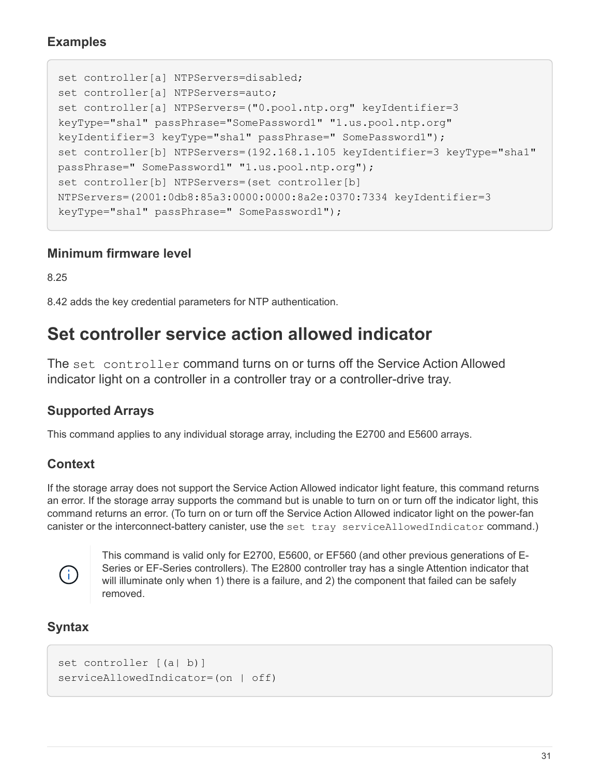### **Examples**

```
set controller[a] NTPServers=disabled;
set controller[a] NTPServers=auto;
set controller[a] NTPServers=("0.pool.ntp.org" keyIdentifier=3
keyType="sha1" passPhrase="SomePassword1" "1.us.pool.ntp.org"
keyIdentifier=3 keyType="sha1" passPhrase=" SomePassword1");
set controller[b] NTPServers=(192.168.1.105 keyIdentifier=3 keyType="sha1"
passPhrase=" SomePassword1" "1.us.pool.ntp.org");
set controller[b] NTPServers=(set controller[b]
NTPServers=(2001:0db8:85a3:0000:0000:8a2e:0370:7334 keyIdentifier=3
keyType="sha1" passPhrase=" SomePassword1");
```
#### **Minimum firmware level**

8.25

8.42 adds the key credential parameters for NTP authentication.

# <span id="page-34-0"></span>**Set controller service action allowed indicator**

The set controller command turns on or turns off the Service Action Allowed indicator light on a controller in a controller tray or a controller-drive tray.

# **Supported Arrays**

This command applies to any individual storage array, including the E2700 and E5600 arrays.

### **Context**

If the storage array does not support the Service Action Allowed indicator light feature, this command returns an error. If the storage array supports the command but is unable to turn on or turn off the indicator light, this command returns an error. (To turn on or turn off the Service Action Allowed indicator light on the power-fan canister or the interconnect-battery canister, use the set tray serviceAllowedIndicator command.)



This command is valid only for E2700, E5600, or EF560 (and other previous generations of E-Series or EF-Series controllers). The E2800 controller tray has a single Attention indicator that will illuminate only when 1) there is a failure, and 2) the component that failed can be safely removed.

# **Syntax**

```
set controller [(a| b)]
serviceAllowedIndicator=(on | off)
```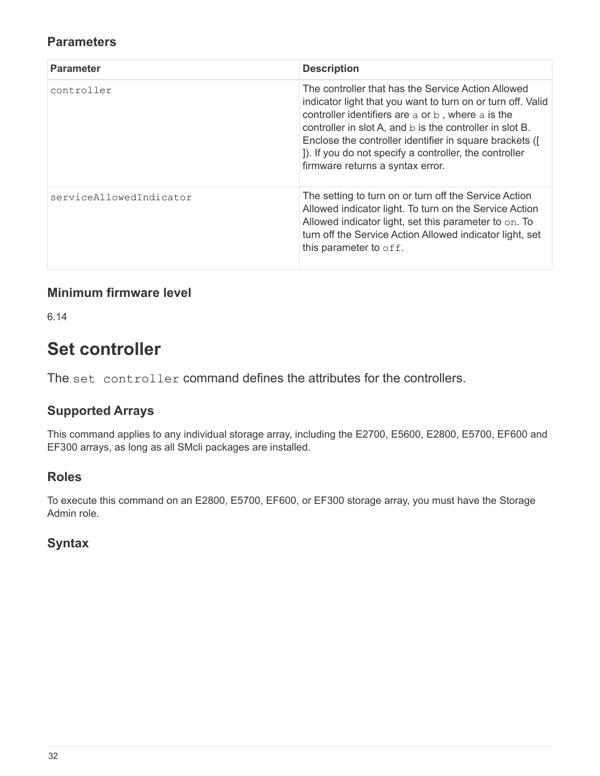### **Parameters**

| <b>Parameter</b>        | <b>Description</b>                                                                                                                                                                                                                                                                                                                                                                          |
|-------------------------|---------------------------------------------------------------------------------------------------------------------------------------------------------------------------------------------------------------------------------------------------------------------------------------------------------------------------------------------------------------------------------------------|
| controller              | The controller that has the Service Action Allowed<br>indicator light that you want to turn on or turn off. Valid<br>controller identifiers are a or b, where a is the<br>controller in slot A, and b is the controller in slot B.<br>Enclose the controller identifier in square brackets ([<br>]). If you do not specify a controller, the controller<br>firmware returns a syntax error. |
| serviceAllowedIndicator | The setting to turn on or turn off the Service Action<br>Allowed indicator light. To turn on the Service Action<br>Allowed indicator light, set this parameter to $\circ$ n. To<br>turn off the Service Action Allowed indicator light, set<br>this parameter to $\circ$ ff.                                                                                                                |

### **Minimum firmware level**

6.14

# <span id="page-35-0"></span>**Set controller**

The set controller command defines the attributes for the controllers.

# **Supported Arrays**

This command applies to any individual storage array, including the E2700, E5600, E2800, E5700, EF600 and EF300 arrays, as long as all SMcli packages are installed.

### **Roles**

To execute this command on an E2800, E5700, EF600, or EF300 storage array, you must have the Storage Admin role.

# **Syntax**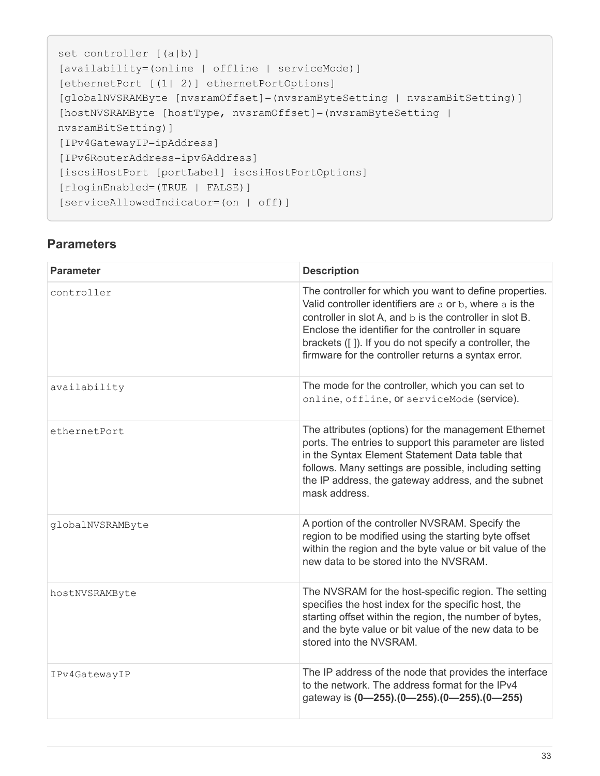```
set controller [(a|b)]
[availability=(online | offline | serviceMode)]
[ethernetPort [(1| 2)] ethernetPortOptions]
[globalNVSRAMByte [nvsramOffset]=(nvsramByteSetting | nvsramBitSetting)]
[hostNVSRAMByte [hostType, nvsramOffset]=(nvsramByteSetting |
nvsramBitSetting)]
[IPv4GatewayIP=ipAddress]
[IPv6RouterAddress=ipv6Address]
[iscsiHostPort [portLabel] iscsiHostPortOptions]
[rloginEnabled=(TRUE | FALSE)]
[serviceAllowedIndicator=(on | off)]
```

| <b>Parameter</b> | <b>Description</b>                                                                                                                                                                                                                                                                                                                                     |
|------------------|--------------------------------------------------------------------------------------------------------------------------------------------------------------------------------------------------------------------------------------------------------------------------------------------------------------------------------------------------------|
| controller       | The controller for which you want to define properties.<br>Valid controller identifiers are a or b, where a is the<br>controller in slot A, and b is the controller in slot B.<br>Enclose the identifier for the controller in square<br>brackets ([]). If you do not specify a controller, the<br>firmware for the controller returns a syntax error. |
| availability     | The mode for the controller, which you can set to<br>online, offline, or serviceMode (service).                                                                                                                                                                                                                                                        |
| ethernetPort     | The attributes (options) for the management Ethernet<br>ports. The entries to support this parameter are listed<br>in the Syntax Element Statement Data table that<br>follows. Many settings are possible, including setting<br>the IP address, the gateway address, and the subnet<br>mask address.                                                   |
| globalNVSRAMByte | A portion of the controller NVSRAM. Specify the<br>region to be modified using the starting byte offset<br>within the region and the byte value or bit value of the<br>new data to be stored into the NVSRAM.                                                                                                                                          |
| hostNVSRAMByte   | The NVSRAM for the host-specific region. The setting<br>specifies the host index for the specific host, the<br>starting offset within the region, the number of bytes,<br>and the byte value or bit value of the new data to be<br>stored into the NVSRAM.                                                                                             |
| IPv4GatewayIP    | The IP address of the node that provides the interface<br>to the network. The address format for the IPv4<br>gateway is (0-255).(0-255).(0-255).(0-255)                                                                                                                                                                                                |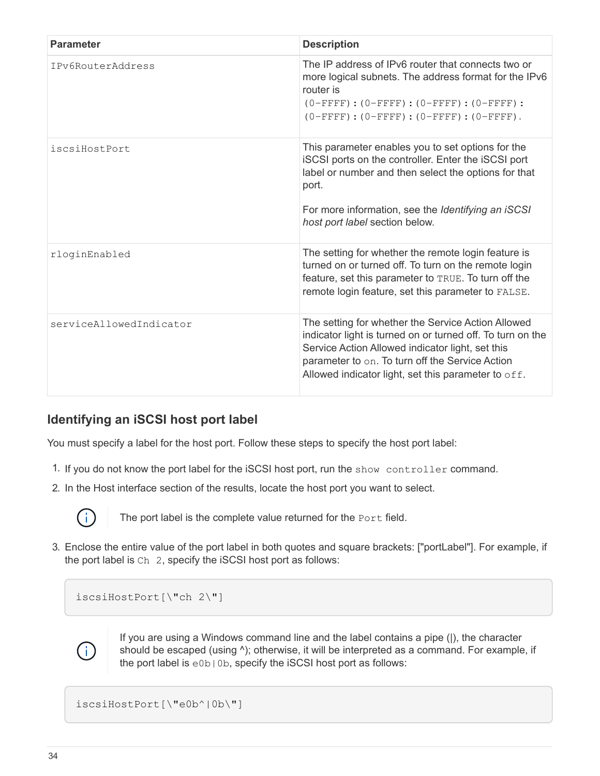| <b>Parameter</b>        | <b>Description</b>                                                                                                                                                                                                                                                             |
|-------------------------|--------------------------------------------------------------------------------------------------------------------------------------------------------------------------------------------------------------------------------------------------------------------------------|
| IPv6RouterAddress       | The IP address of IPv6 router that connects two or<br>more logical subnets. The address format for the IPv6<br>router is<br>$(0-FFFF)$ : $(0-FFFF)$ : $(0-FFFF)$ : $(0-FFFF)$ :<br>$(0 - FFFF)$ : $(0 - FFFF)$ : $(0 - FFFF)$ : $(0 - FFFF)$ .                                 |
| iscsiHostPort           | This parameter enables you to set options for the<br>iSCSI ports on the controller. Enter the iSCSI port<br>label or number and then select the options for that<br>port.<br>For more information, see the Identifying an iSCSI<br>host port label section below.              |
| rloginEnabled           | The setting for whether the remote login feature is<br>turned on or turned off. To turn on the remote login<br>feature, set this parameter to TRUE. To turn off the<br>remote login feature, set this parameter to FALSE.                                                      |
| serviceAllowedIndicator | The setting for whether the Service Action Allowed<br>indicator light is turned on or turned off. To turn on the<br>Service Action Allowed indicator light, set this<br>parameter to on. To turn off the Service Action<br>Allowed indicator light, set this parameter to off. |

### **Identifying an iSCSI host port label**

You must specify a label for the host port. Follow these steps to specify the host port label:

- 1. If you do not know the port label for the iSCSI host port, run the show controller command.
- 2. In the Host interface section of the results, locate the host port you want to select.



The port label is the complete value returned for the Port field.

3. Enclose the entire value of the port label in both quotes and square brackets: ["portLabel"]. For example, if the port label is Ch 2, specify the iSCSI host port as follows:

iscsiHostPort[\"ch 2\"]



If you are using a Windows command line and the label contains a pipe (|), the character should be escaped (using  $\land$ ); otherwise, it will be interpreted as a command. For example, if the port label is e0b|0b, specify the iSCSI host port as follows:

iscsiHostPort[\"e0b^|0b\"]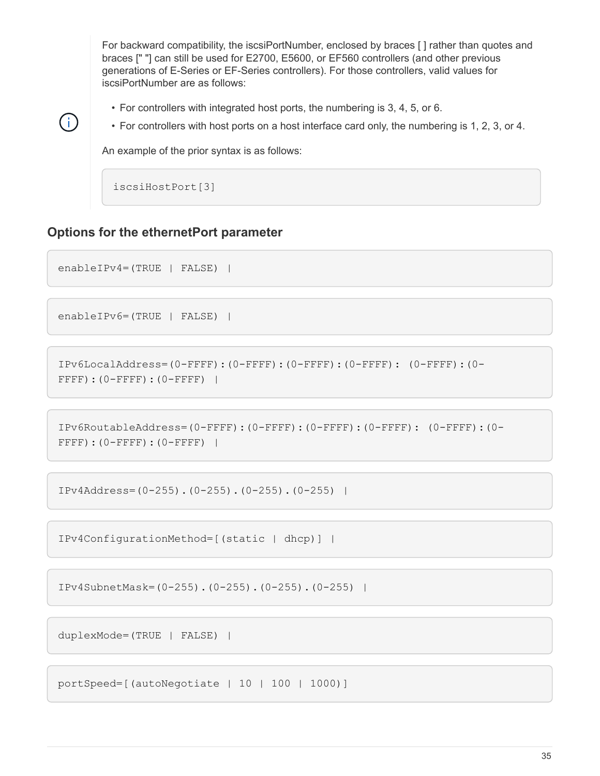For backward compatibility, the iscsiPortNumber, enclosed by braces [ ] rather than quotes and braces [" "] can still be used for E2700, E5600, or EF560 controllers (and other previous generations of E-Series or EF-Series controllers). For those controllers, valid values for iscsiPortNumber are as follows:

- For controllers with integrated host ports, the numbering is 3, 4, 5, or 6.
- For controllers with host ports on a host interface card only, the numbering is 1, 2, 3, or 4.

An example of the prior syntax is as follows:

iscsiHostPort[3]

#### **Options for the ethernetPort parameter**

```
enableIPv4=(TRUE | FALSE) |
```
Ĥ.

```
enableIPv6=(TRUE | FALSE) |
```

```
IPv6LocalAddress=(0-FFFF):(0-FFFF):(0-FFFF):(0-FFFF): (0-FFFF):(0-
FFFF): (0-FFFF): (0-FFFF) |
```

```
IPv6RoutableAddress=(0-FFFF):(0-FFFF):(0-FFFF):(0-FFFF): (0-FFFF):(0-
FFFF): (0-FFFF): (0-FFFF) |
```
IPv4Address=(0-255).(0-255).(0-255).(0-255) |

IPv4ConfigurationMethod=[(static | dhcp)] |

IPv4SubnetMask=(0-255).(0-255).(0-255).(0-255) |

duplexMode=(TRUE | FALSE) |

portSpeed=[(autoNegotiate | 10 | 100 | 1000)]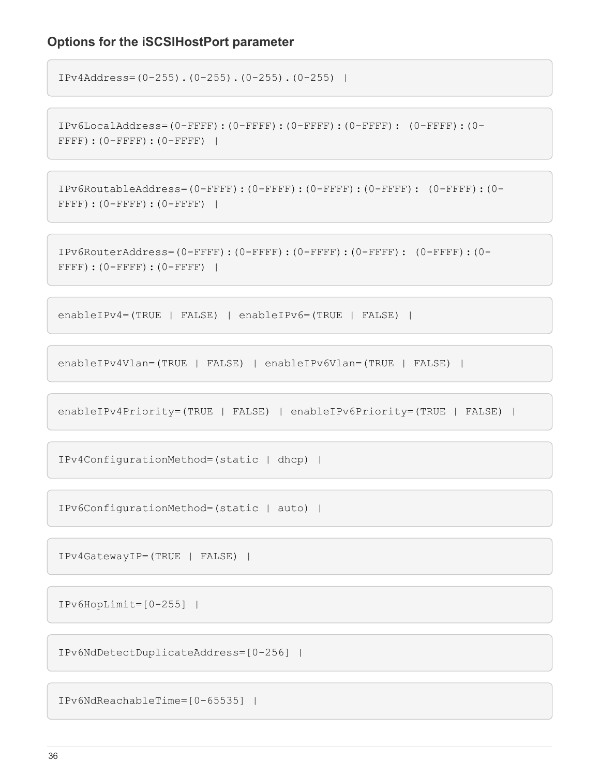#### **Options for the iSCSIHostPort parameter**

```
IPv4Address=(0-255).(0-255).(0-255).(0-255) |
```

```
IPv6LocalAddress=(0-FFFF):(0-FFFF):(0-FFFF):(0-FFFF): (0-FFFF):(0-
FFFF):(0-FFFF):(0-FFFF) |
```

```
IPv6RoutableAddress=(0-FFFF):(0-FFFF):(0-FFFF):(0-FFFF): (0-FFFF):(0-
FFFF):(0-FFFF):(0-FFFF) |
```

```
IPv6RouterAddress=(0-FFFF):(0-FFFF):(0-FFFF):(0-FFFF): (0-FFFF):(0-
FFFF): (0-FFFF): (0-FFFF) |
```

```
enableIPv4=(TRUE | FALSE) | enableIPv6=(TRUE | FALSE) |
```
enableIPv4Vlan=(TRUE | FALSE) | enableIPv6Vlan=(TRUE | FALSE) |

enableIPv4Priority=(TRUE | FALSE) | enableIPv6Priority=(TRUE | FALSE) |

IPv4ConfigurationMethod=(static | dhcp) |

IPv6ConfigurationMethod=(static | auto) |

IPv4GatewayIP=(TRUE | FALSE) |

IPv6HopLimit=[0-255] |

IPv6NdDetectDuplicateAddress=[0-256] |

IPv6NdReachableTime=[0-65535] |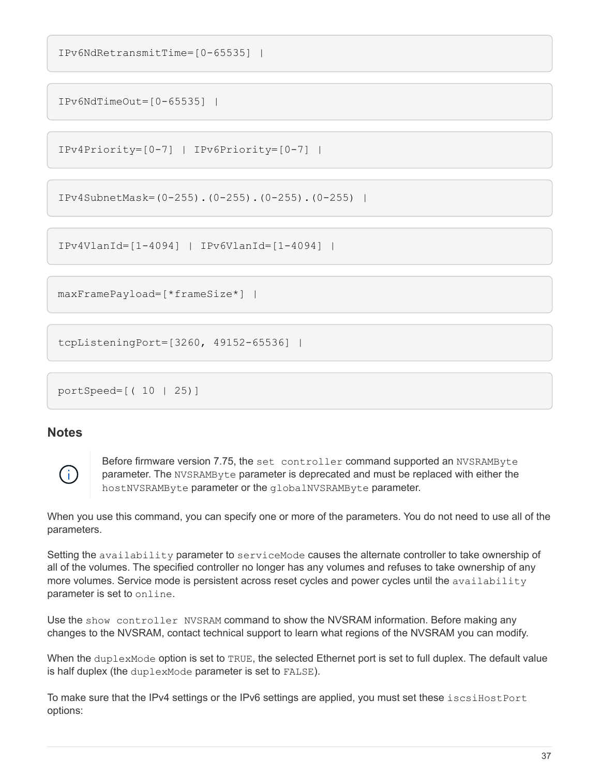```
IPv6NdRetransmitTime=[0-65535] |
```
IPv6NdTimeOut=[0-65535] |

```
IPv4Priority=[0-7] | IPv6Priority=[0-7] |
```

```
IPv4SubnetMask=(0-255).(0-255).(0-255).(0-255) |
```
IPv4VlanId=[1-4094] | IPv6VlanId=[1-4094] |

maxFramePayload=[\*frameSize\*] |

tcpListeningPort=[3260, 49152-65536] |

portSpeed=[( 10 | 25)]

#### **Notes**



Before firmware version 7.75, the set controller command supported an NVSRAMByte parameter. The NVSRAMByte parameter is deprecated and must be replaced with either the hostNVSRAMByte parameter or the globalNVSRAMByte parameter.

When you use this command, you can specify one or more of the parameters. You do not need to use all of the parameters.

Setting the availability parameter to serviceMode causes the alternate controller to take ownership of all of the volumes. The specified controller no longer has any volumes and refuses to take ownership of any more volumes. Service mode is persistent across reset cycles and power cycles until the availability parameter is set to online.

Use the show controller NVSRAM command to show the NVSRAM information. Before making any changes to the NVSRAM, contact technical support to learn what regions of the NVSRAM you can modify.

When the duplexMode option is set to TRUE, the selected Ethernet port is set to full duplex. The default value is half duplex (the duplexMode parameter is set to FALSE).

To make sure that the IPv4 settings or the IPv6 settings are applied, you must set these iscsiHostPort options: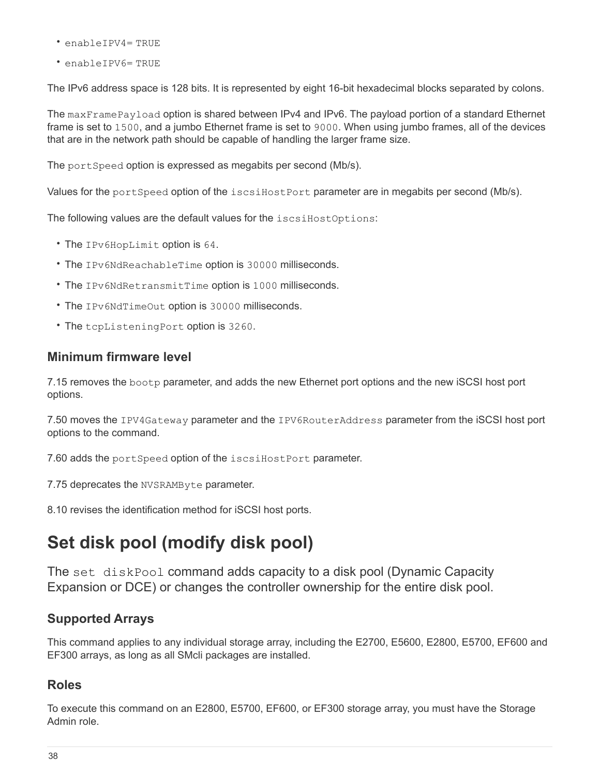- enableIPV4= TRUE
- enableIPV6= TRUE

The IPv6 address space is 128 bits. It is represented by eight 16-bit hexadecimal blocks separated by colons.

The maxFramePayload option is shared between IPv4 and IPv6. The payload portion of a standard Ethernet frame is set to 1500, and a jumbo Ethernet frame is set to 9000. When using jumbo frames, all of the devices that are in the network path should be capable of handling the larger frame size.

The portSpeed option is expressed as megabits per second (Mb/s).

Values for the portSpeed option of the iscsiHostPort parameter are in megabits per second (Mb/s).

The following values are the default values for the iscsiHostOptions:

- The IPv6HopLimit option is 64.
- The IPv6NdReachableTime option is 30000 milliseconds.
- The IPv6NdRetransmitTime option is 1000 milliseconds.
- The IPv6NdTimeOut option is 30000 milliseconds.
- The tcpListeningPort option is 3260.

#### **Minimum firmware level**

7.15 removes the bootp parameter, and adds the new Ethernet port options and the new iSCSI host port options.

7.50 moves the IPV4Gateway parameter and the IPV6RouterAddress parameter from the iSCSI host port options to the command.

7.60 adds the portSpeed option of the iscsiHostPort parameter.

7.75 deprecates the NVSRAMByte parameter.

8.10 revises the identification method for iSCSI host ports.

# **Set disk pool (modify disk pool)**

The set diskPool command adds capacity to a disk pool (Dynamic Capacity Expansion or DCE) or changes the controller ownership for the entire disk pool.

#### **Supported Arrays**

This command applies to any individual storage array, including the E2700, E5600, E2800, E5700, EF600 and EF300 arrays, as long as all SMcli packages are installed.

#### **Roles**

To execute this command on an E2800, E5700, EF600, or EF300 storage array, you must have the Storage Admin role.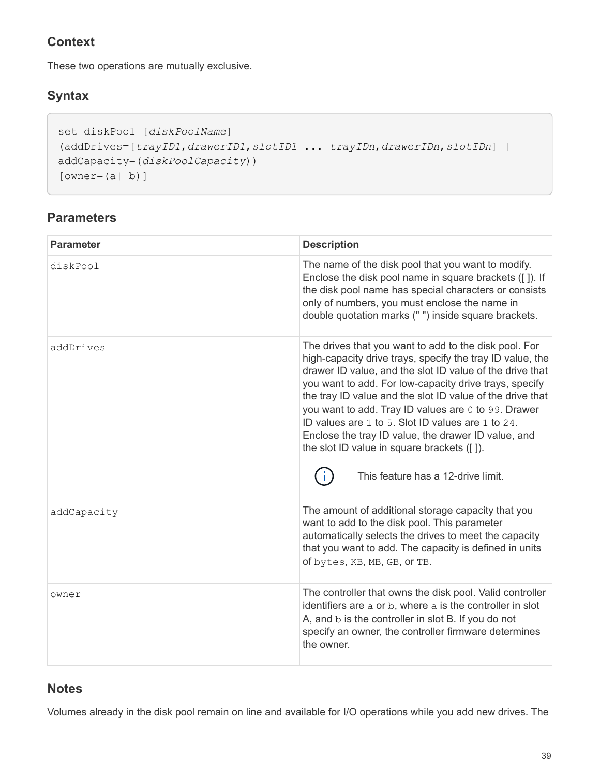## **Context**

These two operations are mutually exclusive.

## **Syntax**

```
set diskPool [diskPoolName]
(addDrives=[trayID1,drawerID1,slotID1 ... trayIDn,drawerIDn,slotIDn] |
addCapacity=(diskPoolCapacity))
[owner(a | b)]
```
## **Parameters**

| <b>Parameter</b> | <b>Description</b>                                                                                                                                                                                                                                                                                                                                                                                                                                                                                                                                           |
|------------------|--------------------------------------------------------------------------------------------------------------------------------------------------------------------------------------------------------------------------------------------------------------------------------------------------------------------------------------------------------------------------------------------------------------------------------------------------------------------------------------------------------------------------------------------------------------|
| diskPool         | The name of the disk pool that you want to modify.<br>Enclose the disk pool name in square brackets ([]). If<br>the disk pool name has special characters or consists<br>only of numbers, you must enclose the name in<br>double quotation marks (" ") inside square brackets.                                                                                                                                                                                                                                                                               |
| addDrives        | The drives that you want to add to the disk pool. For<br>high-capacity drive trays, specify the tray ID value, the<br>drawer ID value, and the slot ID value of the drive that<br>you want to add. For low-capacity drive trays, specify<br>the tray ID value and the slot ID value of the drive that<br>you want to add. Tray ID values are 0 to 99. Drawer<br>ID values are 1 to 5. Slot ID values are 1 to 24.<br>Enclose the tray ID value, the drawer ID value, and<br>the slot ID value in square brackets ([]).<br>This feature has a 12-drive limit. |
| addCapacity      | The amount of additional storage capacity that you<br>want to add to the disk pool. This parameter<br>automatically selects the drives to meet the capacity<br>that you want to add. The capacity is defined in units<br>of bytes, KB, MB, GB, or TB.                                                                                                                                                                                                                                                                                                        |
| owner            | The controller that owns the disk pool. Valid controller<br>identifiers are a or b, where a is the controller in slot<br>A, and $b$ is the controller in slot B. If you do not<br>specify an owner, the controller firmware determines<br>the owner.                                                                                                                                                                                                                                                                                                         |

#### **Notes**

Volumes already in the disk pool remain on line and available for I/O operations while you add new drives. The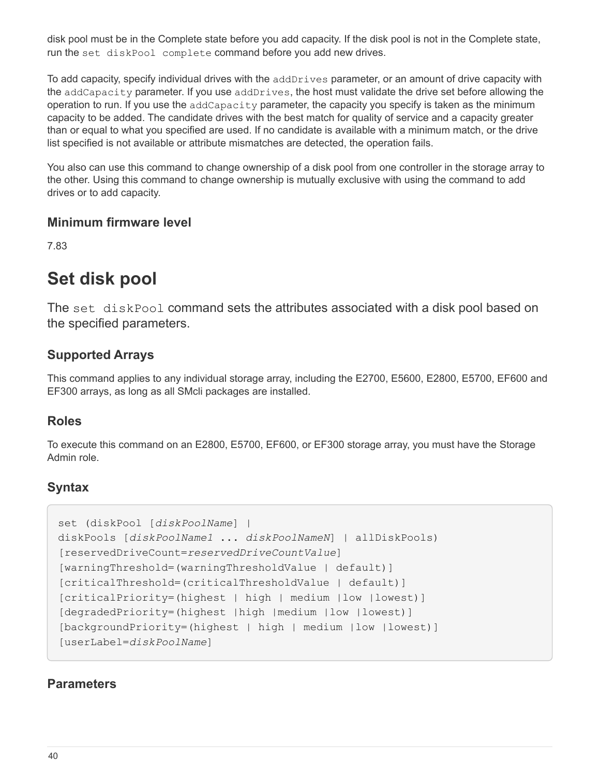disk pool must be in the Complete state before you add capacity. If the disk pool is not in the Complete state, run the set diskPool complete command before you add new drives.

To add capacity, specify individual drives with the addDrives parameter, or an amount of drive capacity with the addCapacity parameter. If you use addDrives, the host must validate the drive set before allowing the operation to run. If you use the addCapacity parameter, the capacity you specify is taken as the minimum capacity to be added. The candidate drives with the best match for quality of service and a capacity greater than or equal to what you specified are used. If no candidate is available with a minimum match, or the drive list specified is not available or attribute mismatches are detected, the operation fails.

You also can use this command to change ownership of a disk pool from one controller in the storage array to the other. Using this command to change ownership is mutually exclusive with using the command to add drives or to add capacity.

#### **Minimum firmware level**

7.83

# **Set disk pool**

The set diskPool command sets the attributes associated with a disk pool based on the specified parameters.

### **Supported Arrays**

This command applies to any individual storage array, including the E2700, E5600, E2800, E5700, EF600 and EF300 arrays, as long as all SMcli packages are installed.

#### **Roles**

To execute this command on an E2800, E5700, EF600, or EF300 storage array, you must have the Storage Admin role.

### **Syntax**

```
set (diskPool [diskPoolName] |
diskPools [diskPoolName1 ... diskPoolNameN] | allDiskPools)
[reservedDriveCount=reservedDriveCountValue]
[warningThreshold=(warningThresholdValue | default)]
[criticalThreshold=(criticalThresholdValue | default)]
[criticalPriority=(highest | high | medium |low |lowest)]
[degradedPriority=(highest |high |medium |low |lowest)]
[backgroundPriority=(highest | high | medium |low |lowest)]
[userLabel=diskPoolName]
```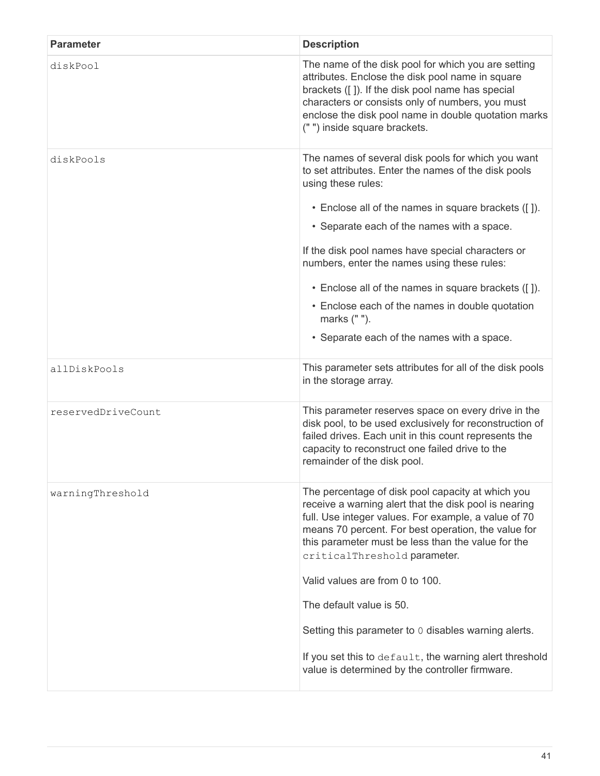| <b>Parameter</b>   | <b>Description</b>                                                                                                                                                                                                                                                                                              |
|--------------------|-----------------------------------------------------------------------------------------------------------------------------------------------------------------------------------------------------------------------------------------------------------------------------------------------------------------|
| diskPool           | The name of the disk pool for which you are setting<br>attributes. Enclose the disk pool name in square<br>brackets ([]). If the disk pool name has special<br>characters or consists only of numbers, you must<br>enclose the disk pool name in double quotation marks<br>(" ") inside square brackets.        |
| diskPools          | The names of several disk pools for which you want<br>to set attributes. Enter the names of the disk pools<br>using these rules:<br>• Enclose all of the names in square brackets ([]).                                                                                                                         |
|                    | • Separate each of the names with a space.                                                                                                                                                                                                                                                                      |
|                    | If the disk pool names have special characters or<br>numbers, enter the names using these rules:                                                                                                                                                                                                                |
|                    | • Enclose all of the names in square brackets ([]).                                                                                                                                                                                                                                                             |
|                    | • Enclose each of the names in double quotation<br>marks (" ").                                                                                                                                                                                                                                                 |
|                    | • Separate each of the names with a space.                                                                                                                                                                                                                                                                      |
| allDiskPools       | This parameter sets attributes for all of the disk pools<br>in the storage array.                                                                                                                                                                                                                               |
| reservedDriveCount | This parameter reserves space on every drive in the<br>disk pool, to be used exclusively for reconstruction of<br>failed drives. Each unit in this count represents the<br>capacity to reconstruct one failed drive to the<br>remainder of the disk pool.                                                       |
| warningThreshold   | The percentage of disk pool capacity at which you<br>receive a warning alert that the disk pool is nearing<br>full. Use integer values. For example, a value of 70<br>means 70 percent. For best operation, the value for<br>this parameter must be less than the value for the<br>criticalThreshold parameter. |
|                    | Valid values are from 0 to 100.                                                                                                                                                                                                                                                                                 |
|                    | The default value is 50.                                                                                                                                                                                                                                                                                        |
|                    | Setting this parameter to 0 disables warning alerts.                                                                                                                                                                                                                                                            |
|                    | If you set this to default, the warning alert threshold<br>value is determined by the controller firmware.                                                                                                                                                                                                      |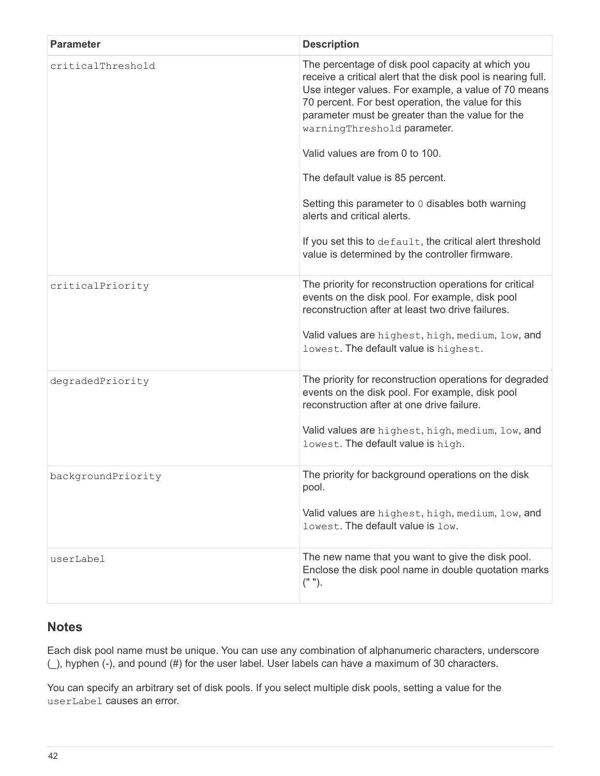| <b>Parameter</b>   | <b>Description</b>                                                                                                                                                                                                                                                                                                                                    |
|--------------------|-------------------------------------------------------------------------------------------------------------------------------------------------------------------------------------------------------------------------------------------------------------------------------------------------------------------------------------------------------|
| criticalThreshold  | The percentage of disk pool capacity at which you<br>receive a critical alert that the disk pool is nearing full.<br>Use integer values. For example, a value of 70 means<br>70 percent. For best operation, the value for this<br>parameter must be greater than the value for the<br>warningThreshold parameter.<br>Valid values are from 0 to 100. |
|                    | The default value is 85 percent.                                                                                                                                                                                                                                                                                                                      |
|                    | Setting this parameter to 0 disables both warning<br>alerts and critical alerts.                                                                                                                                                                                                                                                                      |
|                    | If you set this to default, the critical alert threshold<br>value is determined by the controller firmware.                                                                                                                                                                                                                                           |
| criticalPriority   | The priority for reconstruction operations for critical<br>events on the disk pool. For example, disk pool<br>reconstruction after at least two drive failures.<br>Valid values are highest, high, medium, low, and<br>lowest. The default value is highest.                                                                                          |
|                    |                                                                                                                                                                                                                                                                                                                                                       |
| degradedPriority   | The priority for reconstruction operations for degraded<br>events on the disk pool. For example, disk pool<br>reconstruction after at one drive failure.                                                                                                                                                                                              |
|                    | Valid values are highest, high, medium, low, and<br>lowest. The default value is high.                                                                                                                                                                                                                                                                |
| backgroundPriority | The priority for background operations on the disk<br>pool.                                                                                                                                                                                                                                                                                           |
|                    | Valid values are highest, high, medium, low, and<br>lowest. The default value is low.                                                                                                                                                                                                                                                                 |
| userLabel          | The new name that you want to give the disk pool.<br>Enclose the disk pool name in double quotation marks<br>$("")$ .                                                                                                                                                                                                                                 |

### **Notes**

Each disk pool name must be unique. You can use any combination of alphanumeric characters, underscore (\_), hyphen (-), and pound (#) for the user label. User labels can have a maximum of 30 characters.

You can specify an arbitrary set of disk pools. If you select multiple disk pools, setting a value for the userLabel causes an error.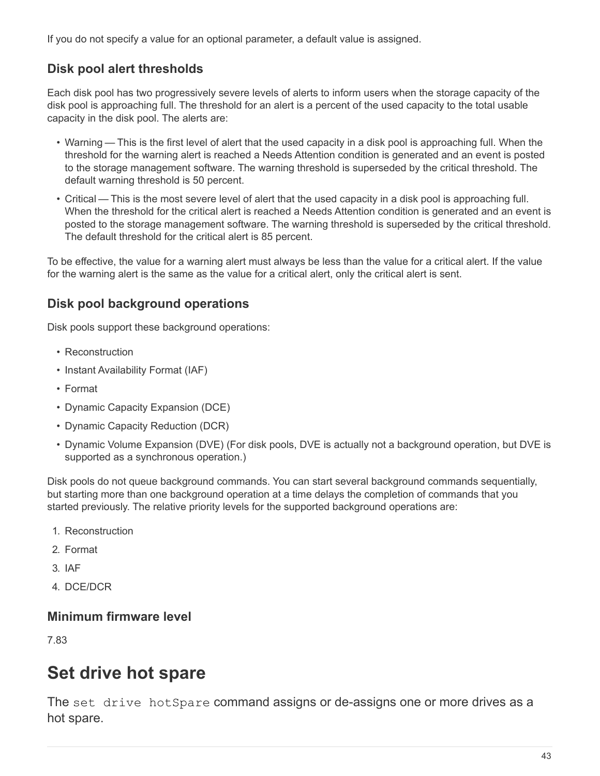If you do not specify a value for an optional parameter, a default value is assigned.

## **Disk pool alert thresholds**

Each disk pool has two progressively severe levels of alerts to inform users when the storage capacity of the disk pool is approaching full. The threshold for an alert is a percent of the used capacity to the total usable capacity in the disk pool. The alerts are:

- Warning This is the first level of alert that the used capacity in a disk pool is approaching full. When the threshold for the warning alert is reached a Needs Attention condition is generated and an event is posted to the storage management software. The warning threshold is superseded by the critical threshold. The default warning threshold is 50 percent.
- Critical This is the most severe level of alert that the used capacity in a disk pool is approaching full. When the threshold for the critical alert is reached a Needs Attention condition is generated and an event is posted to the storage management software. The warning threshold is superseded by the critical threshold. The default threshold for the critical alert is 85 percent.

To be effective, the value for a warning alert must always be less than the value for a critical alert. If the value for the warning alert is the same as the value for a critical alert, only the critical alert is sent.

## **Disk pool background operations**

Disk pools support these background operations:

- Reconstruction
- Instant Availability Format (IAF)
- Format
- Dynamic Capacity Expansion (DCE)
- Dynamic Capacity Reduction (DCR)
- Dynamic Volume Expansion (DVE) (For disk pools, DVE is actually not a background operation, but DVE is supported as a synchronous operation.)

Disk pools do not queue background commands. You can start several background commands sequentially, but starting more than one background operation at a time delays the completion of commands that you started previously. The relative priority levels for the supported background operations are:

- 1. Reconstruction
- 2. Format
- 3. IAF
- 4. DCE/DCR

#### **Minimum firmware level**

7.83

# **Set drive hot spare**

The set drive hotSpare command assigns or de-assigns one or more drives as a hot spare.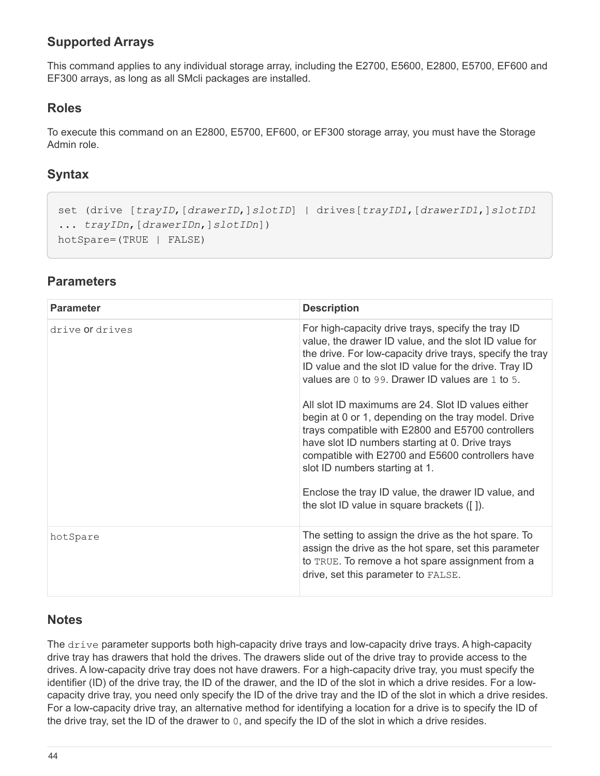## **Supported Arrays**

This command applies to any individual storage array, including the E2700, E5600, E2800, E5700, EF600 and EF300 arrays, as long as all SMcli packages are installed.

#### **Roles**

To execute this command on an E2800, E5700, EF600, or EF300 storage array, you must have the Storage Admin role.

#### **Syntax**

```
set (drive [trayID,[drawerID,]slotID] | drives[trayID1,[drawerID1,]slotID1
... trayIDn,[drawerIDn,]slotIDn])
hotSpare=(TRUE | FALSE)
```
#### **Parameters**

| <b>Parameter</b> | <b>Description</b>                                                                                                                                                                                                                                                                                                                                             |
|------------------|----------------------------------------------------------------------------------------------------------------------------------------------------------------------------------------------------------------------------------------------------------------------------------------------------------------------------------------------------------------|
| drive or drives  | For high-capacity drive trays, specify the tray ID<br>value, the drawer ID value, and the slot ID value for<br>the drive. For low-capacity drive trays, specify the tray<br>ID value and the slot ID value for the drive. Tray ID<br>values are 0 to 99. Drawer ID values are 1 to 5.                                                                          |
|                  | All slot ID maximums are 24. Slot ID values either<br>begin at 0 or 1, depending on the tray model. Drive<br>trays compatible with E2800 and E5700 controllers<br>have slot ID numbers starting at 0. Drive trays<br>compatible with E2700 and E5600 controllers have<br>slot ID numbers starting at 1.<br>Enclose the tray ID value, the drawer ID value, and |
|                  | the slot ID value in square brackets ([]).                                                                                                                                                                                                                                                                                                                     |
| hotSpare         | The setting to assign the drive as the hot spare. To<br>assign the drive as the hot spare, set this parameter<br>to TRUE. To remove a hot spare assignment from a<br>drive, set this parameter to FALSE.                                                                                                                                                       |

#### **Notes**

The drive parameter supports both high-capacity drive trays and low-capacity drive trays. A high-capacity drive tray has drawers that hold the drives. The drawers slide out of the drive tray to provide access to the drives. A low-capacity drive tray does not have drawers. For a high-capacity drive tray, you must specify the identifier (ID) of the drive tray, the ID of the drawer, and the ID of the slot in which a drive resides. For a lowcapacity drive tray, you need only specify the ID of the drive tray and the ID of the slot in which a drive resides. For a low-capacity drive tray, an alternative method for identifying a location for a drive is to specify the ID of the drive tray, set the ID of the drawer to 0, and specify the ID of the slot in which a drive resides.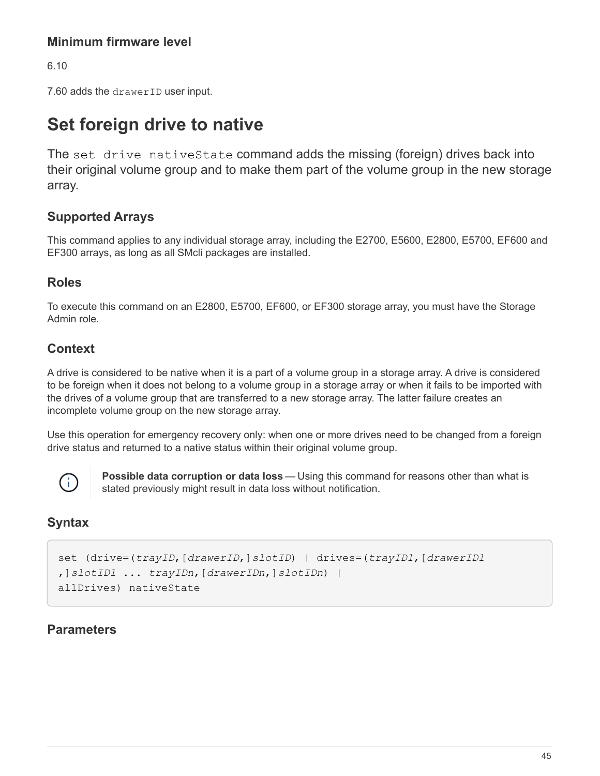### **Minimum firmware level**

6.10

7.60 adds the drawerID user input.

# **Set foreign drive to native**

The set drive nativeState command adds the missing (foreign) drives back into their original volume group and to make them part of the volume group in the new storage array.

### **Supported Arrays**

This command applies to any individual storage array, including the E2700, E5600, E2800, E5700, EF600 and EF300 arrays, as long as all SMcli packages are installed.

#### **Roles**

To execute this command on an E2800, E5700, EF600, or EF300 storage array, you must have the Storage Admin role.

#### **Context**

A drive is considered to be native when it is a part of a volume group in a storage array. A drive is considered to be foreign when it does not belong to a volume group in a storage array or when it fails to be imported with the drives of a volume group that are transferred to a new storage array. The latter failure creates an incomplete volume group on the new storage array.

Use this operation for emergency recovery only: when one or more drives need to be changed from a foreign drive status and returned to a native status within their original volume group.



**Possible data corruption or data loss** — Using this command for reasons other than what is stated previously might result in data loss without notification.

#### **Syntax**

```
set (drive=(trayID,[drawerID,]slotID) | drives=(trayID1,[drawerID1
,]slotID1 ... trayIDn,[drawerIDn,]slotIDn) |
allDrives) nativeState
```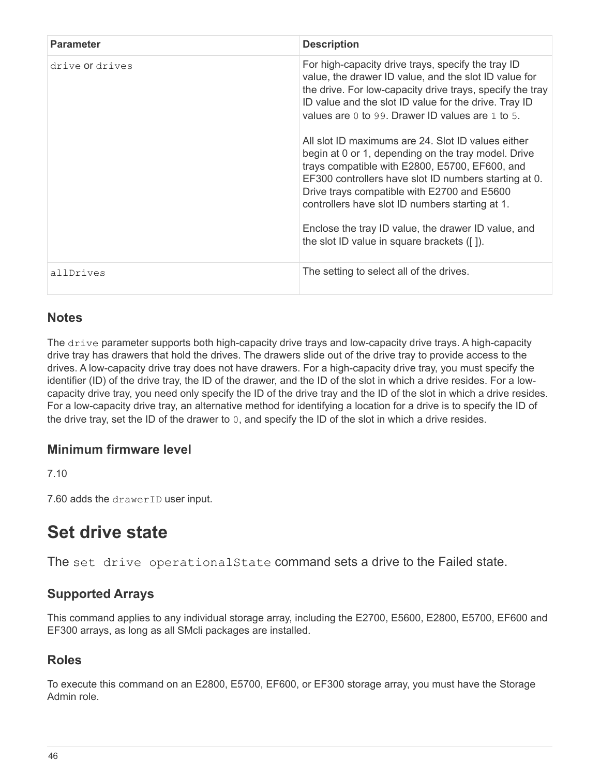| <b>Parameter</b> | <b>Description</b>                                                                                                                                                                                                                                                                                                                                                                                                                                                                                                                                                                                                                                                                                                   |
|------------------|----------------------------------------------------------------------------------------------------------------------------------------------------------------------------------------------------------------------------------------------------------------------------------------------------------------------------------------------------------------------------------------------------------------------------------------------------------------------------------------------------------------------------------------------------------------------------------------------------------------------------------------------------------------------------------------------------------------------|
| drive or drives  | For high-capacity drive trays, specify the tray ID<br>value, the drawer ID value, and the slot ID value for<br>the drive. For low-capacity drive trays, specify the tray<br>ID value and the slot ID value for the drive. Tray ID<br>values are 0 to 99. Drawer ID values are 1 to 5.<br>All slot ID maximums are 24. Slot ID values either<br>begin at 0 or 1, depending on the tray model. Drive<br>trays compatible with E2800, E5700, EF600, and<br>EF300 controllers have slot ID numbers starting at 0.<br>Drive trays compatible with E2700 and E5600<br>controllers have slot ID numbers starting at 1.<br>Enclose the tray ID value, the drawer ID value, and<br>the slot ID value in square brackets ([]). |
| allDrives        | The setting to select all of the drives.                                                                                                                                                                                                                                                                                                                                                                                                                                                                                                                                                                                                                                                                             |

#### **Notes**

The drive parameter supports both high-capacity drive trays and low-capacity drive trays. A high-capacity drive tray has drawers that hold the drives. The drawers slide out of the drive tray to provide access to the drives. A low-capacity drive tray does not have drawers. For a high-capacity drive tray, you must specify the identifier (ID) of the drive tray, the ID of the drawer, and the ID of the slot in which a drive resides. For a lowcapacity drive tray, you need only specify the ID of the drive tray and the ID of the slot in which a drive resides. For a low-capacity drive tray, an alternative method for identifying a location for a drive is to specify the ID of the drive tray, set the ID of the drawer to 0, and specify the ID of the slot in which a drive resides.

#### **Minimum firmware level**

7.10

7.60 adds the drawerID user input.

# **Set drive state**

The set drive operational State command sets a drive to the Failed state.

### **Supported Arrays**

This command applies to any individual storage array, including the E2700, E5600, E2800, E5700, EF600 and EF300 arrays, as long as all SMcli packages are installed.

### **Roles**

To execute this command on an E2800, E5700, EF600, or EF300 storage array, you must have the Storage Admin role.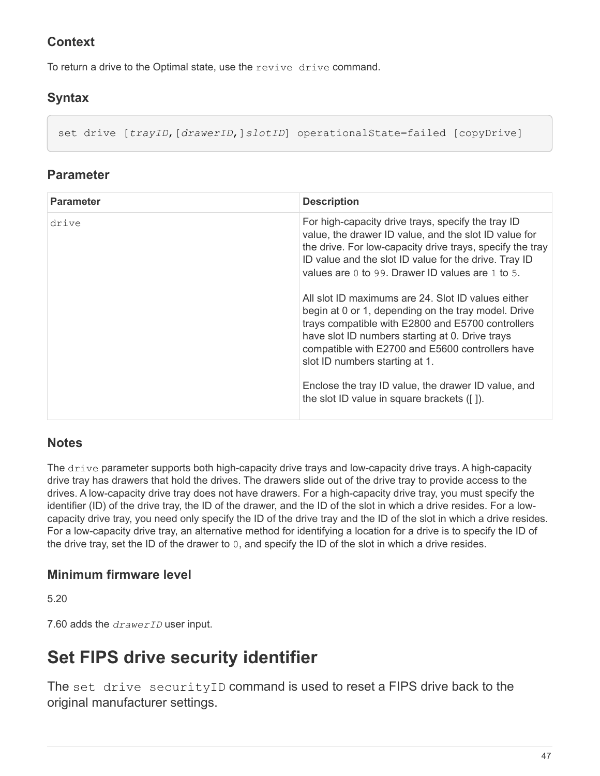## **Context**

To return a drive to the Optimal state, use the revive drive command.

## **Syntax**

set drive [*trayID*,[*drawerID*,]*slotID*] operationalState=failed [copyDrive]

#### **Parameter**

| <b>Parameter</b> | <b>Description</b>                                                                                                                                                                                                                                                                                      |
|------------------|---------------------------------------------------------------------------------------------------------------------------------------------------------------------------------------------------------------------------------------------------------------------------------------------------------|
| drive            | For high-capacity drive trays, specify the tray ID<br>value, the drawer ID value, and the slot ID value for<br>the drive. For low-capacity drive trays, specify the tray<br>ID value and the slot ID value for the drive. Tray ID<br>values are 0 to 99. Drawer ID values are 1 to 5.                   |
|                  | All slot ID maximums are 24. Slot ID values either<br>begin at 0 or 1, depending on the tray model. Drive<br>trays compatible with E2800 and E5700 controllers<br>have slot ID numbers starting at 0. Drive trays<br>compatible with E2700 and E5600 controllers have<br>slot ID numbers starting at 1. |
|                  | Enclose the tray ID value, the drawer ID value, and<br>the slot ID value in square brackets ([]).                                                                                                                                                                                                       |

### **Notes**

The drive parameter supports both high-capacity drive trays and low-capacity drive trays. A high-capacity drive tray has drawers that hold the drives. The drawers slide out of the drive tray to provide access to the drives. A low-capacity drive tray does not have drawers. For a high-capacity drive tray, you must specify the identifier (ID) of the drive tray, the ID of the drawer, and the ID of the slot in which a drive resides. For a lowcapacity drive tray, you need only specify the ID of the drive tray and the ID of the slot in which a drive resides. For a low-capacity drive tray, an alternative method for identifying a location for a drive is to specify the ID of the drive tray, set the ID of the drawer to 0, and specify the ID of the slot in which a drive resides.

### **Minimum firmware level**

5.20

7.60 adds the *drawerID* user input.

# **Set FIPS drive security identifier**

The set drive securityID command is used to reset a FIPS drive back to the original manufacturer settings.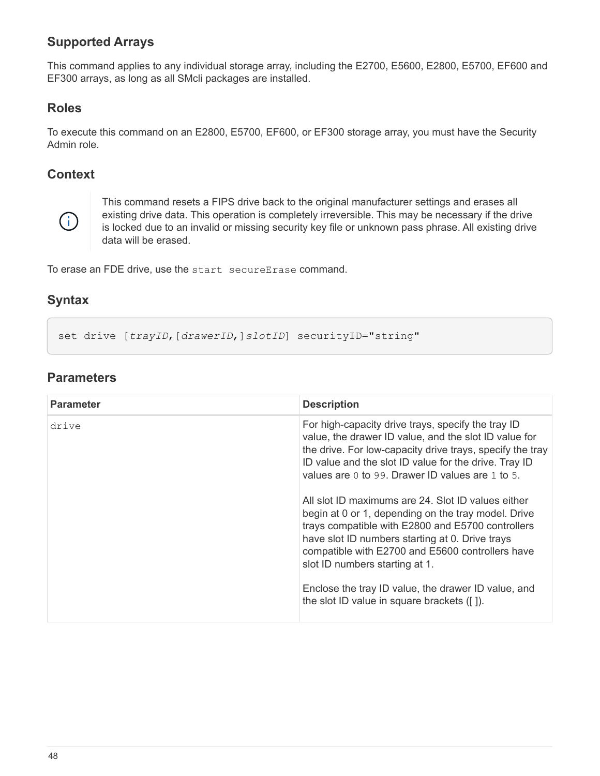## **Supported Arrays**

This command applies to any individual storage array, including the E2700, E5600, E2800, E5700, EF600 and EF300 arrays, as long as all SMcli packages are installed.

#### **Roles**

To execute this command on an E2800, E5700, EF600, or EF300 storage array, you must have the Security Admin role.

#### **Context**



This command resets a FIPS drive back to the original manufacturer settings and erases all existing drive data. This operation is completely irreversible. This may be necessary if the drive is locked due to an invalid or missing security key file or unknown pass phrase. All existing drive data will be erased.

To erase an FDE drive, use the start secureErase command.

#### **Syntax**

set drive [trayID, [drawerID, ] slotID] securityID="string"

| <b>Parameter</b> | <b>Description</b>                                                                                                                                                                                                                                                                                                                                                                                                                                                                                                                                                                                                                                                                                    |
|------------------|-------------------------------------------------------------------------------------------------------------------------------------------------------------------------------------------------------------------------------------------------------------------------------------------------------------------------------------------------------------------------------------------------------------------------------------------------------------------------------------------------------------------------------------------------------------------------------------------------------------------------------------------------------------------------------------------------------|
| drive            | For high-capacity drive trays, specify the tray ID<br>value, the drawer ID value, and the slot ID value for<br>the drive. For low-capacity drive trays, specify the tray<br>ID value and the slot ID value for the drive. Tray ID<br>values are 0 to 99. Drawer ID values are 1 to 5.<br>All slot ID maximums are 24. Slot ID values either<br>begin at 0 or 1, depending on the tray model. Drive<br>trays compatible with E2800 and E5700 controllers<br>have slot ID numbers starting at 0. Drive trays<br>compatible with E2700 and E5600 controllers have<br>slot ID numbers starting at 1.<br>Enclose the tray ID value, the drawer ID value, and<br>the slot ID value in square brackets ([]). |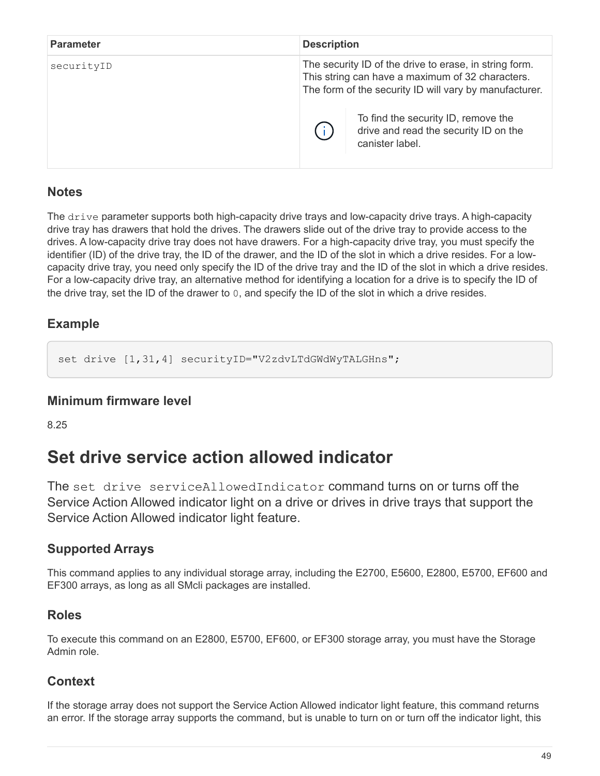| <b>Parameter</b> | <b>Description</b> |                                                                                                                                                                                                             |
|------------------|--------------------|-------------------------------------------------------------------------------------------------------------------------------------------------------------------------------------------------------------|
| securityID       |                    | The security ID of the drive to erase, in string form.<br>This string can have a maximum of 32 characters.<br>The form of the security ID will vary by manufacturer.<br>To find the security ID, remove the |
|                  |                    | drive and read the security ID on the<br>canister label.                                                                                                                                                    |

#### **Notes**

The drive parameter supports both high-capacity drive trays and low-capacity drive trays. A high-capacity drive tray has drawers that hold the drives. The drawers slide out of the drive tray to provide access to the drives. A low-capacity drive tray does not have drawers. For a high-capacity drive tray, you must specify the identifier (ID) of the drive tray, the ID of the drawer, and the ID of the slot in which a drive resides. For a lowcapacity drive tray, you need only specify the ID of the drive tray and the ID of the slot in which a drive resides. For a low-capacity drive tray, an alternative method for identifying a location for a drive is to specify the ID of the drive tray, set the ID of the drawer to 0, and specify the ID of the slot in which a drive resides.

## **Example**

set drive [1,31,4] securityID="V2zdvLTdGWdWyTALGHns";

#### **Minimum firmware level**

8.25

# **Set drive service action allowed indicator**

The set drive serviceAllowedIndicator command turns on or turns off the Service Action Allowed indicator light on a drive or drives in drive trays that support the Service Action Allowed indicator light feature.

## **Supported Arrays**

This command applies to any individual storage array, including the E2700, E5600, E2800, E5700, EF600 and EF300 arrays, as long as all SMcli packages are installed.

#### **Roles**

To execute this command on an E2800, E5700, EF600, or EF300 storage array, you must have the Storage Admin role.

#### **Context**

If the storage array does not support the Service Action Allowed indicator light feature, this command returns an error. If the storage array supports the command, but is unable to turn on or turn off the indicator light, this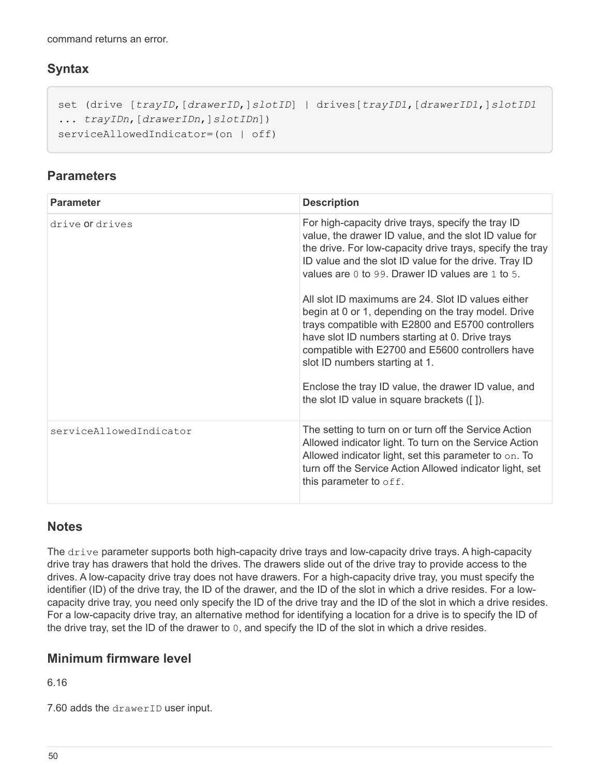command returns an error.

### **Syntax**

```
set (drive [trayID,[drawerID,]slotID] | drives[trayID1,[drawerID1,]slotID1
... trayIDn,[drawerIDn,]slotIDn])
serviceAllowedIndicator=(on | off)
```
### **Parameters**

| <b>Parameter</b>        | <b>Description</b>                                                                                                                                                                                                                                                                                                                                                                                           |
|-------------------------|--------------------------------------------------------------------------------------------------------------------------------------------------------------------------------------------------------------------------------------------------------------------------------------------------------------------------------------------------------------------------------------------------------------|
| drive or drives         | For high-capacity drive trays, specify the tray ID<br>value, the drawer ID value, and the slot ID value for<br>the drive. For low-capacity drive trays, specify the tray<br>ID value and the slot ID value for the drive. Tray ID<br>values are 0 to 99. Drawer ID values are 1 to 5.                                                                                                                        |
|                         | All slot ID maximums are 24. Slot ID values either<br>begin at 0 or 1, depending on the tray model. Drive<br>trays compatible with E2800 and E5700 controllers<br>have slot ID numbers starting at 0. Drive trays<br>compatible with E2700 and E5600 controllers have<br>slot ID numbers starting at 1.<br>Enclose the tray ID value, the drawer ID value, and<br>the slot ID value in square brackets ([]). |
|                         |                                                                                                                                                                                                                                                                                                                                                                                                              |
| serviceAllowedIndicator | The setting to turn on or turn off the Service Action<br>Allowed indicator light. To turn on the Service Action<br>Allowed indicator light, set this parameter to on. To<br>turn off the Service Action Allowed indicator light, set<br>this parameter to off.                                                                                                                                               |

### **Notes**

The drive parameter supports both high-capacity drive trays and low-capacity drive trays. A high-capacity drive tray has drawers that hold the drives. The drawers slide out of the drive tray to provide access to the drives. A low-capacity drive tray does not have drawers. For a high-capacity drive tray, you must specify the identifier (ID) of the drive tray, the ID of the drawer, and the ID of the slot in which a drive resides. For a lowcapacity drive tray, you need only specify the ID of the drive tray and the ID of the slot in which a drive resides. For a low-capacity drive tray, an alternative method for identifying a location for a drive is to specify the ID of the drive tray, set the ID of the drawer to 0, and specify the ID of the slot in which a drive resides.

### **Minimum firmware level**

6.16

7.60 adds the drawerID user input.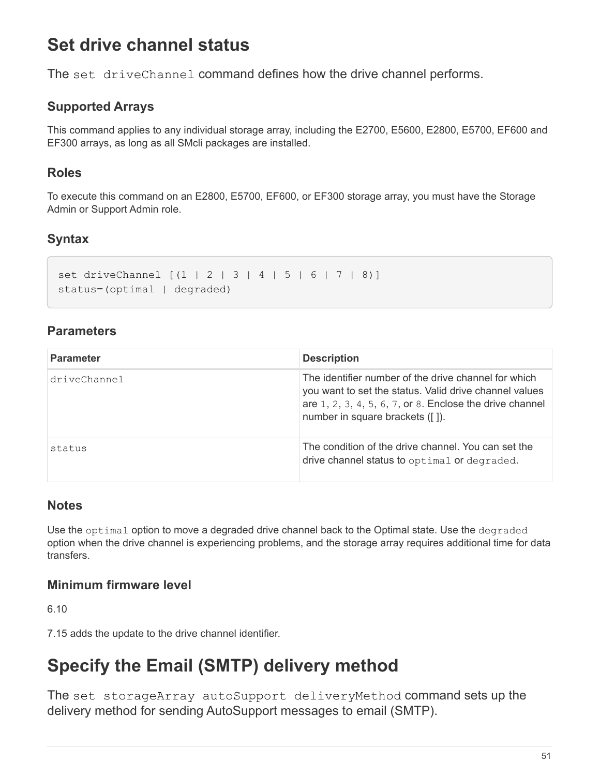# **Set drive channel status**

The set driveChannel command defines how the drive channel performs.

## **Supported Arrays**

This command applies to any individual storage array, including the E2700, E5600, E2800, E5700, EF600 and EF300 arrays, as long as all SMcli packages are installed.

### **Roles**

To execute this command on an E2800, E5700, EF600, or EF300 storage array, you must have the Storage Admin or Support Admin role.

## **Syntax**

```
set driveChannel [(1 | 2 | 3 | 4 | 5 | 6 | 7 | 8)]
status=(optimal | degraded)
```
### **Parameters**

| <b>Parameter</b> | <b>Description</b>                                                                                                                                                                                               |
|------------------|------------------------------------------------------------------------------------------------------------------------------------------------------------------------------------------------------------------|
| driveChannel     | The identifier number of the drive channel for which<br>you want to set the status. Valid drive channel values<br>are $1, 2, 3, 4, 5, 6, 7$ , or 8. Enclose the drive channel<br>number in square brackets ([]). |
| status           | The condition of the drive channel. You can set the<br>drive channel status to optimal or degraded.                                                                                                              |

#### **Notes**

Use the optimal option to move a degraded drive channel back to the Optimal state. Use the degraded option when the drive channel is experiencing problems, and the storage array requires additional time for data transfers.

#### **Minimum firmware level**

6.10

7.15 adds the update to the drive channel identifier.

# **Specify the Email (SMTP) delivery method**

The set storageArray autoSupport deliveryMethod command sets up the delivery method for sending AutoSupport messages to email (SMTP).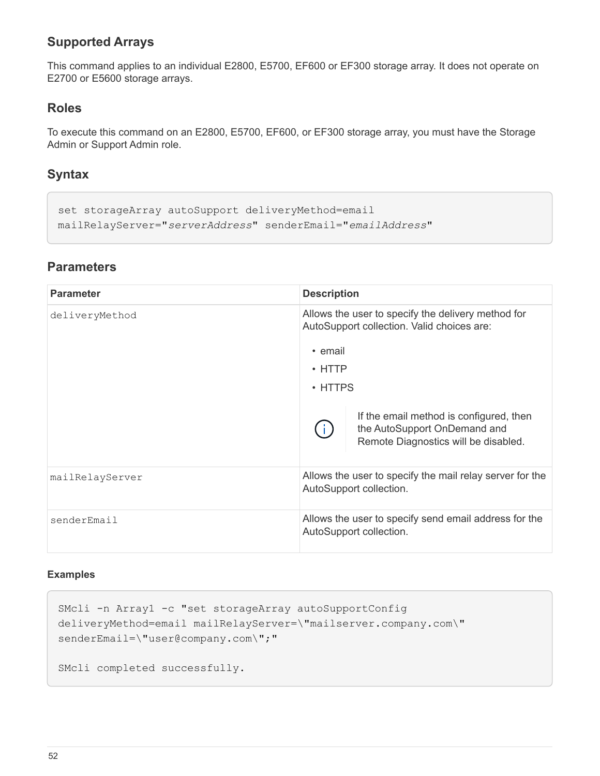### **Supported Arrays**

This command applies to an individual E2800, E5700, EF600 or EF300 storage array. It does not operate on E2700 or E5600 storage arrays.

#### **Roles**

To execute this command on an E2800, E5700, EF600, or EF300 storage array, you must have the Storage Admin or Support Admin role.

#### **Syntax**

```
set storageArray autoSupport deliveryMethod=email
mailRelayServer="serverAddress" senderEmail="emailAddress"
```
#### **Parameters**

| <b>Parameter</b> | <b>Description</b>                                                                                              |  |  |
|------------------|-----------------------------------------------------------------------------------------------------------------|--|--|
| deliveryMethod   | Allows the user to specify the delivery method for<br>AutoSupport collection. Valid choices are:<br>• email     |  |  |
|                  | $\cdot$ HTTP                                                                                                    |  |  |
|                  |                                                                                                                 |  |  |
|                  | $\cdot$ HTTPS                                                                                                   |  |  |
|                  | If the email method is configured, then<br>the AutoSupport OnDemand and<br>Remote Diagnostics will be disabled. |  |  |
| mailRelayServer  | Allows the user to specify the mail relay server for the<br>AutoSupport collection.                             |  |  |
| senderEmail      | Allows the user to specify send email address for the<br>AutoSupport collection.                                |  |  |

#### **Examples**

```
SMcli -n Array1 -c "set storageArray autoSupportConfig
deliveryMethod=email mailRelayServer=\"mailserver.company.com\"
senderEmail=\"user@company.com\";"
SMcli completed successfully.
```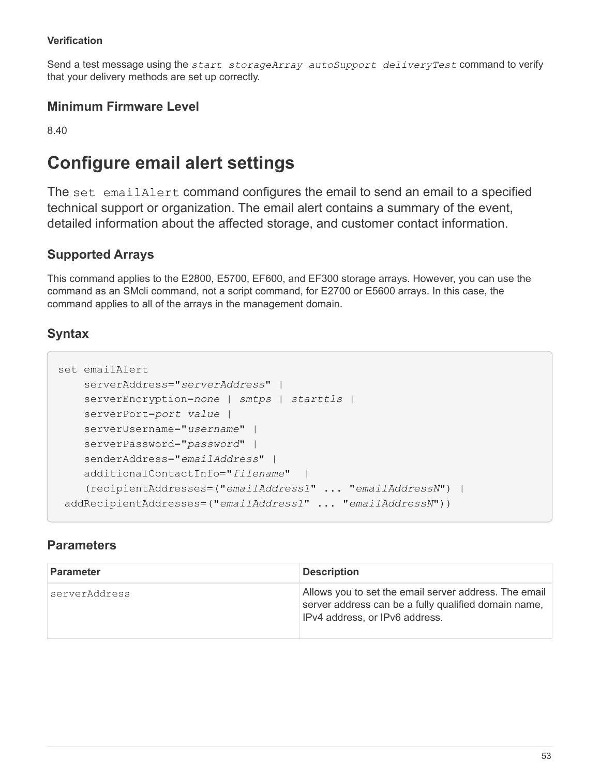#### **Verification**

Send a test message using the *start storageArray autoSupport deliveryTest* command to verify that your delivery methods are set up correctly.

#### **Minimum Firmware Level**

8.40

# **Configure email alert settings**

The set emailAlert command configures the email to send an email to a specified technical support or organization. The email alert contains a summary of the event, detailed information about the affected storage, and customer contact information.

## **Supported Arrays**

This command applies to the E2800, E5700, EF600, and EF300 storage arrays. However, you can use the command as an SMcli command, not a script command, for E2700 or E5600 arrays. In this case, the command applies to all of the arrays in the management domain.

## **Syntax**

```
set emailAlert
      serverAddress="serverAddress" |
      serverEncryption=none | smtps | starttls |
      serverPort=port value |
      serverUsername="username" |
      serverPassword="password" |
      senderAddress="emailAddress" |
      additionalContactInfo="filename" |
      (recipientAddresses=("emailAddress1" ... "emailAddressN") |
 addRecipientAddresses=("emailAddress1" ... "emailAddressN"))
```

| <b>Parameter</b> | <b>Description</b>                                                                                                                              |
|------------------|-------------------------------------------------------------------------------------------------------------------------------------------------|
| serverAddress    | Allows you to set the email server address. The email<br>server address can be a fully qualified domain name,<br>IPv4 address, or IPv6 address. |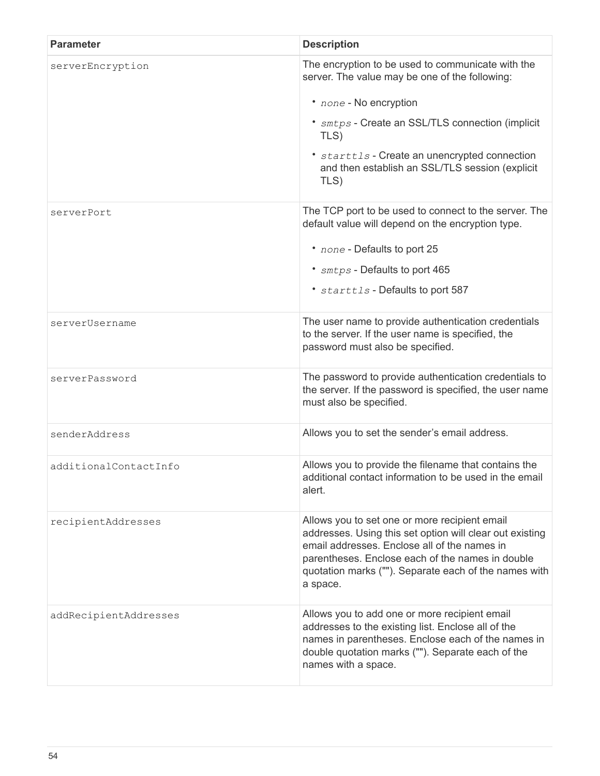| <b>Parameter</b>      | <b>Description</b>                                                                                                                                                                                                                                                                                    |  |
|-----------------------|-------------------------------------------------------------------------------------------------------------------------------------------------------------------------------------------------------------------------------------------------------------------------------------------------------|--|
| serverEncryption      | The encryption to be used to communicate with the<br>server. The value may be one of the following:<br>• none - No encryption<br>* smtps - Create an SSL/TLS connection (implicit<br>TLS)<br>* starttls - Create an unencrypted connection<br>and then establish an SSL/TLS session (explicit<br>TLS) |  |
| serverPort            | The TCP port to be used to connect to the server. The<br>default value will depend on the encryption type.<br>* none - Defaults to port 25<br>* smtps - Defaults to port 465<br>* starttls - Defaults to port 587                                                                                     |  |
| serverUsername        | The user name to provide authentication credentials<br>to the server. If the user name is specified, the<br>password must also be specified.                                                                                                                                                          |  |
| serverPassword        | The password to provide authentication credentials to<br>the server. If the password is specified, the user name<br>must also be specified.                                                                                                                                                           |  |
| senderAddress         | Allows you to set the sender's email address.                                                                                                                                                                                                                                                         |  |
| additionalContactInfo | Allows you to provide the filename that contains the<br>additional contact information to be used in the email<br>alert.                                                                                                                                                                              |  |
| recipientAddresses    | Allows you to set one or more recipient email<br>addresses. Using this set option will clear out existing<br>email addresses. Enclose all of the names in<br>parentheses. Enclose each of the names in double<br>quotation marks (""). Separate each of the names with<br>a space.                    |  |
| addRecipientAddresses | Allows you to add one or more recipient email<br>addresses to the existing list. Enclose all of the<br>names in parentheses. Enclose each of the names in<br>double quotation marks (""). Separate each of the<br>names with a space.                                                                 |  |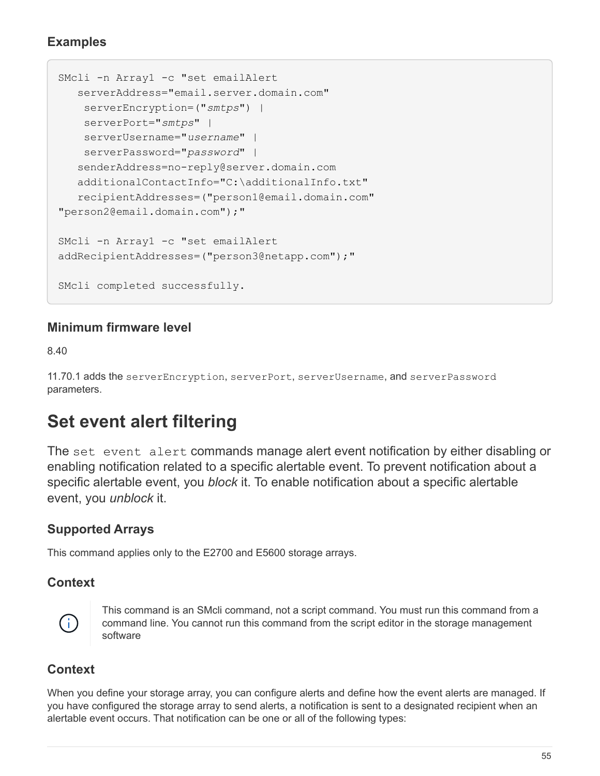#### **Examples**

```
SMcli -n Array1 -c "set emailAlert
     serverAddress="email.server.domain.com"
      serverEncryption=("smtps") |
      serverPort="smtps" |
      serverUsername="username" |
      serverPassword="password" |
     senderAddress=no-reply@server.domain.com
     additionalContactInfo="C:\additionalInfo.txt"
     recipientAddresses=("person1@email.domain.com"
"person2@email.domain.com");"
SMcli -n Array1 -c "set emailAlert
addRecipientAddresses=("person3@netapp.com");"
SMcli completed successfully.
```
#### **Minimum firmware level**

8.40

11.70.1 adds the serverEncryption, serverPort, serverUsername, and serverPassword parameters.

# **Set event alert filtering**

The set event alert commands manage alert event notification by either disabling or enabling notification related to a specific alertable event. To prevent notification about a specific alertable event, you *block* it. To enable notification about a specific alertable event, you *unblock* it.

### **Supported Arrays**

This command applies only to the E2700 and E5600 storage arrays.

#### **Context**



This command is an SMcli command, not a script command. You must run this command from a command line. You cannot run this command from the script editor in the storage management software

### **Context**

When you define your storage array, you can configure alerts and define how the event alerts are managed. If you have configured the storage array to send alerts, a notification is sent to a designated recipient when an alertable event occurs. That notification can be one or all of the following types: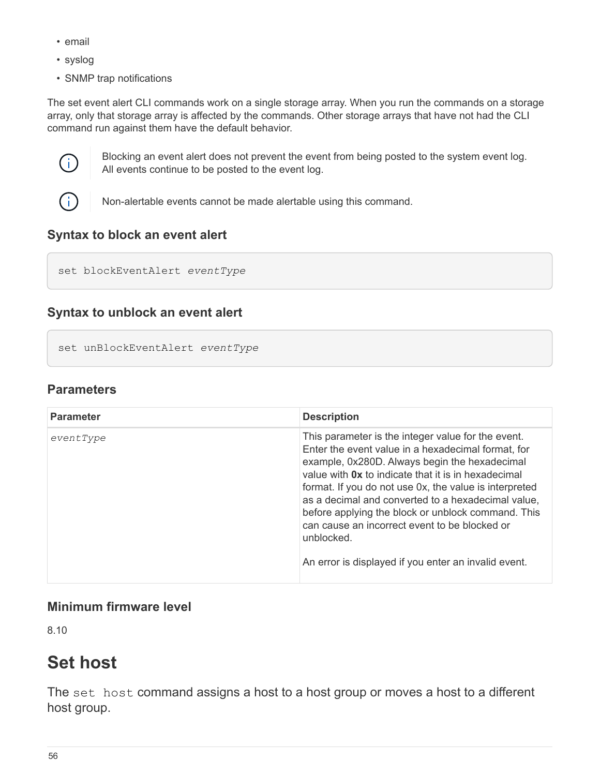- email
- syslog
- SNMP trap notifications

The set event alert CLI commands work on a single storage array. When you run the commands on a storage array, only that storage array is affected by the commands. Other storage arrays that have not had the CLI command run against them have the default behavior.



Blocking an event alert does not prevent the event from being posted to the system event log. All events continue to be posted to the event log.



Non-alertable events cannot be made alertable using this command.

### **Syntax to block an event alert**

```
set blockEventAlert eventType
```
### **Syntax to unblock an event alert**

```
set unBlockEventAlert eventType
```
#### **Parameters**

| <b>Parameter</b> | <b>Description</b>                                                                                                                                                                                                                                                                                                                                                                                                                                                                                                   |
|------------------|----------------------------------------------------------------------------------------------------------------------------------------------------------------------------------------------------------------------------------------------------------------------------------------------------------------------------------------------------------------------------------------------------------------------------------------------------------------------------------------------------------------------|
| eventType        | This parameter is the integer value for the event.<br>Enter the event value in a hexadecimal format, for<br>example, 0x280D. Always begin the hexadecimal<br>value with <b>0x</b> to indicate that it is in hexadecimal<br>format. If you do not use 0x, the value is interpreted<br>as a decimal and converted to a hexadecimal value,<br>before applying the block or unblock command. This<br>can cause an incorrect event to be blocked or<br>unblocked.<br>An error is displayed if you enter an invalid event. |

#### **Minimum firmware level**

8.10

# **Set host**

The set host command assigns a host to a host group or moves a host to a different host group.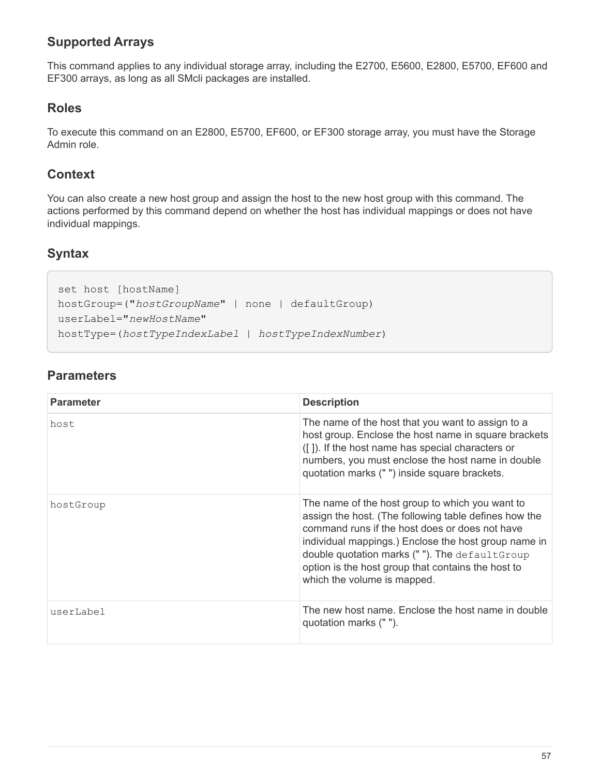## **Supported Arrays**

This command applies to any individual storage array, including the E2700, E5600, E2800, E5700, EF600 and EF300 arrays, as long as all SMcli packages are installed.

#### **Roles**

To execute this command on an E2800, E5700, EF600, or EF300 storage array, you must have the Storage Admin role.

#### **Context**

You can also create a new host group and assign the host to the new host group with this command. The actions performed by this command depend on whether the host has individual mappings or does not have individual mappings.

#### **Syntax**

```
set host [hostName]
hostGroup=("hostGroupName" | none | defaultGroup)
userLabel="newHostName"
hostType=(hostTypeIndexLabel | hostTypeIndexNumber)
```

| <b>Parameter</b> | <b>Description</b>                                                                                                                                                                                                                                                                                                                                        |
|------------------|-----------------------------------------------------------------------------------------------------------------------------------------------------------------------------------------------------------------------------------------------------------------------------------------------------------------------------------------------------------|
| host             | The name of the host that you want to assign to a<br>host group. Enclose the host name in square brackets<br>([]). If the host name has special characters or<br>numbers, you must enclose the host name in double<br>quotation marks (" ") inside square brackets.                                                                                       |
| hostGroup        | The name of the host group to which you want to<br>assign the host. (The following table defines how the<br>command runs if the host does or does not have<br>individual mappings.) Enclose the host group name in<br>double quotation marks (""). The default Group<br>option is the host group that contains the host to<br>which the volume is mapped. |
| userLabel        | The new host name. Enclose the host name in double<br>quotation marks (" ").                                                                                                                                                                                                                                                                              |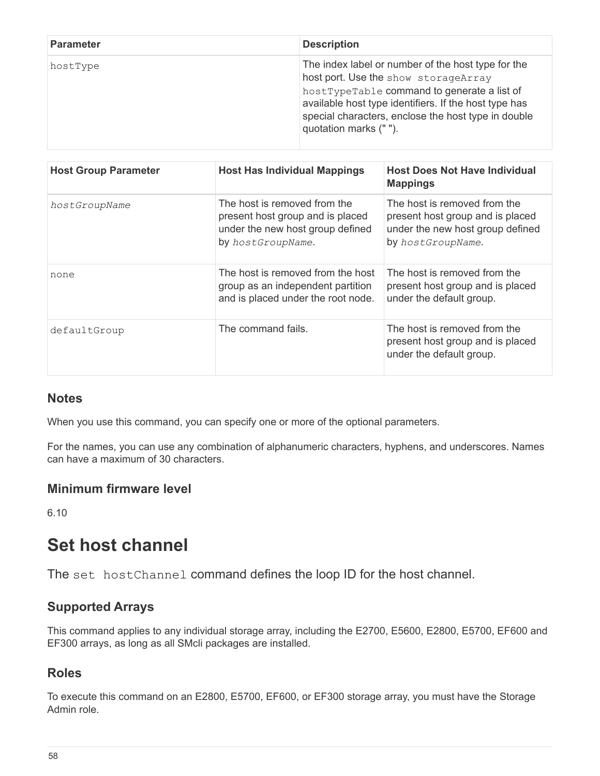| <b>Parameter</b> | <b>Description</b>                                                                                                                                                                                                                                                                  |
|------------------|-------------------------------------------------------------------------------------------------------------------------------------------------------------------------------------------------------------------------------------------------------------------------------------|
| hostType         | The index label or number of the host type for the<br>host port. Use the show storageArray<br>hostTypeTable command to generate a list of<br>available host type identifiers. If the host type has<br>special characters, enclose the host type in double<br>quotation marks (" "). |

| <b>Host Group Parameter</b> | <b>Host Has Individual Mappings</b>                                                                                       | <b>Host Does Not Have Individual</b><br><b>Mappings</b>                                                                   |
|-----------------------------|---------------------------------------------------------------------------------------------------------------------------|---------------------------------------------------------------------------------------------------------------------------|
| hostGroupName               | The host is removed from the<br>present host group and is placed<br>under the new host group defined<br>by hostGroupName. | The host is removed from the<br>present host group and is placed<br>under the new host group defined<br>by hostGroupName. |
| none                        | The host is removed from the host<br>group as an independent partition<br>and is placed under the root node.              | The host is removed from the<br>present host group and is placed<br>under the default group.                              |
| defaultGroup                | The command fails.                                                                                                        | The host is removed from the<br>present host group and is placed<br>under the default group.                              |

#### **Notes**

When you use this command, you can specify one or more of the optional parameters.

For the names, you can use any combination of alphanumeric characters, hyphens, and underscores. Names can have a maximum of 30 characters.

#### **Minimum firmware level**

6.10

# **Set host channel**

The set hostChannel command defines the loop ID for the host channel.

#### **Supported Arrays**

This command applies to any individual storage array, including the E2700, E5600, E2800, E5700, EF600 and EF300 arrays, as long as all SMcli packages are installed.

### **Roles**

To execute this command on an E2800, E5700, EF600, or EF300 storage array, you must have the Storage Admin role.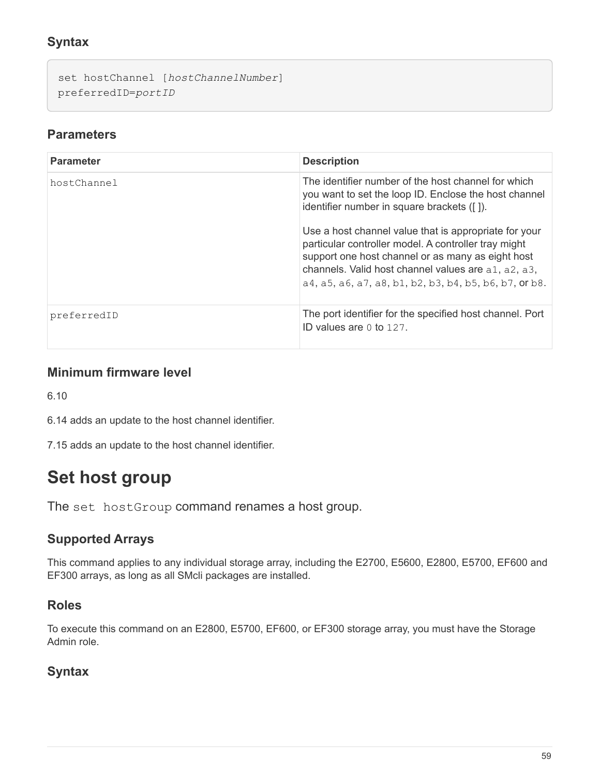## **Syntax**

```
set hostChannel [hostChannelNumber]
preferredID=portID
```
#### **Parameters**

| <b>Parameter</b> | <b>Description</b>                                                                                                                                                                                                                                                                  |
|------------------|-------------------------------------------------------------------------------------------------------------------------------------------------------------------------------------------------------------------------------------------------------------------------------------|
| hostChannel      | The identifier number of the host channel for which<br>you want to set the loop ID. Enclose the host channel<br>identifier number in square brackets ([]).                                                                                                                          |
|                  | Use a host channel value that is appropriate for your<br>particular controller model. A controller tray might<br>support one host channel or as many as eight host<br>channels. Valid host channel values are a1, a2, a3,<br>a4, a5, a6, a7, a8, b1, b2, b3, b4, b5, b6, b7, or b8. |
| preferredID      | The port identifier for the specified host channel. Port<br>ID values are $0 \text{ to } 127$ .                                                                                                                                                                                     |

#### **Minimum firmware level**

6.10

6.14 adds an update to the host channel identifier.

7.15 adds an update to the host channel identifier.

# **Set host group**

The set hostGroup command renames a host group.

### **Supported Arrays**

This command applies to any individual storage array, including the E2700, E5600, E2800, E5700, EF600 and EF300 arrays, as long as all SMcli packages are installed.

#### **Roles**

To execute this command on an E2800, E5700, EF600, or EF300 storage array, you must have the Storage Admin role.

### **Syntax**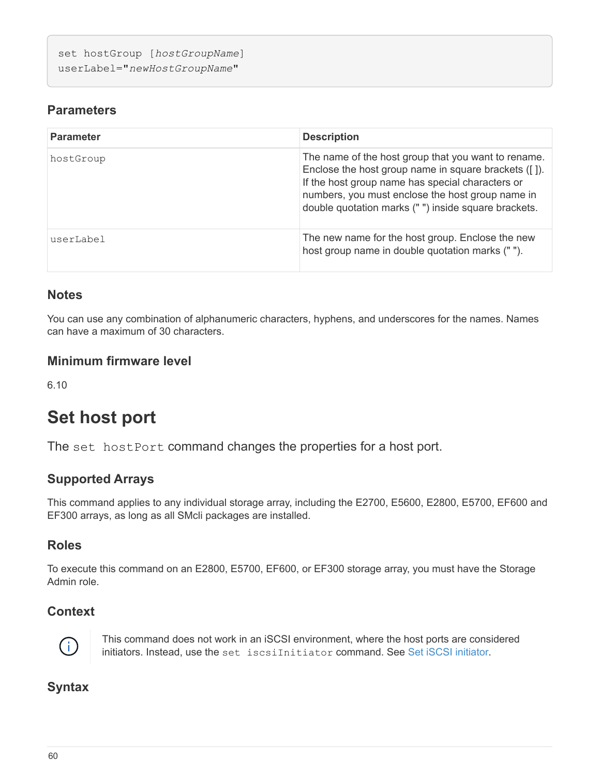```
set hostGroup [hostGroupName]
userLabel="newHostGroupName"
```
#### **Parameters**

| <b>Parameter</b> | <b>Description</b>                                                                                                                                                                                                                                                         |
|------------------|----------------------------------------------------------------------------------------------------------------------------------------------------------------------------------------------------------------------------------------------------------------------------|
| hostGroup        | The name of the host group that you want to rename.<br>Enclose the host group name in square brackets ([]).<br>If the host group name has special characters or<br>numbers, you must enclose the host group name in<br>double quotation marks ("") inside square brackets. |
| userLabel        | The new name for the host group. Enclose the new<br>host group name in double quotation marks ("").                                                                                                                                                                        |

#### **Notes**

You can use any combination of alphanumeric characters, hyphens, and underscores for the names. Names can have a maximum of 30 characters.

#### **Minimum firmware level**

6.10

# **Set host port**

The set hostPort command changes the properties for a host port.

### **Supported Arrays**

This command applies to any individual storage array, including the E2700, E5600, E2800, E5700, EF600 and EF300 arrays, as long as all SMcli packages are installed.

## **Roles**

To execute this command on an E2800, E5700, EF600, or EF300 storage array, you must have the Storage Admin role.

### **Context**



This command does not work in an iSCSI environment, where the host ports are considered initiators. Instead, use the set iscsiInitiator command. See [Set iSCSI initiator.](#page-65-0)

### **Syntax**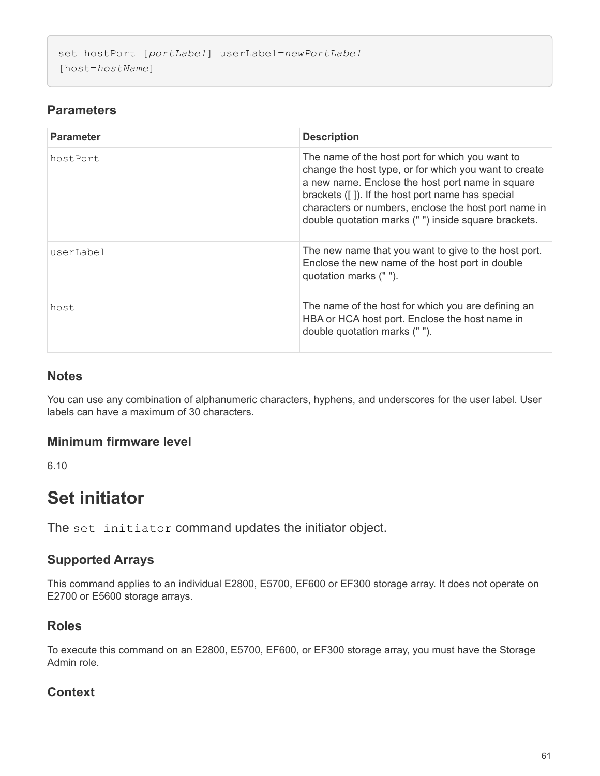```
set hostPort [portLabel] userLabel=newPortLabel
[host=hostName]
```
## **Parameters**

| <b>Parameter</b> | <b>Description</b>                                                                                                                                                                                                                                                                                                              |
|------------------|---------------------------------------------------------------------------------------------------------------------------------------------------------------------------------------------------------------------------------------------------------------------------------------------------------------------------------|
| hostPort         | The name of the host port for which you want to<br>change the host type, or for which you want to create<br>a new name. Enclose the host port name in square<br>brackets ([]). If the host port name has special<br>characters or numbers, enclose the host port name in<br>double quotation marks ("") inside square brackets. |
| userLabel        | The new name that you want to give to the host port.<br>Enclose the new name of the host port in double<br>quotation marks (" ").                                                                                                                                                                                               |
| host             | The name of the host for which you are defining an<br>HBA or HCA host port. Enclose the host name in<br>double quotation marks ("").                                                                                                                                                                                            |

#### **Notes**

You can use any combination of alphanumeric characters, hyphens, and underscores for the user label. User labels can have a maximum of 30 characters.

#### **Minimum firmware level**

6.10

# <span id="page-64-0"></span>**Set initiator**

The set initiator command updates the initiator object.

### **Supported Arrays**

This command applies to an individual E2800, E5700, EF600 or EF300 storage array. It does not operate on E2700 or E5600 storage arrays.

## **Roles**

To execute this command on an E2800, E5700, EF600, or EF300 storage array, you must have the Storage Admin role.

### **Context**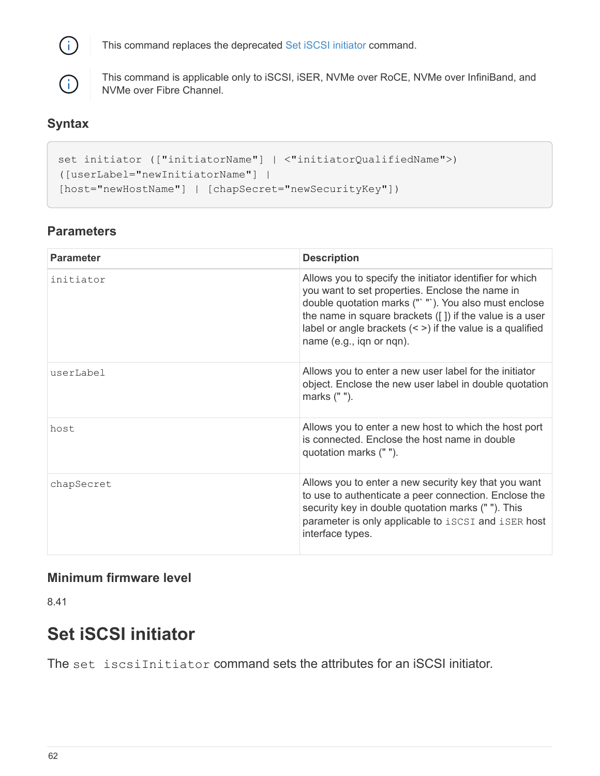

This command replaces the deprecated [Set iSCSI initiator](#page-65-0) command.



This command is applicable only to iSCSI, iSER, NVMe over RoCE, NVMe over InfiniBand, and NVMe over Fibre Channel.

## **Syntax**

```
set initiator (["initiatorName"] | <"initiatorQualifiedName">)
([userLabel="newInitiatorName"] |
[host="newHostName"] | [chapSecret="newSecurityKey"])
```
### **Parameters**

| <b>Parameter</b> | <b>Description</b>                                                                                                                                                                                                                                                                                                          |
|------------------|-----------------------------------------------------------------------------------------------------------------------------------------------------------------------------------------------------------------------------------------------------------------------------------------------------------------------------|
| initiator        | Allows you to specify the initiator identifier for which<br>you want to set properties. Enclose the name in<br>double quotation marks (" "). You also must enclose<br>the name in square brackets $([] )$ if the value is a user<br>label or angle brackets $($ < ) if the value is a qualified<br>name (e.g., iqn or nqn). |
| userLabel        | Allows you to enter a new user label for the initiator<br>object. Enclose the new user label in double quotation<br>marks (" ").                                                                                                                                                                                            |
| host             | Allows you to enter a new host to which the host port<br>is connected. Enclose the host name in double<br>quotation marks (" ").                                                                                                                                                                                            |
| chapSecret       | Allows you to enter a new security key that you want<br>to use to authenticate a peer connection. Enclose the<br>security key in double quotation marks (" "). This<br>parameter is only applicable to iSCSI and iSER host<br>interface types.                                                                              |

### **Minimum firmware level**

8.41

# <span id="page-65-0"></span>**Set iSCSI initiator**

The set iscsiInitiator command sets the attributes for an iSCSI initiator.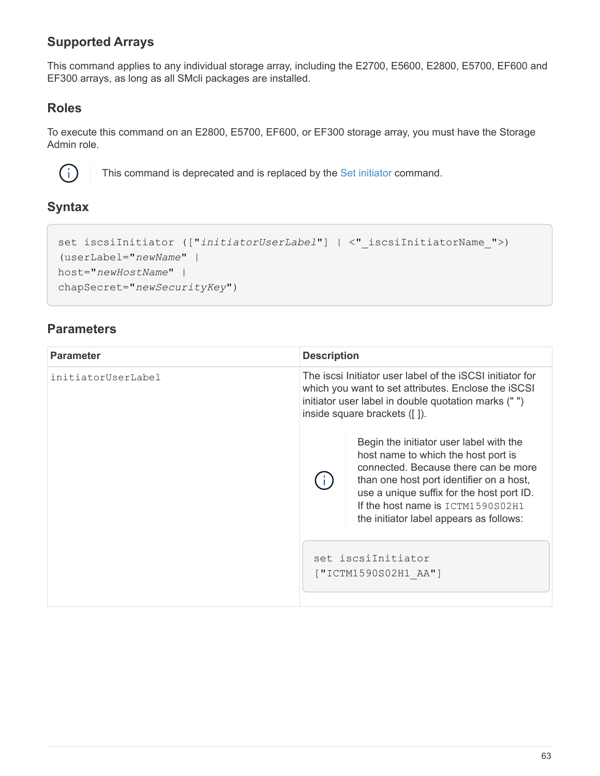## **Supported Arrays**

This command applies to any individual storage array, including the E2700, E5600, E2800, E5700, EF600 and EF300 arrays, as long as all SMcli packages are installed.

#### **Roles**

To execute this command on an E2800, E5700, EF600, or EF300 storage array, you must have the Storage Admin role.



This command is deprecated and is replaced by the [Set initiator](#page-64-0) command.

#### **Syntax**

```
set iscsiInitiator (["initiatorUserLabel"] | <" iscsiInitiatorName ">)
(userLabel="newName" |
host="newHostName" |
chapSecret="newSecurityKey")
```

| <b>Parameter</b>   | <b>Description</b>                                                                                                                                                                                      |                                                                                                                                                                                                                                                                                                   |
|--------------------|---------------------------------------------------------------------------------------------------------------------------------------------------------------------------------------------------------|---------------------------------------------------------------------------------------------------------------------------------------------------------------------------------------------------------------------------------------------------------------------------------------------------|
| initiatorUserLabel | The iscsi Initiator user label of the iSCSI initiator for<br>which you want to set attributes. Enclose the iSCSI<br>initiator user label in double quotation marks ("")<br>inside square brackets ([]). |                                                                                                                                                                                                                                                                                                   |
|                    |                                                                                                                                                                                                         | Begin the initiator user label with the<br>host name to which the host port is<br>connected. Because there can be more<br>than one host port identifier on a host,<br>use a unique suffix for the host port ID.<br>If the host name is $ICTM1590S02H1$<br>the initiator label appears as follows: |
|                    |                                                                                                                                                                                                         | set iscsiInitiator<br>["ICTM1590S02H1 AA"]                                                                                                                                                                                                                                                        |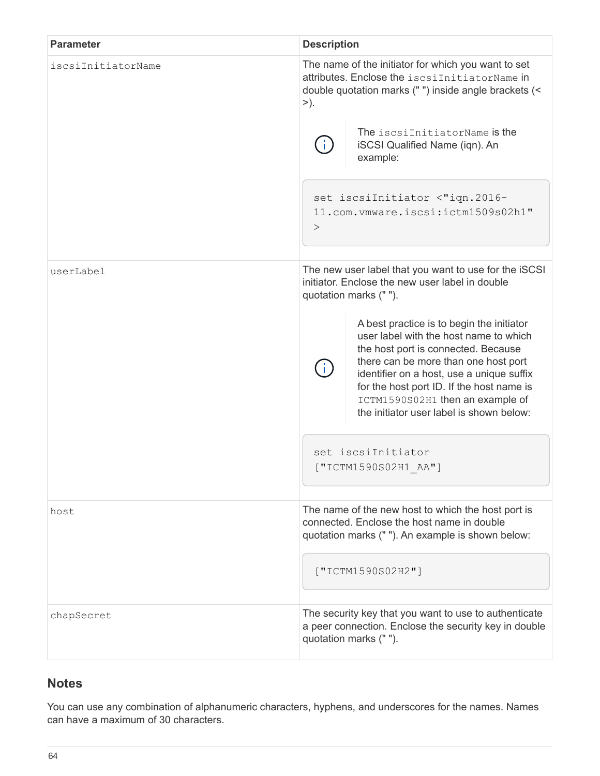| <b>Parameter</b>   | <b>Description</b>                                                                                                                                                                                                                                                                                                                           |  |  |  |  |  |
|--------------------|----------------------------------------------------------------------------------------------------------------------------------------------------------------------------------------------------------------------------------------------------------------------------------------------------------------------------------------------|--|--|--|--|--|
| iscsiInitiatorName | The name of the initiator for which you want to set<br>attributes. Enclose the iscsiInitiatorName in<br>double quotation marks (" ") inside angle brackets (<<br>>).                                                                                                                                                                         |  |  |  |  |  |
|                    | The iscsiInitiatorName is the<br>iSCSI Qualified Name (iqn). An<br>example:                                                                                                                                                                                                                                                                  |  |  |  |  |  |
|                    | set iscsiInitiator <"iqn.2016-<br>11.com.vmware.iscsi:ictm1509s02h1"<br>>                                                                                                                                                                                                                                                                    |  |  |  |  |  |
| userLabel          | The new user label that you want to use for the iSCSI<br>initiator. Enclose the new user label in double<br>quotation marks (" ").                                                                                                                                                                                                           |  |  |  |  |  |
|                    | A best practice is to begin the initiator<br>user label with the host name to which<br>the host port is connected. Because<br>there can be more than one host port<br>identifier on a host, use a unique suffix<br>for the host port ID. If the host name is<br>ICTM1590S02H1 then an example of<br>the initiator user label is shown below: |  |  |  |  |  |
|                    | set iscsiInitiator<br>["ICTM1590S02H1 AA"]                                                                                                                                                                                                                                                                                                   |  |  |  |  |  |
| host               | The name of the new host to which the host port is<br>connected. Enclose the host name in double<br>quotation marks (" "). An example is shown below:                                                                                                                                                                                        |  |  |  |  |  |
|                    | ["ICTM1590S02H2"]                                                                                                                                                                                                                                                                                                                            |  |  |  |  |  |
| chapSecret         | The security key that you want to use to authenticate<br>a peer connection. Enclose the security key in double<br>quotation marks ("").                                                                                                                                                                                                      |  |  |  |  |  |

## **Notes**

You can use any combination of alphanumeric characters, hyphens, and underscores for the names. Names can have a maximum of 30 characters.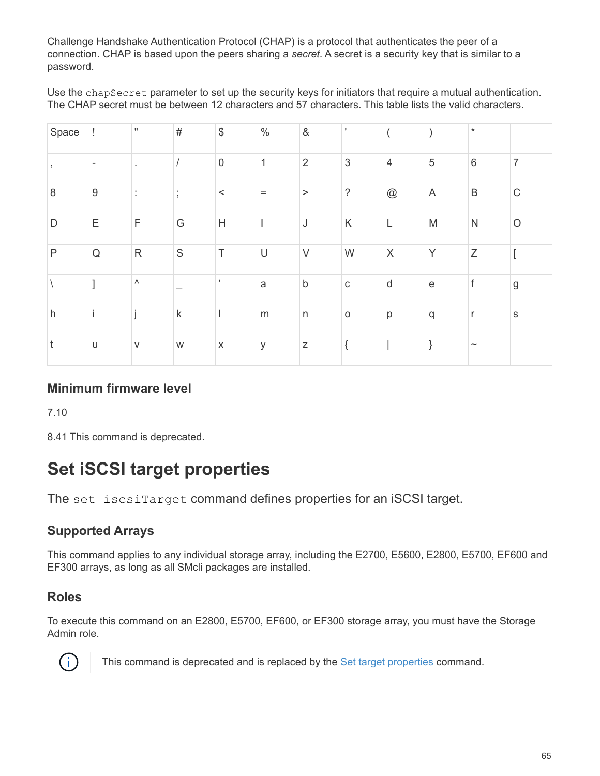Challenge Handshake Authentication Protocol (CHAP) is a protocol that authenticates the peer of a connection. CHAP is based upon the peers sharing a *secret*. A secret is a security key that is similar to a password.

Use the chapSecret parameter to set up the security keys for initiators that require a mutual authentication. The CHAP secret must be between 12 characters and 57 characters. This table lists the valid characters.

| Space        | Ţ                | $\mathbf{H}$          | $\#$                | $\, \, \raisebox{12pt}{$\scriptstyle \$}$ | $\%$        | $\&$           |             |                           |                                            | $\star$      |                |
|--------------|------------------|-----------------------|---------------------|-------------------------------------------|-------------|----------------|-------------|---------------------------|--------------------------------------------|--------------|----------------|
|              |                  |                       |                     | $\boldsymbol{0}$                          | $\mathbf 1$ | $\overline{2}$ | $\sqrt{3}$  | $\overline{4}$            | $\sqrt{5}$                                 | $\,6\,$      | $\overline{7}$ |
| $\,8\,$      | $\boldsymbol{9}$ |                       | ٠<br>$\overline{ }$ | $\,<$                                     | $\equiv$    | $\,>$          | $\tilde{?}$ | $^{\copyright}$           | A                                          | $\sf B$      | $\mathsf C$    |
| D            | Ε                | $\mathsf F$           | G                   | H                                         |             | J              | $\sf K$     | L                         | M                                          | ${\sf N}$    | $\bigcirc$     |
| $\mathsf{P}$ | $\mathsf Q$      | ${\sf R}$             | $\mathsf S$         | $\top$                                    | $\cup$      | $\vee$         | W           | $\boldsymbol{\mathsf{X}}$ | Y                                          | $\mathsf Z$  |                |
|              |                  | $\boldsymbol{\wedge}$ |                     |                                           | a           | $\sf b$        | $\mathsf C$ | $\mathsf{d}$              | $\mathsf{e}% _{0}\left( \mathsf{e}\right)$ | $\mathsf f$  | $\mathsf g$    |
| h            |                  |                       | $\sf k$             |                                           | ${\sf m}$   | $\sf n$        | $\circ$     | p                         | q                                          | $\mathsf{r}$ | $\mathsf S$    |
| t            | $\sf U$          | $\vee$                | W                   | $\mathsf X$                               | У           | $\mathsf Z$    |             |                           |                                            | $\thicksim$  |                |

### **Minimum firmware level**

7.10

8.41 This command is deprecated.

# **Set iSCSI target properties**

The set iscsiTarget command defines properties for an iSCSI target.

## **Supported Arrays**

This command applies to any individual storage array, including the E2700, E5600, E2800, E5700, EF600 and EF300 arrays, as long as all SMcli packages are installed.

## **Roles**

To execute this command on an E2800, E5700, EF600, or EF300 storage array, you must have the Storage Admin role.



This command is deprecated and is replaced by the [Set target properties](#page-149-0) command.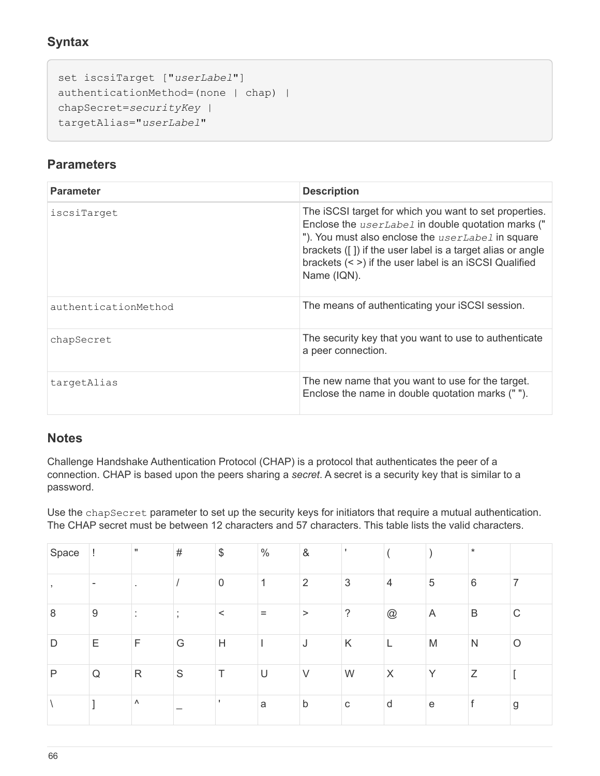## **Syntax**

```
set iscsiTarget ["userLabel"]
authenticationMethod=(none | chap) |
chapSecret=securityKey |
targetAlias="userLabel"
```
#### **Parameters**

| <b>Parameter</b>     | <b>Description</b>                                                                                                                                                                                                                                                                                                     |
|----------------------|------------------------------------------------------------------------------------------------------------------------------------------------------------------------------------------------------------------------------------------------------------------------------------------------------------------------|
| iscsiTarget          | The iSCSI target for which you want to set properties.<br>Enclose the <i>userLabel</i> in double quotation marks ("<br>"). You must also enclose the <i>userLabel</i> in square<br>brackets ([]) if the user label is a target alias or angle<br>brackets $(<)$ if the user label is an iSCSI Qualified<br>Name (IQN). |
| authenticationMethod | The means of authenticating your iSCSI session.                                                                                                                                                                                                                                                                        |
| chapSecret           | The security key that you want to use to authenticate<br>a peer connection.                                                                                                                                                                                                                                            |
| targetAlias          | The new name that you want to use for the target.<br>Enclose the name in double quotation marks ("").                                                                                                                                                                                                                  |

#### **Notes**

Challenge Handshake Authentication Protocol (CHAP) is a protocol that authenticates the peer of a connection. CHAP is based upon the peers sharing a *secret*. A secret is a security key that is similar to a password.

Use the chapSecret parameter to set up the security keys for initiators that require a mutual authentication. The CHAP secret must be between 12 characters and 57 characters. This table lists the valid characters.

| Space | H.                       | $\mathbf{H}$ | $\#$    | $\$\$       | $\%$ | &              |             |                |                         | $\star$         |             |
|-------|--------------------------|--------------|---------|-------------|------|----------------|-------------|----------------|-------------------------|-----------------|-------------|
|       | $\overline{\phantom{a}}$ |              |         | $\mathbf 0$ | 4    | $\overline{2}$ | 3           | $\overline{4}$ | 5                       | $6\phantom{1}6$ |             |
| 8     | 9                        |              | $\cdot$ | $\,<\,$     | $=$  | >              | ?           | @              | $\overline{\mathsf{A}}$ | B               | $\mathsf C$ |
| D     | Ε                        | F            | G       | H           |      | J              | K           | ┕              | M                       | N               | $\circ$     |
| P     | Q                        | $\mathsf{R}$ | S       | Τ           | U    | $\vee$         | W           | $\times$       | Y                       | Ζ               |             |
|       |                          | Λ            |         |             | a    | b              | $\mathbf C$ | d              | e                       |                 | g           |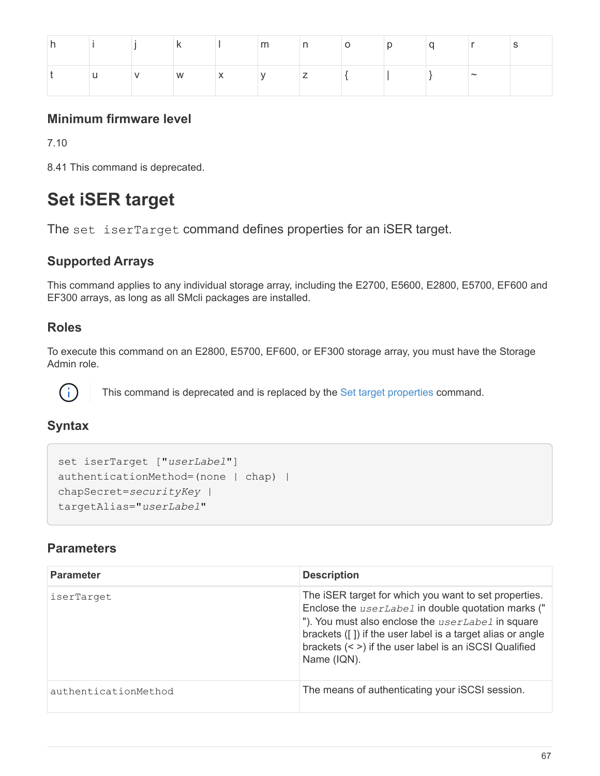|    | $\mathbf k$ |                               |  |                   | m n o p q |        |  |
|----|-------------|-------------------------------|--|-------------------|-----------|--------|--|
| u. |             | $\mathsf{v}$ w $\mathsf{x}$ y |  | $Z \qquad \qquad$ |           | $\sim$ |  |

## **Minimum firmware level**

7.10

8.41 This command is deprecated.

# **Set iSER target**

The set iserTarget command defines properties for an iSER target.

### **Supported Arrays**

This command applies to any individual storage array, including the E2700, E5600, E2800, E5700, EF600 and EF300 arrays, as long as all SMcli packages are installed.

### **Roles**

To execute this command on an E2800, E5700, EF600, or EF300 storage array, you must have the Storage Admin role.



This command is deprecated and is replaced by the [Set target properties](#page-149-0) command.

### **Syntax**

```
set iserTarget ["userLabel"]
authenticationMethod=(none | chap) |
chapSecret=securityKey |
targetAlias="userLabel"
```

| <b>Parameter</b>     | <b>Description</b>                                                                                                                                                                                                                                                                                             |
|----------------------|----------------------------------------------------------------------------------------------------------------------------------------------------------------------------------------------------------------------------------------------------------------------------------------------------------------|
| iserTarget           | The iSER target for which you want to set properties.<br>Enclose the <i>userLabel</i> in double quotation marks ("<br>"). You must also enclose the userLabel in square<br>brackets ([]) if the user label is a target alias or angle<br>brackets (< >) if the user label is an iSCSI Qualified<br>Name (IQN). |
| authenticationMethod | The means of authenticating your iSCSI session.                                                                                                                                                                                                                                                                |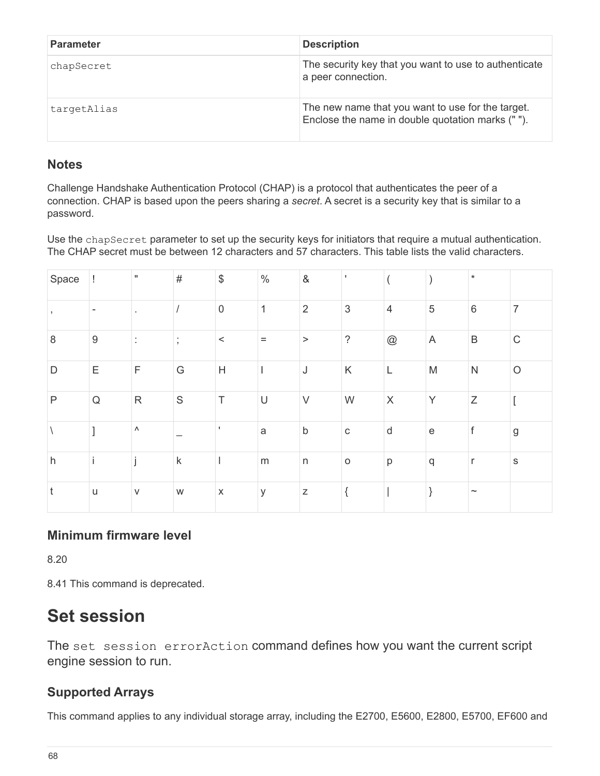| <b>Parameter</b> | <b>Description</b>                                                                                    |
|------------------|-------------------------------------------------------------------------------------------------------|
| chapSecret       | The security key that you want to use to authenticate<br>a peer connection.                           |
| targetAlias      | The new name that you want to use for the target.<br>Enclose the name in double quotation marks (""). |

#### **Notes**

Challenge Handshake Authentication Protocol (CHAP) is a protocol that authenticates the peer of a connection. CHAP is based upon the peers sharing a *secret*. A secret is a security key that is similar to a password.

Use the chapSecret parameter to set up the security keys for initiators that require a mutual authentication. The CHAP secret must be between 12 characters and 57 characters. This table lists the valid characters.

| Space |                  | $\mathbf{H}$          | $\#$                          | $\, \, \raisebox{12pt}{$\scriptstyle \$}$ | $\%$         | $\&$           | $\mathbf{I}$ |                 |                                                   | $\star$                   |                |
|-------|------------------|-----------------------|-------------------------------|-------------------------------------------|--------------|----------------|--------------|-----------------|---------------------------------------------------|---------------------------|----------------|
|       |                  |                       |                               | $\mathbf 0$                               | $\mathbf{1}$ | $\overline{2}$ | $\sqrt{3}$   | $\overline{4}$  | $\sqrt{5}$                                        | $6\,$                     | $\overline{7}$ |
| 8     | $\boldsymbol{9}$ |                       | ٠<br>$\overline{\phantom{a}}$ | $\,<$                                     | $\equiv$     | $\,>$          | $\dot{?}$    | $^{\copyright}$ | A                                                 | $\sf B$                   | $\mathsf C$    |
| D     | Ε                | $\mathsf F$           | G                             | H                                         | $\mathsf{l}$ | J              | Κ            | $\mathsf{L}$    | ${\sf M}$                                         | ${\sf N}$                 | $\circ$        |
| P     | ${\sf Q}$        | $\mathsf{R}% _{T}$    | $\mathsf S$                   | $\top$                                    | $\cup$       | $\vee$         | W            | $\mathsf X$     | Y                                                 | $\mathsf Z$               |                |
|       |                  | $\boldsymbol{\wedge}$ |                               |                                           | $\mathsf{a}$ | $\mathsf b$    | $\mathbf C$  | ${\sf d}$       | $\mathsf{e}% _{t}\!\left( \mathcal{A}_{t}\right)$ | f                         | $\mathsf g$    |
| h     |                  |                       | $\sf k$                       |                                           | ${\sf m}$    | $\mathsf{n}$   | $\circ$      | p               | $\mathsf{q}$                                      | $\mathsf{r}$              | $\mathsf S$    |
| t     | $\sf U$          | $\vee$                | W                             | $\mathsf X$                               | У            | $\mathsf Z$    | {            |                 |                                                   | $\widetilde{\phantom{m}}$ |                |

#### **Minimum firmware level**

8.20

8.41 This command is deprecated.

# **Set session**

The set session errorAction command defines how you want the current script engine session to run.

### **Supported Arrays**

This command applies to any individual storage array, including the E2700, E5600, E2800, E5700, EF600 and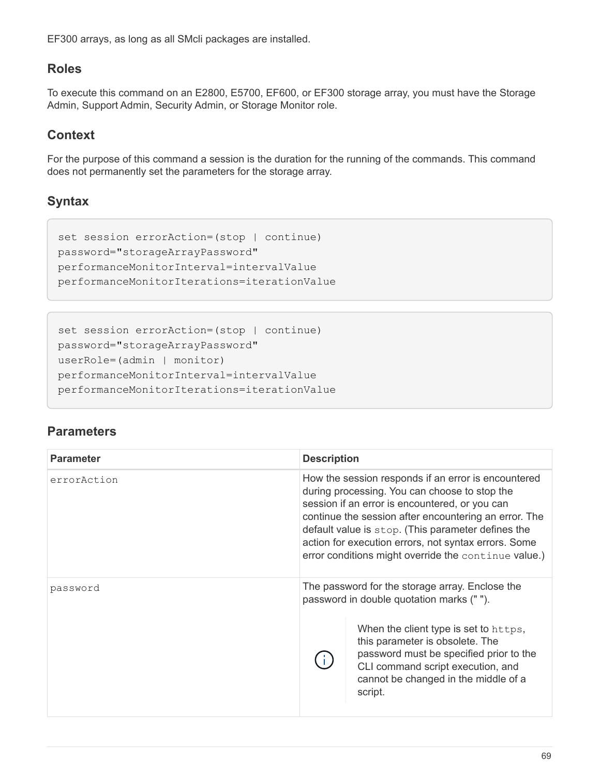EF300 arrays, as long as all SMcli packages are installed.

### **Roles**

To execute this command on an E2800, E5700, EF600, or EF300 storage array, you must have the Storage Admin, Support Admin, Security Admin, or Storage Monitor role.

### **Context**

For the purpose of this command a session is the duration for the running of the commands. This command does not permanently set the parameters for the storage array.

# **Syntax**

```
set session errorAction=(stop | continue)
password="storageArrayPassword"
performanceMonitorInterval=intervalValue
performanceMonitorIterations=iterationValue
```

```
set session errorAction=(stop | continue)
password="storageArrayPassword"
userRole=(admin | monitor)
performanceMonitorInterval=intervalValue
performanceMonitorIterations=iterationValue
```

| <b>Parameter</b> | <b>Description</b> |                                                                                                                                                                                                                                                                                                                                                                                       |
|------------------|--------------------|---------------------------------------------------------------------------------------------------------------------------------------------------------------------------------------------------------------------------------------------------------------------------------------------------------------------------------------------------------------------------------------|
| errorAction      |                    | How the session responds if an error is encountered<br>during processing. You can choose to stop the<br>session if an error is encountered, or you can<br>continue the session after encountering an error. The<br>default value is stop. (This parameter defines the<br>action for execution errors, not syntax errors. Some<br>error conditions might override the continue value.) |
| password         |                    | The password for the storage array. Enclose the<br>password in double quotation marks ("").                                                                                                                                                                                                                                                                                           |
|                  |                    | When the client type is set to https,<br>this parameter is obsolete. The<br>password must be specified prior to the<br>CLI command script execution, and<br>cannot be changed in the middle of a<br>script.                                                                                                                                                                           |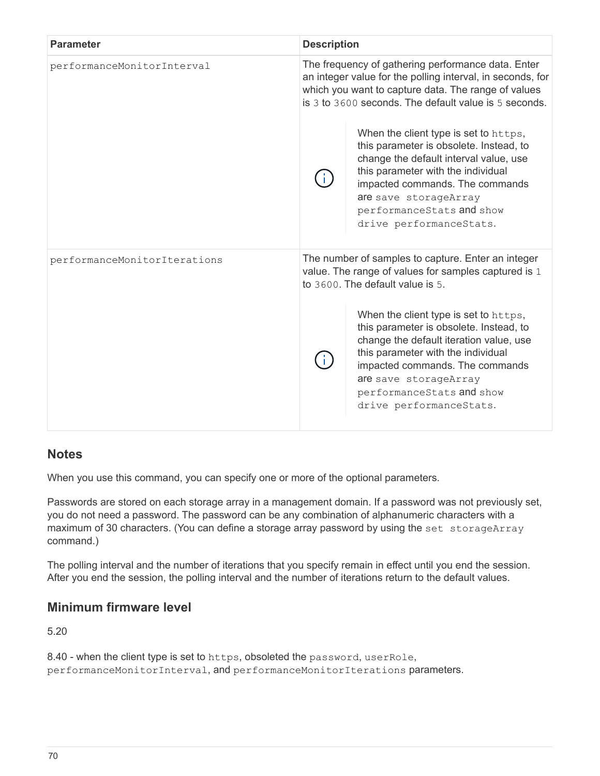| <b>Parameter</b>             | <b>Description</b> |                                                                                                                                                                                                                                                                                       |
|------------------------------|--------------------|---------------------------------------------------------------------------------------------------------------------------------------------------------------------------------------------------------------------------------------------------------------------------------------|
| performanceMonitorInterval   |                    | The frequency of gathering performance data. Enter<br>an integer value for the polling interval, in seconds, for<br>which you want to capture data. The range of values<br>is 3 to 3600 seconds. The default value is 5 seconds.                                                      |
|                              |                    | When the client type is set to https,<br>this parameter is obsolete. Instead, to<br>change the default interval value, use<br>this parameter with the individual<br>impacted commands. The commands<br>are save storageArray<br>performanceStats and show<br>drive performanceStats.  |
| performanceMonitorIterations |                    | The number of samples to capture. Enter an integer<br>value. The range of values for samples captured is 1<br>to 3600. The default value is 5.                                                                                                                                        |
|                              |                    | When the client type is set to https,<br>this parameter is obsolete. Instead, to<br>change the default iteration value, use<br>this parameter with the individual<br>impacted commands. The commands<br>are save storageArray<br>performanceStats and show<br>drive performanceStats. |

When you use this command, you can specify one or more of the optional parameters.

Passwords are stored on each storage array in a management domain. If a password was not previously set, you do not need a password. The password can be any combination of alphanumeric characters with a maximum of 30 characters. (You can define a storage array password by using the set storageArray command.)

The polling interval and the number of iterations that you specify remain in effect until you end the session. After you end the session, the polling interval and the number of iterations return to the default values.

### **Minimum firmware level**

5.20

8.40 - when the client type is set to https, obsoleted the password, userRole, performanceMonitorInterval, and performanceMonitorIterations parameters.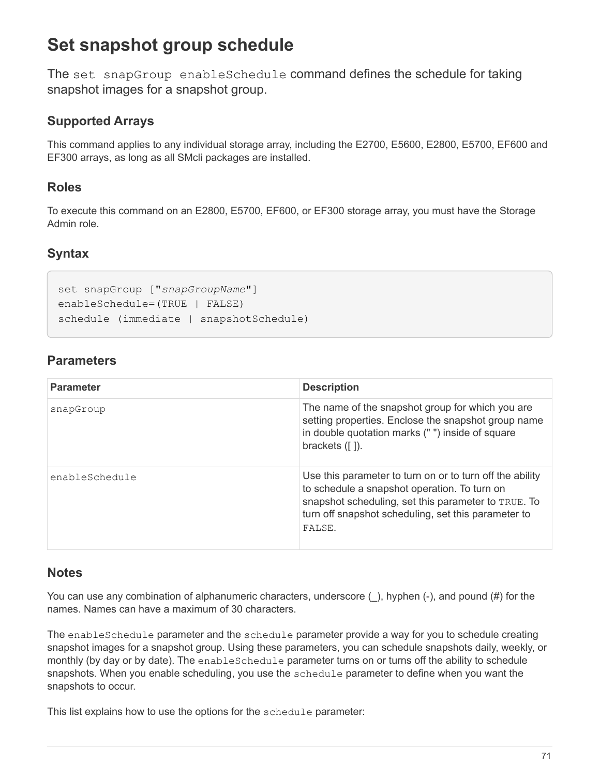# **Set snapshot group schedule**

The set snapGroup enableSchedule command defines the schedule for taking snapshot images for a snapshot group.

# **Supported Arrays**

This command applies to any individual storage array, including the E2700, E5600, E2800, E5700, EF600 and EF300 arrays, as long as all SMcli packages are installed.

# **Roles**

To execute this command on an E2800, E5700, EF600, or EF300 storage array, you must have the Storage Admin role.

# **Syntax**

```
set snapGroup ["snapGroupName"]
enableSchedule=(TRUE | FALSE)
schedule (immediate | snapshotSchedule)
```
# **Parameters**

| <b>Parameter</b> | <b>Description</b>                                                                                                                                                                                                               |
|------------------|----------------------------------------------------------------------------------------------------------------------------------------------------------------------------------------------------------------------------------|
| snapGroup        | The name of the snapshot group for which you are<br>setting properties. Enclose the snapshot group name<br>in double quotation marks ("") inside of square<br>brackets $( [ ] )$ .                                               |
| enableSchedule   | Use this parameter to turn on or to turn off the ability<br>to schedule a snapshot operation. To turn on<br>snapshot scheduling, set this parameter to TRUE. To<br>turn off snapshot scheduling, set this parameter to<br>FALSE. |

## **Notes**

You can use any combination of alphanumeric characters, underscore  $($ ), hyphen  $(-)$ , and pound  $(\#)$  for the names. Names can have a maximum of 30 characters.

The enableSchedule parameter and the schedule parameter provide a way for you to schedule creating snapshot images for a snapshot group. Using these parameters, you can schedule snapshots daily, weekly, or monthly (by day or by date). The enableSchedule parameter turns on or turns off the ability to schedule snapshots. When you enable scheduling, you use the schedule parameter to define when you want the snapshots to occur.

This list explains how to use the options for the schedule parameter: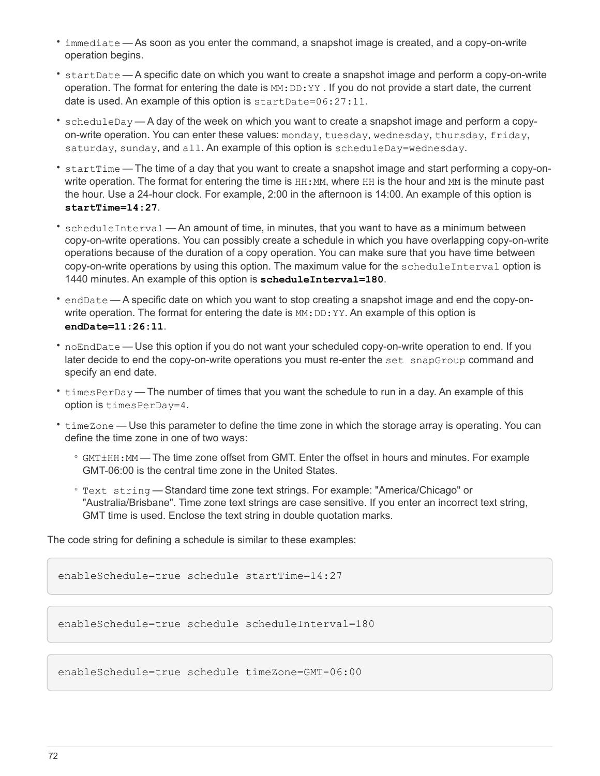- immediate As soon as you enter the command, a snapshot image is created, and a copy-on-write operation begins.
- startDate A specific date on which you want to create a snapshot image and perform a copy-on-write operation. The format for entering the date is  $MM:DD:YY$ . If you do not provide a start date, the current date is used. An example of this option is startDate=06:27:11.
- scheduleDay A day of the week on which you want to create a snapshot image and perform a copyon-write operation. You can enter these values: monday, tuesday, wednesday, thursday, friday, saturday, sunday, and all. An example of this option is scheduleDay=wednesday.
- startTime The time of a day that you want to create a snapshot image and start performing a copy-onwrite operation. The format for entering the time is  $HH:MM$ , where HH is the hour and MM is the minute past the hour. Use a 24-hour clock. For example, 2:00 in the afternoon is 14:00. An example of this option is **startTime=14:27**.
- scheduleInterval An amount of time, in minutes, that you want to have as a minimum between copy-on-write operations. You can possibly create a schedule in which you have overlapping copy-on-write operations because of the duration of a copy operation. You can make sure that you have time between copy-on-write operations by using this option. The maximum value for the scheduleInterval option is 1440 minutes. An example of this option is **scheduleInterval=180**.
- endDate A specific date on which you want to stop creating a snapshot image and end the copy-onwrite operation. The format for entering the date is  $MN:DD:YY$ . An example of this option is **endDate=11:26:11**.
- noEndDate Use this option if you do not want your scheduled copy-on-write operation to end. If you later decide to end the copy-on-write operations you must re-enter the set snapGroup command and specify an end date.
- timesPerDay The number of times that you want the schedule to run in a day. An example of this option is timesPerDay=4.
- timeZone Use this parameter to define the time zone in which the storage array is operating. You can define the time zone in one of two ways:
	- GMT±HH:MM The time zone offset from GMT. Enter the offset in hours and minutes. For example GMT-06:00 is the central time zone in the United States.
	- Text string Standard time zone text strings. For example: "America/Chicago" or "Australia/Brisbane". Time zone text strings are case sensitive. If you enter an incorrect text string, GMT time is used. Enclose the text string in double quotation marks.

The code string for defining a schedule is similar to these examples:

```
enableSchedule=true schedule startTime=14:27
```
enableSchedule=true schedule scheduleInterval=180

```
enableSchedule=true schedule timeZone=GMT-06:00
```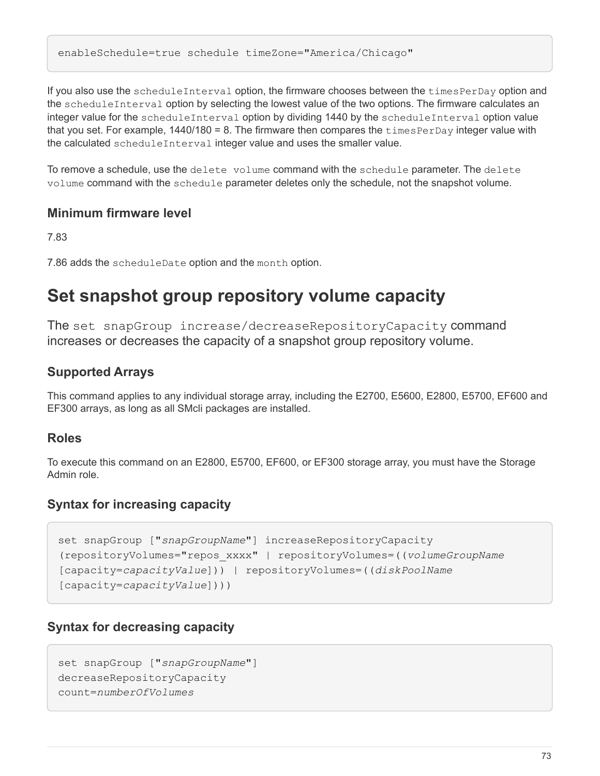enableSchedule=true schedule timeZone="America/Chicago"

If you also use the scheduleInterval option, the firmware chooses between the timesPerDay option and the scheduleInterval option by selecting the lowest value of the two options. The firmware calculates an integer value for the scheduleInterval option by dividing 1440 by the scheduleInterval option value that you set. For example, 1440/180 = 8. The firmware then compares the timesPerDay integer value with the calculated scheduleInterval integer value and uses the smaller value.

To remove a schedule, use the delete volume command with the schedule parameter. The delete volume command with the schedule parameter deletes only the schedule, not the snapshot volume.

### **Minimum firmware level**

7.83

7.86 adds the scheduleDate option and the month option.

# **Set snapshot group repository volume capacity**

The set snapGroup increase/decreaseRepositoryCapacity command increases or decreases the capacity of a snapshot group repository volume.

## **Supported Arrays**

This command applies to any individual storage array, including the E2700, E5600, E2800, E5700, EF600 and EF300 arrays, as long as all SMcli packages are installed.

### **Roles**

To execute this command on an E2800, E5700, EF600, or EF300 storage array, you must have the Storage Admin role.

## **Syntax for increasing capacity**

```
set snapGroup ["snapGroupName"] increaseRepositoryCapacity
(repositoryVolumes="repos_xxxx" | repositoryVolumes=((volumeGroupName
[capacity=capacityValue])) | repositoryVolumes=((diskPoolName
[capacity=capacityValue])))
```
## **Syntax for decreasing capacity**

```
set snapGroup ["snapGroupName"]
decreaseRepositoryCapacity
count=numberOfVolumes
```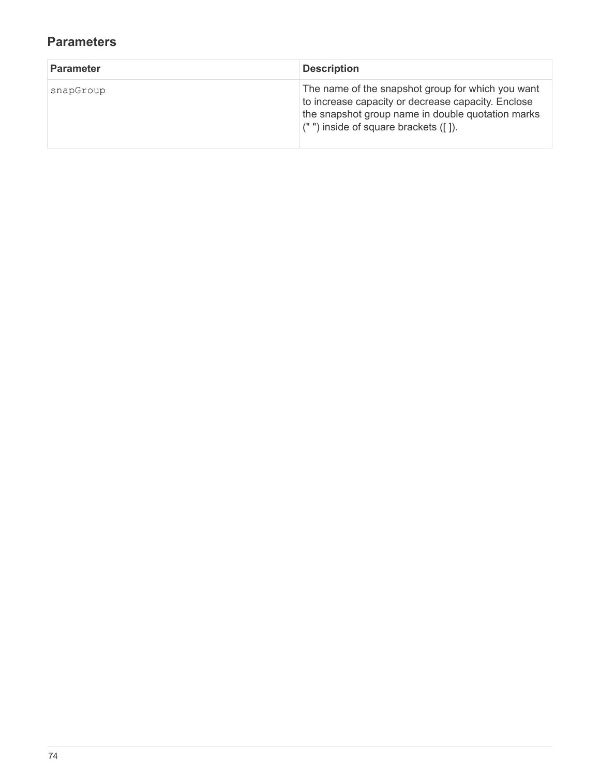| <b>Parameter</b> | <b>Description</b>                                                                                                                                                                                         |
|------------------|------------------------------------------------------------------------------------------------------------------------------------------------------------------------------------------------------------|
| snapGroup        | The name of the snapshot group for which you want<br>to increase capacity or decrease capacity. Enclose<br>the snapshot group name in double quotation marks<br>$($ "") inside of square brackets $($ []). |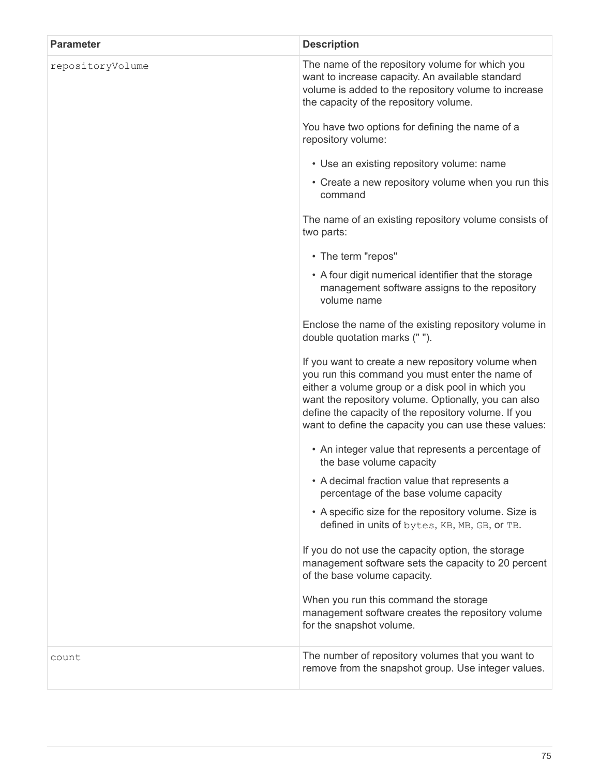| <b>Parameter</b> | <b>Description</b>                                                                                                                                                                                                                                                                                                                  |
|------------------|-------------------------------------------------------------------------------------------------------------------------------------------------------------------------------------------------------------------------------------------------------------------------------------------------------------------------------------|
| repositoryVolume | The name of the repository volume for which you<br>want to increase capacity. An available standard<br>volume is added to the repository volume to increase<br>the capacity of the repository volume.                                                                                                                               |
|                  | You have two options for defining the name of a<br>repository volume:                                                                                                                                                                                                                                                               |
|                  | • Use an existing repository volume: name                                                                                                                                                                                                                                                                                           |
|                  | • Create a new repository volume when you run this<br>command                                                                                                                                                                                                                                                                       |
|                  | The name of an existing repository volume consists of<br>two parts:                                                                                                                                                                                                                                                                 |
|                  | • The term "repos"                                                                                                                                                                                                                                                                                                                  |
|                  | • A four digit numerical identifier that the storage<br>management software assigns to the repository<br>volume name                                                                                                                                                                                                                |
|                  | Enclose the name of the existing repository volume in<br>double quotation marks ("").                                                                                                                                                                                                                                               |
|                  | If you want to create a new repository volume when<br>you run this command you must enter the name of<br>either a volume group or a disk pool in which you<br>want the repository volume. Optionally, you can also<br>define the capacity of the repository volume. If you<br>want to define the capacity you can use these values: |
|                  | • An integer value that represents a percentage of<br>the base volume capacity                                                                                                                                                                                                                                                      |
|                  | • A decimal fraction value that represents a<br>percentage of the base volume capacity                                                                                                                                                                                                                                              |
|                  | • A specific size for the repository volume. Size is<br>defined in units of bytes, KB, MB, GB, or TB.                                                                                                                                                                                                                               |
|                  | If you do not use the capacity option, the storage<br>management software sets the capacity to 20 percent<br>of the base volume capacity.                                                                                                                                                                                           |
|                  | When you run this command the storage<br>management software creates the repository volume<br>for the snapshot volume.                                                                                                                                                                                                              |
| count            | The number of repository volumes that you want to<br>remove from the snapshot group. Use integer values.                                                                                                                                                                                                                            |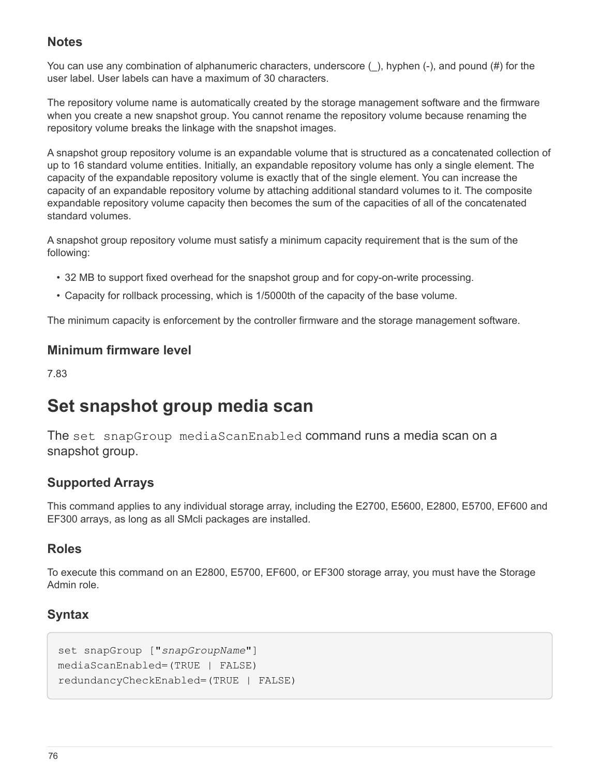You can use any combination of alphanumeric characters, underscore (), hyphen (-), and pound (#) for the user label. User labels can have a maximum of 30 characters.

The repository volume name is automatically created by the storage management software and the firmware when you create a new snapshot group. You cannot rename the repository volume because renaming the repository volume breaks the linkage with the snapshot images.

A snapshot group repository volume is an expandable volume that is structured as a concatenated collection of up to 16 standard volume entities. Initially, an expandable repository volume has only a single element. The capacity of the expandable repository volume is exactly that of the single element. You can increase the capacity of an expandable repository volume by attaching additional standard volumes to it. The composite expandable repository volume capacity then becomes the sum of the capacities of all of the concatenated standard volumes.

A snapshot group repository volume must satisfy a minimum capacity requirement that is the sum of the following:

- 32 MB to support fixed overhead for the snapshot group and for copy-on-write processing.
- Capacity for rollback processing, which is 1/5000th of the capacity of the base volume.

The minimum capacity is enforcement by the controller firmware and the storage management software.

### **Minimum firmware level**

7.83

# **Set snapshot group media scan**

The set snapGroup mediaScanEnabled command runs a media scan on a snapshot group.

## **Supported Arrays**

This command applies to any individual storage array, including the E2700, E5600, E2800, E5700, EF600 and EF300 arrays, as long as all SMcli packages are installed.

## **Roles**

To execute this command on an E2800, E5700, EF600, or EF300 storage array, you must have the Storage Admin role.

# **Syntax**

```
set snapGroup ["snapGroupName"]
mediaScanEnabled=(TRUE | FALSE)
redundancyCheckEnabled=(TRUE | FALSE)
```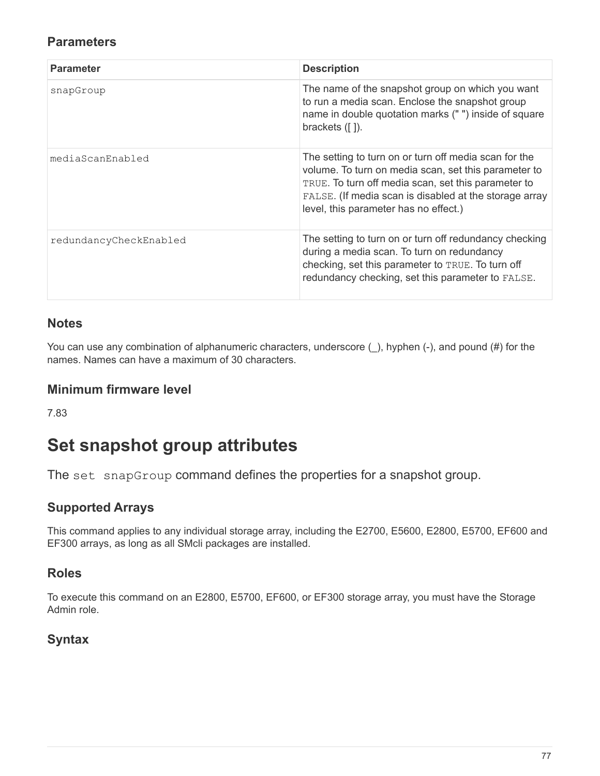## **Parameters**

| <b>Parameter</b>       | <b>Description</b>                                                                                                                                                                                                                                                      |
|------------------------|-------------------------------------------------------------------------------------------------------------------------------------------------------------------------------------------------------------------------------------------------------------------------|
| snapGroup              | The name of the snapshot group on which you want<br>to run a media scan. Enclose the snapshot group<br>name in double quotation marks ("") inside of square<br>brackets $( [ ] )$ .                                                                                     |
| mediaScanEnabled       | The setting to turn on or turn off media scan for the<br>volume. To turn on media scan, set this parameter to<br>TRUE. To turn off media scan, set this parameter to<br>FALSE. (If media scan is disabled at the storage array<br>level, this parameter has no effect.) |
| redundancyCheckEnabled | The setting to turn on or turn off redundancy checking<br>during a media scan. To turn on redundancy<br>checking, set this parameter to TRUE. To turn off<br>redundancy checking, set this parameter to FALSE.                                                          |

## **Notes**

You can use any combination of alphanumeric characters, underscore (), hyphen (-), and pound (#) for the names. Names can have a maximum of 30 characters.

### **Minimum firmware level**

7.83

# **Set snapshot group attributes**

The set snapGroup command defines the properties for a snapshot group.

# **Supported Arrays**

This command applies to any individual storage array, including the E2700, E5600, E2800, E5700, EF600 and EF300 arrays, as long as all SMcli packages are installed.

## **Roles**

To execute this command on an E2800, E5700, EF600, or EF300 storage array, you must have the Storage Admin role.

## **Syntax**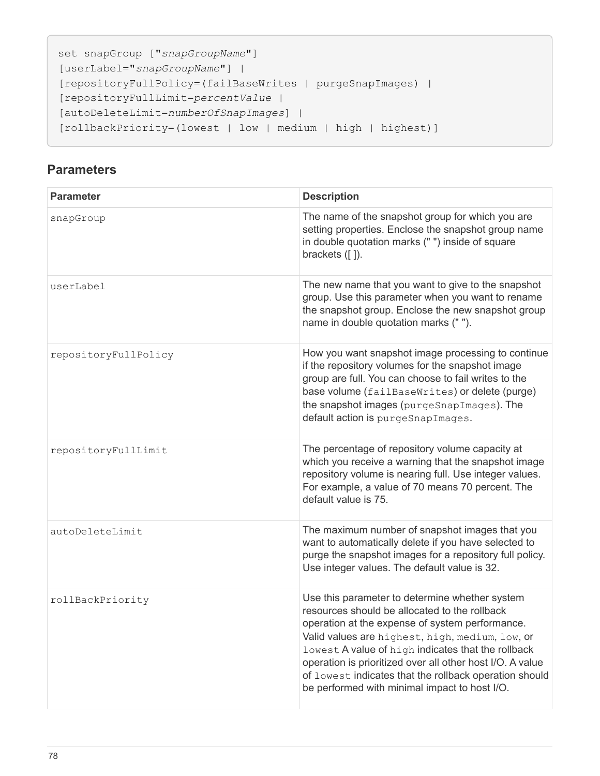```
set snapGroup ["snapGroupName"]
[userLabel="snapGroupName"] |
[repositoryFullPolicy=(failBaseWrites | purgeSnapImages) |
[repositoryFullLimit=percentValue |
[autoDeleteLimit=numberOfSnapImages] |
[rollbackPriority=(lowest | low | medium | high | highest)]
```

| <b>Parameter</b>     | <b>Description</b>                                                                                                                                                                                                                                                                                                                                                                                                                  |
|----------------------|-------------------------------------------------------------------------------------------------------------------------------------------------------------------------------------------------------------------------------------------------------------------------------------------------------------------------------------------------------------------------------------------------------------------------------------|
| snapGroup            | The name of the snapshot group for which you are<br>setting properties. Enclose the snapshot group name<br>in double quotation marks ("") inside of square<br>brackets $([])$ .                                                                                                                                                                                                                                                     |
| userLabel            | The new name that you want to give to the snapshot<br>group. Use this parameter when you want to rename<br>the snapshot group. Enclose the new snapshot group<br>name in double quotation marks ("").                                                                                                                                                                                                                               |
| repositoryFullPolicy | How you want snapshot image processing to continue<br>if the repository volumes for the snapshot image<br>group are full. You can choose to fail writes to the<br>base volume (failBaseWrites) or delete (purge)<br>the snapshot images (purgeSnapImages). The<br>default action is purgeSnapImages.                                                                                                                                |
| repositoryFullLimit  | The percentage of repository volume capacity at<br>which you receive a warning that the snapshot image<br>repository volume is nearing full. Use integer values.<br>For example, a value of 70 means 70 percent. The<br>default value is 75.                                                                                                                                                                                        |
| autoDeleteLimit      | The maximum number of snapshot images that you<br>want to automatically delete if you have selected to<br>purge the snapshot images for a repository full policy.<br>Use integer values. The default value is 32.                                                                                                                                                                                                                   |
| rollBackPriority     | Use this parameter to determine whether system<br>resources should be allocated to the rollback<br>operation at the expense of system performance.<br>Valid values are highest, high, medium, low, or<br>lowest A value of high indicates that the rollback<br>operation is prioritized over all other host I/O. A value<br>of lowest indicates that the rollback operation should<br>be performed with minimal impact to host I/O. |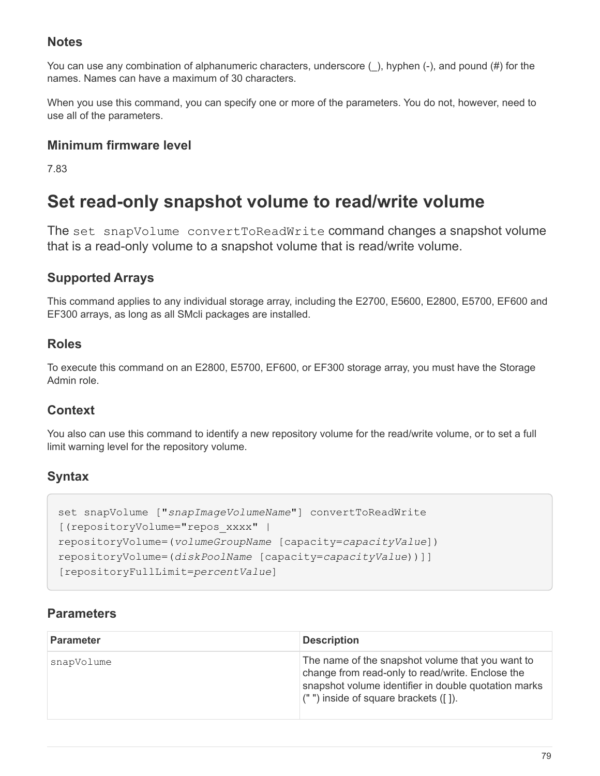You can use any combination of alphanumeric characters, underscore (), hyphen (-), and pound (#) for the names. Names can have a maximum of 30 characters.

When you use this command, you can specify one or more of the parameters. You do not, however, need to use all of the parameters.

## **Minimum firmware level**

7.83

# **Set read-only snapshot volume to read/write volume**

The set snapVolume convertToReadWrite command changes a snapshot volume that is a read-only volume to a snapshot volume that is read/write volume.

# **Supported Arrays**

This command applies to any individual storage array, including the E2700, E5600, E2800, E5700, EF600 and EF300 arrays, as long as all SMcli packages are installed.

## **Roles**

To execute this command on an E2800, E5700, EF600, or EF300 storage array, you must have the Storage Admin role.

## **Context**

You also can use this command to identify a new repository volume for the read/write volume, or to set a full limit warning level for the repository volume.

# **Syntax**

```
set snapVolume ["snapImageVolumeName"] convertToReadWrite
[(repositoryVolume="repos_xxxx" |
repositoryVolume=(volumeGroupName [capacity=capacityValue])
repositoryVolume=(diskPoolName [capacity=capacityValue))]]
[repositoryFullLimit=percentValue]
```

| <b>Parameter</b> | <b>Description</b>                                                                                                                                                                                         |
|------------------|------------------------------------------------------------------------------------------------------------------------------------------------------------------------------------------------------------|
| snapVolume       | The name of the snapshot volume that you want to<br>change from read-only to read/write. Enclose the<br>snapshot volume identifier in double quotation marks<br>$($ "") inside of square brackets $($ []). |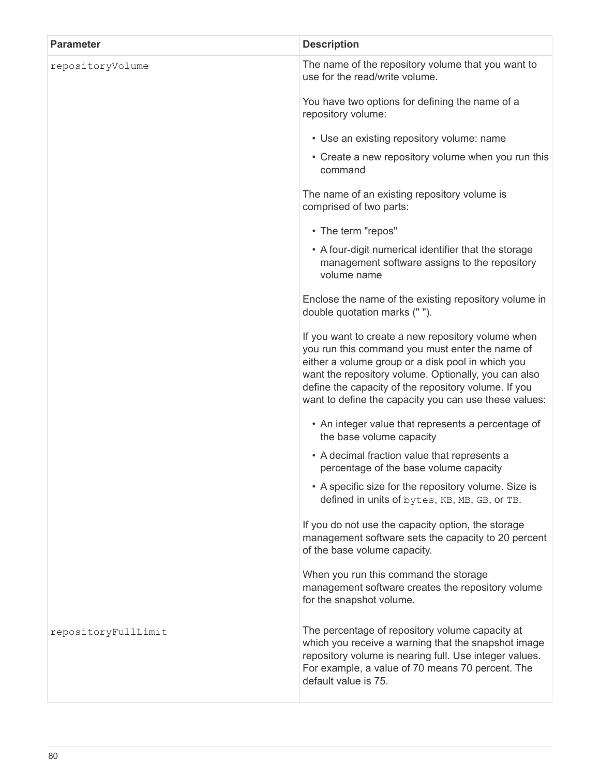| <b>Parameter</b>    | <b>Description</b>                                                                                                                                                                                                                                                                                                                  |
|---------------------|-------------------------------------------------------------------------------------------------------------------------------------------------------------------------------------------------------------------------------------------------------------------------------------------------------------------------------------|
| repositoryVolume    | The name of the repository volume that you want to<br>use for the read/write volume.                                                                                                                                                                                                                                                |
|                     | You have two options for defining the name of a<br>repository volume:                                                                                                                                                                                                                                                               |
|                     | • Use an existing repository volume: name                                                                                                                                                                                                                                                                                           |
|                     | • Create a new repository volume when you run this<br>command                                                                                                                                                                                                                                                                       |
|                     | The name of an existing repository volume is<br>comprised of two parts:                                                                                                                                                                                                                                                             |
|                     | • The term "repos"                                                                                                                                                                                                                                                                                                                  |
|                     | • A four-digit numerical identifier that the storage<br>management software assigns to the repository<br>volume name                                                                                                                                                                                                                |
|                     | Enclose the name of the existing repository volume in<br>double quotation marks ("").                                                                                                                                                                                                                                               |
|                     | If you want to create a new repository volume when<br>you run this command you must enter the name of<br>either a volume group or a disk pool in which you<br>want the repository volume. Optionally, you can also<br>define the capacity of the repository volume. If you<br>want to define the capacity you can use these values: |
|                     | • An integer value that represents a percentage of<br>the base volume capacity                                                                                                                                                                                                                                                      |
|                     | • A decimal fraction value that represents a<br>percentage of the base volume capacity                                                                                                                                                                                                                                              |
|                     | • A specific size for the repository volume. Size is<br>defined in units of bytes, KB, MB, GB, or TB.                                                                                                                                                                                                                               |
|                     | If you do not use the capacity option, the storage<br>management software sets the capacity to 20 percent<br>of the base volume capacity.                                                                                                                                                                                           |
|                     | When you run this command the storage<br>management software creates the repository volume<br>for the snapshot volume.                                                                                                                                                                                                              |
| repositoryFullLimit | The percentage of repository volume capacity at<br>which you receive a warning that the snapshot image<br>repository volume is nearing full. Use integer values.<br>For example, a value of 70 means 70 percent. The<br>default value is 75.                                                                                        |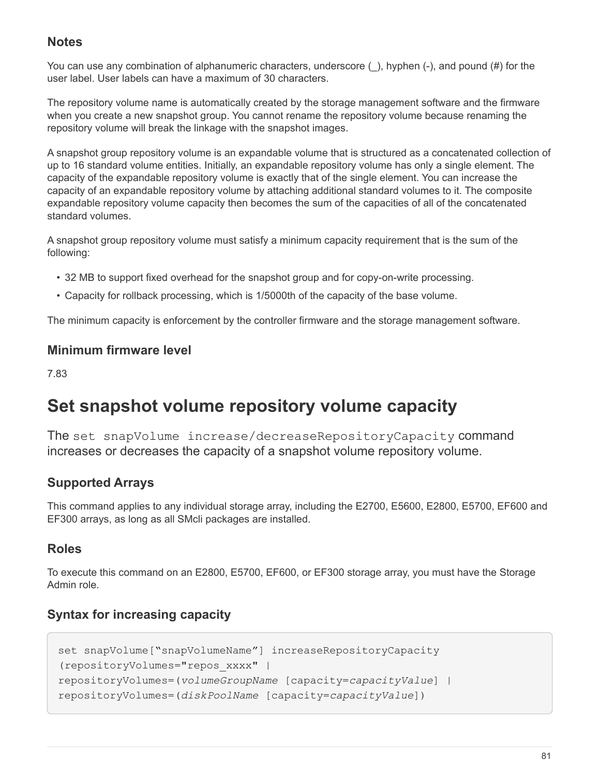You can use any combination of alphanumeric characters, underscore (), hyphen (-), and pound (#) for the user label. User labels can have a maximum of 30 characters.

The repository volume name is automatically created by the storage management software and the firmware when you create a new snapshot group. You cannot rename the repository volume because renaming the repository volume will break the linkage with the snapshot images.

A snapshot group repository volume is an expandable volume that is structured as a concatenated collection of up to 16 standard volume entities. Initially, an expandable repository volume has only a single element. The capacity of the expandable repository volume is exactly that of the single element. You can increase the capacity of an expandable repository volume by attaching additional standard volumes to it. The composite expandable repository volume capacity then becomes the sum of the capacities of all of the concatenated standard volumes.

A snapshot group repository volume must satisfy a minimum capacity requirement that is the sum of the following:

- 32 MB to support fixed overhead for the snapshot group and for copy-on-write processing.
- Capacity for rollback processing, which is 1/5000th of the capacity of the base volume.

The minimum capacity is enforcement by the controller firmware and the storage management software.

### **Minimum firmware level**

7.83

# **Set snapshot volume repository volume capacity**

The set snapVolume increase/decreaseRepositoryCapacity command increases or decreases the capacity of a snapshot volume repository volume.

# **Supported Arrays**

This command applies to any individual storage array, including the E2700, E5600, E2800, E5700, EF600 and EF300 arrays, as long as all SMcli packages are installed.

## **Roles**

To execute this command on an E2800, E5700, EF600, or EF300 storage array, you must have the Storage Admin role.

# **Syntax for increasing capacity**

```
set snapVolume["snapVolumeName"] increaseRepositoryCapacity
(repositoryVolumes="repos_xxxx" |
repositoryVolumes=(volumeGroupName [capacity=capacityValue] |
repositoryVolumes=(diskPoolName [capacity=capacityValue])
```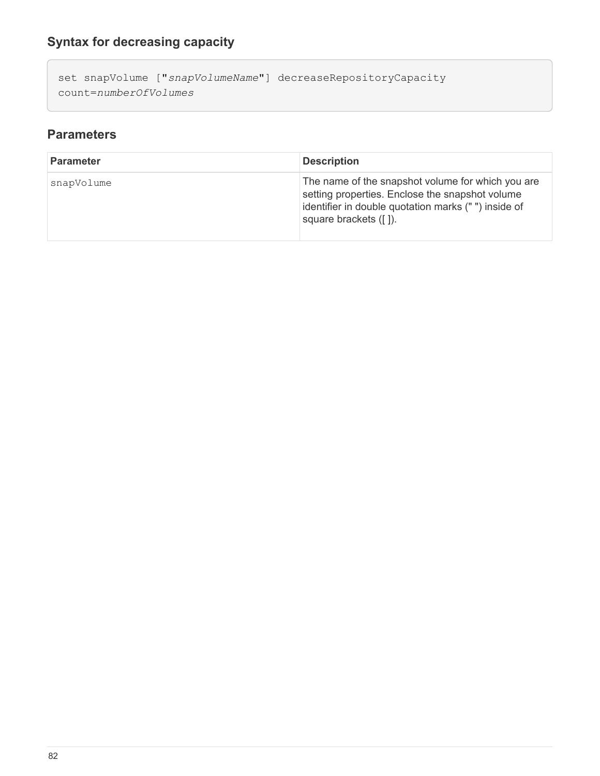set snapVolume ["*snapVolumeName*"] decreaseRepositoryCapacity count=*numberOfVolumes*

| <b>Parameter</b> | <b>Description</b>                                                                                                                                                                   |
|------------------|--------------------------------------------------------------------------------------------------------------------------------------------------------------------------------------|
| snapVolume       | The name of the snapshot volume for which you are<br>setting properties. Enclose the snapshot volume<br>identifier in double quotation marks ("") inside of<br>square brackets ([]). |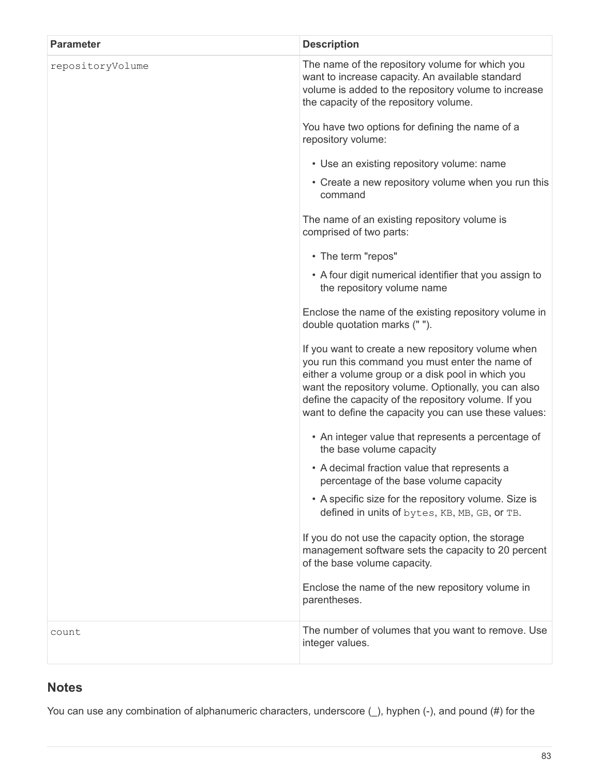| <b>Parameter</b> | <b>Description</b>                                                                                                                                                                                                                                                                                                                  |
|------------------|-------------------------------------------------------------------------------------------------------------------------------------------------------------------------------------------------------------------------------------------------------------------------------------------------------------------------------------|
| repositoryVolume | The name of the repository volume for which you<br>want to increase capacity. An available standard<br>volume is added to the repository volume to increase<br>the capacity of the repository volume.                                                                                                                               |
|                  | You have two options for defining the name of a<br>repository volume:                                                                                                                                                                                                                                                               |
|                  | • Use an existing repository volume: name                                                                                                                                                                                                                                                                                           |
|                  | • Create a new repository volume when you run this<br>command                                                                                                                                                                                                                                                                       |
|                  | The name of an existing repository volume is<br>comprised of two parts:                                                                                                                                                                                                                                                             |
|                  | • The term "repos"                                                                                                                                                                                                                                                                                                                  |
|                  | • A four digit numerical identifier that you assign to<br>the repository volume name                                                                                                                                                                                                                                                |
|                  | Enclose the name of the existing repository volume in<br>double quotation marks ("").                                                                                                                                                                                                                                               |
|                  | If you want to create a new repository volume when<br>you run this command you must enter the name of<br>either a volume group or a disk pool in which you<br>want the repository volume. Optionally, you can also<br>define the capacity of the repository volume. If you<br>want to define the capacity you can use these values: |
|                  | • An integer value that represents a percentage of<br>the base volume capacity                                                                                                                                                                                                                                                      |
|                  | • A decimal fraction value that represents a<br>percentage of the base volume capacity                                                                                                                                                                                                                                              |
|                  | • A specific size for the repository volume. Size is<br>defined in units of bytes, KB, MB, GB, or TB.                                                                                                                                                                                                                               |
|                  | If you do not use the capacity option, the storage<br>management software sets the capacity to 20 percent<br>of the base volume capacity.                                                                                                                                                                                           |
|                  | Enclose the name of the new repository volume in<br>parentheses.                                                                                                                                                                                                                                                                    |
| count            | The number of volumes that you want to remove. Use<br>integer values.                                                                                                                                                                                                                                                               |

You can use any combination of alphanumeric characters, underscore  $($ <sub>)</sub>, hyphen (-), and pound (#) for the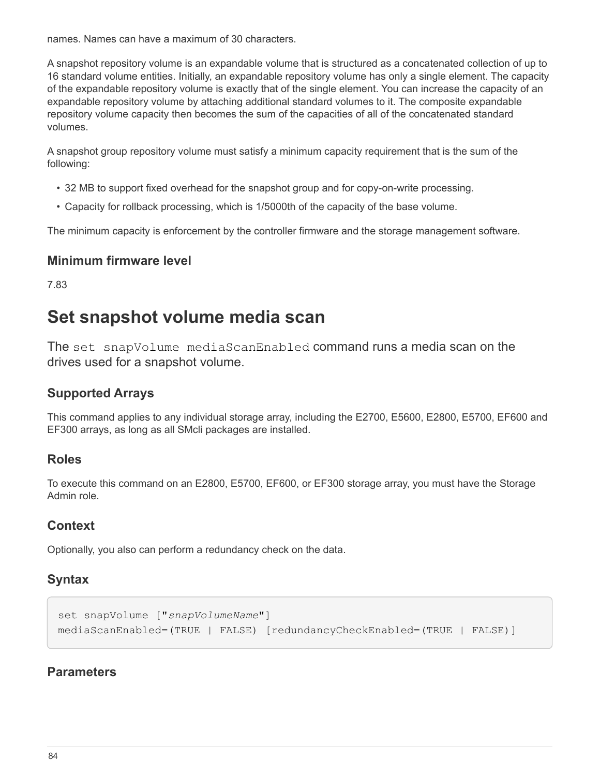names. Names can have a maximum of 30 characters.

A snapshot repository volume is an expandable volume that is structured as a concatenated collection of up to 16 standard volume entities. Initially, an expandable repository volume has only a single element. The capacity of the expandable repository volume is exactly that of the single element. You can increase the capacity of an expandable repository volume by attaching additional standard volumes to it. The composite expandable repository volume capacity then becomes the sum of the capacities of all of the concatenated standard volumes.

A snapshot group repository volume must satisfy a minimum capacity requirement that is the sum of the following:

- 32 MB to support fixed overhead for the snapshot group and for copy-on-write processing.
- Capacity for rollback processing, which is 1/5000th of the capacity of the base volume.

The minimum capacity is enforcement by the controller firmware and the storage management software.

#### **Minimum firmware level**

7.83

# **Set snapshot volume media scan**

The set snapVolume mediaScanEnabled command runs a media scan on the drives used for a snapshot volume.

### **Supported Arrays**

This command applies to any individual storage array, including the E2700, E5600, E2800, E5700, EF600 and EF300 arrays, as long as all SMcli packages are installed.

#### **Roles**

To execute this command on an E2800, E5700, EF600, or EF300 storage array, you must have the Storage Admin role.

### **Context**

Optionally, you also can perform a redundancy check on the data.

### **Syntax**

```
set snapVolume ["snapVolumeName"]
mediaScanEnabled=(TRUE | FALSE) [redundancyCheckEnabled=(TRUE | FALSE)]
```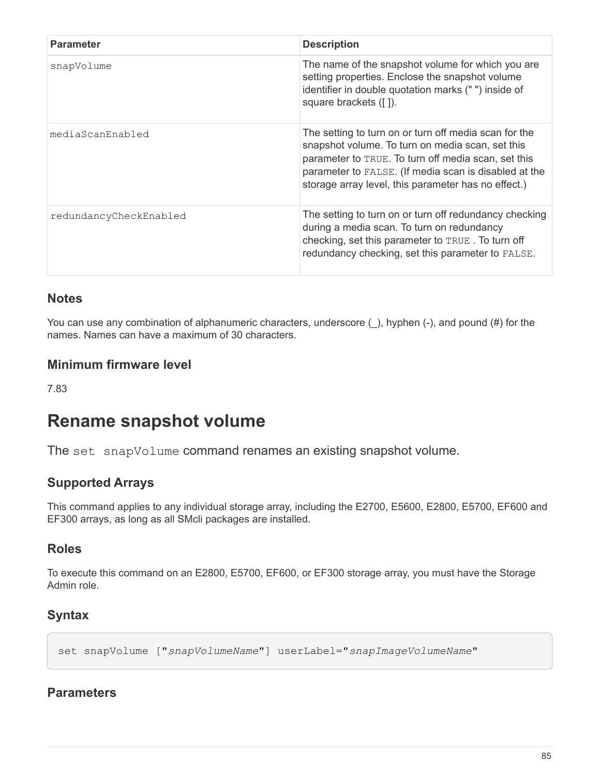| <b>Parameter</b>       | <b>Description</b>                                                                                                                                                                                                                                                               |
|------------------------|----------------------------------------------------------------------------------------------------------------------------------------------------------------------------------------------------------------------------------------------------------------------------------|
| snapVolume             | The name of the snapshot volume for which you are<br>setting properties. Enclose the snapshot volume<br>identifier in double quotation marks ("") inside of<br>square brackets ([]).                                                                                             |
| mediaScanEnabled       | The setting to turn on or turn off media scan for the<br>snapshot volume. To turn on media scan, set this<br>parameter to TRUE. To turn off media scan, set this<br>parameter to FALSE. (If media scan is disabled at the<br>storage array level, this parameter has no effect.) |
| redundancyCheckEnabled | The setting to turn on or turn off redundancy checking<br>during a media scan. To turn on redundancy<br>checking, set this parameter to TRUE. To turn off<br>redundancy checking, set this parameter to FALSE.                                                                   |

You can use any combination of alphanumeric characters, underscore (), hyphen (-), and pound (#) for the names. Names can have a maximum of 30 characters.

### **Minimum firmware level**

7.83

# **Rename snapshot volume**

The set snapVolume command renames an existing snapshot volume.

# **Supported Arrays**

This command applies to any individual storage array, including the E2700, E5600, E2800, E5700, EF600 and EF300 arrays, as long as all SMcli packages are installed.

## **Roles**

To execute this command on an E2800, E5700, EF600, or EF300 storage array, you must have the Storage Admin role.

## **Syntax**

```
set snapVolume ["snapVolumeName"] userLabel="snapImageVolumeName"
```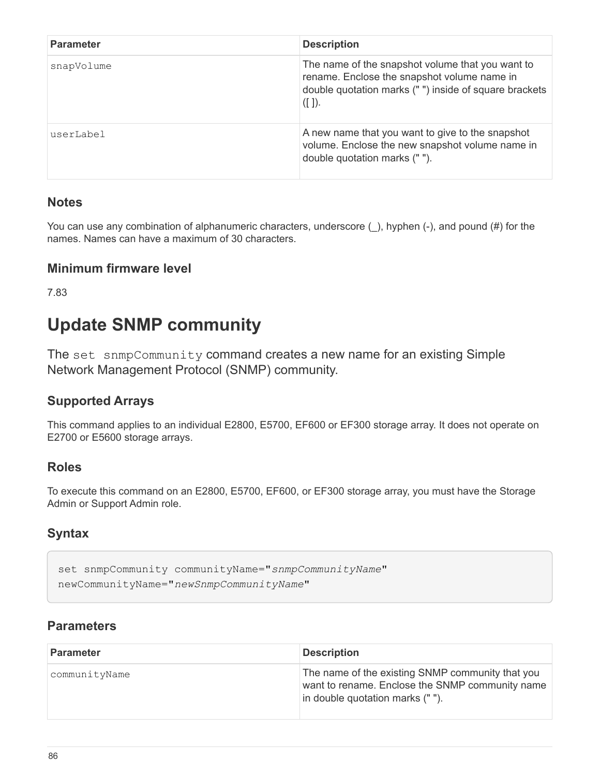| <b>Parameter</b> | <b>Description</b>                                                                                                                                                 |
|------------------|--------------------------------------------------------------------------------------------------------------------------------------------------------------------|
| snapVolume       | The name of the snapshot volume that you want to<br>rename. Enclose the snapshot volume name in<br>double quotation marks ("") inside of square brackets<br>([ ]). |
| userLabel        | A new name that you want to give to the snapshot<br>volume. Enclose the new snapshot volume name in<br>double quotation marks ("").                                |

You can use any combination of alphanumeric characters, underscore  $($  ), hyphen (-), and pound (#) for the names. Names can have a maximum of 30 characters.

## **Minimum firmware level**

7.83

# **Update SNMP community**

The set snmpCommunity command creates a new name for an existing Simple Network Management Protocol (SNMP) community.

# **Supported Arrays**

This command applies to an individual E2800, E5700, EF600 or EF300 storage array. It does not operate on E2700 or E5600 storage arrays.

## **Roles**

To execute this command on an E2800, E5700, EF600, or EF300 storage array, you must have the Storage Admin or Support Admin role.

# **Syntax**

```
set snmpCommunity communityName="snmpCommunityName"
newCommunityName="newSnmpCommunityName"
```

| <b>Parameter</b> | <b>Description</b>                                                                                                                     |
|------------------|----------------------------------------------------------------------------------------------------------------------------------------|
| communityName    | The name of the existing SNMP community that you<br>want to rename. Enclose the SNMP community name<br>in double quotation marks (""). |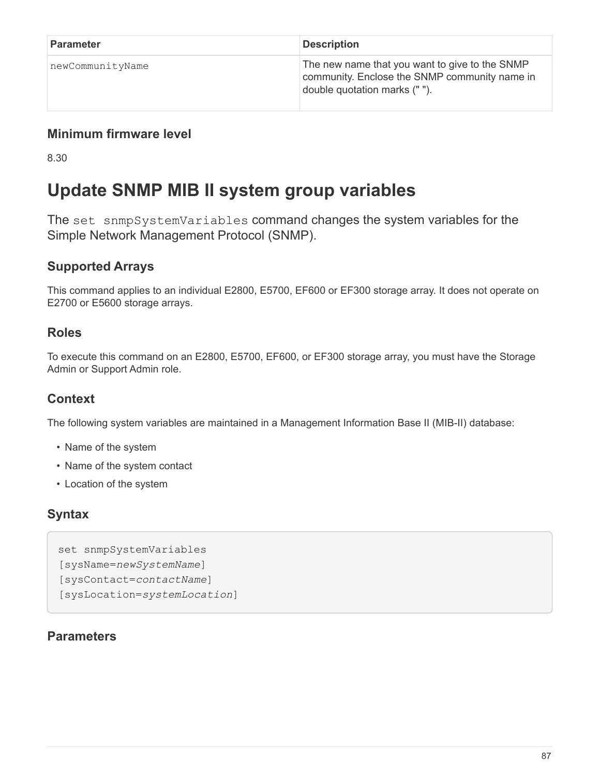| Parameter        | <b>Description</b>                                                                                                              |
|------------------|---------------------------------------------------------------------------------------------------------------------------------|
| newCommunityName | The new name that you want to give to the SNMP<br>community. Enclose the SNMP community name in<br>double quotation marks (""). |

8.30

# **Update SNMP MIB II system group variables**

The set snmpSystemVariables command changes the system variables for the Simple Network Management Protocol (SNMP).

# **Supported Arrays**

This command applies to an individual E2800, E5700, EF600 or EF300 storage array. It does not operate on E2700 or E5600 storage arrays.

## **Roles**

To execute this command on an E2800, E5700, EF600, or EF300 storage array, you must have the Storage Admin or Support Admin role.

# **Context**

The following system variables are maintained in a Management Information Base II (MIB-II) database:

- Name of the system
- Name of the system contact
- Location of the system

## **Syntax**

```
set snmpSystemVariables
[sysName=newSystemName]
[sysContact=contactName]
[sysLocation=systemLocation]
```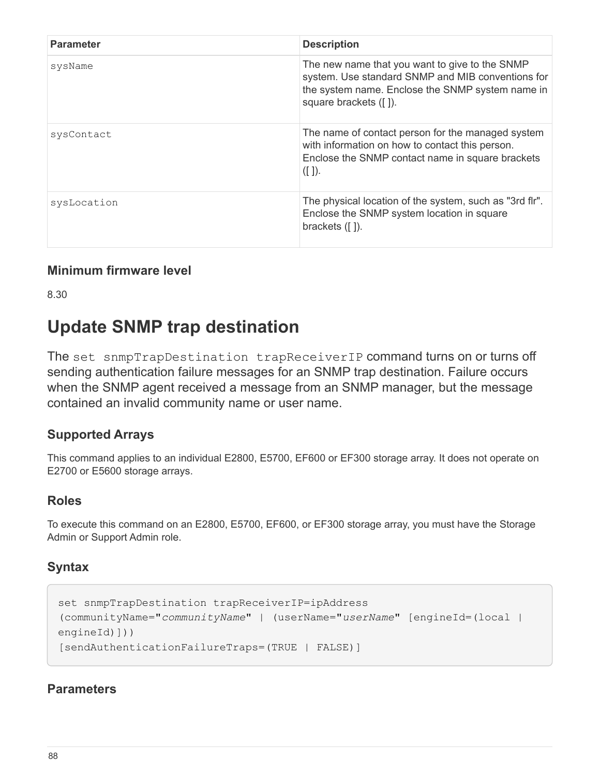| <b>Parameter</b> | <b>Description</b>                                                                                                                                                               |
|------------------|----------------------------------------------------------------------------------------------------------------------------------------------------------------------------------|
| sysName          | The new name that you want to give to the SNMP<br>system. Use standard SNMP and MIB conventions for<br>the system name. Enclose the SNMP system name in<br>square brackets ([]). |
| sysContact       | The name of contact person for the managed system<br>with information on how to contact this person.<br>Enclose the SNMP contact name in square brackets<br>([ ]).               |
| sysLocation      | The physical location of the system, such as "3rd flr".<br>Enclose the SNMP system location in square<br>brackets $($ [ $)$ ]).                                                  |

8.30

# **Update SNMP trap destination**

The set snmpTrapDestination trapReceiverIP command turns on or turns off sending authentication failure messages for an SNMP trap destination. Failure occurs when the SNMP agent received a message from an SNMP manager, but the message contained an invalid community name or user name.

## **Supported Arrays**

This command applies to an individual E2800, E5700, EF600 or EF300 storage array. It does not operate on E2700 or E5600 storage arrays.

## **Roles**

To execute this command on an E2800, E5700, EF600, or EF300 storage array, you must have the Storage Admin or Support Admin role.

## **Syntax**

```
set snmpTrapDestination trapReceiverIP=ipAddress
(communityName="communityName" | (userName="userName" [engineId=(local |
engineId)]))
[sendAuthenticationFailureTraps=(TRUE | FALSE)]
```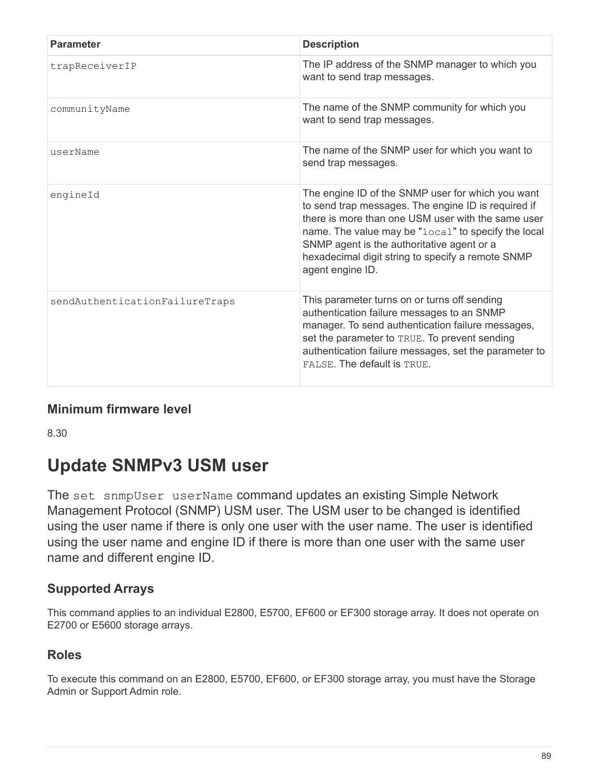| <b>Parameter</b>               | <b>Description</b>                                                                                                                                                                                                                                                                                                                           |
|--------------------------------|----------------------------------------------------------------------------------------------------------------------------------------------------------------------------------------------------------------------------------------------------------------------------------------------------------------------------------------------|
| trapReceiverIP                 | The IP address of the SNMP manager to which you<br>want to send trap messages.                                                                                                                                                                                                                                                               |
| communityName                  | The name of the SNMP community for which you<br>want to send trap messages.                                                                                                                                                                                                                                                                  |
| userName                       | The name of the SNMP user for which you want to<br>send trap messages.                                                                                                                                                                                                                                                                       |
| engineId                       | The engine ID of the SNMP user for which you want<br>to send trap messages. The engine ID is required if<br>there is more than one USM user with the same user<br>name. The value may be "local" to specify the local<br>SNMP agent is the authoritative agent or a<br>hexadecimal digit string to specify a remote SNMP<br>agent engine ID. |
| sendAuthenticationFailureTraps | This parameter turns on or turns off sending<br>authentication failure messages to an SNMP<br>manager. To send authentication failure messages,<br>set the parameter to TRUE. To prevent sending<br>authentication failure messages, set the parameter to<br>FALSE. The default is TRUE.                                                     |

8.30

# **Update SNMPv3 USM user**

The set snmpUser userName command updates an existing Simple Network Management Protocol (SNMP) USM user. The USM user to be changed is identified using the user name if there is only one user with the user name. The user is identified using the user name and engine ID if there is more than one user with the same user name and different engine ID.

## **Supported Arrays**

This command applies to an individual E2800, E5700, EF600 or EF300 storage array. It does not operate on E2700 or E5600 storage arrays.

## **Roles**

To execute this command on an E2800, E5700, EF600, or EF300 storage array, you must have the Storage Admin or Support Admin role.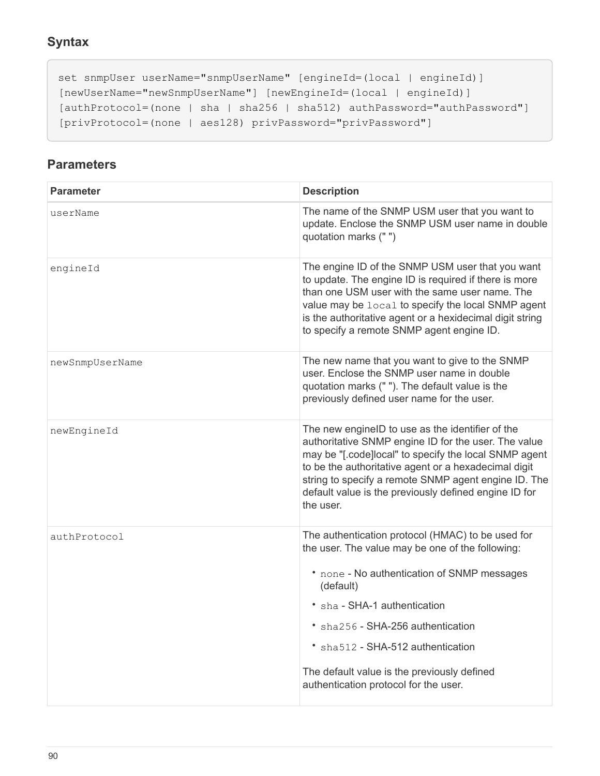```
set snmpUser userName="snmpUserName" [engineId=(local | engineId)]
[newUserName="newSnmpUserName"] [newEngineId=(local | engineId)]
[authProtocol=(none | sha | sha256 | sha512) authPassword="authPassword"]
[privProtocol=(none | aes128) privPassword="privPassword"]
```

| <b>Parameter</b> | <b>Description</b>                                                                                                                                                                                                                                                                                                                                                  |
|------------------|---------------------------------------------------------------------------------------------------------------------------------------------------------------------------------------------------------------------------------------------------------------------------------------------------------------------------------------------------------------------|
| userName         | The name of the SNMP USM user that you want to<br>update. Enclose the SNMP USM user name in double<br>quotation marks (" ")                                                                                                                                                                                                                                         |
| engineId         | The engine ID of the SNMP USM user that you want<br>to update. The engine ID is required if there is more<br>than one USM user with the same user name. The<br>value may be local to specify the local SNMP agent<br>is the authoritative agent or a hexidecimal digit string<br>to specify a remote SNMP agent engine ID.                                          |
| newSnmpUserName  | The new name that you want to give to the SNMP<br>user. Enclose the SNMP user name in double<br>quotation marks (""). The default value is the<br>previously defined user name for the user.                                                                                                                                                                        |
| newEngineId      | The new engineID to use as the identifier of the<br>authoritative SNMP engine ID for the user. The value<br>may be "[.code]local" to specify the local SNMP agent<br>to be the authoritative agent or a hexadecimal digit<br>string to specify a remote SNMP agent engine ID. The<br>default value is the previously defined engine ID for<br>the user.             |
| authProtocol     | The authentication protocol (HMAC) to be used for<br>the user. The value may be one of the following:<br>* none - No authentication of SNMP messages<br>(default)<br>• sha - SHA-1 authentication<br>* sha256 - SHA-256 authentication<br>• sha512 - SHA-512 authentication<br>The default value is the previously defined<br>authentication protocol for the user. |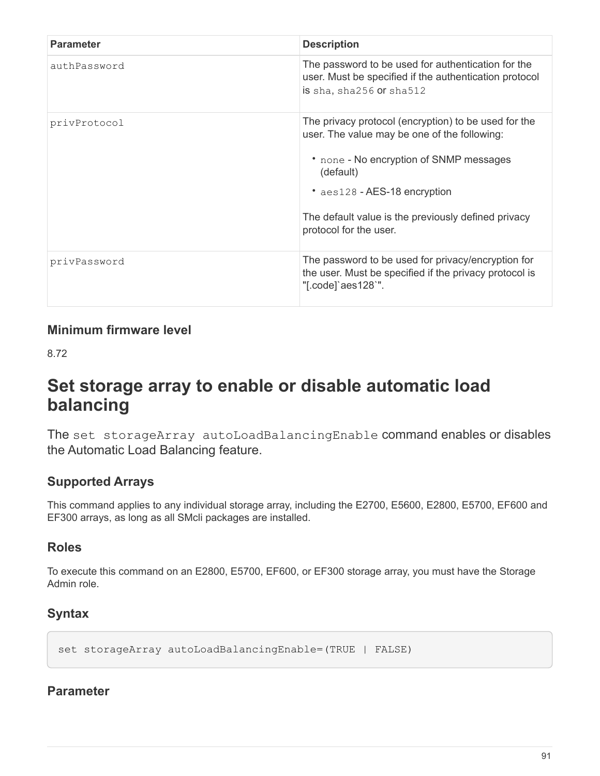| <b>Parameter</b> | <b>Description</b>                                                                                                                                                                                                                                                            |
|------------------|-------------------------------------------------------------------------------------------------------------------------------------------------------------------------------------------------------------------------------------------------------------------------------|
| authPassword     | The password to be used for authentication for the<br>user. Must be specified if the authentication protocol<br>is sha, sha256 or sha512                                                                                                                                      |
| privProtocol     | The privacy protocol (encryption) to be used for the<br>user. The value may be one of the following:<br>• none - No encryption of SNMP messages<br>(default)<br>• aes128 - AES-18 encryption<br>The default value is the previously defined privacy<br>protocol for the user. |
| privPassword     | The password to be used for privacy/encryption for<br>the user. Must be specified if the privacy protocol is<br>"[.code]`aes128`".                                                                                                                                            |

8.72

# **Set storage array to enable or disable automatic load balancing**

The set storageArray autoLoadBalancingEnable command enables or disables the Automatic Load Balancing feature.

# **Supported Arrays**

This command applies to any individual storage array, including the E2700, E5600, E2800, E5700, EF600 and EF300 arrays, as long as all SMcli packages are installed.

# **Roles**

To execute this command on an E2800, E5700, EF600, or EF300 storage array, you must have the Storage Admin role.

# **Syntax**

set storageArray autoLoadBalancingEnable=(TRUE | FALSE)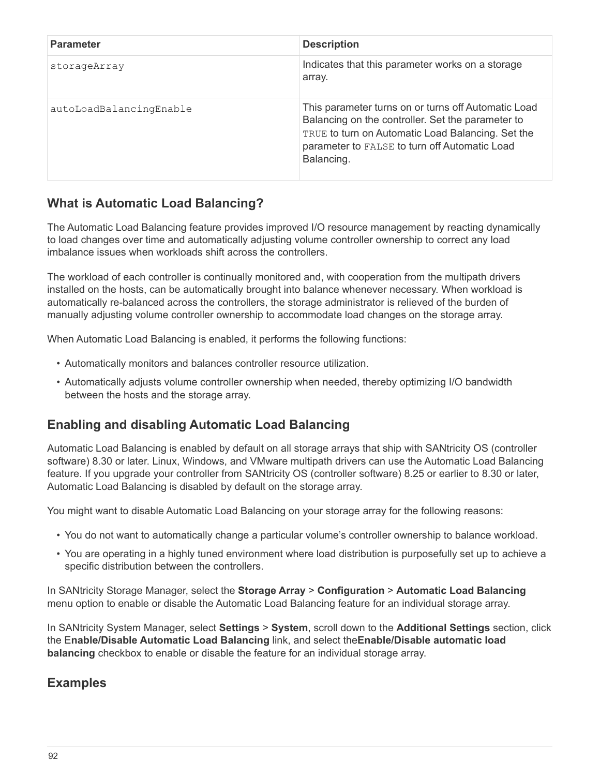| <b>Parameter</b>        | <b>Description</b>                                                                                                                                                                                                           |
|-------------------------|------------------------------------------------------------------------------------------------------------------------------------------------------------------------------------------------------------------------------|
| storageArray            | Indicates that this parameter works on a storage<br>array.                                                                                                                                                                   |
| autoLoadBalancingEnable | This parameter turns on or turns off Automatic Load<br>Balancing on the controller. Set the parameter to<br>TRUE to turn on Automatic Load Balancing. Set the<br>parameter to FALSE to turn off Automatic Load<br>Balancing. |

# **What is Automatic Load Balancing?**

The Automatic Load Balancing feature provides improved I/O resource management by reacting dynamically to load changes over time and automatically adjusting volume controller ownership to correct any load imbalance issues when workloads shift across the controllers.

The workload of each controller is continually monitored and, with cooperation from the multipath drivers installed on the hosts, can be automatically brought into balance whenever necessary. When workload is automatically re-balanced across the controllers, the storage administrator is relieved of the burden of manually adjusting volume controller ownership to accommodate load changes on the storage array.

When Automatic Load Balancing is enabled, it performs the following functions:

- Automatically monitors and balances controller resource utilization.
- Automatically adjusts volume controller ownership when needed, thereby optimizing I/O bandwidth between the hosts and the storage array.

# **Enabling and disabling Automatic Load Balancing**

Automatic Load Balancing is enabled by default on all storage arrays that ship with SANtricity OS (controller software) 8.30 or later. Linux, Windows, and VMware multipath drivers can use the Automatic Load Balancing feature. If you upgrade your controller from SANtricity OS (controller software) 8.25 or earlier to 8.30 or later, Automatic Load Balancing is disabled by default on the storage array.

You might want to disable Automatic Load Balancing on your storage array for the following reasons:

- You do not want to automatically change a particular volume's controller ownership to balance workload.
- You are operating in a highly tuned environment where load distribution is purposefully set up to achieve a specific distribution between the controllers.

In SANtricity Storage Manager, select the **Storage Array** > **Configuration** > **Automatic Load Balancing** menu option to enable or disable the Automatic Load Balancing feature for an individual storage array.

In SANtricity System Manager, select **Settings** > **System**, scroll down to the **Additional Settings** section, click the E**nable/Disable Automatic Load Balancing** link, and select the**Enable/Disable automatic load balancing** checkbox to enable or disable the feature for an individual storage array.

## **Examples**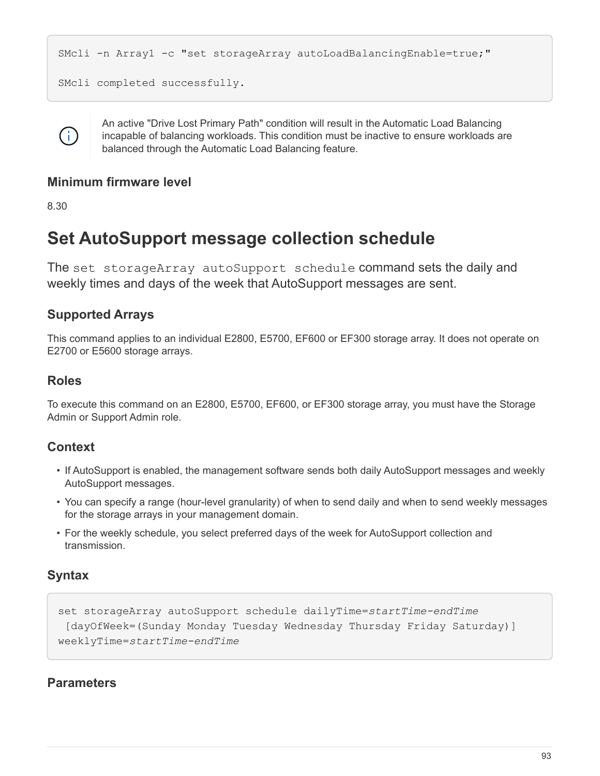```
SMcli -n Array1 -c "set storageArray autoLoadBalancingEnable=true;"
SMcli completed successfully.
```


An active "Drive Lost Primary Path" condition will result in the Automatic Load Balancing incapable of balancing workloads. This condition must be inactive to ensure workloads are balanced through the Automatic Load Balancing feature.

## **Minimum firmware level**

8.30

# **Set AutoSupport message collection schedule**

The set storageArray autoSupport schedule command sets the daily and weekly times and days of the week that AutoSupport messages are sent.

# **Supported Arrays**

This command applies to an individual E2800, E5700, EF600 or EF300 storage array. It does not operate on E2700 or E5600 storage arrays.

## **Roles**

To execute this command on an E2800, E5700, EF600, or EF300 storage array, you must have the Storage Admin or Support Admin role.

# **Context**

- If AutoSupport is enabled, the management software sends both daily AutoSupport messages and weekly AutoSupport messages.
- You can specify a range (hour-level granularity) of when to send daily and when to send weekly messages for the storage arrays in your management domain.
- For the weekly schedule, you select preferred days of the week for AutoSupport collection and transmission.

# **Syntax**

```
set storageArray autoSupport schedule dailyTime=startTime-endTime
  [dayOfWeek=(Sunday Monday Tuesday Wednesday Thursday Friday Saturday)]
weeklyTime=startTime-endTime
```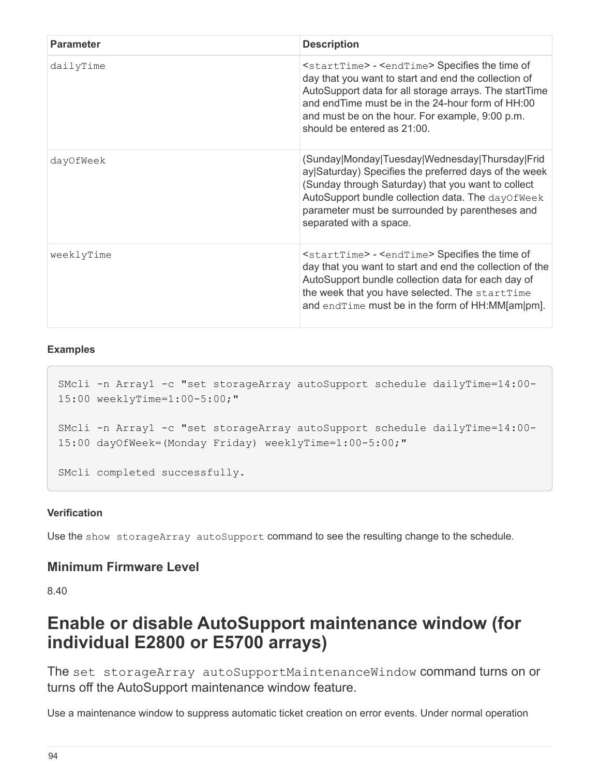| <b>Parameter</b> | <b>Description</b>                                                                                                                                                                                                                                                                                                                |
|------------------|-----------------------------------------------------------------------------------------------------------------------------------------------------------------------------------------------------------------------------------------------------------------------------------------------------------------------------------|
| dailyTime        | <starttime> - <endtime> Specifies the time of<br/>day that you want to start and end the collection of<br/>AutoSupport data for all storage arrays. The startTime<br/>and end Time must be in the 24-hour form of HH:00<br/>and must be on the hour. For example, 9:00 p.m.<br/>should be entered as 21:00.</endtime></starttime> |
| dayOfWeek        | (Sunday Monday Tuesday Wednesday Thursday Frid<br>ay Saturday) Specifies the preferred days of the week<br>(Sunday through Saturday) that you want to collect<br>AutoSupport bundle collection data. The dayOfWeek<br>parameter must be surrounded by parentheses and<br>separated with a space.                                  |
| weeklyTime       | $\epsilon$ startTime> - $\epsilon$ endTime> Specifies the time of<br>day that you want to start and end the collection of the<br>AutoSupport bundle collection data for each day of<br>the week that you have selected. The startTime<br>and endTime must be in the form of HH:MM[am]pm].                                         |

#### **Examples**

```
SMcli -n Array1 -c "set storageArray autoSupport schedule dailyTime=14:00-
15:00 weeklyTime=1:00-5:00;"
SMcli -n Array1 -c "set storageArray autoSupport schedule dailyTime=14:00-
15:00 dayOfWeek=(Monday Friday) weeklyTime=1:00-5:00;"
SMcli completed successfully.
```
#### **Verification**

Use the show storageArray autoSupport command to see the resulting change to the schedule.

#### **Minimum Firmware Level**

8.40

# **Enable or disable AutoSupport maintenance window (for individual E2800 or E5700 arrays)**

The set storageArray autoSupportMaintenanceWindow command turns on or turns off the AutoSupport maintenance window feature.

Use a maintenance window to suppress automatic ticket creation on error events. Under normal operation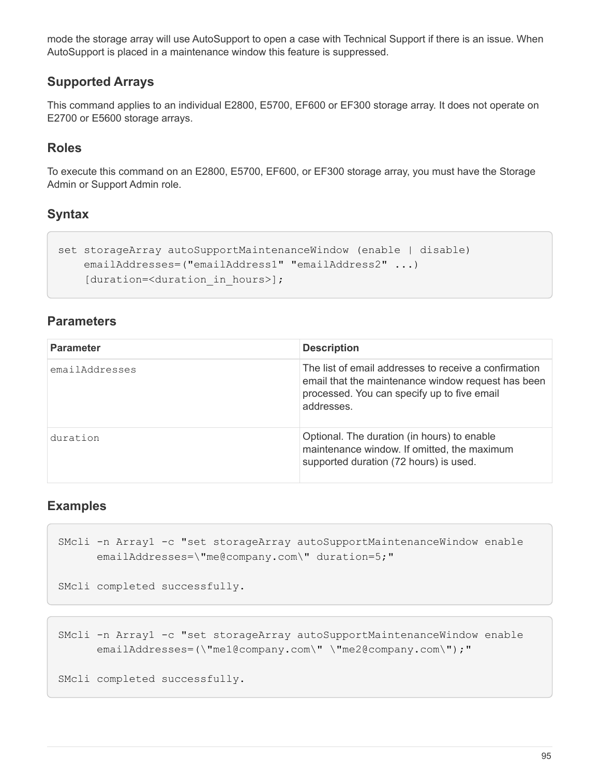mode the storage array will use AutoSupport to open a case with Technical Support if there is an issue. When AutoSupport is placed in a maintenance window this feature is suppressed.

## **Supported Arrays**

This command applies to an individual E2800, E5700, EF600 or EF300 storage array. It does not operate on E2700 or E5600 storage arrays.

## **Roles**

To execute this command on an E2800, E5700, EF600, or EF300 storage array, you must have the Storage Admin or Support Admin role.

## **Syntax**

```
set storageArray autoSupportMaintenanceWindow (enable | disable)
     emailAddresses=("emailAddress1" "emailAddress2" ...)
    [duration=<duration in hours>];
```
## **Parameters**

| <b>Parameter</b> | <b>Description</b>                                                                                                                                                       |
|------------------|--------------------------------------------------------------------------------------------------------------------------------------------------------------------------|
| emailAddresses   | The list of email addresses to receive a confirmation<br>email that the maintenance window request has been<br>processed. You can specify up to five email<br>addresses. |
| duration         | Optional. The duration (in hours) to enable<br>maintenance window. If omitted, the maximum<br>supported duration (72 hours) is used.                                     |

## **Examples**

```
SMcli -n Array1 -c "set storageArray autoSupportMaintenanceWindow enable
        emailAddresses=\"me@company.com\" duration=5;"
SMcli completed successfully.
```
SMcli -n Array1 -c "set storageArray autoSupportMaintenanceWindow enable emailAddresses=(\"me1@company.com\" \"me2@company.com\");"

SMcli completed successfully.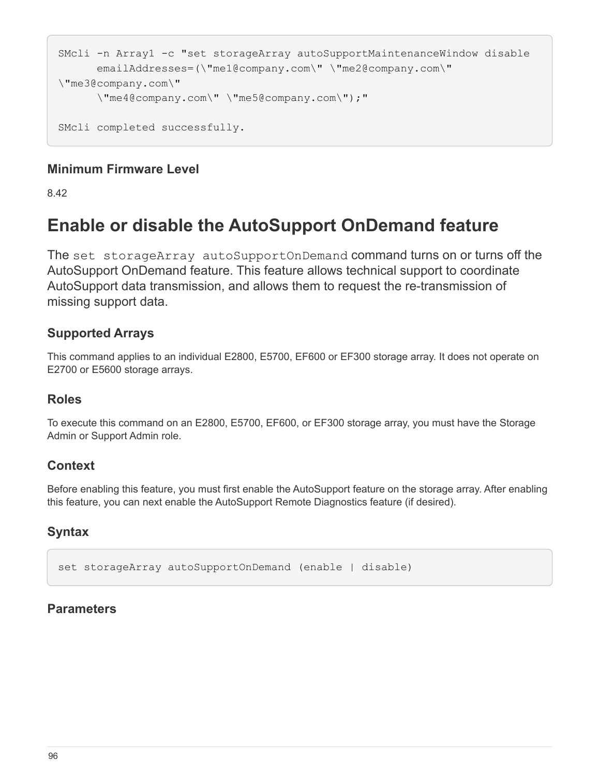```
SMcli -n Array1 -c "set storageArray autoSupportMaintenanceWindow disable
        emailAddresses=(\"me1@company.com\" \"me2@company.com\"
\"me3@company.com\"
        \"me4@company.com\" \"me5@company.com\");"
SMcli completed successfully.
```
8.42

# **Enable or disable the AutoSupport OnDemand feature**

The set storageArray autoSupportOnDemand command turns on or turns off the AutoSupport OnDemand feature. This feature allows technical support to coordinate AutoSupport data transmission, and allows them to request the re-transmission of missing support data.

## **Supported Arrays**

This command applies to an individual E2800, E5700, EF600 or EF300 storage array. It does not operate on E2700 or E5600 storage arrays.

## **Roles**

To execute this command on an E2800, E5700, EF600, or EF300 storage array, you must have the Storage Admin or Support Admin role.

# **Context**

Before enabling this feature, you must first enable the AutoSupport feature on the storage array. After enabling this feature, you can next enable the AutoSupport Remote Diagnostics feature (if desired).

# **Syntax**

set storageArray autoSupportOnDemand (enable | disable)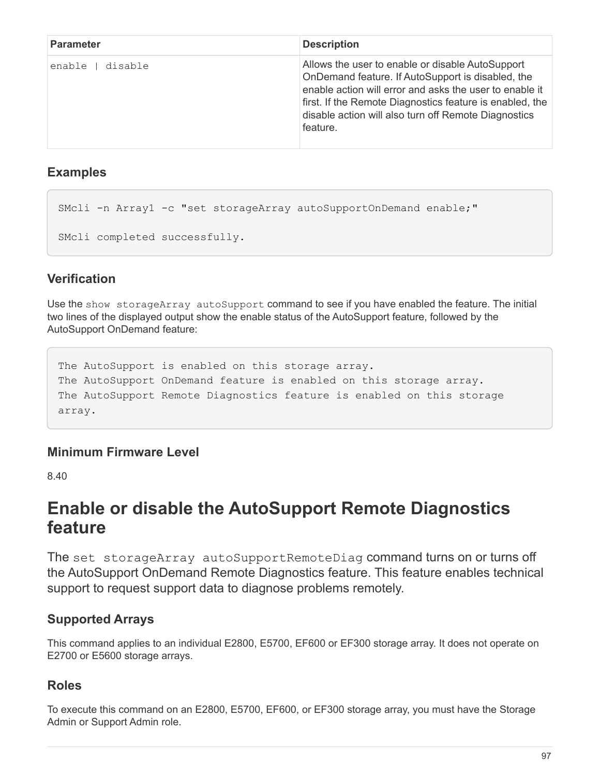| <b>Parameter</b>  | <b>Description</b>                                                                                                                                                                                                                                                                               |
|-------------------|--------------------------------------------------------------------------------------------------------------------------------------------------------------------------------------------------------------------------------------------------------------------------------------------------|
| disable<br>enable | Allows the user to enable or disable AutoSupport<br>OnDemand feature. If AutoSupport is disabled, the<br>enable action will error and asks the user to enable it<br>first. If the Remote Diagnostics feature is enabled, the<br>disable action will also turn off Remote Diagnostics<br>feature. |

## **Examples**

SMcli -n Array1 -c "set storageArray autoSupportOnDemand enable;" SMcli completed successfully.

# **Verification**

Use the show storageArray autoSupport command to see if you have enabled the feature. The initial two lines of the displayed output show the enable status of the AutoSupport feature, followed by the AutoSupport OnDemand feature:

The AutoSupport is enabled on this storage array. The AutoSupport OnDemand feature is enabled on this storage array. The AutoSupport Remote Diagnostics feature is enabled on this storage array.

# **Minimum Firmware Level**

8.40

# **Enable or disable the AutoSupport Remote Diagnostics feature**

The set storageArray autoSupportRemoteDiag command turns on or turns off the AutoSupport OnDemand Remote Diagnostics feature. This feature enables technical support to request support data to diagnose problems remotely.

# **Supported Arrays**

This command applies to an individual E2800, E5700, EF600 or EF300 storage array. It does not operate on E2700 or E5600 storage arrays.

# **Roles**

To execute this command on an E2800, E5700, EF600, or EF300 storage array, you must have the Storage Admin or Support Admin role.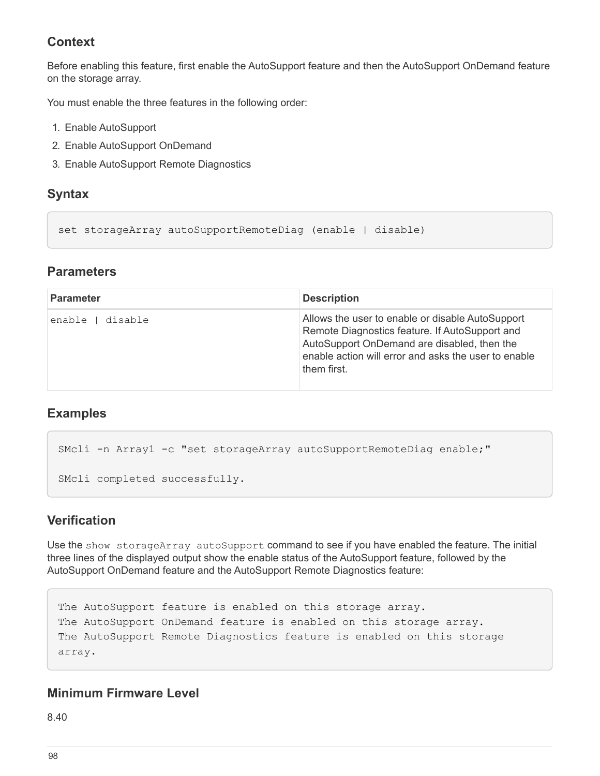## **Context**

Before enabling this feature, first enable the AutoSupport feature and then the AutoSupport OnDemand feature on the storage array.

You must enable the three features in the following order:

- 1. Enable AutoSupport
- 2. Enable AutoSupport OnDemand
- 3. Enable AutoSupport Remote Diagnostics

### **Syntax**

```
set storageArray autoSupportRemoteDiag (enable | disable)
```
### **Parameters**

| <b>Parameter</b>  | <b>Description</b>                                                                                                                                                                                                       |
|-------------------|--------------------------------------------------------------------------------------------------------------------------------------------------------------------------------------------------------------------------|
| disable<br>enable | Allows the user to enable or disable AutoSupport<br>Remote Diagnostics feature. If AutoSupport and<br>AutoSupport OnDemand are disabled, then the<br>enable action will error and asks the user to enable<br>them first. |

### **Examples**

```
SMcli -n Array1 -c "set storageArray autoSupportRemoteDiag enable;"
SMcli completed successfully.
```
## **Verification**

Use the show storageArray autoSupport command to see if you have enabled the feature. The initial three lines of the displayed output show the enable status of the AutoSupport feature, followed by the AutoSupport OnDemand feature and the AutoSupport Remote Diagnostics feature:

```
The AutoSupport feature is enabled on this storage array.
The AutoSupport OnDemand feature is enabled on this storage array.
The AutoSupport Remote Diagnostics feature is enabled on this storage
array.
```
### **Minimum Firmware Level**

8.40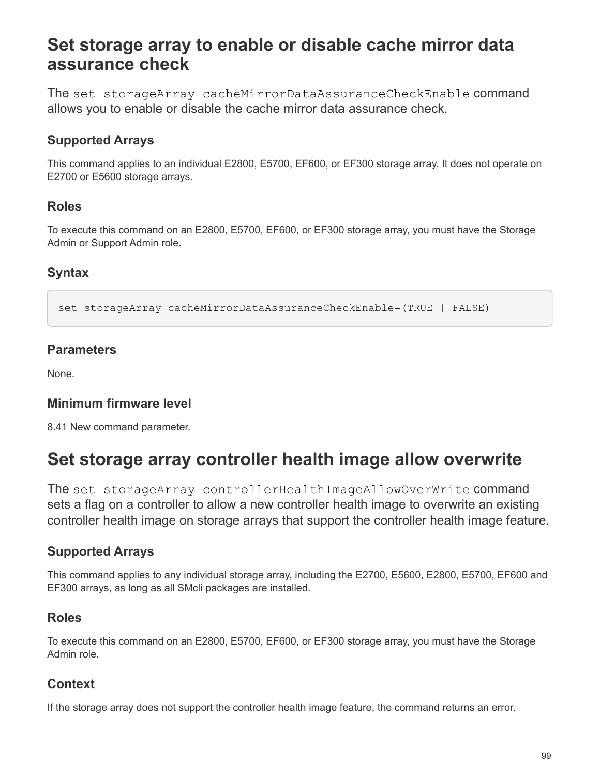# **Set storage array to enable or disable cache mirror data assurance check**

The set storageArray cacheMirrorDataAssuranceCheckEnable command allows you to enable or disable the cache mirror data assurance check.

# **Supported Arrays**

This command applies to an individual E2800, E5700, EF600, or EF300 storage array. It does not operate on E2700 or E5600 storage arrays.

## **Roles**

To execute this command on an E2800, E5700, EF600, or EF300 storage array, you must have the Storage Admin or Support Admin role.

# **Syntax**

set storageArray cacheMirrorDataAssuranceCheckEnable=(TRUE | FALSE)

## **Parameters**

None.

## **Minimum firmware level**

8.41 New command parameter.

# **Set storage array controller health image allow overwrite**

The set storageArray controllerHealthImageAllowOverWrite command sets a flag on a controller to allow a new controller health image to overwrite an existing controller health image on storage arrays that support the controller health image feature.

# **Supported Arrays**

This command applies to any individual storage array, including the E2700, E5600, E2800, E5700, EF600 and EF300 arrays, as long as all SMcli packages are installed.

## **Roles**

To execute this command on an E2800, E5700, EF600, or EF300 storage array, you must have the Storage Admin role.

## **Context**

If the storage array does not support the controller health image feature, the command returns an error.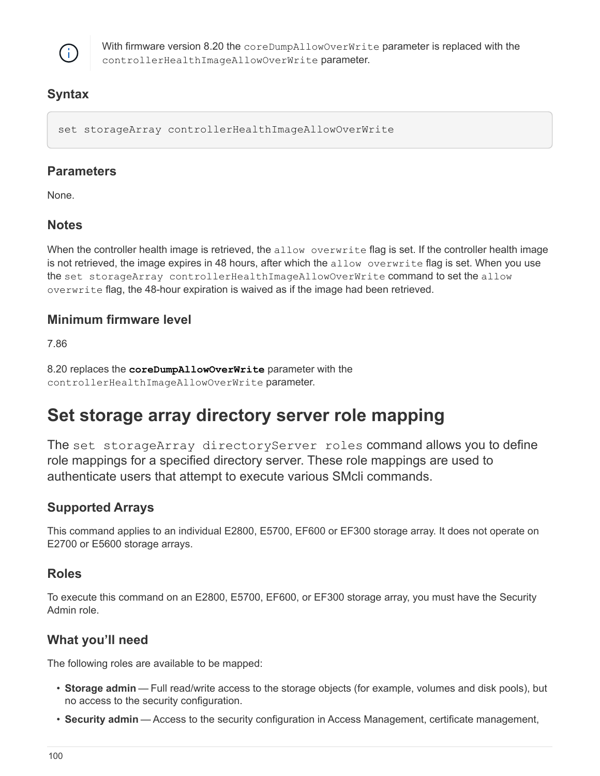

With firmware version 8.20 the coreDumpAllowOverWrite parameter is replaced with the controllerHealthImageAllowOverWrite parameter.

# **Syntax**

set storageArray controllerHealthImageAllowOverWrite

### **Parameters**

None.

# **Notes**

When the controller health image is retrieved, the allow overwrite flag is set. If the controller health image is not retrieved, the image expires in 48 hours, after which the allow overwrite flag is set. When you use the set storageArray controllerHealthImageAllowOverWrite command to set the allow overwrite flag, the 48-hour expiration is waived as if the image had been retrieved.

## **Minimum firmware level**

7.86

8.20 replaces the **coreDumpAllowOverWrite** parameter with the controllerHealthImageAllowOverWrite parameter.

# **Set storage array directory server role mapping**

The set storageArray directoryServer roles command allows you to define role mappings for a specified directory server. These role mappings are used to authenticate users that attempt to execute various SMcli commands.

# **Supported Arrays**

This command applies to an individual E2800, E5700, EF600 or EF300 storage array. It does not operate on E2700 or E5600 storage arrays.

## **Roles**

To execute this command on an E2800, E5700, EF600, or EF300 storage array, you must have the Security Admin role.

# **What you'll need**

The following roles are available to be mapped:

- **Storage admin** Full read/write access to the storage objects (for example, volumes and disk pools), but no access to the security configuration.
- **Security admin** Access to the security configuration in Access Management, certificate management,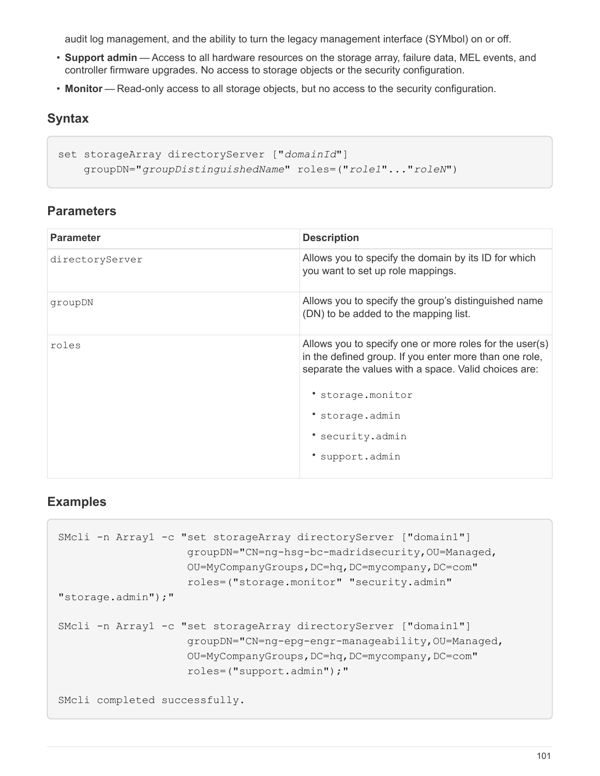audit log management, and the ability to turn the legacy management interface (SYMbol) on or off.

- **Support admin** Access to all hardware resources on the storage array, failure data, MEL events, and controller firmware upgrades. No access to storage objects or the security configuration.
- **Monitor** Read-only access to all storage objects, but no access to the security configuration.

### **Syntax**

```
set storageArray directoryServer ["domainId"]
      groupDN="groupDistinguishedName" roles=("role1"..."roleN")
```
## **Parameters**

| <b>Description</b>                                                                                                                                                        |
|---------------------------------------------------------------------------------------------------------------------------------------------------------------------------|
| Allows you to specify the domain by its ID for which<br>you want to set up role mappings.                                                                                 |
| Allows you to specify the group's distinguished name<br>(DN) to be added to the mapping list.                                                                             |
| Allows you to specify one or more roles for the user(s)<br>in the defined group. If you enter more than one role,<br>separate the values with a space. Valid choices are: |
| * storage.monitor                                                                                                                                                         |
| * storage.admin                                                                                                                                                           |
| * security.admin                                                                                                                                                          |
| support.admin                                                                                                                                                             |
|                                                                                                                                                                           |

## **Examples**

```
SMcli -n Array1 -c "set storageArray directoryServer ["domain1"]
                      groupDN="CN=ng-hsg-bc-madridsecurity,OU=Managed,
                      OU=MyCompanyGroups,DC=hq,DC=mycompany,DC=com"
                      roles=("storage.monitor" "security.admin"
"storage.admin");"
SMcli -n Array1 -c "set storageArray directoryServer ["domain1"]
                      groupDN="CN=ng-epg-engr-manageability,OU=Managed,
                      OU=MyCompanyGroups,DC=hq,DC=mycompany,DC=com"
                      roles=("support.admin");"
SMcli completed successfully.
```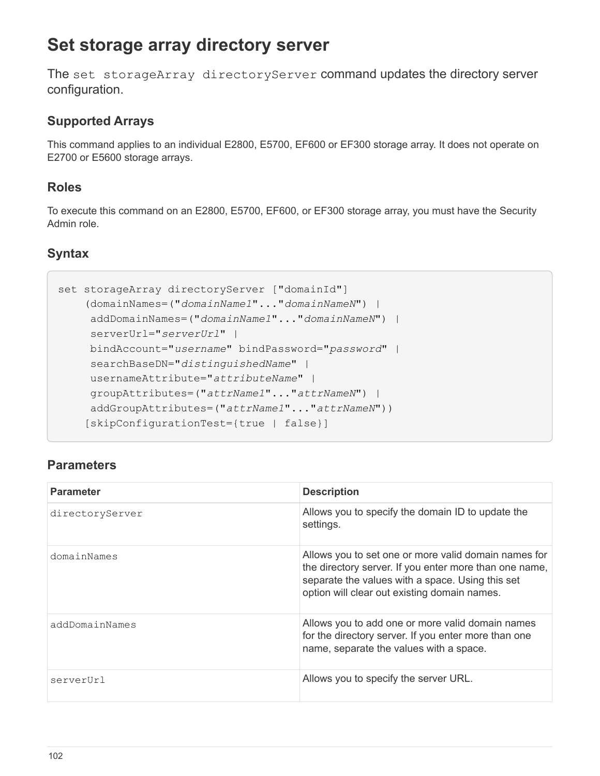# **Set storage array directory server**

The set storageArray directoryServer command updates the directory server configuration.

# **Supported Arrays**

This command applies to an individual E2800, E5700, EF600 or EF300 storage array. It does not operate on E2700 or E5600 storage arrays.

## **Roles**

To execute this command on an E2800, E5700, EF600, or EF300 storage array, you must have the Security Admin role.

# **Syntax**

```
set storageArray directoryServer ["domainId"]
      (domainNames=("domainName1"..."domainNameN") |
       addDomainNames=("domainName1"..."domainNameN") |
       serverUrl="serverUrl" |
       bindAccount="username" bindPassword="password" |
       searchBaseDN="distinguishedName" |
       usernameAttribute="attributeName" |
       groupAttributes=("attrName1"..."attrNameN") |
       addGroupAttributes=("attrName1"..."attrNameN"))
      [skipConfigurationTest={true | false}]
```

| <b>Parameter</b> | <b>Description</b>                                                                                                                                                                                                 |
|------------------|--------------------------------------------------------------------------------------------------------------------------------------------------------------------------------------------------------------------|
| directoryServer  | Allows you to specify the domain ID to update the<br>settings.                                                                                                                                                     |
| domainNames      | Allows you to set one or more valid domain names for<br>the directory server. If you enter more than one name,<br>separate the values with a space. Using this set<br>option will clear out existing domain names. |
| addDomainNames   | Allows you to add one or more valid domain names<br>for the directory server. If you enter more than one<br>name, separate the values with a space.                                                                |
| serverUrl        | Allows you to specify the server URL.                                                                                                                                                                              |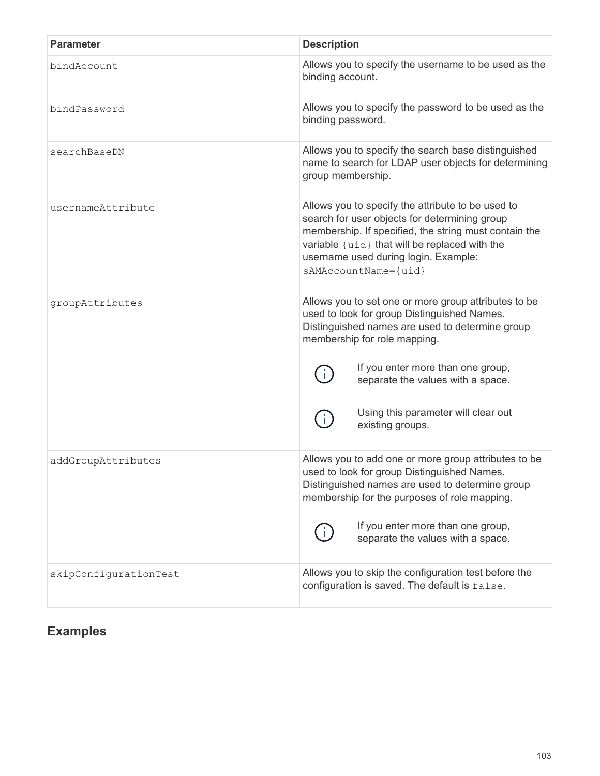| <b>Parameter</b>      | <b>Description</b>                                                                                                                                                                                                                                                               |
|-----------------------|----------------------------------------------------------------------------------------------------------------------------------------------------------------------------------------------------------------------------------------------------------------------------------|
| bindAccount           | Allows you to specify the username to be used as the<br>binding account.                                                                                                                                                                                                         |
| bindPassword          | Allows you to specify the password to be used as the<br>binding password.                                                                                                                                                                                                        |
| searchBaseDN          | Allows you to specify the search base distinguished<br>name to search for LDAP user objects for determining<br>group membership.                                                                                                                                                 |
| usernameAttribute     | Allows you to specify the attribute to be used to<br>search for user objects for determining group<br>membership. If specified, the string must contain the<br>variable {uid} that will be replaced with the<br>username used during login. Example:<br>sAMAccountName={uid}     |
| groupAttributes       | Allows you to set one or more group attributes to be<br>used to look for group Distinguished Names.<br>Distinguished names are used to determine group<br>membership for role mapping.                                                                                           |
|                       | If you enter more than one group,<br>separate the values with a space.                                                                                                                                                                                                           |
|                       | Using this parameter will clear out<br>existing groups.                                                                                                                                                                                                                          |
| addGroupAttributes    | Allows you to add one or more group attributes to be<br>used to look for group Distinguished Names.<br>Distinguished names are used to determine group<br>membership for the purposes of role mapping.<br>If you enter more than one group,<br>separate the values with a space. |
| skipConfigurationTest | Allows you to skip the configuration test before the<br>configuration is saved. The default is false.                                                                                                                                                                            |

# **Examples**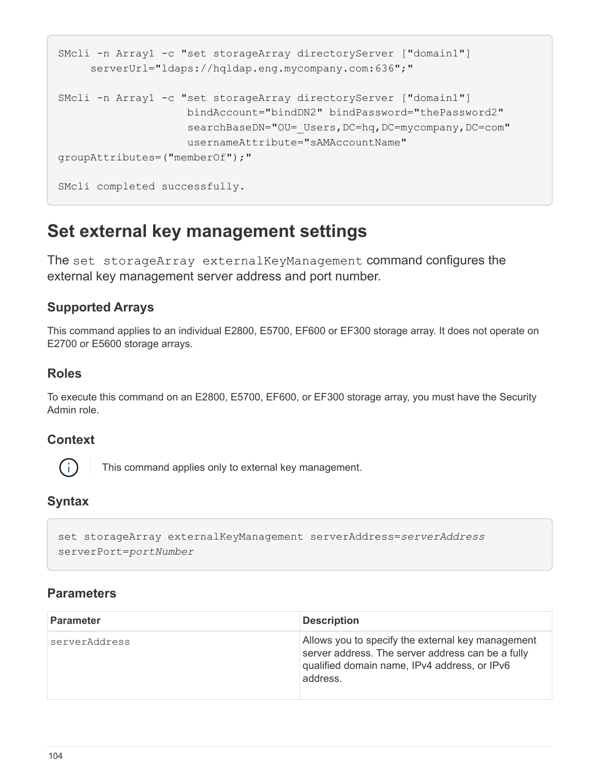```
SMcli -n Array1 -c "set storageArray directoryServer ["domain1"]
       serverUrl="ldaps://hqldap.eng.mycompany.com:636";"
SMcli -n Array1 -c "set storageArray directoryServer ["domain1"]
                      bindAccount="bindDN2" bindPassword="thePassword2"
                    searchBaseDN="OU= Users, DC=hq, DC=mycompany, DC=com"
                      usernameAttribute="sAMAccountName"
groupAttributes=("memberOf");"
SMcli completed successfully.
```
# **Set external key management settings**

The set storageArray externalKeyManagement command configures the external key management server address and port number.

## **Supported Arrays**

This command applies to an individual E2800, E5700, EF600 or EF300 storage array. It does not operate on E2700 or E5600 storage arrays.

## **Roles**

To execute this command on an E2800, E5700, EF600, or EF300 storage array, you must have the Security Admin role.

### **Context**



This command applies only to external key management.

## **Syntax**

set storageArray externalKeyManagement serverAddress=*serverAddress* serverPort=*portNumber*

| <b>Parameter</b> | <b>Description</b>                                                                                                                                                 |
|------------------|--------------------------------------------------------------------------------------------------------------------------------------------------------------------|
| serverAddress    | Allows you to specify the external key management<br>server address. The server address can be a fully<br>qualified domain name, IPv4 address, or IPv6<br>address. |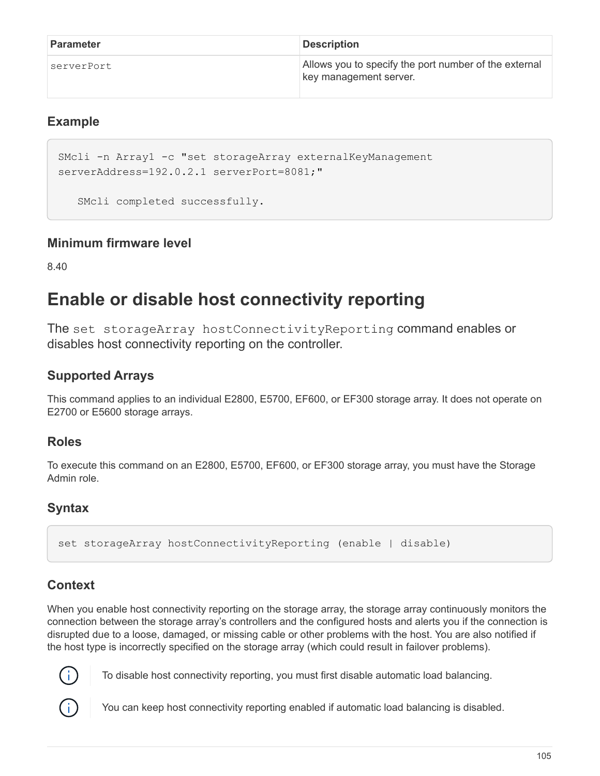| <b>Parameter</b> | <b>Description</b>                                                              |
|------------------|---------------------------------------------------------------------------------|
| serverPort       | Allows you to specify the port number of the external<br>key management server. |

#### **Example**

```
SMcli -n Array1 -c "set storageArray externalKeyManagement
serverAddress=192.0.2.1 serverPort=8081;"
```
SMcli completed successfully.

#### **Minimum firmware level**

8.40

# **Enable or disable host connectivity reporting**

The set storageArray hostConnectivityReporting command enables or disables host connectivity reporting on the controller.

## **Supported Arrays**

This command applies to an individual E2800, E5700, EF600, or EF300 storage array. It does not operate on E2700 or E5600 storage arrays.

#### **Roles**

To execute this command on an E2800, E5700, EF600, or EF300 storage array, you must have the Storage Admin role.

## **Syntax**

set storageArray hostConnectivityReporting (enable | disable)

## **Context**

When you enable host connectivity reporting on the storage array, the storage array continuously monitors the connection between the storage array's controllers and the configured hosts and alerts you if the connection is disrupted due to a loose, damaged, or missing cable or other problems with the host. You are also notified if the host type is incorrectly specified on the storage array (which could result in failover problems).



To disable host connectivity reporting, you must first disable automatic load balancing.

You can keep host connectivity reporting enabled if automatic load balancing is disabled.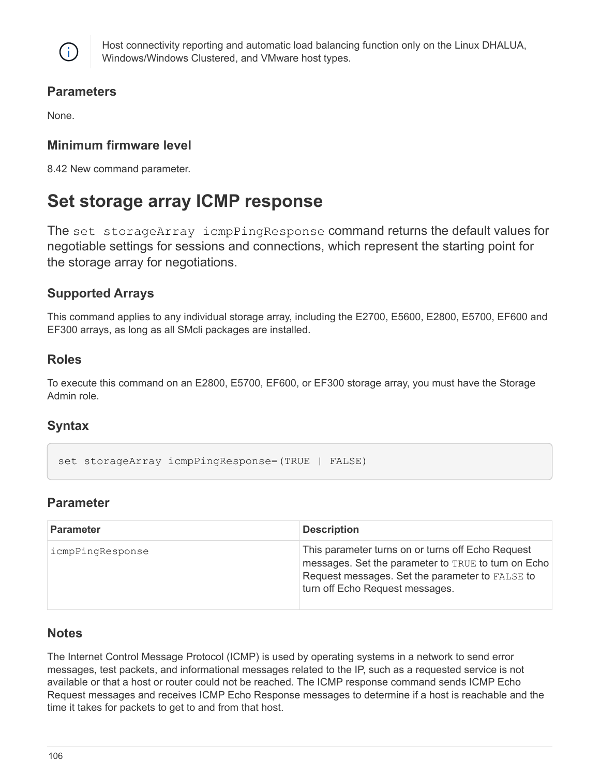

Host connectivity reporting and automatic load balancing function only on the Linux DHALUA, Windows/Windows Clustered, and VMware host types.

#### **Parameters**

None.

### **Minimum firmware level**

8.42 New command parameter.

## **Set storage array ICMP response**

The set storageArray icmpPingResponse command returns the default values for negotiable settings for sessions and connections, which represent the starting point for the storage array for negotiations.

## **Supported Arrays**

This command applies to any individual storage array, including the E2700, E5600, E2800, E5700, EF600 and EF300 arrays, as long as all SMcli packages are installed.

#### **Roles**

To execute this command on an E2800, E5700, EF600, or EF300 storage array, you must have the Storage Admin role.

#### **Syntax**

```
set storageArray icmpPingResponse=(TRUE | FALSE)
```
#### **Parameter**

| <b>Parameter</b> | <b>Description</b>                                                                                                                                                                             |
|------------------|------------------------------------------------------------------------------------------------------------------------------------------------------------------------------------------------|
| icmpPingResponse | This parameter turns on or turns off Echo Request<br>messages. Set the parameter to TRUE to turn on Echo<br>Request messages. Set the parameter to FALSE to<br>turn off Echo Request messages. |

#### **Notes**

The Internet Control Message Protocol (ICMP) is used by operating systems in a network to send error messages, test packets, and informational messages related to the IP, such as a requested service is not available or that a host or router could not be reached. The ICMP response command sends ICMP Echo Request messages and receives ICMP Echo Response messages to determine if a host is reachable and the time it takes for packets to get to and from that host.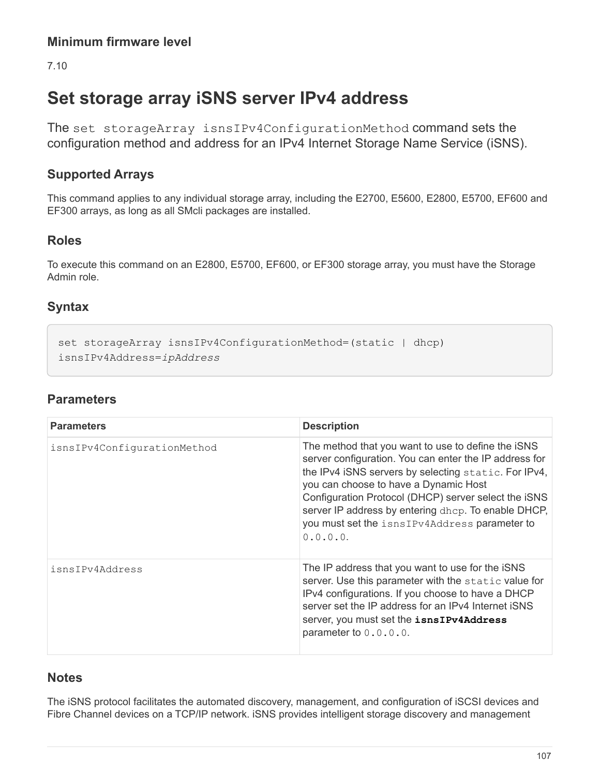7.10

# **Set storage array iSNS server IPv4 address**

The set storageArray isnsIPv4ConfigurationMethod command sets the configuration method and address for an IPv4 Internet Storage Name Service (iSNS).

## **Supported Arrays**

This command applies to any individual storage array, including the E2700, E5600, E2800, E5700, EF600 and EF300 arrays, as long as all SMcli packages are installed.

### **Roles**

To execute this command on an E2800, E5700, EF600, or EF300 storage array, you must have the Storage Admin role.

## **Syntax**

```
set storageArray isnsIPv4ConfigurationMethod=(static | dhcp)
isnsIPv4Address=ipAddress
```
## **Parameters**

| <b>Parameters</b>           | <b>Description</b>                                                                                                                                                                                                                                                                                                                                                                        |
|-----------------------------|-------------------------------------------------------------------------------------------------------------------------------------------------------------------------------------------------------------------------------------------------------------------------------------------------------------------------------------------------------------------------------------------|
| isnsIPv4ConfigurationMethod | The method that you want to use to define the iSNS<br>server configuration. You can enter the IP address for<br>the IPv4 iSNS servers by selecting static. For IPv4,<br>you can choose to have a Dynamic Host<br>Configuration Protocol (DHCP) server select the iSNS<br>server IP address by entering dhcp. To enable DHCP,<br>you must set the isnsIPv4Address parameter to<br>0.0.0.0. |
| isnsIPv4Address             | The IP address that you want to use for the iSNS<br>server. Use this parameter with the static value for<br>IPv4 configurations. If you choose to have a DHCP<br>server set the IP address for an IPv4 Internet iSNS<br>server, you must set the isnsIPv4Address<br>parameter to $0.0.0.0$ .                                                                                              |

#### **Notes**

The iSNS protocol facilitates the automated discovery, management, and configuration of iSCSI devices and Fibre Channel devices on a TCP/IP network. iSNS provides intelligent storage discovery and management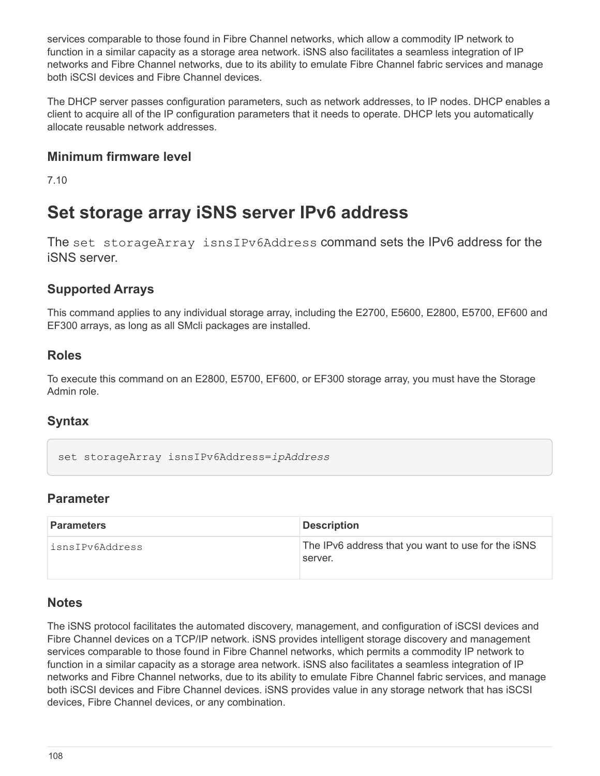services comparable to those found in Fibre Channel networks, which allow a commodity IP network to function in a similar capacity as a storage area network. iSNS also facilitates a seamless integration of IP networks and Fibre Channel networks, due to its ability to emulate Fibre Channel fabric services and manage both iSCSI devices and Fibre Channel devices.

The DHCP server passes configuration parameters, such as network addresses, to IP nodes. DHCP enables a client to acquire all of the IP configuration parameters that it needs to operate. DHCP lets you automatically allocate reusable network addresses.

#### **Minimum firmware level**

7.10

## **Set storage array iSNS server IPv6 address**

The set storageArray isnsIPv6Address command sets the IPv6 address for the iSNS server.

#### **Supported Arrays**

This command applies to any individual storage array, including the E2700, E5600, E2800, E5700, EF600 and EF300 arrays, as long as all SMcli packages are installed.

#### **Roles**

To execute this command on an E2800, E5700, EF600, or EF300 storage array, you must have the Storage Admin role.

#### **Syntax**

```
set storageArray isnsIPv6Address=ipAddress
```
#### **Parameter**

| <b>Parameters</b> | <b>Description</b>                                            |
|-------------------|---------------------------------------------------------------|
| isnsIPv6Address   | The IPv6 address that you want to use for the iSNS<br>server. |

#### **Notes**

The iSNS protocol facilitates the automated discovery, management, and configuration of iSCSI devices and Fibre Channel devices on a TCP/IP network. iSNS provides intelligent storage discovery and management services comparable to those found in Fibre Channel networks, which permits a commodity IP network to function in a similar capacity as a storage area network. iSNS also facilitates a seamless integration of IP networks and Fibre Channel networks, due to its ability to emulate Fibre Channel fabric services, and manage both iSCSI devices and Fibre Channel devices. iSNS provides value in any storage network that has iSCSI devices, Fibre Channel devices, or any combination.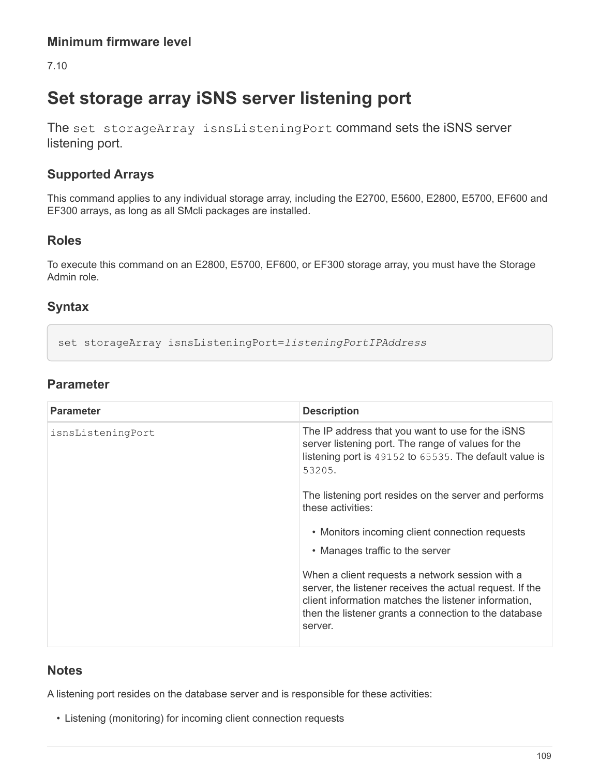7.10

# **Set storage array iSNS server listening port**

The set storageArray isnsListeningPort command sets the iSNS server listening port.

## **Supported Arrays**

This command applies to any individual storage array, including the E2700, E5600, E2800, E5700, EF600 and EF300 arrays, as long as all SMcli packages are installed.

### **Roles**

To execute this command on an E2800, E5700, EF600, or EF300 storage array, you must have the Storage Admin role.

## **Syntax**

set storageArray isnsListeningPort=*listeningPortIPAddress*

## **Parameter**

| <b>Parameter</b>  | <b>Description</b>                                                                                                                                                                                                                      |
|-------------------|-----------------------------------------------------------------------------------------------------------------------------------------------------------------------------------------------------------------------------------------|
| isnsListeningPort | The IP address that you want to use for the iSNS<br>server listening port. The range of values for the<br>listening port is 49152 to 65535. The default value is<br>53205.                                                              |
|                   | The listening port resides on the server and performs<br>these activities:                                                                                                                                                              |
|                   | • Monitors incoming client connection requests                                                                                                                                                                                          |
|                   | • Manages traffic to the server                                                                                                                                                                                                         |
|                   | When a client requests a network session with a<br>server, the listener receives the actual request. If the<br>client information matches the listener information,<br>then the listener grants a connection to the database<br>server. |

#### **Notes**

A listening port resides on the database server and is responsible for these activities:

• Listening (monitoring) for incoming client connection requests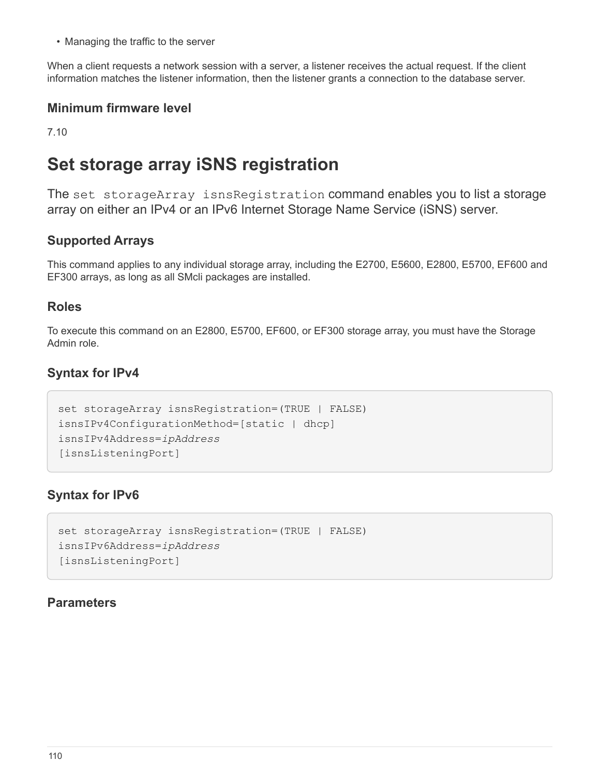• Managing the traffic to the server

When a client requests a network session with a server, a listener receives the actual request. If the client information matches the listener information, then the listener grants a connection to the database server.

#### **Minimum firmware level**

7.10

# **Set storage array iSNS registration**

The set storageArray isnsRegistration command enables you to list a storage array on either an IPv4 or an IPv6 Internet Storage Name Service (iSNS) server.

## **Supported Arrays**

This command applies to any individual storage array, including the E2700, E5600, E2800, E5700, EF600 and EF300 arrays, as long as all SMcli packages are installed.

#### **Roles**

To execute this command on an E2800, E5700, EF600, or EF300 storage array, you must have the Storage Admin role.

### **Syntax for IPv4**

```
set storageArray isnsRegistration=(TRUE | FALSE)
isnsIPv4ConfigurationMethod=[static | dhcp]
isnsIPv4Address=ipAddress
[isnsListeningPort]
```
## **Syntax for IPv6**

```
set storageArray isnsRegistration=(TRUE | FALSE)
isnsIPv6Address=ipAddress
[isnsListeningPort]
```
#### **Parameters**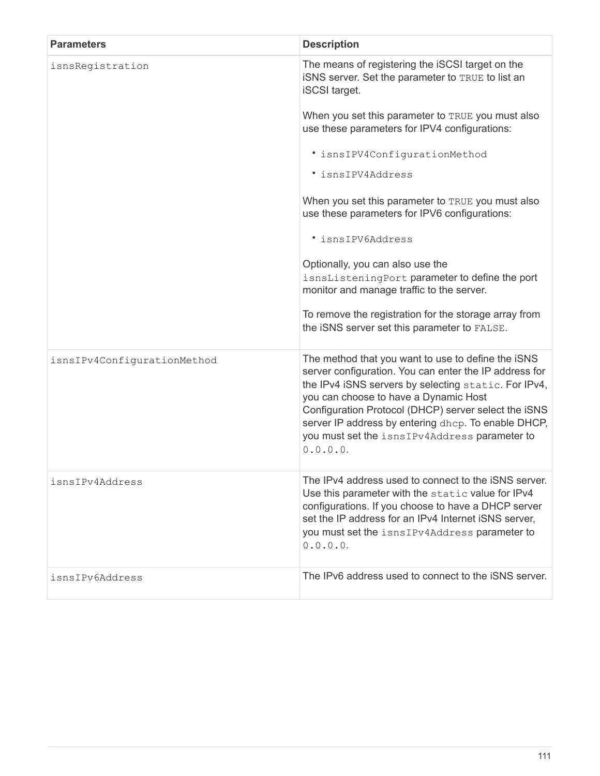| <b>Parameters</b>           | <b>Description</b>                                                                                                                                                                                                                                                                                                                                                                        |
|-----------------------------|-------------------------------------------------------------------------------------------------------------------------------------------------------------------------------------------------------------------------------------------------------------------------------------------------------------------------------------------------------------------------------------------|
| isnsRegistration            | The means of registering the iSCSI target on the<br>ISNS server. Set the parameter to TRUE to list an<br><b>iSCSI</b> target.                                                                                                                                                                                                                                                             |
|                             | When you set this parameter to TRUE you must also<br>use these parameters for IPV4 configurations:                                                                                                                                                                                                                                                                                        |
|                             | · isnsIPV4ConfigurationMethod                                                                                                                                                                                                                                                                                                                                                             |
|                             | · isnsIPV4Address                                                                                                                                                                                                                                                                                                                                                                         |
|                             | When you set this parameter to TRUE you must also<br>use these parameters for IPV6 configurations:                                                                                                                                                                                                                                                                                        |
|                             | · isnsIPV6Address                                                                                                                                                                                                                                                                                                                                                                         |
|                             | Optionally, you can also use the<br>isnsListeningPort parameter to define the port<br>monitor and manage traffic to the server.                                                                                                                                                                                                                                                           |
|                             | To remove the registration for the storage array from<br>the iSNS server set this parameter to FALSE.                                                                                                                                                                                                                                                                                     |
| isnsIPv4ConfigurationMethod | The method that you want to use to define the iSNS<br>server configuration. You can enter the IP address for<br>the IPv4 iSNS servers by selecting static. For IPv4,<br>you can choose to have a Dynamic Host<br>Configuration Protocol (DHCP) server select the iSNS<br>server IP address by entering dhcp. To enable DHCP,<br>you must set the isnsIPv4Address parameter to<br>0.0.0.0. |
| isnsIPv4Address             | The IPv4 address used to connect to the iSNS server.<br>Use this parameter with the static value for IPv4<br>configurations. If you choose to have a DHCP server<br>set the IP address for an IPv4 Internet iSNS server,<br>you must set the isnsIPv4Address parameter to<br>0.0.0.0.                                                                                                     |
| isnsIPv6Address             | The IPv6 address used to connect to the iSNS server.                                                                                                                                                                                                                                                                                                                                      |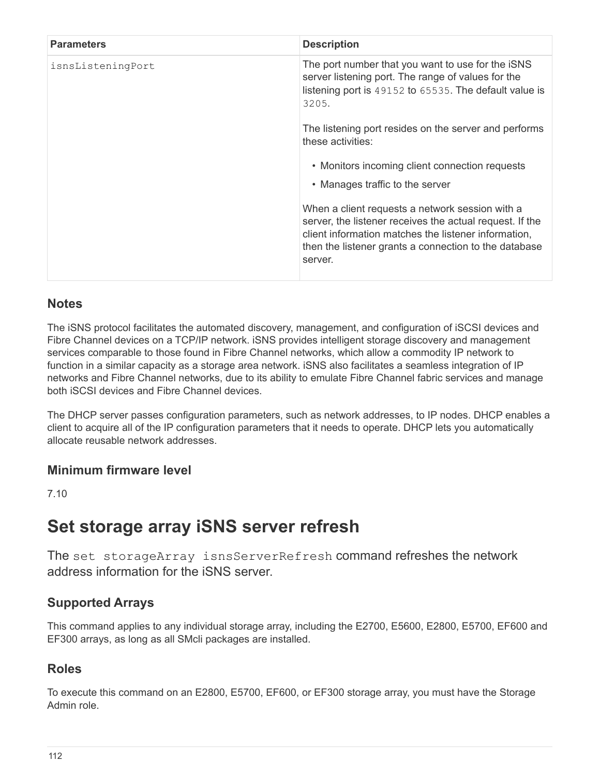| <b>Parameters</b> | <b>Description</b>                                                                                                                                                                                                                      |
|-------------------|-----------------------------------------------------------------------------------------------------------------------------------------------------------------------------------------------------------------------------------------|
| isnsListeningPort | The port number that you want to use for the iSNS<br>server listening port. The range of values for the<br>listening port is 49152 to 65535. The default value is<br>3205.                                                              |
|                   | The listening port resides on the server and performs<br>these activities:                                                                                                                                                              |
|                   | • Monitors incoming client connection requests                                                                                                                                                                                          |
|                   | • Manages traffic to the server                                                                                                                                                                                                         |
|                   | When a client requests a network session with a<br>server, the listener receives the actual request. If the<br>client information matches the listener information,<br>then the listener grants a connection to the database<br>server. |

### **Notes**

The iSNS protocol facilitates the automated discovery, management, and configuration of iSCSI devices and Fibre Channel devices on a TCP/IP network. iSNS provides intelligent storage discovery and management services comparable to those found in Fibre Channel networks, which allow a commodity IP network to function in a similar capacity as a storage area network. iSNS also facilitates a seamless integration of IP networks and Fibre Channel networks, due to its ability to emulate Fibre Channel fabric services and manage both iSCSI devices and Fibre Channel devices.

The DHCP server passes configuration parameters, such as network addresses, to IP nodes. DHCP enables a client to acquire all of the IP configuration parameters that it needs to operate. DHCP lets you automatically allocate reusable network addresses.

#### **Minimum firmware level**

7.10

## **Set storage array iSNS server refresh**

The set storageArray isnsServerRefresh command refreshes the network address information for the iSNS server.

## **Supported Arrays**

This command applies to any individual storage array, including the E2700, E5600, E2800, E5700, EF600 and EF300 arrays, as long as all SMcli packages are installed.

#### **Roles**

To execute this command on an E2800, E5700, EF600, or EF300 storage array, you must have the Storage Admin role.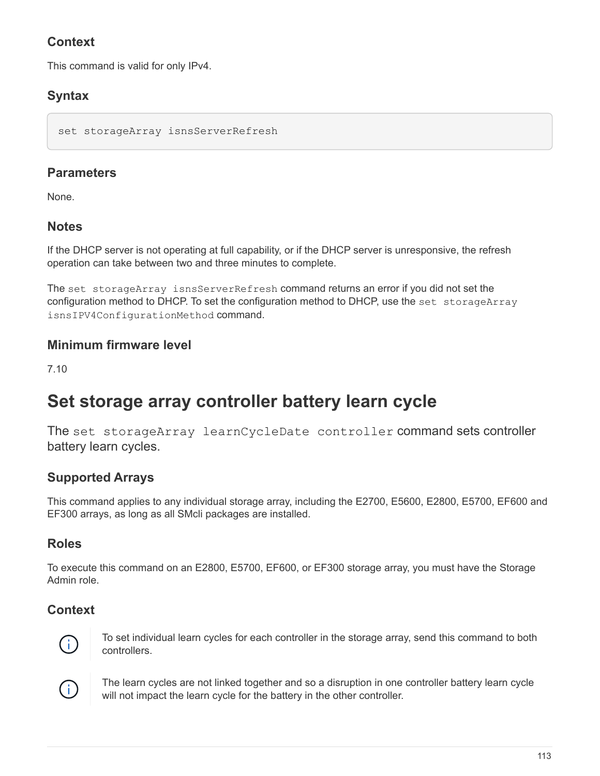## **Context**

This command is valid for only IPv4.

## **Syntax**

```
set storageArray isnsServerRefresh
```
## **Parameters**

None.

## **Notes**

If the DHCP server is not operating at full capability, or if the DHCP server is unresponsive, the refresh operation can take between two and three minutes to complete.

The set storageArray isnsServerRefresh command returns an error if you did not set the configuration method to DHCP. To set the configuration method to DHCP, use the set storageArray isnsIPV4ConfigurationMethod command.

## **Minimum firmware level**

7.10

# **Set storage array controller battery learn cycle**

The set storageArray learnCycleDate controller command sets controller battery learn cycles.

## **Supported Arrays**

This command applies to any individual storage array, including the E2700, E5600, E2800, E5700, EF600 and EF300 arrays, as long as all SMcli packages are installed.

## **Roles**

To execute this command on an E2800, E5700, EF600, or EF300 storage array, you must have the Storage Admin role.

## **Context**



To set individual learn cycles for each controller in the storage array, send this command to both controllers.



The learn cycles are not linked together and so a disruption in one controller battery learn cycle will not impact the learn cycle for the battery in the other controller.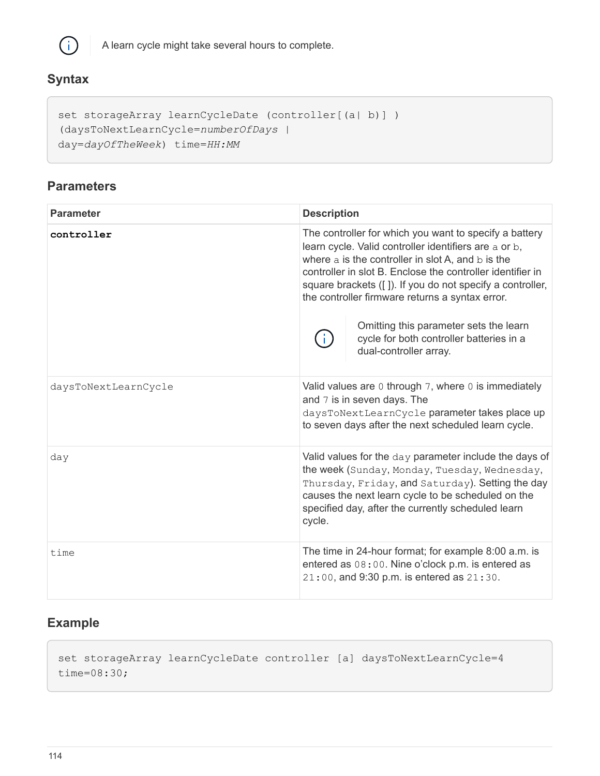

A learn cycle might take several hours to complete.

## **Syntax**

```
set storageArray learnCycleDate (controller[(a| b)])
(daysToNextLearnCycle=numberOfDays |
day=dayOfTheWeek) time=HH:MM
```
#### **Parameters**

| <b>Parameter</b>     | <b>Description</b>                                                                                                                                                                                                                                                                                                                                                                                                                                                 |
|----------------------|--------------------------------------------------------------------------------------------------------------------------------------------------------------------------------------------------------------------------------------------------------------------------------------------------------------------------------------------------------------------------------------------------------------------------------------------------------------------|
| controller           | The controller for which you want to specify a battery<br>learn cycle. Valid controller identifiers are a or b,<br>where a is the controller in slot A, and b is the<br>controller in slot B. Enclose the controller identifier in<br>square brackets ([]). If you do not specify a controller,<br>the controller firmware returns a syntax error.<br>Omitting this parameter sets the learn<br>cycle for both controller batteries in a<br>dual-controller array. |
| daysToNextLearnCycle | Valid values are $0$ through 7, where $0$ is immediately<br>and 7 is in seven days. The<br>daysToNextLearnCycle parameter takes place up<br>to seven days after the next scheduled learn cycle.                                                                                                                                                                                                                                                                    |
| day                  | Valid values for the day parameter include the days of<br>the week (Sunday, Monday, Tuesday, Wednesday,<br>Thursday, Friday, and Saturday). Setting the day<br>causes the next learn cycle to be scheduled on the<br>specified day, after the currently scheduled learn<br>cycle.                                                                                                                                                                                  |
| time                 | The time in 24-hour format; for example 8:00 a.m. is<br>entered as 08:00. Nine o'clock p.m. is entered as<br>21:00, and 9:30 p.m. is entered as 21:30.                                                                                                                                                                                                                                                                                                             |

## **Example**

set storageArray learnCycleDate controller [a] daysToNextLearnCycle=4 time=08:30;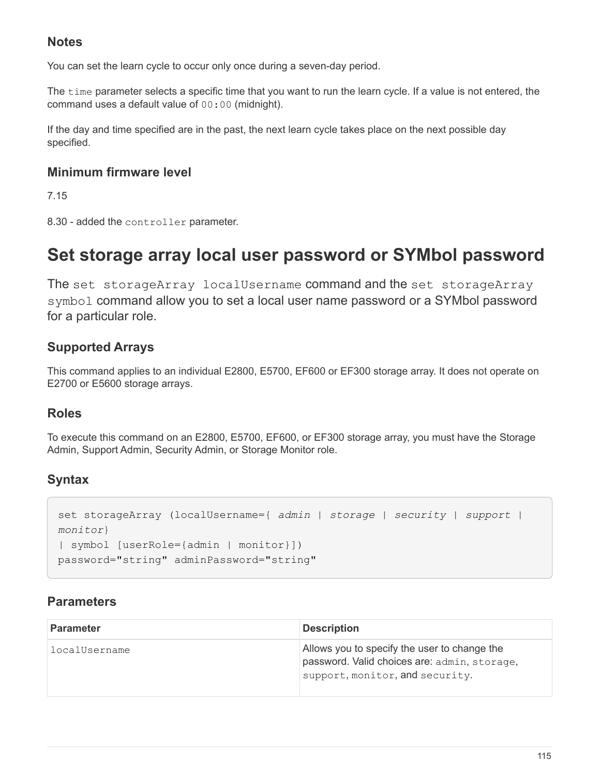## **Notes**

You can set the learn cycle to occur only once during a seven-day period.

The time parameter selects a specific time that you want to run the learn cycle. If a value is not entered, the command uses a default value of 00:00 (midnight).

If the day and time specified are in the past, the next learn cycle takes place on the next possible day specified.

#### **Minimum firmware level**

7.15

8.30 - added the controller parameter.

## **Set storage array local user password or SYMbol password**

The set storageArray localUsername command and the set storageArray symbol command allow you to set a local user name password or a SYMbol password for a particular role.

### **Supported Arrays**

This command applies to an individual E2800, E5700, EF600 or EF300 storage array. It does not operate on E2700 or E5600 storage arrays.

#### **Roles**

To execute this command on an E2800, E5700, EF600, or EF300 storage array, you must have the Storage Admin, Support Admin, Security Admin, or Storage Monitor role.

## **Syntax**

```
set storageArray (localUsername={ admin | storage | security | support |
monitor}
| symbol [userRole={admin | monitor}])
password="string" adminPassword="string"
```
## **Parameters**

| <b>Parameter</b> | <b>Description</b>                                                                                                              |
|------------------|---------------------------------------------------------------------------------------------------------------------------------|
| localUsername    | Allows you to specify the user to change the<br>password. Valid choices are: admin, storage,<br>support, monitor, and security. |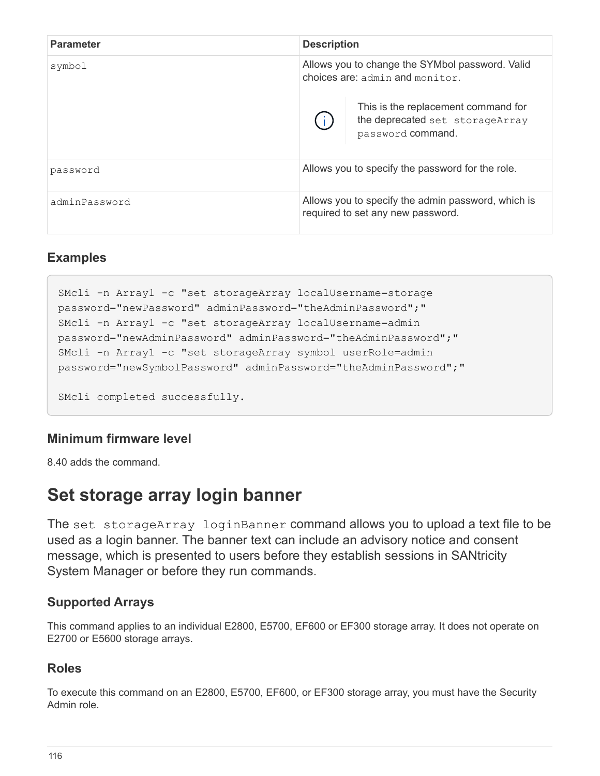| <b>Parameter</b> | <b>Description</b>                                                                          |  |
|------------------|---------------------------------------------------------------------------------------------|--|
| symbol           | Allows you to change the SYMbol password. Valid<br>choices are: admin and monitor.          |  |
|                  | This is the replacement command for<br>the deprecated set storageArray<br>password command. |  |
| password         | Allows you to specify the password for the role.                                            |  |
| adminPassword    | Allows you to specify the admin password, which is<br>required to set any new password.     |  |

#### **Examples**

```
SMcli -n Array1 -c "set storageArray localUsername=storage
password="newPassword" adminPassword="theAdminPassword";"
SMcli -n Array1 -c "set storageArray localUsername=admin
password="newAdminPassword" adminPassword="theAdminPassword";"
SMcli -n Array1 -c "set storageArray symbol userRole=admin
password="newSymbolPassword" adminPassword="theAdminPassword";"
SMcli completed successfully.
```
## **Minimum firmware level**

8.40 adds the command.

## **Set storage array login banner**

The set storageArray loginBanner command allows you to upload a text file to be used as a login banner. The banner text can include an advisory notice and consent message, which is presented to users before they establish sessions in SANtricity System Manager or before they run commands.

#### **Supported Arrays**

This command applies to an individual E2800, E5700, EF600 or EF300 storage array. It does not operate on E2700 or E5600 storage arrays.

#### **Roles**

To execute this command on an E2800, E5700, EF600, or EF300 storage array, you must have the Security Admin role.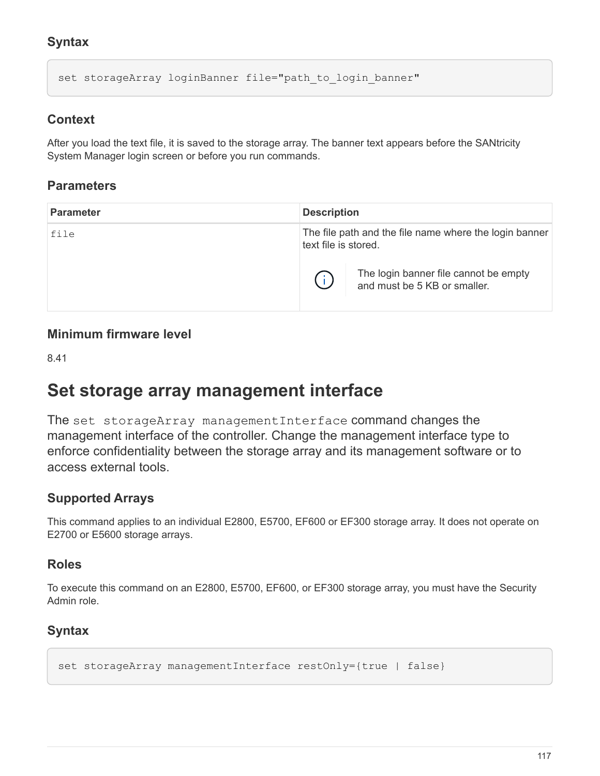## **Syntax**

set storageArray loginBanner file="path to login banner"

#### **Context**

After you load the text file, it is saved to the storage array. The banner text appears before the SANtricity System Manager login screen or before you run commands.

#### **Parameters**

| <b>Parameter</b> | <b>Description</b>   |                                                                       |
|------------------|----------------------|-----------------------------------------------------------------------|
| file             | text file is stored. | The file path and the file name where the login banner                |
|                  |                      | The login banner file cannot be empty<br>and must be 5 KB or smaller. |

#### **Minimum firmware level**

8.41

## **Set storage array management interface**

The set storageArray managementInterface command changes the management interface of the controller. Change the management interface type to enforce confidentiality between the storage array and its management software or to access external tools.

#### **Supported Arrays**

This command applies to an individual E2800, E5700, EF600 or EF300 storage array. It does not operate on E2700 or E5600 storage arrays.

#### **Roles**

To execute this command on an E2800, E5700, EF600, or EF300 storage array, you must have the Security Admin role.

## **Syntax**

```
set storageArray managementInterface restOnly={true | false}
```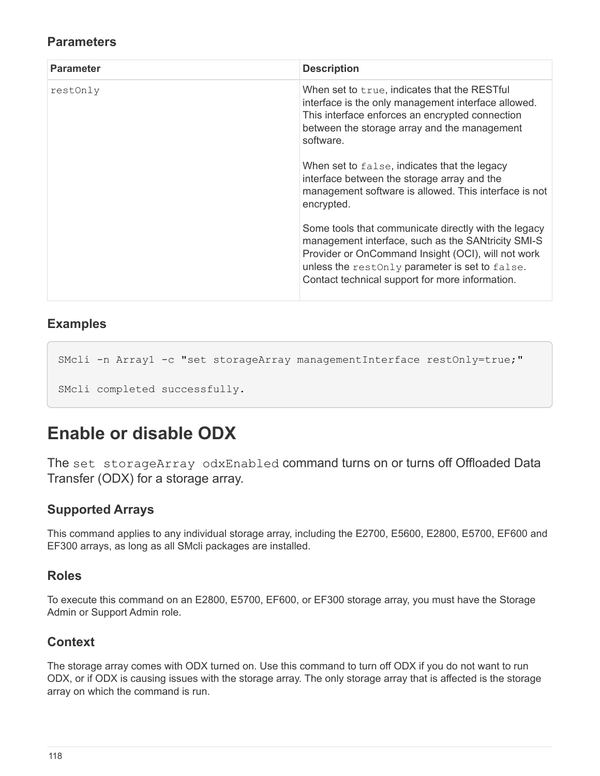#### **Parameters**

| <b>Parameter</b> | <b>Description</b>                                                                                                                                                                                                                                                    |
|------------------|-----------------------------------------------------------------------------------------------------------------------------------------------------------------------------------------------------------------------------------------------------------------------|
| restOnly         | When set to t rue, indicates that the RESTful<br>interface is the only management interface allowed.<br>This interface enforces an encrypted connection<br>between the storage array and the management<br>software.                                                  |
|                  | When set to false, indicates that the legacy<br>interface between the storage array and the<br>management software is allowed. This interface is not<br>encrypted.                                                                                                    |
|                  | Some tools that communicate directly with the legacy<br>management interface, such as the SANtricity SMI-S<br>Provider or OnCommand Insight (OCI), will not work<br>unless the restonly parameter is set to false.<br>Contact technical support for more information. |

#### **Examples**

```
SMcli -n Arrayl -c "set storageArray managementInterface restOnly=true;"
SMcli completed successfully.
```
# **Enable or disable ODX**

The set storageArray odxEnabled command turns on or turns off Offloaded Data Transfer (ODX) for a storage array.

#### **Supported Arrays**

This command applies to any individual storage array, including the E2700, E5600, E2800, E5700, EF600 and EF300 arrays, as long as all SMcli packages are installed.

#### **Roles**

To execute this command on an E2800, E5700, EF600, or EF300 storage array, you must have the Storage Admin or Support Admin role.

#### **Context**

The storage array comes with ODX turned on. Use this command to turn off ODX if you do not want to run ODX, or if ODX is causing issues with the storage array. The only storage array that is affected is the storage array on which the command is run.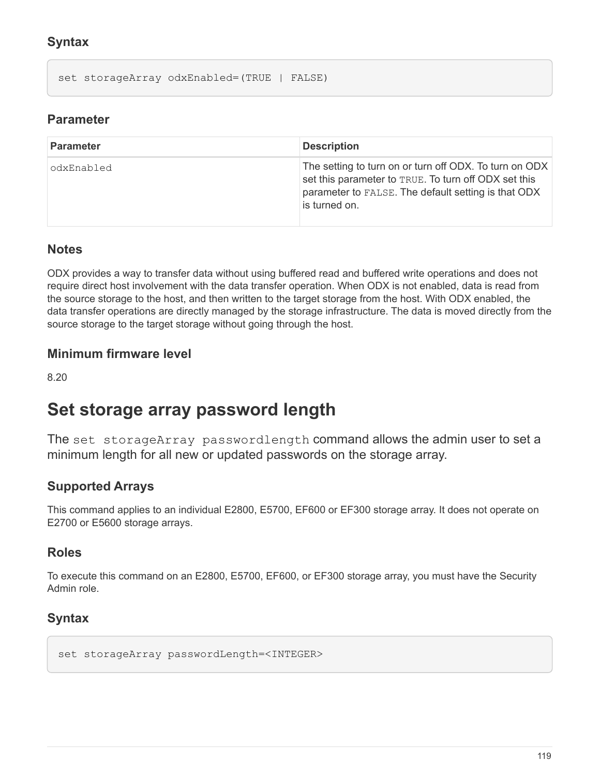## **Syntax**

set storageArray odxEnabled=(TRUE | FALSE)

#### **Parameter**

| <b>Parameter</b> | <b>Description</b>                                                                                                                                                                     |
|------------------|----------------------------------------------------------------------------------------------------------------------------------------------------------------------------------------|
| odxEnabled       | The setting to turn on or turn off ODX. To turn on ODX<br>set this parameter to TRUE. To turn off ODX set this<br>parameter to FALSE. The default setting is that ODX<br>is turned on. |

#### **Notes**

ODX provides a way to transfer data without using buffered read and buffered write operations and does not require direct host involvement with the data transfer operation. When ODX is not enabled, data is read from the source storage to the host, and then written to the target storage from the host. With ODX enabled, the data transfer operations are directly managed by the storage infrastructure. The data is moved directly from the source storage to the target storage without going through the host.

#### **Minimum firmware level**

8.20

## **Set storage array password length**

The set storageArray passwordlength command allows the admin user to set a minimum length for all new or updated passwords on the storage array.

#### **Supported Arrays**

This command applies to an individual E2800, E5700, EF600 or EF300 storage array. It does not operate on E2700 or E5600 storage arrays.

#### **Roles**

To execute this command on an E2800, E5700, EF600, or EF300 storage array, you must have the Security Admin role.

#### **Syntax**

set storageArray passwordLength=<INTEGER>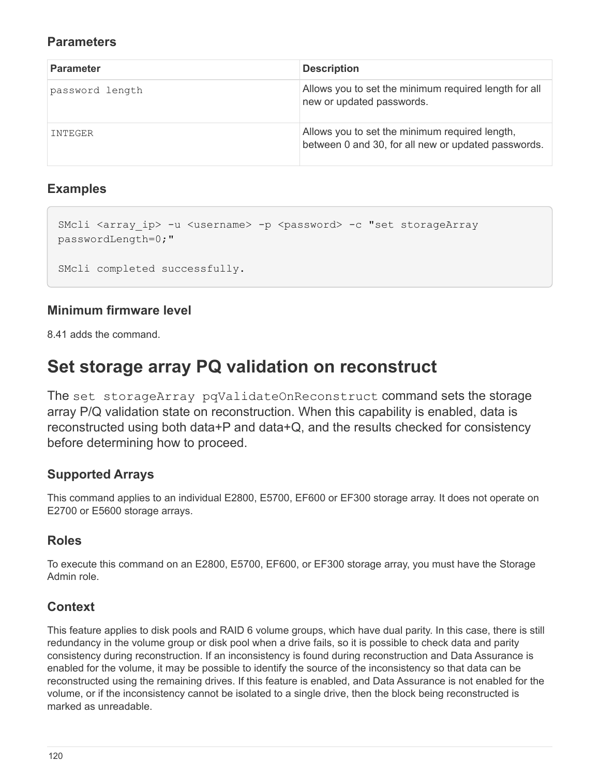#### **Parameters**

| <b>Parameter</b> | <b>Description</b>                                                                                    |
|------------------|-------------------------------------------------------------------------------------------------------|
| password length  | Allows you to set the minimum required length for all<br>new or updated passwords.                    |
| INTEGER          | Allows you to set the minimum required length,<br>between 0 and 30, for all new or updated passwords. |

#### **Examples**

```
SMcli <array ip> -u <username> -p <password> -c "set storageArray
passwordLength=0;"
SMcli completed successfully.
```
## **Minimum firmware level**

8.41 adds the command.

# **Set storage array PQ validation on reconstruct**

The set storageArray pqValidateOnReconstruct command sets the storage array P/Q validation state on reconstruction. When this capability is enabled, data is reconstructed using both data+P and data+Q, and the results checked for consistency before determining how to proceed.

## **Supported Arrays**

This command applies to an individual E2800, E5700, EF600 or EF300 storage array. It does not operate on E2700 or E5600 storage arrays.

## **Roles**

To execute this command on an E2800, E5700, EF600, or EF300 storage array, you must have the Storage Admin role.

## **Context**

This feature applies to disk pools and RAID 6 volume groups, which have dual parity. In this case, there is still redundancy in the volume group or disk pool when a drive fails, so it is possible to check data and parity consistency during reconstruction. If an inconsistency is found during reconstruction and Data Assurance is enabled for the volume, it may be possible to identify the source of the inconsistency so that data can be reconstructed using the remaining drives. If this feature is enabled, and Data Assurance is not enabled for the volume, or if the inconsistency cannot be isolated to a single drive, then the block being reconstructed is marked as unreadable.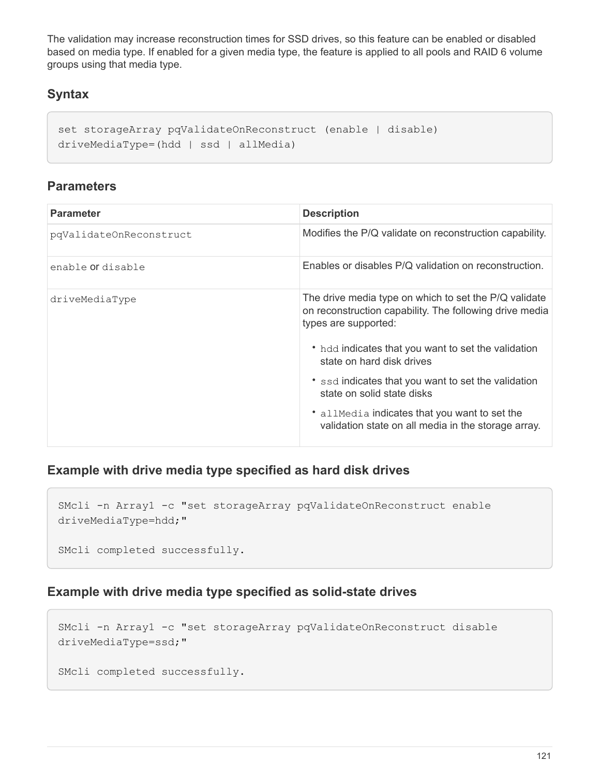The validation may increase reconstruction times for SSD drives, so this feature can be enabled or disabled based on media type. If enabled for a given media type, the feature is applied to all pools and RAID 6 volume groups using that media type.

### **Syntax**

```
set storageArray pqValidateOnReconstruct (enable | disable)
driveMediaType=(hdd | ssd | allMedia)
```
#### **Parameters**

| <b>Parameter</b>         | <b>Description</b>                                                                                                                       |
|--------------------------|------------------------------------------------------------------------------------------------------------------------------------------|
| pqValidateOnReconstruct  | Modifies the P/Q validate on reconstruction capability.                                                                                  |
| enable <b>or</b> disable | Enables or disables P/Q validation on reconstruction.                                                                                    |
| driveMediaType           | The drive media type on which to set the P/Q validate<br>on reconstruction capability. The following drive media<br>types are supported: |
|                          | • hdd indicates that you want to set the validation<br>state on hard disk drives                                                         |
|                          | * ssd indicates that you want to set the validation<br>state on solid state disks                                                        |
|                          | • allMedia indicates that you want to set the<br>validation state on all media in the storage array.                                     |

#### **Example with drive media type specified as hard disk drives**

```
SMcli -n Array1 -c "set storageArray pqValidateOnReconstruct enable
driveMediaType=hdd;"
```
SMcli completed successfully.

## **Example with drive media type specified as solid-state drives**

```
SMcli -n Array1 -c "set storageArray pqValidateOnReconstruct disable
driveMediaType=ssd;"
SMcli completed successfully.
```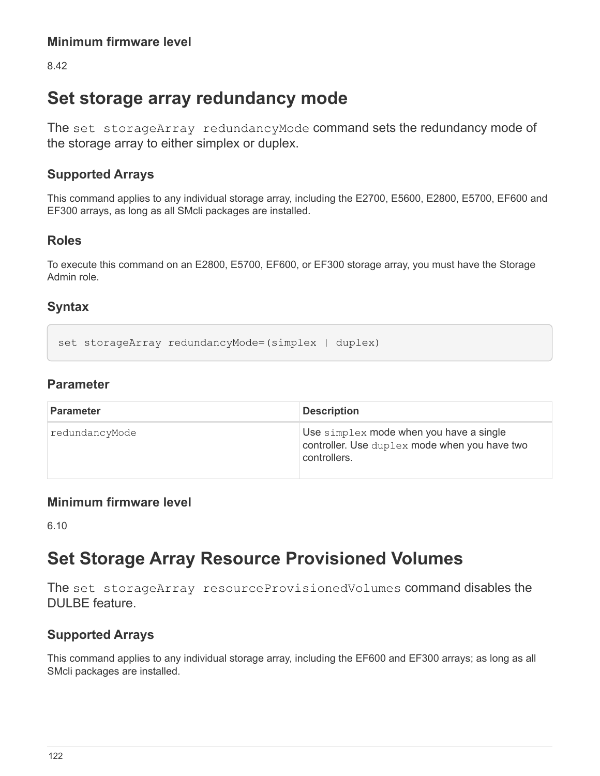8.42

# **Set storage array redundancy mode**

The set storageArray redundancyMode command sets the redundancy mode of the storage array to either simplex or duplex.

## **Supported Arrays**

This command applies to any individual storage array, including the E2700, E5600, E2800, E5700, EF600 and EF300 arrays, as long as all SMcli packages are installed.

## **Roles**

To execute this command on an E2800, E5700, EF600, or EF300 storage array, you must have the Storage Admin role.

## **Syntax**

```
set storageArray redundancyMode=(simplex | duplex)
```
## **Parameter**

| <b>Parameter</b> | <b>Description</b>                                                                                       |
|------------------|----------------------------------------------------------------------------------------------------------|
| redundancyMode   | Use simplex mode when you have a single<br>controller. Use duplex mode when you have two<br>controllers. |

## **Minimum firmware level**

6.10

# **Set Storage Array Resource Provisioned Volumes**

The set storageArray resourceProvisionedVolumes command disables the DULBE feature.

## **Supported Arrays**

This command applies to any individual storage array, including the EF600 and EF300 arrays; as long as all SMcli packages are installed.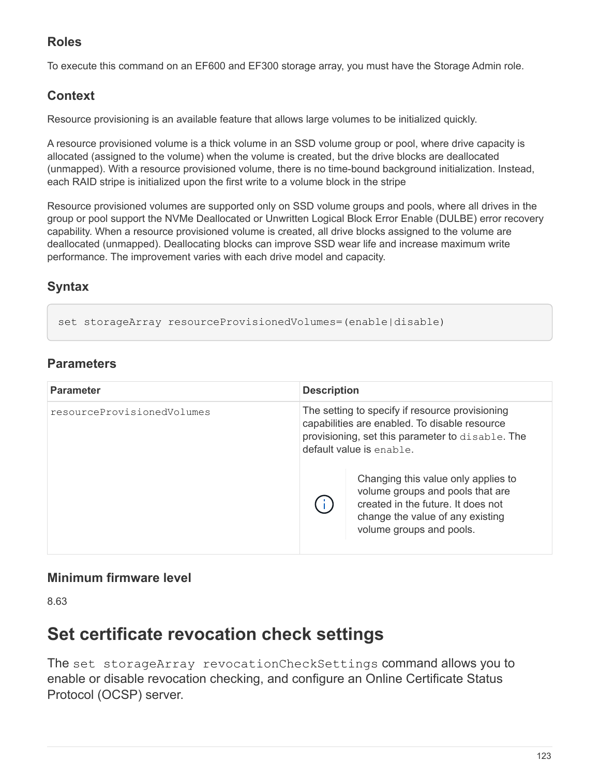## **Roles**

To execute this command on an EF600 and EF300 storage array, you must have the Storage Admin role.

## **Context**

Resource provisioning is an available feature that allows large volumes to be initialized quickly.

A resource provisioned volume is a thick volume in an SSD volume group or pool, where drive capacity is allocated (assigned to the volume) when the volume is created, but the drive blocks are deallocated (unmapped). With a resource provisioned volume, there is no time-bound background initialization. Instead, each RAID stripe is initialized upon the first write to a volume block in the stripe

Resource provisioned volumes are supported only on SSD volume groups and pools, where all drives in the group or pool support the NVMe Deallocated or Unwritten Logical Block Error Enable (DULBE) error recovery capability. When a resource provisioned volume is created, all drive blocks assigned to the volume are deallocated (unmapped). Deallocating blocks can improve SSD wear life and increase maximum write performance. The improvement varies with each drive model and capacity.

## **Syntax**

set storageArray resourceProvisionedVolumes=(enable|disable)

## **Parameters**

| <b>Parameter</b>           | <b>Description</b>                                                                                                                                                               |
|----------------------------|----------------------------------------------------------------------------------------------------------------------------------------------------------------------------------|
| resourceProvisionedVolumes | The setting to specify if resource provisioning<br>capabilities are enabled. To disable resource<br>provisioning, set this parameter to disable. The<br>default value is enable. |
|                            | Changing this value only applies to<br>volume groups and pools that are<br>created in the future. It does not<br>change the value of any existing<br>volume groups and pools.    |

## **Minimum firmware level**

8.63

# **Set certificate revocation check settings**

The set storageArray revocationCheckSettings command allows you to enable or disable revocation checking, and configure an Online Certificate Status Protocol (OCSP) server.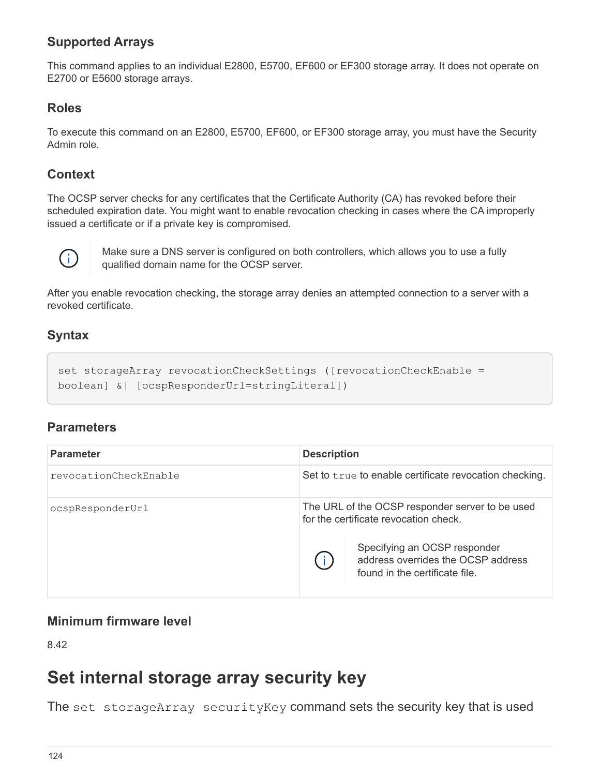## **Supported Arrays**

This command applies to an individual E2800, E5700, EF600 or EF300 storage array. It does not operate on E2700 or E5600 storage arrays.

#### **Roles**

To execute this command on an E2800, E5700, EF600, or EF300 storage array, you must have the Security Admin role.

### **Context**

The OCSP server checks for any certificates that the Certificate Authority (CA) has revoked before their scheduled expiration date. You might want to enable revocation checking in cases where the CA improperly issued a certificate or if a private key is compromised.



Make sure a DNS server is configured on both controllers, which allows you to use a fully qualified domain name for the OCSP server.

After you enable revocation checking, the storage array denies an attempted connection to a server with a revoked certificate.

### **Syntax**

```
set storageArray revocationCheckSettings ([revocationCheckEnable =
boolean] &| [ocspResponderUrl=stringLiteral])
```
#### **Parameters**

| <b>Parameter</b>      | <b>Description</b>                                                                                   |
|-----------------------|------------------------------------------------------------------------------------------------------|
| revocationCheckEnable | Set to true to enable certificate revocation checking.                                               |
| ocspResponderUrl      | The URL of the OCSP responder server to be used<br>for the certificate revocation check.             |
|                       | Specifying an OCSP responder<br>address overrides the OCSP address<br>found in the certificate file. |

#### **Minimum firmware level**

8.42

## **Set internal storage array security key**

The set storageArray securityKey command sets the security key that is used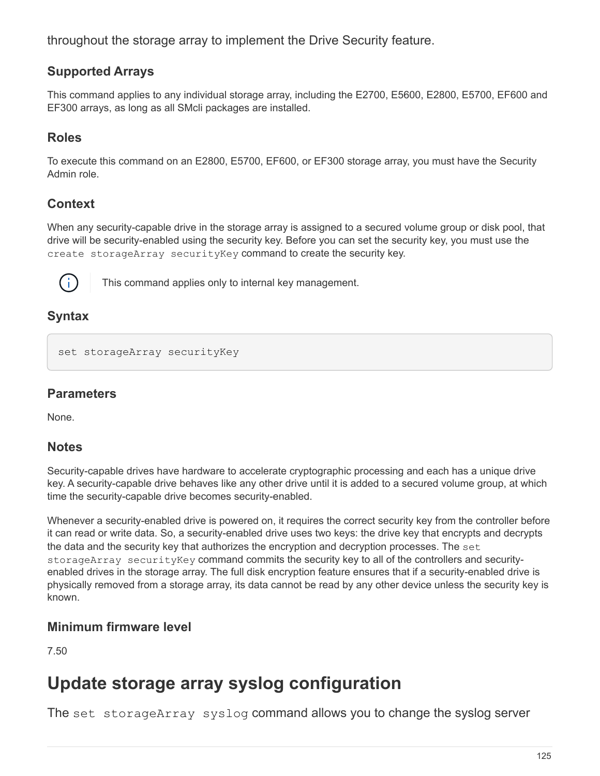throughout the storage array to implement the Drive Security feature.

### **Supported Arrays**

This command applies to any individual storage array, including the E2700, E5600, E2800, E5700, EF600 and EF300 arrays, as long as all SMcli packages are installed.

### **Roles**

To execute this command on an E2800, E5700, EF600, or EF300 storage array, you must have the Security Admin role.

## **Context**

When any security-capable drive in the storage array is assigned to a secured volume group or disk pool, that drive will be security-enabled using the security key. Before you can set the security key, you must use the create storageArray securityKey command to create the security key.



This command applies only to internal key management.

### **Syntax**

```
set storageArray securityKey
```
#### **Parameters**

None.

#### **Notes**

Security-capable drives have hardware to accelerate cryptographic processing and each has a unique drive key. A security-capable drive behaves like any other drive until it is added to a secured volume group, at which time the security-capable drive becomes security-enabled.

Whenever a security-enabled drive is powered on, it requires the correct security key from the controller before it can read or write data. So, a security-enabled drive uses two keys: the drive key that encrypts and decrypts the data and the security key that authorizes the encryption and decryption processes. The set storageArray securityKey command commits the security key to all of the controllers and securityenabled drives in the storage array. The full disk encryption feature ensures that if a security-enabled drive is physically removed from a storage array, its data cannot be read by any other device unless the security key is known.

#### **Minimum firmware level**

7.50

# **Update storage array syslog configuration**

The set storageArray syslog command allows you to change the syslog server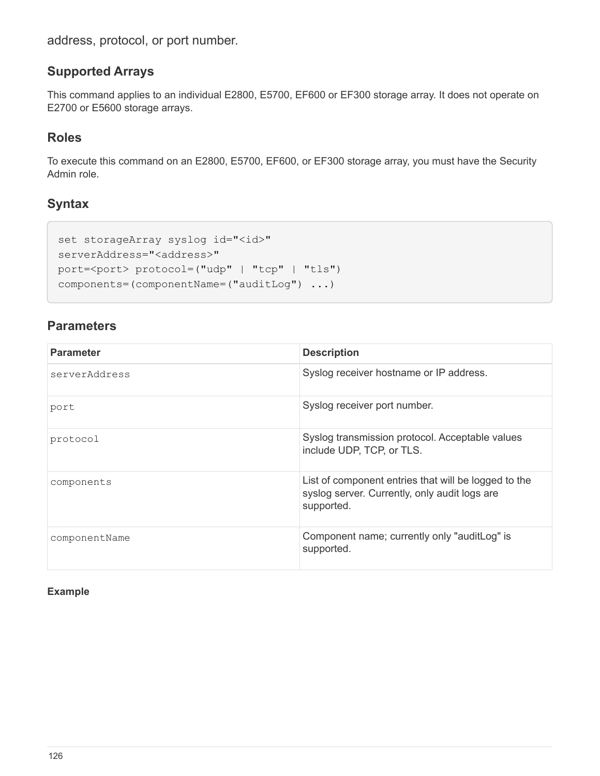address, protocol, or port number.

#### **Supported Arrays**

This command applies to an individual E2800, E5700, EF600 or EF300 storage array. It does not operate on E2700 or E5600 storage arrays.

#### **Roles**

To execute this command on an E2800, E5700, EF600, or EF300 storage array, you must have the Security Admin role.

### **Syntax**

```
set storageArray syslog id="<id>"
serverAddress="<address>"
port=<port> protocol=("udp" | "tcp" | "tls")
components=(componentName=("auditLog") ...)
```
#### **Parameters**

| <b>Parameter</b> | <b>Description</b>                                                                                                  |
|------------------|---------------------------------------------------------------------------------------------------------------------|
| serverAddress    | Syslog receiver hostname or IP address.                                                                             |
| port             | Syslog receiver port number.                                                                                        |
| protocol         | Syslog transmission protocol. Acceptable values<br>include UDP, TCP, or TLS.                                        |
| components       | List of component entries that will be logged to the<br>syslog server. Currently, only audit logs are<br>supported. |
| componentName    | Component name; currently only "auditLog" is<br>supported.                                                          |

#### **Example**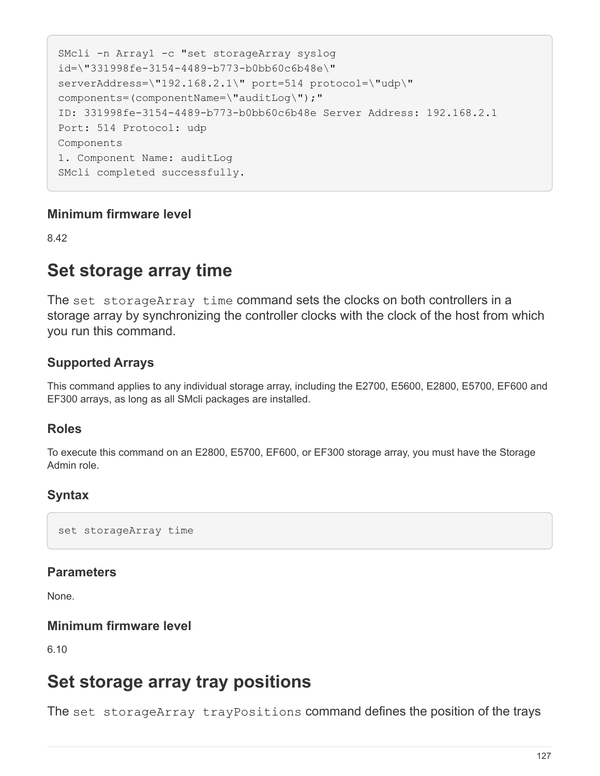```
SMcli -n Array1 -c "set storageArray syslog
id=\"331998fe-3154-4489-b773-b0bb60c6b48e\"
serverAddress=\"192.168.2.1\" port=514 protocol=\"udp\"
components=(componentName=\"auditLog\");"
ID: 331998fe-3154-4489-b773-b0bb60c6b48e Server Address: 192.168.2.1
Port: 514 Protocol: udp
Components
1. Component Name: auditLog
SMcli completed successfully.
```
#### **Minimum firmware level**

8.42

## **Set storage array time**

The set storageArray time command sets the clocks on both controllers in a storage array by synchronizing the controller clocks with the clock of the host from which you run this command.

### **Supported Arrays**

This command applies to any individual storage array, including the E2700, E5600, E2800, E5700, EF600 and EF300 arrays, as long as all SMcli packages are installed.

#### **Roles**

To execute this command on an E2800, E5700, EF600, or EF300 storage array, you must have the Storage Admin role.

#### **Syntax**

set storageArray time

#### **Parameters**

None.

#### **Minimum firmware level**

6.10

## **Set storage array tray positions**

The set storageArray trayPositions command defines the position of the trays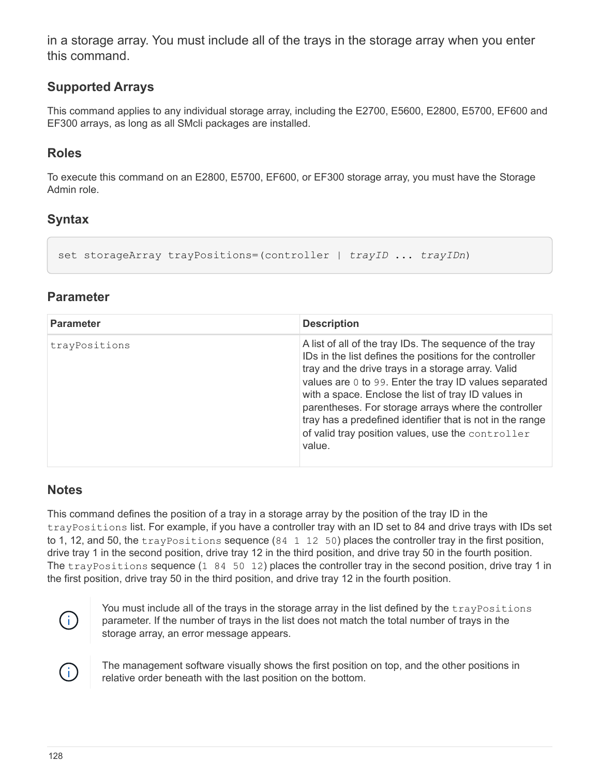in a storage array. You must include all of the trays in the storage array when you enter this command.

#### **Supported Arrays**

This command applies to any individual storage array, including the E2700, E5600, E2800, E5700, EF600 and EF300 arrays, as long as all SMcli packages are installed.

#### **Roles**

To execute this command on an E2800, E5700, EF600, or EF300 storage array, you must have the Storage Admin role.

### **Syntax**

```
set storageArray trayPositions=(controller | trayID ... trayIDn)
```
#### **Parameter**

| <b>Parameter</b> | <b>Description</b>                                                                                                                                                                                                                                                                                                                                                                                                                                                             |
|------------------|--------------------------------------------------------------------------------------------------------------------------------------------------------------------------------------------------------------------------------------------------------------------------------------------------------------------------------------------------------------------------------------------------------------------------------------------------------------------------------|
| trayPositions    | A list of all of the tray IDs. The sequence of the tray<br>IDs in the list defines the positions for the controller<br>tray and the drive trays in a storage array. Valid<br>values are 0 to 99. Enter the tray ID values separated<br>with a space. Enclose the list of tray ID values in<br>parentheses. For storage arrays where the controller<br>tray has a predefined identifier that is not in the range<br>of valid tray position values, use the controller<br>value. |

## **Notes**

This command defines the position of a tray in a storage array by the position of the tray ID in the trayPositions list. For example, if you have a controller tray with an ID set to 84 and drive trays with IDs set to 1, 12, and 50, the tray Positions sequence (84 1 12 50) places the controller tray in the first position, drive tray 1 in the second position, drive tray 12 in the third position, and drive tray 50 in the fourth position. The  $trayPositions$  sequence  $(1 \ 84 \ 50 \ 12)$  places the controller tray in the second position, drive tray 1 in the first position, drive tray 50 in the third position, and drive tray 12 in the fourth position.



You must include all of the trays in the storage array in the list defined by the trayPositions parameter. If the number of trays in the list does not match the total number of trays in the storage array, an error message appears.



The management software visually shows the first position on top, and the other positions in relative order beneath with the last position on the bottom.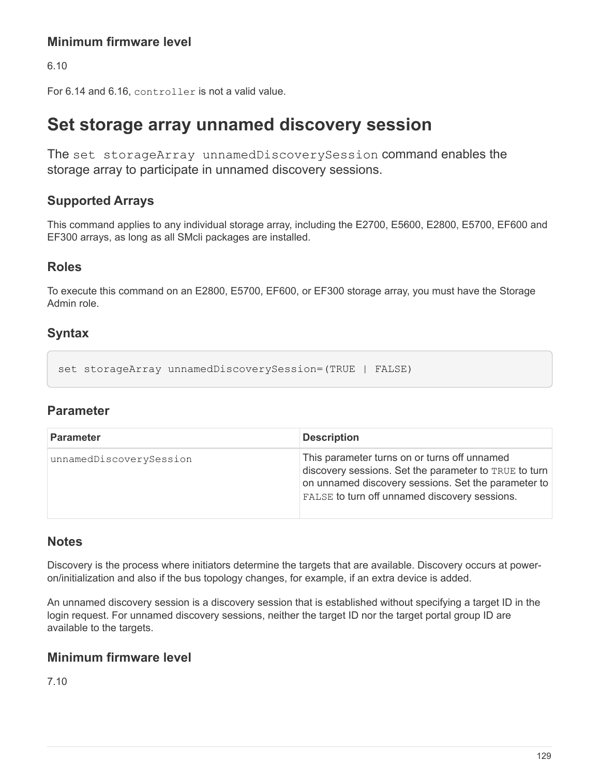## **Minimum firmware level**

6.10

For 6.14 and 6.16, controller is not a valid value.

# **Set storage array unnamed discovery session**

The set storageArray unnamedDiscoverySession command enables the storage array to participate in unnamed discovery sessions.

### **Supported Arrays**

This command applies to any individual storage array, including the E2700, E5600, E2800, E5700, EF600 and EF300 arrays, as long as all SMcli packages are installed.

#### **Roles**

To execute this command on an E2800, E5700, EF600, or EF300 storage array, you must have the Storage Admin role.

### **Syntax**

set storageArray unnamedDiscoverySession=(TRUE | FALSE)

#### **Parameter**

| <b>Parameter</b>        | <b>Description</b>                                                                                                                                                                                            |
|-------------------------|---------------------------------------------------------------------------------------------------------------------------------------------------------------------------------------------------------------|
| unnamedDiscoverySession | This parameter turns on or turns off unnamed<br>discovery sessions. Set the parameter to TRUE to turn<br>on unnamed discovery sessions. Set the parameter to<br>FALSE to turn off unnamed discovery sessions. |

#### **Notes**

Discovery is the process where initiators determine the targets that are available. Discovery occurs at poweron/initialization and also if the bus topology changes, for example, if an extra device is added.

An unnamed discovery session is a discovery session that is established without specifying a target ID in the login request. For unnamed discovery sessions, neither the target ID nor the target portal group ID are available to the targets.

#### **Minimum firmware level**

7.10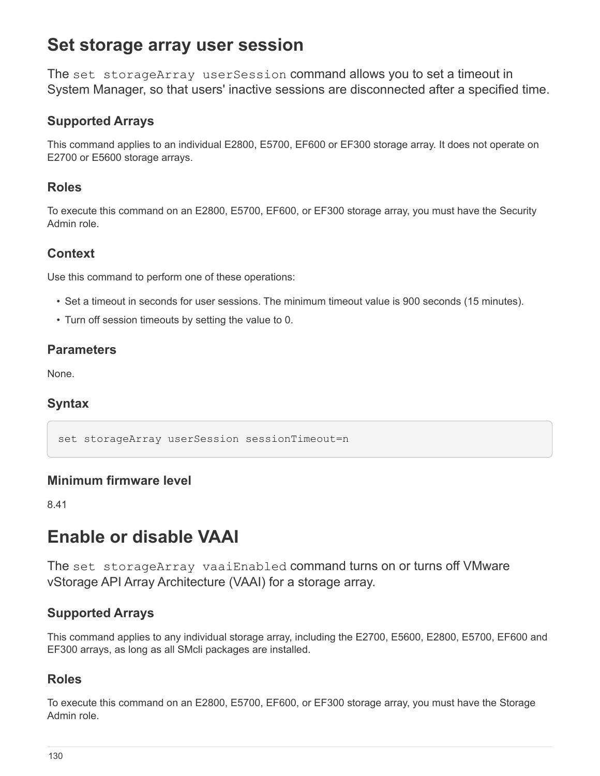# **Set storage array user session**

The set storageArray userSession command allows you to set a timeout in System Manager, so that users' inactive sessions are disconnected after a specified time.

## **Supported Arrays**

This command applies to an individual E2800, E5700, EF600 or EF300 storage array. It does not operate on E2700 or E5600 storage arrays.

#### **Roles**

To execute this command on an E2800, E5700, EF600, or EF300 storage array, you must have the Security Admin role.

#### **Context**

Use this command to perform one of these operations:

- Set a timeout in seconds for user sessions. The minimum timeout value is 900 seconds (15 minutes).
- Turn off session timeouts by setting the value to 0.

#### **Parameters**

None.

#### **Syntax**

set storageArray userSession sessionTimeout=n

#### **Minimum firmware level**

8.41

# **Enable or disable VAAI**

The set storageArray vaaiEnabled command turns on or turns off VMware vStorage API Array Architecture (VAAI) for a storage array.

## **Supported Arrays**

This command applies to any individual storage array, including the E2700, E5600, E2800, E5700, EF600 and EF300 arrays, as long as all SMcli packages are installed.

#### **Roles**

To execute this command on an E2800, E5700, EF600, or EF300 storage array, you must have the Storage Admin role.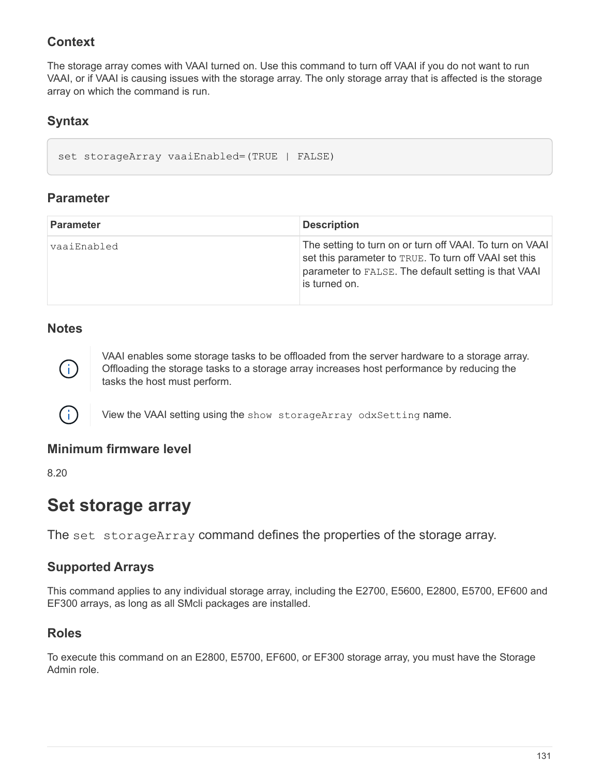## **Context**

The storage array comes with VAAI turned on. Use this command to turn off VAAI if you do not want to run VAAI, or if VAAI is causing issues with the storage array. The only storage array that is affected is the storage array on which the command is run.

## **Syntax**

set storageArray vaaiEnabled=(TRUE | FALSE)

### **Parameter**

| <b>Parameter</b> | <b>Description</b>                                                                                                                                                                         |
|------------------|--------------------------------------------------------------------------------------------------------------------------------------------------------------------------------------------|
| vaaiEnabled      | The setting to turn on or turn off VAAI. To turn on VAAI<br>set this parameter to TRUE. To turn off VAAI set this<br>parameter to FALSE. The default setting is that VAAI<br>is turned on. |

#### **Notes**



( i )

VAAI enables some storage tasks to be offloaded from the server hardware to a storage array. Offloading the storage tasks to a storage array increases host performance by reducing the tasks the host must perform.

View the VAAI setting using the show storageArray odxSetting name.

#### **Minimum firmware level**

8.20

## **Set storage array**

The set storageArray command defines the properties of the storage array.

#### **Supported Arrays**

This command applies to any individual storage array, including the E2700, E5600, E2800, E5700, EF600 and EF300 arrays, as long as all SMcli packages are installed.

#### **Roles**

To execute this command on an E2800, E5700, EF600, or EF300 storage array, you must have the Storage Admin role.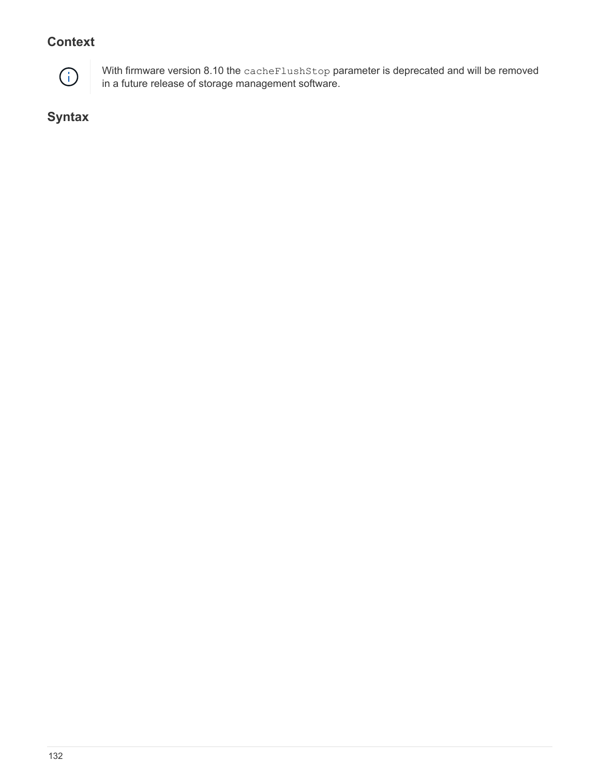## **Context**



With firmware version 8.10 the cacheFlushStop parameter is deprecated and will be removed in a future release of storage management software.

**Syntax**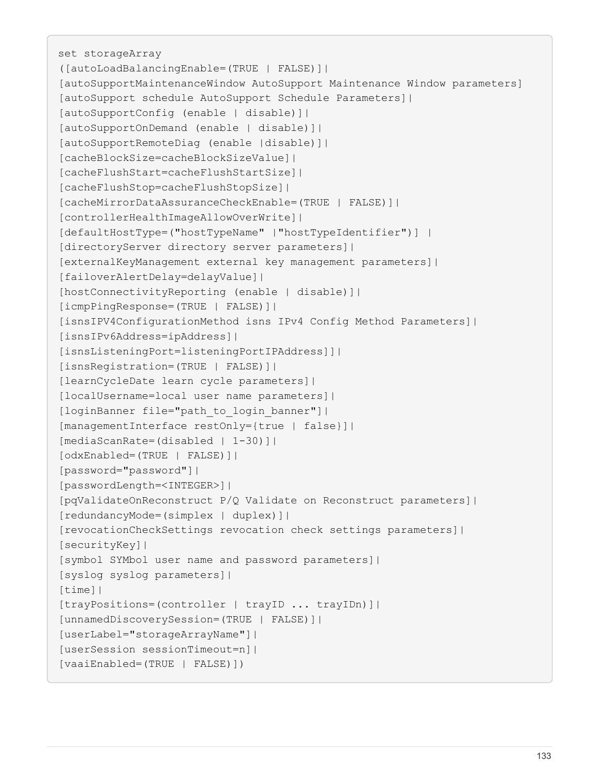set storageArray ([autoLoadBalancingEnable=(TRUE | FALSE)]| [autoSupportMaintenanceWindow AutoSupport Maintenance Window parameters] [autoSupport schedule AutoSupport Schedule Parameters]| [autoSupportConfig (enable | disable)]| [autoSupportOnDemand (enable | disable)]| [autoSupportRemoteDiag (enable |disable)]| [cacheBlockSize=cacheBlockSizeValue]| [cacheFlushStart=cacheFlushStartSize]| [cacheFlushStop=cacheFlushStopSize]| [cacheMirrorDataAssuranceCheckEnable=(TRUE | FALSE)]| [controllerHealthImageAllowOverWrite]| [defaultHostType=("hostTypeName" |"hostTypeIdentifier")] | [directoryServer directory server parameters]| [externalKeyManagement external key management parameters]| [failoverAlertDelay=delayValue]| [hostConnectivityReporting (enable | disable)]| [icmpPingResponse=(TRUE | FALSE)]| [isnsIPV4ConfigurationMethod isns IPv4 Config Method Parameters]| [isnsIPv6Address=ipAddress]| [isnsListeningPort=listeningPortIPAddress]]| [isnsRegistration=(TRUE | FALSE)]| [learnCycleDate learn cycle parameters]| [localUsername=local user name parameters]| [loginBanner file="path\_to\_login\_banner"]| [managementInterface restOnly={true | false}]| [mediaScanRate=(disabled | 1-30)]| [odxEnabled=(TRUE | FALSE)]| [password="password"]| [passwordLength=<INTEGER>]| [pqValidateOnReconstruct P/Q Validate on Reconstruct parameters]| [redundancyMode=(simplex | duplex)]| [revocationCheckSettings revocation check settings parameters]| [securityKey]| [symbol SYMbol user name and password parameters]| [syslog syslog parameters]| [time]| [trayPositions=(controller | trayID ... trayIDn)]| [unnamedDiscoverySession=(TRUE | FALSE)]| [userLabel="storageArrayName"]| [userSession sessionTimeout=n]| [vaaiEnabled=(TRUE | FALSE)])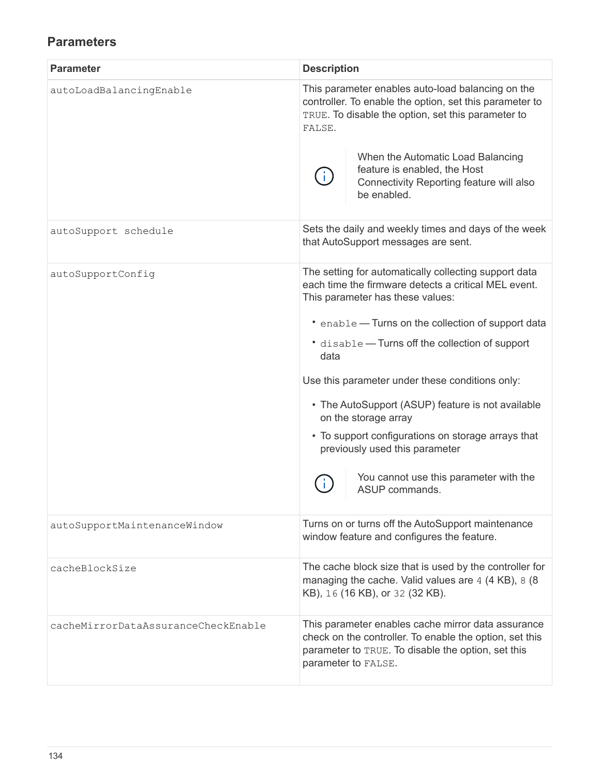## **Parameters**

| <b>Parameter</b>                    | <b>Description</b>                                                                                                                                                                         |
|-------------------------------------|--------------------------------------------------------------------------------------------------------------------------------------------------------------------------------------------|
| autoLoadBalancingEnable             | This parameter enables auto-load balancing on the<br>controller. To enable the option, set this parameter to<br>TRUE. To disable the option, set this parameter to<br>FALSE.               |
|                                     | When the Automatic Load Balancing<br>feature is enabled, the Host<br>Connectivity Reporting feature will also<br>be enabled.                                                               |
| autoSupport schedule                | Sets the daily and weekly times and days of the week<br>that AutoSupport messages are sent.                                                                                                |
| autoSupportConfig                   | The setting for automatically collecting support data<br>each time the firmware detects a critical MEL event.<br>This parameter has these values:                                          |
|                                     | • enable - Turns on the collection of support data                                                                                                                                         |
|                                     | • disable - Turns off the collection of support<br>data                                                                                                                                    |
|                                     | Use this parameter under these conditions only:                                                                                                                                            |
|                                     | • The AutoSupport (ASUP) feature is not available<br>on the storage array                                                                                                                  |
|                                     | • To support configurations on storage arrays that<br>previously used this parameter                                                                                                       |
|                                     | You cannot use this parameter with the<br>ASUP commands.                                                                                                                                   |
| autoSupportMaintenanceWindow        | Turns on or turns off the AutoSupport maintenance<br>window feature and configures the feature.                                                                                            |
| cacheBlockSize                      | The cache block size that is used by the controller for<br>managing the cache. Valid values are 4 (4 KB), 8 (8<br>KB), 16 (16 KB), or 32 (32 KB).                                          |
| cacheMirrorDataAssuranceCheckEnable | This parameter enables cache mirror data assurance<br>check on the controller. To enable the option, set this<br>parameter to TRUE. To disable the option, set this<br>parameter to FALSE. |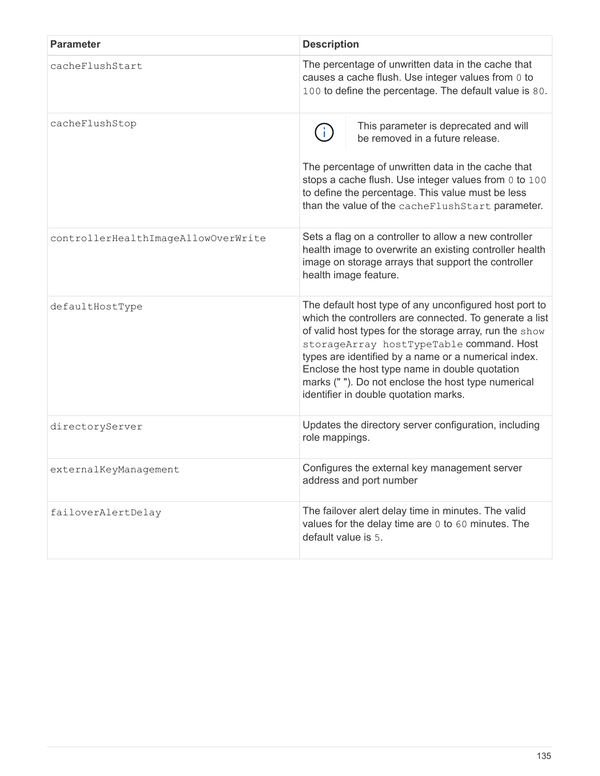| <b>Parameter</b>                    | <b>Description</b>                                                                                                                                                                                                                                                                                                                                                                                                                |
|-------------------------------------|-----------------------------------------------------------------------------------------------------------------------------------------------------------------------------------------------------------------------------------------------------------------------------------------------------------------------------------------------------------------------------------------------------------------------------------|
| cacheFlushStart                     | The percentage of unwritten data in the cache that<br>causes a cache flush. Use integer values from 0 to<br>100 to define the percentage. The default value is 80.                                                                                                                                                                                                                                                                |
| cacheFlushStop                      | This parameter is deprecated and will<br>be removed in a future release.<br>The percentage of unwritten data in the cache that<br>stops a cache flush. Use integer values from 0 to 100<br>to define the percentage. This value must be less<br>than the value of the cacheFlushStart parameter.                                                                                                                                  |
| controllerHealthImageAllowOverWrite | Sets a flag on a controller to allow a new controller<br>health image to overwrite an existing controller health<br>image on storage arrays that support the controller<br>health image feature.                                                                                                                                                                                                                                  |
| defaultHostType                     | The default host type of any unconfigured host port to<br>which the controllers are connected. To generate a list<br>of valid host types for the storage array, run the show<br>storageArray hostTypeTable command. Host<br>types are identified by a name or a numerical index.<br>Enclose the host type name in double quotation<br>marks (""). Do not enclose the host type numerical<br>identifier in double quotation marks. |
| directoryServer                     | Updates the directory server configuration, including<br>role mappings.                                                                                                                                                                                                                                                                                                                                                           |
| externalKeyManagement               | Configures the external key management server<br>address and port number                                                                                                                                                                                                                                                                                                                                                          |
| failoverAlertDelay                  | The failover alert delay time in minutes. The valid<br>values for the delay time are 0 to 60 minutes. The<br>default value is 5.                                                                                                                                                                                                                                                                                                  |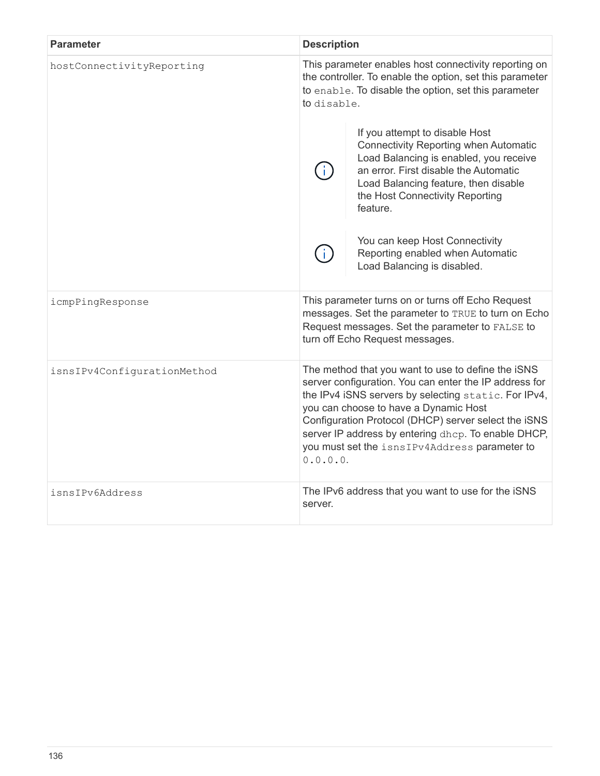| <b>Parameter</b>            | <b>Description</b>                                                                                                                                                                                                                                                                                                                                                                        |                                                                                                                                                                                                                                                          |
|-----------------------------|-------------------------------------------------------------------------------------------------------------------------------------------------------------------------------------------------------------------------------------------------------------------------------------------------------------------------------------------------------------------------------------------|----------------------------------------------------------------------------------------------------------------------------------------------------------------------------------------------------------------------------------------------------------|
| hostConnectivityReporting   | This parameter enables host connectivity reporting on<br>the controller. To enable the option, set this parameter<br>to enable. To disable the option, set this parameter<br>to disable.                                                                                                                                                                                                  |                                                                                                                                                                                                                                                          |
|                             |                                                                                                                                                                                                                                                                                                                                                                                           | If you attempt to disable Host<br><b>Connectivity Reporting when Automatic</b><br>Load Balancing is enabled, you receive<br>an error. First disable the Automatic<br>Load Balancing feature, then disable<br>the Host Connectivity Reporting<br>feature. |
|                             |                                                                                                                                                                                                                                                                                                                                                                                           | You can keep Host Connectivity<br>Reporting enabled when Automatic<br>Load Balancing is disabled.                                                                                                                                                        |
| icmpPingResponse            | This parameter turns on or turns off Echo Request<br>messages. Set the parameter to TRUE to turn on Echo<br>Request messages. Set the parameter to FALSE to<br>turn off Echo Request messages.                                                                                                                                                                                            |                                                                                                                                                                                                                                                          |
| isnsIPv4ConfigurationMethod | The method that you want to use to define the iSNS<br>server configuration. You can enter the IP address for<br>the IPv4 iSNS servers by selecting static. For IPv4,<br>you can choose to have a Dynamic Host<br>Configuration Protocol (DHCP) server select the iSNS<br>server IP address by entering dhcp. To enable DHCP,<br>you must set the isnsIPv4Address parameter to<br>0.0.0.0. |                                                                                                                                                                                                                                                          |
| isnsIPv6Address             | The IPv6 address that you want to use for the iSNS<br>server.                                                                                                                                                                                                                                                                                                                             |                                                                                                                                                                                                                                                          |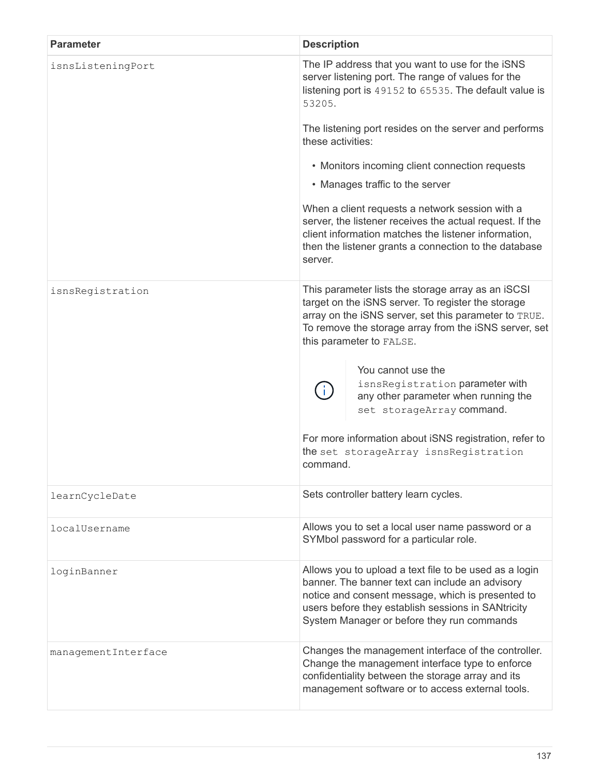| <b>Parameter</b>    | <b>Description</b>                                                                                                                                                                                                                                                 |  |
|---------------------|--------------------------------------------------------------------------------------------------------------------------------------------------------------------------------------------------------------------------------------------------------------------|--|
| isnsListeningPort   | The IP address that you want to use for the iSNS<br>server listening port. The range of values for the<br>listening port is 49152 to 65535. The default value is<br>53205.                                                                                         |  |
|                     | The listening port resides on the server and performs<br>these activities:                                                                                                                                                                                         |  |
|                     | • Monitors incoming client connection requests                                                                                                                                                                                                                     |  |
|                     | • Manages traffic to the server                                                                                                                                                                                                                                    |  |
|                     | When a client requests a network session with a<br>server, the listener receives the actual request. If the<br>client information matches the listener information,<br>then the listener grants a connection to the database<br>server.                            |  |
| isnsRegistration    | This parameter lists the storage array as an iSCSI<br>target on the iSNS server. To register the storage<br>array on the iSNS server, set this parameter to TRUE.<br>To remove the storage array from the iSNS server, set<br>this parameter to FALSE.             |  |
|                     | You cannot use the<br>isnsRegistration parameter with<br>any other parameter when running the<br>set storageArray command.<br>For more information about iSNS registration, refer to<br>the set storageArray isnsRegistration<br>command.                          |  |
| learnCycleDate      | Sets controller battery learn cycles.                                                                                                                                                                                                                              |  |
| localUsername       | Allows you to set a local user name password or a<br>SYMbol password for a particular role.                                                                                                                                                                        |  |
| loginBanner         | Allows you to upload a text file to be used as a login<br>banner. The banner text can include an advisory<br>notice and consent message, which is presented to<br>users before they establish sessions in SANtricity<br>System Manager or before they run commands |  |
| managementInterface | Changes the management interface of the controller.<br>Change the management interface type to enforce<br>confidentiality between the storage array and its<br>management software or to access external tools.                                                    |  |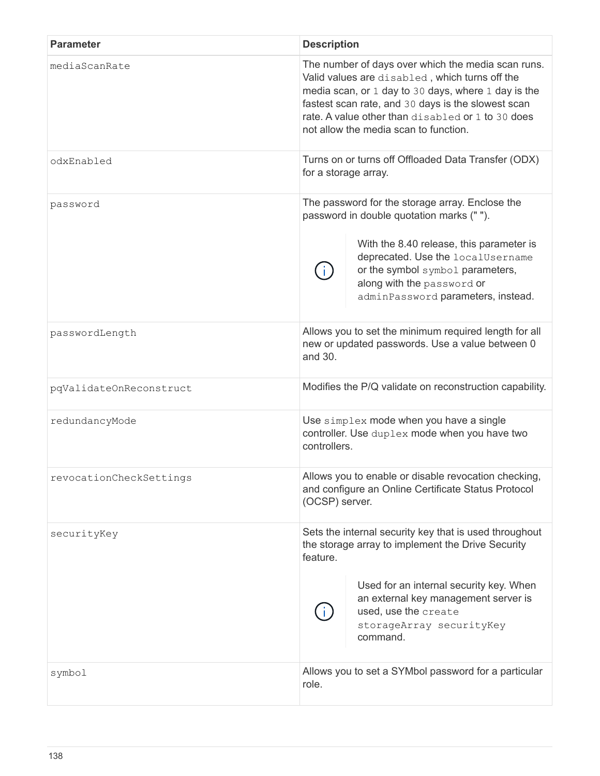| <b>Parameter</b>        | <b>Description</b>                                                                                                                                                                                                                                                                                              |  |
|-------------------------|-----------------------------------------------------------------------------------------------------------------------------------------------------------------------------------------------------------------------------------------------------------------------------------------------------------------|--|
| mediaScanRate           | The number of days over which the media scan runs.<br>Valid values are disabled, which turns off the<br>media scan, or 1 day to 30 days, where 1 day is the<br>fastest scan rate, and 30 days is the slowest scan<br>rate. A value other than disabled or 1 to 30 does<br>not allow the media scan to function. |  |
| odxEnabled              | Turns on or turns off Offloaded Data Transfer (ODX)<br>for a storage array.                                                                                                                                                                                                                                     |  |
| password                | The password for the storage array. Enclose the<br>password in double quotation marks ("").<br>With the 8.40 release, this parameter is<br>deprecated. Use the localUsername<br>or the symbol symbol parameters,<br>along with the password or<br>adminPassword parameters, instead.                            |  |
| passwordLength          | Allows you to set the minimum required length for all<br>new or updated passwords. Use a value between 0<br>and 30.                                                                                                                                                                                             |  |
| pqValidateOnReconstruct | Modifies the P/Q validate on reconstruction capability.                                                                                                                                                                                                                                                         |  |
| redundancyMode          | Use simplex mode when you have a single<br>controller. Use duplex mode when you have two<br>controllers.                                                                                                                                                                                                        |  |
| revocationCheckSettings | Allows you to enable or disable revocation checking,<br>and configure an Online Certificate Status Protocol<br>(OCSP) server.                                                                                                                                                                                   |  |
| securityKey             | Sets the internal security key that is used throughout<br>the storage array to implement the Drive Security<br>feature.<br>Used for an internal security key. When<br>an external key management server is<br>used, use the create<br>storageArray securityKey<br>command.                                      |  |
| symbol                  | Allows you to set a SYMbol password for a particular<br>role.                                                                                                                                                                                                                                                   |  |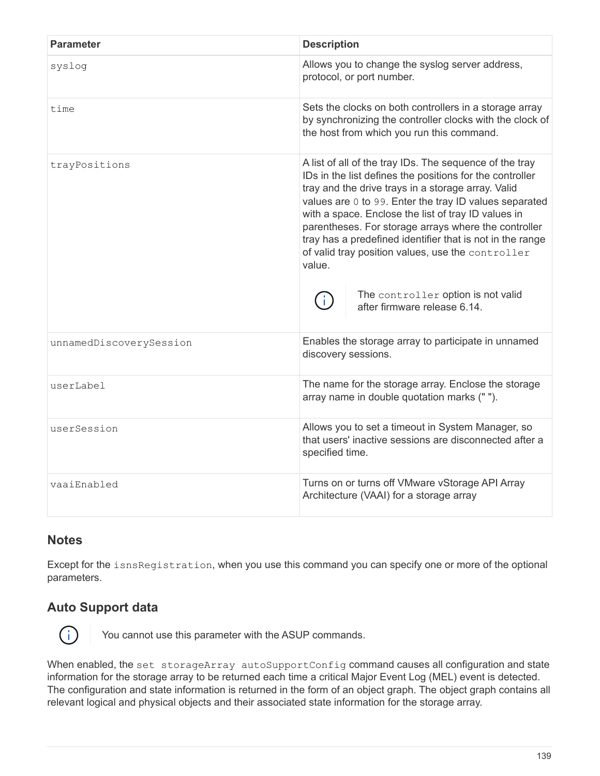| <b>Parameter</b>        | <b>Description</b>                                                                                                                                                                                                                                                                                                                                                                                                                                                                                                                                   |  |
|-------------------------|------------------------------------------------------------------------------------------------------------------------------------------------------------------------------------------------------------------------------------------------------------------------------------------------------------------------------------------------------------------------------------------------------------------------------------------------------------------------------------------------------------------------------------------------------|--|
| syslog                  | Allows you to change the syslog server address,<br>protocol, or port number.                                                                                                                                                                                                                                                                                                                                                                                                                                                                         |  |
| time                    | Sets the clocks on both controllers in a storage array<br>by synchronizing the controller clocks with the clock of<br>the host from which you run this command.                                                                                                                                                                                                                                                                                                                                                                                      |  |
| trayPositions           | A list of all of the tray IDs. The sequence of the tray<br>IDs in the list defines the positions for the controller<br>tray and the drive trays in a storage array. Valid<br>values are 0 to 99. Enter the tray ID values separated<br>with a space. Enclose the list of tray ID values in<br>parentheses. For storage arrays where the controller<br>tray has a predefined identifier that is not in the range<br>of valid tray position values, use the controller<br>value.<br>The controller option is not valid<br>after firmware release 6.14. |  |
| unnamedDiscoverySession | Enables the storage array to participate in unnamed<br>discovery sessions.                                                                                                                                                                                                                                                                                                                                                                                                                                                                           |  |
| userLabel               | The name for the storage array. Enclose the storage<br>array name in double quotation marks ("").                                                                                                                                                                                                                                                                                                                                                                                                                                                    |  |
| userSession             | Allows you to set a timeout in System Manager, so<br>that users' inactive sessions are disconnected after a<br>specified time.                                                                                                                                                                                                                                                                                                                                                                                                                       |  |
| vaaiEnabled             | Turns on or turns off VMware vStorage API Array<br>Architecture (VAAI) for a storage array                                                                                                                                                                                                                                                                                                                                                                                                                                                           |  |

#### **Notes**

Except for the isnsRegistration, when you use this command you can specify one or more of the optional parameters.

## **Auto Support data**



You cannot use this parameter with the ASUP commands.

When enabled, the set storageArray autoSupportConfig command causes all configuration and state information for the storage array to be returned each time a critical Major Event Log (MEL) event is detected. The configuration and state information is returned in the form of an object graph. The object graph contains all relevant logical and physical objects and their associated state information for the storage array.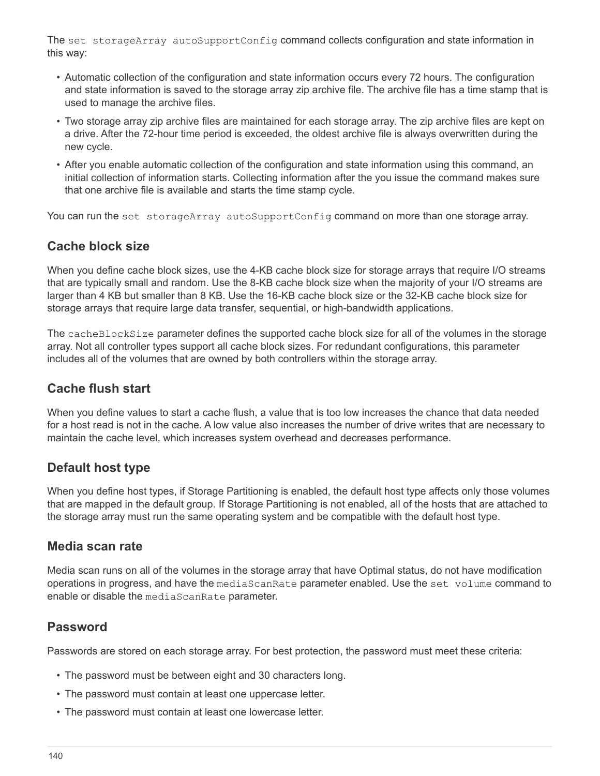The set storageArray autoSupportConfig command collects configuration and state information in this way:

- Automatic collection of the configuration and state information occurs every 72 hours. The configuration and state information is saved to the storage array zip archive file. The archive file has a time stamp that is used to manage the archive files.
- Two storage array zip archive files are maintained for each storage array. The zip archive files are kept on a drive. After the 72-hour time period is exceeded, the oldest archive file is always overwritten during the new cycle.
- After you enable automatic collection of the configuration and state information using this command, an initial collection of information starts. Collecting information after the you issue the command makes sure that one archive file is available and starts the time stamp cycle.

You can run the set storageArray autoSupportConfig command on more than one storage array.

## **Cache block size**

When you define cache block sizes, use the 4-KB cache block size for storage arrays that require I/O streams that are typically small and random. Use the 8-KB cache block size when the majority of your I/O streams are larger than 4 KB but smaller than 8 KB. Use the 16-KB cache block size or the 32-KB cache block size for storage arrays that require large data transfer, sequential, or high-bandwidth applications.

The cacheBlockSize parameter defines the supported cache block size for all of the volumes in the storage array. Not all controller types support all cache block sizes. For redundant configurations, this parameter includes all of the volumes that are owned by both controllers within the storage array.

#### **Cache flush start**

When you define values to start a cache flush, a value that is too low increases the chance that data needed for a host read is not in the cache. A low value also increases the number of drive writes that are necessary to maintain the cache level, which increases system overhead and decreases performance.

## **Default host type**

When you define host types, if Storage Partitioning is enabled, the default host type affects only those volumes that are mapped in the default group. If Storage Partitioning is not enabled, all of the hosts that are attached to the storage array must run the same operating system and be compatible with the default host type.

#### **Media scan rate**

Media scan runs on all of the volumes in the storage array that have Optimal status, do not have modification operations in progress, and have the mediaScanRate parameter enabled. Use the set volume command to enable or disable the mediaScanRate parameter.

#### **Password**

Passwords are stored on each storage array. For best protection, the password must meet these criteria:

- The password must be between eight and 30 characters long.
- The password must contain at least one uppercase letter.
- The password must contain at least one lowercase letter.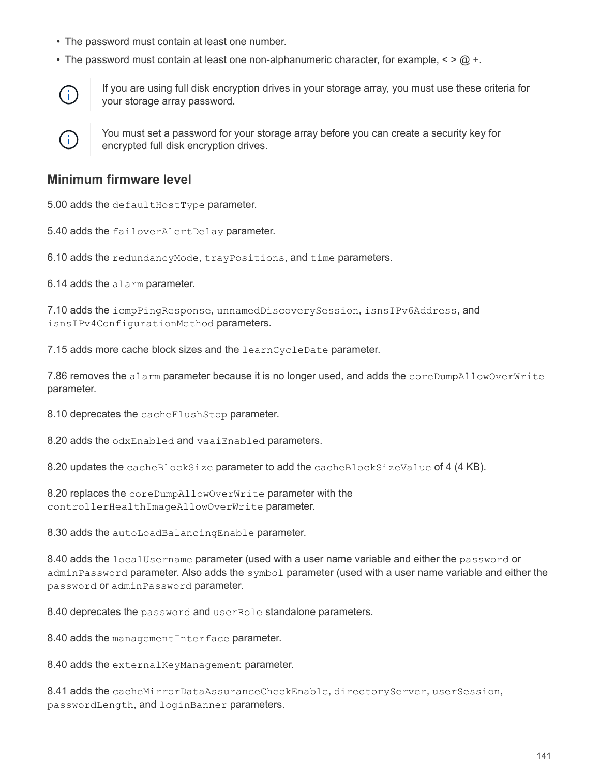- The password must contain at least one number.
- The password must contain at least one non-alphanumeric character, for example,  $\langle \rangle \langle \omega \rangle$  +.



If you are using full disk encryption drives in your storage array, you must use these criteria for your storage array password.



You must set a password for your storage array before you can create a security key for encrypted full disk encryption drives.

#### **Minimum firmware level**

5.00 adds the defaultHostType parameter.

5.40 adds the failoverAlertDelay parameter.

6.10 adds the redundancyMode, trayPositions, and time parameters.

6.14 adds the alarm parameter.

7.10 adds the icmpPingResponse, unnamedDiscoverySession, isnsIPv6Address, and isnsIPv4ConfigurationMethod parameters.

7.15 adds more cache block sizes and the learnCycleDate parameter.

7.86 removes the alarm parameter because it is no longer used, and adds the coreDumpAllowOverWrite parameter.

8.10 deprecates the cacheFlushStop parameter.

8.20 adds the odxEnabled and vaaiEnabled parameters.

8.20 updates the cacheBlockSize parameter to add the cacheBlockSizeValue of 4 (4 KB).

8.20 replaces the coreDumpAllowOverWrite parameter with the controllerHealthImageAllowOverWrite parameter.

8.30 adds the autoLoadBalancingEnable parameter.

8.40 adds the localUsername parameter (used with a user name variable and either the password or adminPassword parameter. Also adds the symbol parameter (used with a user name variable and either the password or adminPassword parameter.

8.40 deprecates the password and userRole standalone parameters.

8.40 adds the management Interface parameter.

8.40 adds the external KeyManagement parameter.

8.41 adds the cacheMirrorDataAssuranceCheckEnable, directoryServer, userSession, passwordLength, and loginBanner parameters.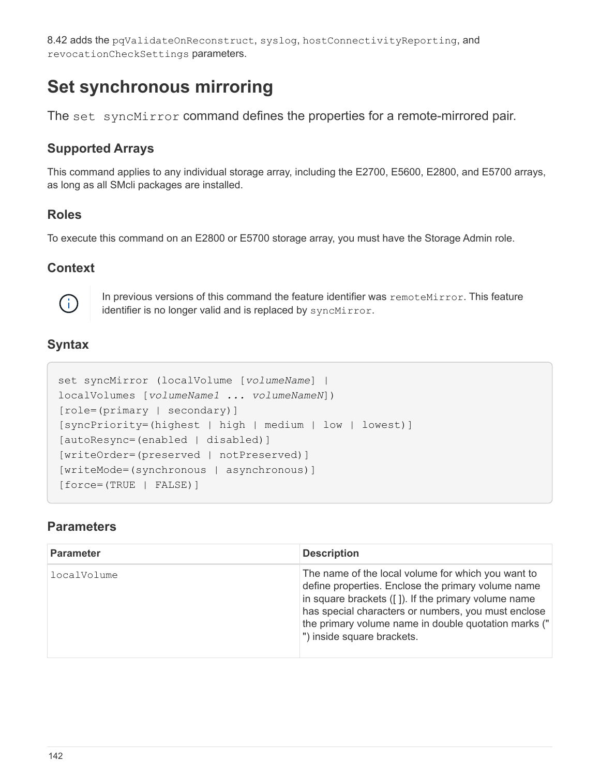8.42 adds the pqValidateOnReconstruct, syslog, hostConnectivityReporting, and revocationCheckSettings parameters.

# **Set synchronous mirroring**

The set syncMirror command defines the properties for a remote-mirrored pair.

## **Supported Arrays**

This command applies to any individual storage array, including the E2700, E5600, E2800, and E5700 arrays, as long as all SMcli packages are installed.

## **Roles**

To execute this command on an E2800 or E5700 storage array, you must have the Storage Admin role.

#### **Context**



In previous versions of this command the feature identifier was remoteMirror. This feature identifier is no longer valid and is replaced by syncMirror.

## **Syntax**

```
set syncMirror (localVolume [volumeName] |
localVolumes [volumeName1 ... volumeNameN])
[role=(primary | secondary)]
[syncPriority=(highest | high | medium | low | lowest)]
[autoResync=(enabled | disabled)]
[writeOrder=(preserved | notPreserved)]
[writeMode=(synchronous | asynchronous)]
[force=(TRUE | FALSE)]
```

| <b>Parameter</b> | <b>Description</b>                                                                                                                                                                                                                                                                                                 |
|------------------|--------------------------------------------------------------------------------------------------------------------------------------------------------------------------------------------------------------------------------------------------------------------------------------------------------------------|
| localVolume      | The name of the local volume for which you want to<br>define properties. Enclose the primary volume name<br>in square brackets $( [ ] )$ . If the primary volume name<br>has special characters or numbers, you must enclose<br>the primary volume name in double quotation marks ("<br>") inside square brackets. |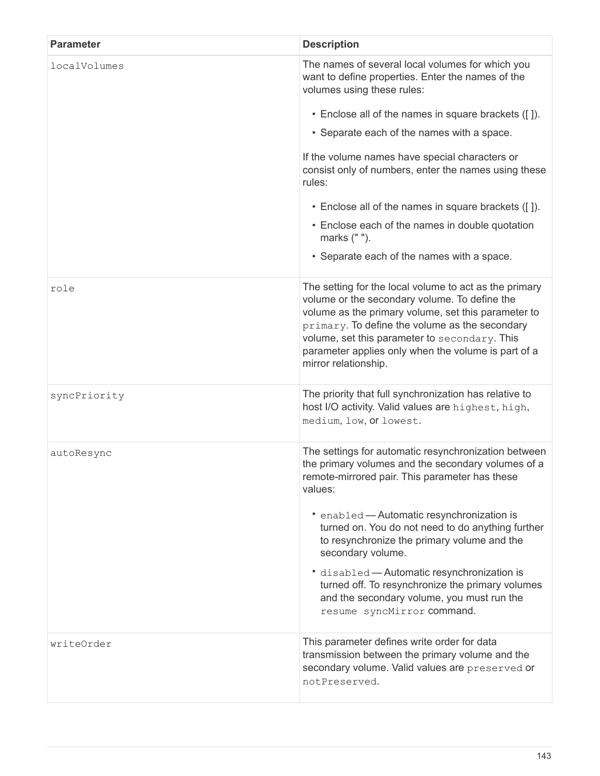| <b>Parameter</b> | <b>Description</b>                                                                                                                                                                                                                                                                                                                                                                                                                                                                                                            |
|------------------|-------------------------------------------------------------------------------------------------------------------------------------------------------------------------------------------------------------------------------------------------------------------------------------------------------------------------------------------------------------------------------------------------------------------------------------------------------------------------------------------------------------------------------|
| localVolumes     | The names of several local volumes for which you<br>want to define properties. Enter the names of the<br>volumes using these rules:                                                                                                                                                                                                                                                                                                                                                                                           |
|                  | • Enclose all of the names in square brackets ([]).                                                                                                                                                                                                                                                                                                                                                                                                                                                                           |
|                  | • Separate each of the names with a space.                                                                                                                                                                                                                                                                                                                                                                                                                                                                                    |
|                  | If the volume names have special characters or<br>consist only of numbers, enter the names using these<br>rules:                                                                                                                                                                                                                                                                                                                                                                                                              |
|                  | • Enclose all of the names in square brackets ([]).                                                                                                                                                                                                                                                                                                                                                                                                                                                                           |
|                  | • Enclose each of the names in double quotation<br>marks (" ").                                                                                                                                                                                                                                                                                                                                                                                                                                                               |
|                  | • Separate each of the names with a space.                                                                                                                                                                                                                                                                                                                                                                                                                                                                                    |
| role             | The setting for the local volume to act as the primary<br>volume or the secondary volume. To define the<br>volume as the primary volume, set this parameter to<br>primary. To define the volume as the secondary<br>volume, set this parameter to secondary. This<br>parameter applies only when the volume is part of a<br>mirror relationship.                                                                                                                                                                              |
| syncPriority     | The priority that full synchronization has relative to<br>host I/O activity. Valid values are highest, high,<br>medium, low, or lowest.                                                                                                                                                                                                                                                                                                                                                                                       |
| autoResync       | The settings for automatic resynchronization between<br>the primary volumes and the secondary volumes of a<br>remote-mirrored pair. This parameter has these<br>values:<br>• enabled - Automatic resynchronization is<br>turned on. You do not need to do anything further<br>to resynchronize the primary volume and the<br>secondary volume.<br>* disabled - Automatic resynchronization is<br>turned off. To resynchronize the primary volumes<br>and the secondary volume, you must run the<br>resume syncMirror command. |
| writeOrder       | This parameter defines write order for data<br>transmission between the primary volume and the<br>secondary volume. Valid values are preserved or<br>notPreserved.                                                                                                                                                                                                                                                                                                                                                            |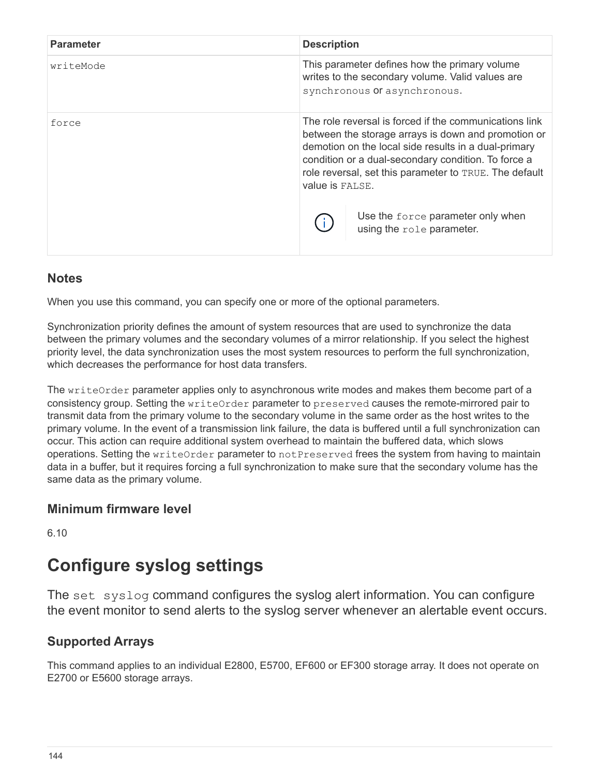| <b>Parameter</b> | <b>Description</b>                                                                                                                                                                                                                                                                                                                                                                 |
|------------------|------------------------------------------------------------------------------------------------------------------------------------------------------------------------------------------------------------------------------------------------------------------------------------------------------------------------------------------------------------------------------------|
| writeMode        | This parameter defines how the primary volume<br>writes to the secondary volume. Valid values are<br>synchronous Or asynchronous.                                                                                                                                                                                                                                                  |
| force            | The role reversal is forced if the communications link<br>between the storage arrays is down and promotion or<br>demotion on the local side results in a dual-primary<br>condition or a dual-secondary condition. To force a<br>role reversal, set this parameter to TRUE. The default<br><b>value is FALSE.</b><br>Use the force parameter only when<br>using the role parameter. |

When you use this command, you can specify one or more of the optional parameters.

Synchronization priority defines the amount of system resources that are used to synchronize the data between the primary volumes and the secondary volumes of a mirror relationship. If you select the highest priority level, the data synchronization uses the most system resources to perform the full synchronization, which decreases the performance for host data transfers.

The writeOrder parameter applies only to asynchronous write modes and makes them become part of a consistency group. Setting the writeOrder parameter to preserved causes the remote-mirrored pair to transmit data from the primary volume to the secondary volume in the same order as the host writes to the primary volume. In the event of a transmission link failure, the data is buffered until a full synchronization can occur. This action can require additional system overhead to maintain the buffered data, which slows operations. Setting the writeOrder parameter to notPreserved frees the system from having to maintain data in a buffer, but it requires forcing a full synchronization to make sure that the secondary volume has the same data as the primary volume.

#### **Minimum firmware level**

6.10

# **Configure syslog settings**

The set syslog command configures the syslog alert information. You can configure the event monitor to send alerts to the syslog server whenever an alertable event occurs.

## **Supported Arrays**

This command applies to an individual E2800, E5700, EF600 or EF300 storage array. It does not operate on E2700 or E5600 storage arrays.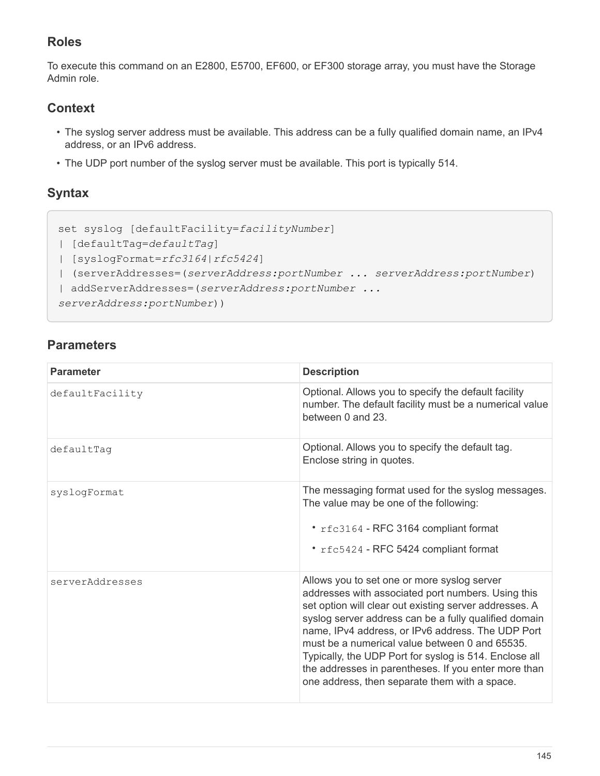## **Roles**

To execute this command on an E2800, E5700, EF600, or EF300 storage array, you must have the Storage Admin role.

## **Context**

- The syslog server address must be available. This address can be a fully qualified domain name, an IPv4 address, or an IPv6 address.
- The UDP port number of the syslog server must be available. This port is typically 514.

## **Syntax**

```
set syslog [defaultFacility=facilityNumber]
| [defaultTag=defaultTag]
| [syslogFormat=rfc3164|rfc5424]
| (serverAddresses=(serverAddress:portNumber ... serverAddress:portNumber)
| addServerAddresses=(serverAddress:portNumber ...
serverAddress:portNumber))
```

| <b>Parameter</b> | <b>Description</b>                                                                                                                                                                                                                                                                                                                                                                                                                                                                             |
|------------------|------------------------------------------------------------------------------------------------------------------------------------------------------------------------------------------------------------------------------------------------------------------------------------------------------------------------------------------------------------------------------------------------------------------------------------------------------------------------------------------------|
| defaultFacility  | Optional. Allows you to specify the default facility<br>number. The default facility must be a numerical value<br>between 0 and 23.                                                                                                                                                                                                                                                                                                                                                            |
| defaultTaq       | Optional. Allows you to specify the default tag.<br>Enclose string in quotes.                                                                                                                                                                                                                                                                                                                                                                                                                  |
| syslogFormat     | The messaging format used for the syslog messages.<br>The value may be one of the following:<br>* rfc3164 - RFC 3164 compliant format<br>* rfc5424 - RFC 5424 compliant format                                                                                                                                                                                                                                                                                                                 |
| serverAddresses  | Allows you to set one or more syslog server<br>addresses with associated port numbers. Using this<br>set option will clear out existing server addresses. A<br>syslog server address can be a fully qualified domain<br>name, IPv4 address, or IPv6 address. The UDP Port<br>must be a numerical value between 0 and 65535.<br>Typically, the UDP Port for syslog is 514. Enclose all<br>the addresses in parentheses. If you enter more than<br>one address, then separate them with a space. |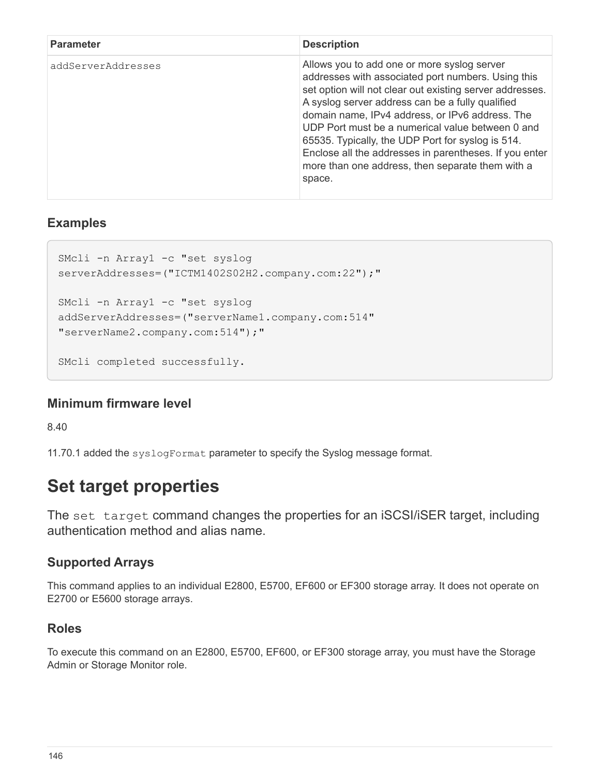| <b>Parameter</b>   | <b>Description</b>                                                                                                                                                                                                                                                                                                                                                                                                                                                                                    |
|--------------------|-------------------------------------------------------------------------------------------------------------------------------------------------------------------------------------------------------------------------------------------------------------------------------------------------------------------------------------------------------------------------------------------------------------------------------------------------------------------------------------------------------|
| addServerAddresses | Allows you to add one or more syslog server<br>addresses with associated port numbers. Using this<br>set option will not clear out existing server addresses.<br>A syslog server address can be a fully qualified<br>domain name, IPv4 address, or IPv6 address. The<br>UDP Port must be a numerical value between 0 and<br>65535. Typically, the UDP Port for syslog is 514.<br>Enclose all the addresses in parentheses. If you enter<br>more than one address, then separate them with a<br>space. |

## **Examples**

```
SMcli -n Array1 -c "set syslog
serverAddresses=("ICTM1402S02H2.company.com:22");"
SMcli -n Array1 -c "set syslog
addServerAddresses=("serverName1.company.com:514"
"serverName2.company.com:514");"
SMcli completed successfully.
```
## **Minimum firmware level**

8.40

11.70.1 added the syslogFormat parameter to specify the Syslog message format.

# **Set target properties**

The set target command changes the properties for an iSCSI/iSER target, including authentication method and alias name.

## **Supported Arrays**

This command applies to an individual E2800, E5700, EF600 or EF300 storage array. It does not operate on E2700 or E5600 storage arrays.

## **Roles**

To execute this command on an E2800, E5700, EF600, or EF300 storage array, you must have the Storage Admin or Storage Monitor role.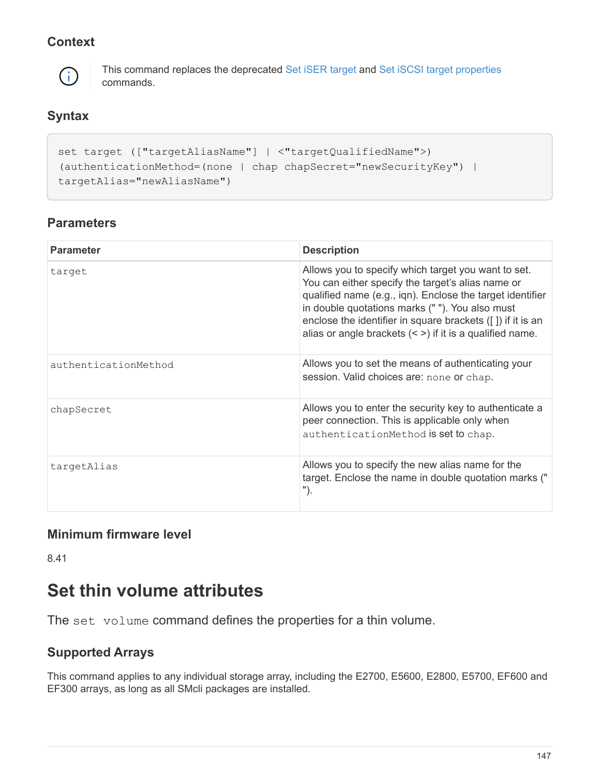## **Context**



This command replaces the deprecated [Set iSER target](#page-70-0) and [Set iSCSI target properties](#page-68-0) commands.

## **Syntax**

```
set target (["targetAliasName"] | <"targetQualifiedName">)
(authenticationMethod=(none | chap chapSecret="newSecurityKey") |
targetAlias="newAliasName")
```
## **Parameters**

| <b>Parameter</b>     | <b>Description</b>                                                                                                                                                                                                                                                                                                                                |
|----------------------|---------------------------------------------------------------------------------------------------------------------------------------------------------------------------------------------------------------------------------------------------------------------------------------------------------------------------------------------------|
| target               | Allows you to specify which target you want to set.<br>You can either specify the target's alias name or<br>qualified name (e.g., iqn). Enclose the target identifier<br>in double quotations marks (""). You also must<br>enclose the identifier in square brackets ([]) if it is an<br>alias or angle brackets $($ ) if it is a qualified name. |
| authenticationMethod | Allows you to set the means of authenticating your<br>session. Valid choices are: none or chap.                                                                                                                                                                                                                                                   |
| chapSecret           | Allows you to enter the security key to authenticate a<br>peer connection. This is applicable only when<br>authenticationMethod is set to chap.                                                                                                                                                                                                   |
| targetAlias          | Allows you to specify the new alias name for the<br>target. Enclose the name in double quotation marks ("<br>").                                                                                                                                                                                                                                  |

## **Minimum firmware level**

8.41

# **Set thin volume attributes**

The set volume command defines the properties for a thin volume.

## **Supported Arrays**

This command applies to any individual storage array, including the E2700, E5600, E2800, E5700, EF600 and EF300 arrays, as long as all SMcli packages are installed.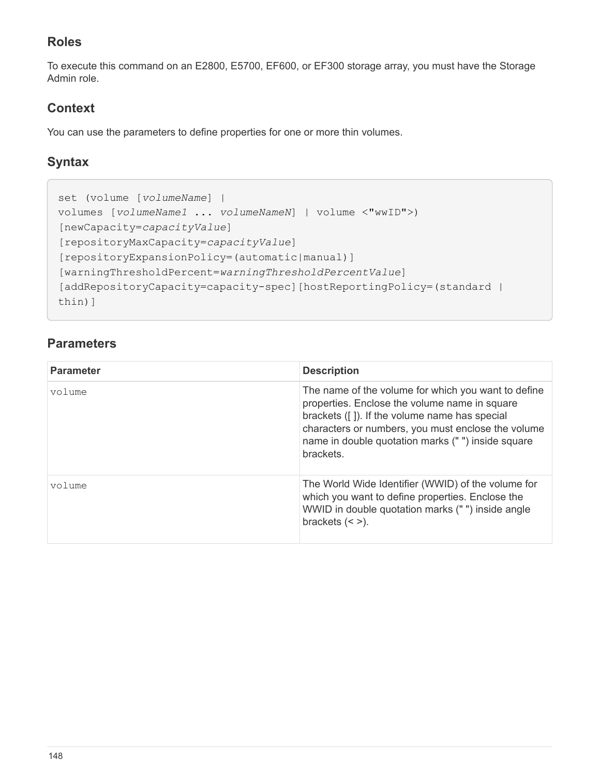## **Roles**

To execute this command on an E2800, E5700, EF600, or EF300 storage array, you must have the Storage Admin role.

## **Context**

You can use the parameters to define properties for one or more thin volumes.

## **Syntax**

```
set (volume [volumeName] |
volumes [volumeName1 ... volumeNameN] | volume <"wwID">)
[newCapacity=capacityValue]
[repositoryMaxCapacity=capacityValue]
[repositoryExpansionPolicy=(automatic|manual)]
[warningThresholdPercent=warningThresholdPercentValue]
[addRepositoryCapacity=capacity-spec][hostReportingPolicy=(standard |
thin)]
```

| <b>Parameter</b> | <b>Description</b>                                                                                                                                                                                                                                                             |
|------------------|--------------------------------------------------------------------------------------------------------------------------------------------------------------------------------------------------------------------------------------------------------------------------------|
| volume           | The name of the volume for which you want to define<br>properties. Enclose the volume name in square<br>brackets ([]). If the volume name has special<br>characters or numbers, you must enclose the volume<br>name in double quotation marks (" ") inside square<br>brackets. |
| volume           | The World Wide Identifier (WWID) of the volume for<br>which you want to define properties. Enclose the<br>WWID in double quotation marks (" ") inside angle<br>brackets $(<$ >).                                                                                               |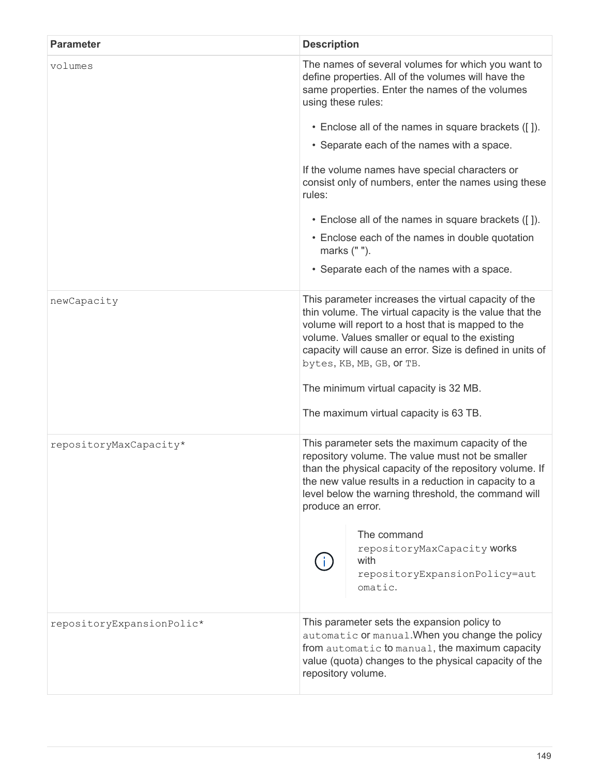| <b>Parameter</b>          | <b>Description</b>                                                                                                                                                                                                                                                                                                                                                                                     |
|---------------------------|--------------------------------------------------------------------------------------------------------------------------------------------------------------------------------------------------------------------------------------------------------------------------------------------------------------------------------------------------------------------------------------------------------|
| volumes                   | The names of several volumes for which you want to<br>define properties. All of the volumes will have the<br>same properties. Enter the names of the volumes<br>using these rules:                                                                                                                                                                                                                     |
|                           | • Enclose all of the names in square brackets ([]).                                                                                                                                                                                                                                                                                                                                                    |
|                           | • Separate each of the names with a space.                                                                                                                                                                                                                                                                                                                                                             |
|                           | If the volume names have special characters or<br>consist only of numbers, enter the names using these<br>rules:                                                                                                                                                                                                                                                                                       |
|                           | • Enclose all of the names in square brackets ([]).                                                                                                                                                                                                                                                                                                                                                    |
|                           | • Enclose each of the names in double quotation<br>marks (" ").                                                                                                                                                                                                                                                                                                                                        |
|                           | • Separate each of the names with a space.                                                                                                                                                                                                                                                                                                                                                             |
| newCapacity               | This parameter increases the virtual capacity of the<br>thin volume. The virtual capacity is the value that the<br>volume will report to a host that is mapped to the<br>volume. Values smaller or equal to the existing<br>capacity will cause an error. Size is defined in units of<br>bytes, KB, MB, GB, Or TB.<br>The minimum virtual capacity is 32 MB.<br>The maximum virtual capacity is 63 TB. |
| repositoryMaxCapacity*    | This parameter sets the maximum capacity of the<br>repository volume. The value must not be smaller<br>than the physical capacity of the repository volume. If<br>the new value results in a reduction in capacity to a<br>level below the warning threshold, the command will<br>produce an error.<br>The command<br>repositoryMaxCapacity works<br>with<br>repositoryExpansionPolicy=aut<br>omatic.  |
| repositoryExpansionPolic* | This parameter sets the expansion policy to<br>automatic or manual. When you change the policy<br>from automatic to manual, the maximum capacity<br>value (quota) changes to the physical capacity of the<br>repository volume.                                                                                                                                                                        |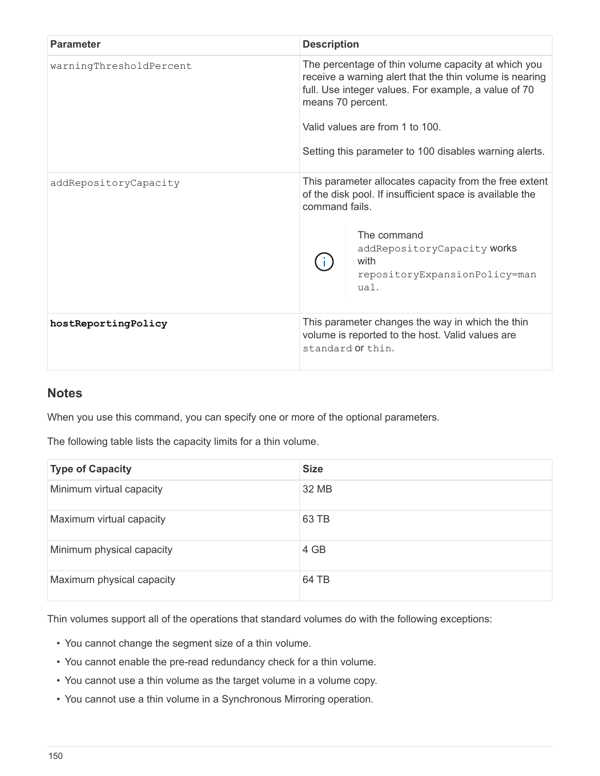| <b>Parameter</b>        | <b>Description</b>                                                                                                                                                                                                                                                                       |
|-------------------------|------------------------------------------------------------------------------------------------------------------------------------------------------------------------------------------------------------------------------------------------------------------------------------------|
| warningThresholdPercent | The percentage of thin volume capacity at which you<br>receive a warning alert that the thin volume is nearing<br>full. Use integer values. For example, a value of 70<br>means 70 percent.<br>Valid values are from 1 to 100.<br>Setting this parameter to 100 disables warning alerts. |
| addRepositoryCapacity   | This parameter allocates capacity from the free extent<br>of the disk pool. If insufficient space is available the<br>command fails.<br>The command<br>addRepositoryCapacity works<br>with<br>repositoryExpansionPolicy=man<br>ual.                                                      |
| hostReportingPolicy     | This parameter changes the way in which the thin<br>volume is reported to the host. Valid values are<br>standard or thin.                                                                                                                                                                |

When you use this command, you can specify one or more of the optional parameters.

The following table lists the capacity limits for a thin volume.

| <b>Type of Capacity</b>   | <b>Size</b> |
|---------------------------|-------------|
| Minimum virtual capacity  | 32 MB       |
| Maximum virtual capacity  | 63 TB       |
| Minimum physical capacity | 4 GB        |
| Maximum physical capacity | 64 TB       |

Thin volumes support all of the operations that standard volumes do with the following exceptions:

- You cannot change the segment size of a thin volume.
- You cannot enable the pre-read redundancy check for a thin volume.
- You cannot use a thin volume as the target volume in a volume copy.
- You cannot use a thin volume in a Synchronous Mirroring operation.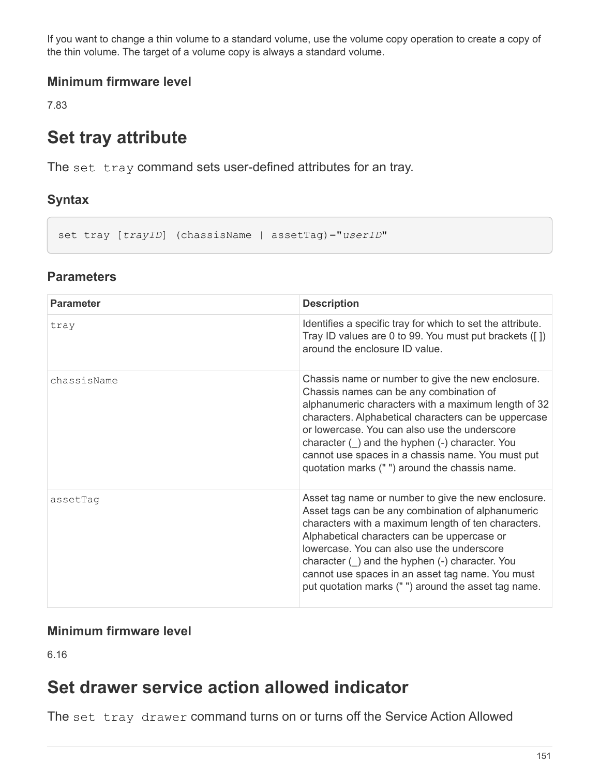If you want to change a thin volume to a standard volume, use the volume copy operation to create a copy of the thin volume. The target of a volume copy is always a standard volume.

## **Minimum firmware level**

7.83

# **Set tray attribute**

The set tray command sets user-defined attributes for an tray.

## **Syntax**

set tray [*trayID*] (chassisName | assetTag)="*userID*"

#### **Parameters**

| <b>Parameter</b> | <b>Description</b>                                                                                                                                                                                                                                                                                                                                                                                                               |
|------------------|----------------------------------------------------------------------------------------------------------------------------------------------------------------------------------------------------------------------------------------------------------------------------------------------------------------------------------------------------------------------------------------------------------------------------------|
| tray             | Identifies a specific tray for which to set the attribute.<br>Tray ID values are 0 to 99. You must put brackets ([1])<br>around the enclosure ID value.                                                                                                                                                                                                                                                                          |
| chassisName      | Chassis name or number to give the new enclosure.<br>Chassis names can be any combination of<br>alphanumeric characters with a maximum length of 32<br>characters. Alphabetical characters can be uppercase<br>or lowercase. You can also use the underscore<br>character () and the hyphen (-) character. You<br>cannot use spaces in a chassis name. You must put<br>quotation marks ("") around the chassis name.             |
| assetTag         | Asset tag name or number to give the new enclosure.<br>Asset tags can be any combination of alphanumeric<br>characters with a maximum length of ten characters.<br>Alphabetical characters can be uppercase or<br>lowercase. You can also use the underscore<br>character $( )$ and the hyphen $( - )$ character. You<br>cannot use spaces in an asset tag name. You must<br>put quotation marks ("") around the asset tag name. |

#### **Minimum firmware level**

6.16

## **Set drawer service action allowed indicator**

The set tray drawer command turns on or turns off the Service Action Allowed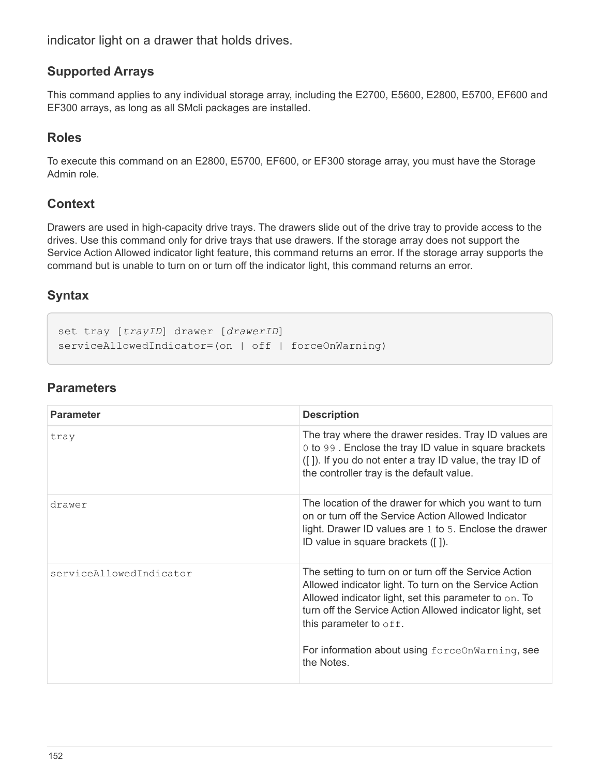indicator light on a drawer that holds drives.

#### **Supported Arrays**

This command applies to any individual storage array, including the E2700, E5600, E2800, E5700, EF600 and EF300 arrays, as long as all SMcli packages are installed.

#### **Roles**

To execute this command on an E2800, E5700, EF600, or EF300 storage array, you must have the Storage Admin role.

#### **Context**

Drawers are used in high-capacity drive trays. The drawers slide out of the drive tray to provide access to the drives. Use this command only for drive trays that use drawers. If the storage array does not support the Service Action Allowed indicator light feature, this command returns an error. If the storage array supports the command but is unable to turn on or turn off the indicator light, this command returns an error.

#### **Syntax**

```
set tray [trayID] drawer [drawerID]
serviceAllowedIndicator=(on | off | forceOnWarning)
```

| <b>Parameter</b>        | <b>Description</b>                                                                                                                                                                                                                                                                                                                     |
|-------------------------|----------------------------------------------------------------------------------------------------------------------------------------------------------------------------------------------------------------------------------------------------------------------------------------------------------------------------------------|
| tray                    | The tray where the drawer resides. Tray ID values are<br>0 to 99. Enclose the tray ID value in square brackets<br>([]). If you do not enter a tray ID value, the tray ID of<br>the controller tray is the default value.                                                                                                               |
| drawer                  | The location of the drawer for which you want to turn<br>on or turn off the Service Action Allowed Indicator<br>light. Drawer ID values are 1 to 5. Enclose the drawer<br>ID value in square brackets ([]).                                                                                                                            |
| serviceAllowedIndicator | The setting to turn on or turn off the Service Action<br>Allowed indicator light. To turn on the Service Action<br>Allowed indicator light, set this parameter to on. To<br>turn off the Service Action Allowed indicator light, set<br>this parameter to $\circ$ ff.<br>For information about using forceOnWarning, see<br>the Notes. |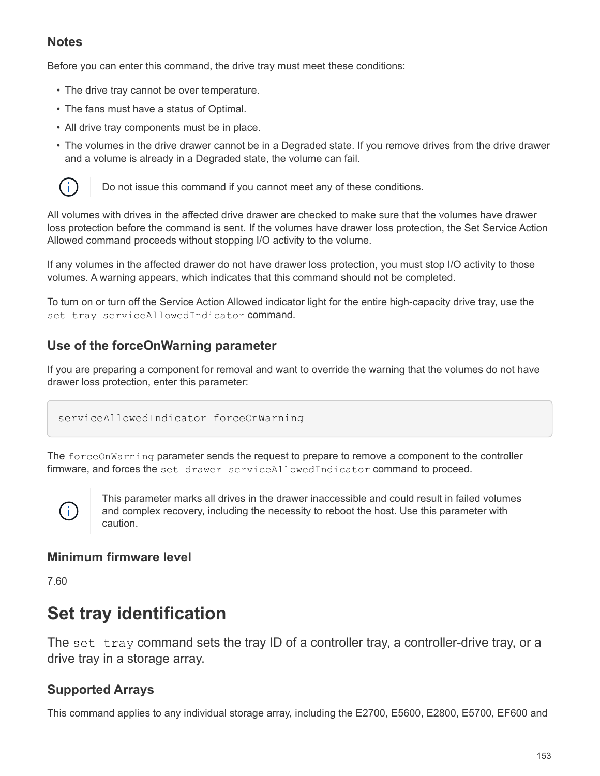Before you can enter this command, the drive tray must meet these conditions:

- The drive tray cannot be over temperature.
- The fans must have a status of Optimal.
- All drive tray components must be in place.
- The volumes in the drive drawer cannot be in a Degraded state. If you remove drives from the drive drawer and a volume is already in a Degraded state, the volume can fail.



Do not issue this command if you cannot meet any of these conditions.

All volumes with drives in the affected drive drawer are checked to make sure that the volumes have drawer loss protection before the command is sent. If the volumes have drawer loss protection, the Set Service Action Allowed command proceeds without stopping I/O activity to the volume.

If any volumes in the affected drawer do not have drawer loss protection, you must stop I/O activity to those volumes. A warning appears, which indicates that this command should not be completed.

To turn on or turn off the Service Action Allowed indicator light for the entire high-capacity drive tray, use the set tray serviceAllowedIndicator command.

## **Use of the forceOnWarning parameter**

If you are preparing a component for removal and want to override the warning that the volumes do not have drawer loss protection, enter this parameter:

serviceAllowedIndicator=forceOnWarning

The forceOnWarning parameter sends the request to prepare to remove a component to the controller firmware, and forces the set drawer serviceAllowedIndicator command to proceed.



This parameter marks all drives in the drawer inaccessible and could result in failed volumes and complex recovery, including the necessity to reboot the host. Use this parameter with caution.

## **Minimum firmware level**

7.60

## **Set tray identification**

The set tray command sets the tray ID of a controller tray, a controller-drive tray, or a drive tray in a storage array.

#### **Supported Arrays**

This command applies to any individual storage array, including the E2700, E5600, E2800, E5700, EF600 and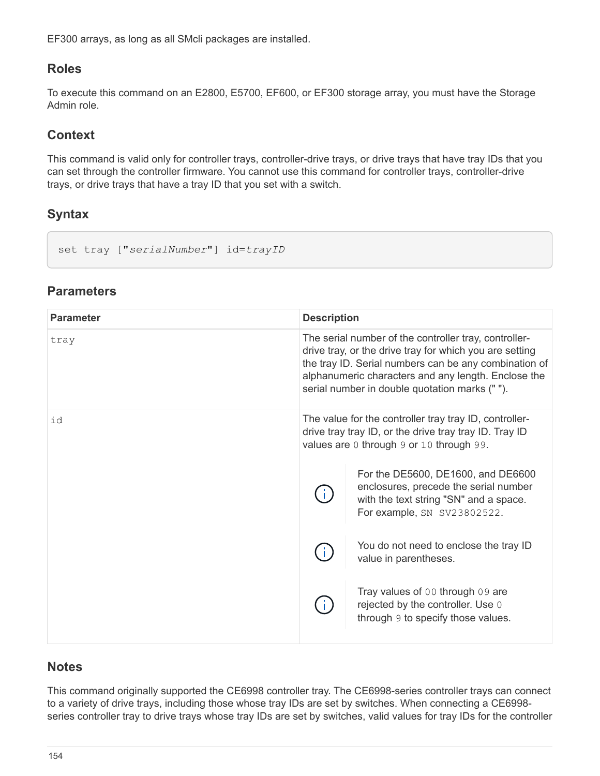EF300 arrays, as long as all SMcli packages are installed.

#### **Roles**

To execute this command on an E2800, E5700, EF600, or EF300 storage array, you must have the Storage Admin role.

### **Context**

This command is valid only for controller trays, controller-drive trays, or drive trays that have tray IDs that you can set through the controller firmware. You cannot use this command for controller trays, controller-drive trays, or drive trays that have a tray ID that you set with a switch.

## **Syntax**

set tray ["*serialNumber*"] id=*trayID*

| <b>Parameter</b> | <b>Description</b> |                                                                                                                                                                                                                                                                                    |
|------------------|--------------------|------------------------------------------------------------------------------------------------------------------------------------------------------------------------------------------------------------------------------------------------------------------------------------|
| tray             |                    | The serial number of the controller tray, controller-<br>drive tray, or the drive tray for which you are setting<br>the tray ID. Serial numbers can be any combination of<br>alphanumeric characters and any length. Enclose the<br>serial number in double quotation marks (" "). |
| id               |                    | The value for the controller tray tray ID, controller-<br>drive tray tray ID, or the drive tray tray ID. Tray ID<br>values are 0 through 9 or 10 through 99.                                                                                                                       |
|                  |                    | For the DE5600, DE1600, and DE6600<br>enclosures, precede the serial number<br>with the text string "SN" and a space.<br>For example, SN SV23802522.                                                                                                                               |
|                  |                    | You do not need to enclose the tray ID<br>value in parentheses.                                                                                                                                                                                                                    |
|                  |                    | Tray values of 00 through 09 are<br>rejected by the controller. Use 0<br>through 9 to specify those values.                                                                                                                                                                        |

## **Parameters**

#### **Notes**

This command originally supported the CE6998 controller tray. The CE6998-series controller trays can connect to a variety of drive trays, including those whose tray IDs are set by switches. When connecting a CE6998 series controller tray to drive trays whose tray IDs are set by switches, valid values for tray IDs for the controller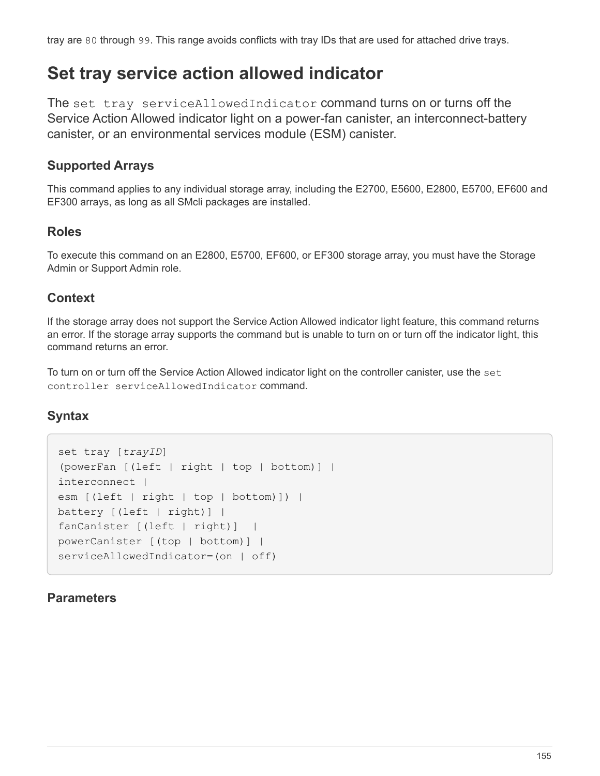tray are 80 through 99. This range avoids conflicts with tray IDs that are used for attached drive trays.

## **Set tray service action allowed indicator**

The set tray serviceAllowedIndicator command turns on or turns off the Service Action Allowed indicator light on a power-fan canister, an interconnect-battery canister, or an environmental services module (ESM) canister.

## **Supported Arrays**

This command applies to any individual storage array, including the E2700, E5600, E2800, E5700, EF600 and EF300 arrays, as long as all SMcli packages are installed.

#### **Roles**

To execute this command on an E2800, E5700, EF600, or EF300 storage array, you must have the Storage Admin or Support Admin role.

#### **Context**

If the storage array does not support the Service Action Allowed indicator light feature, this command returns an error. If the storage array supports the command but is unable to turn on or turn off the indicator light, this command returns an error.

To turn on or turn off the Service Action Allowed indicator light on the controller canister, use the set controller serviceAllowedIndicator command.

## **Syntax**

```
set tray [trayID]
(powerFan [(left | right | top | bottom)] |
interconnect |
esm [(left | right | top | bottom)]) |
battery [(left | right)] |
fanCanister [(left | right)] |
powerCanister [(top | bottom)] |
serviceAllowedIndicator=(on | off)
```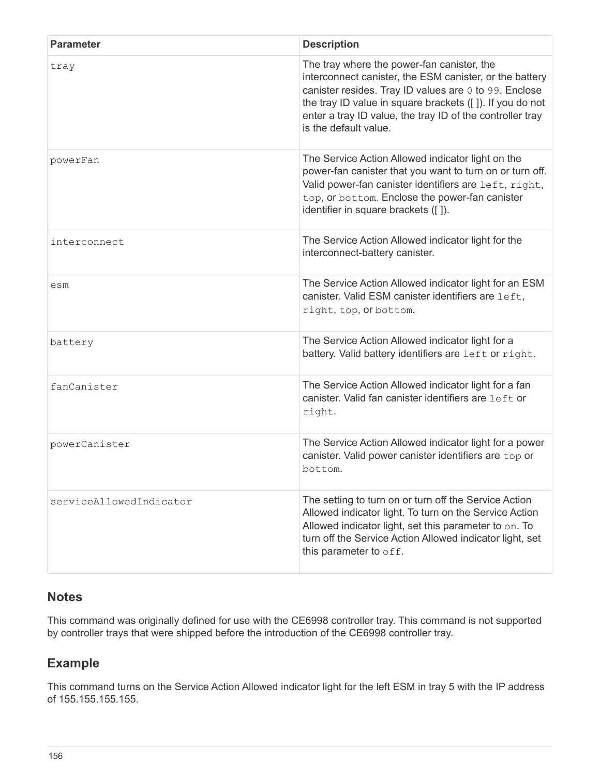| <b>Parameter</b>        | <b>Description</b>                                                                                                                                                                                                                                                                                               |
|-------------------------|------------------------------------------------------------------------------------------------------------------------------------------------------------------------------------------------------------------------------------------------------------------------------------------------------------------|
| tray                    | The tray where the power-fan canister, the<br>interconnect canister, the ESM canister, or the battery<br>canister resides. Tray ID values are 0 to 99. Enclose<br>the tray ID value in square brackets ([]). If you do not<br>enter a tray ID value, the tray ID of the controller tray<br>is the default value. |
| powerFan                | The Service Action Allowed indicator light on the<br>power-fan canister that you want to turn on or turn off.<br>Valid power-fan canister identifiers are left, right,<br>top, or bottom. Enclose the power-fan canister<br>identifier in square brackets ([]).                                                  |
| interconnect            | The Service Action Allowed indicator light for the<br>interconnect-battery canister.                                                                                                                                                                                                                             |
| esm                     | The Service Action Allowed indicator light for an ESM<br>canister. Valid ESM canister identifiers are left,<br>right, top, or bottom.                                                                                                                                                                            |
| battery                 | The Service Action Allowed indicator light for a<br>battery. Valid battery identifiers are left or right.                                                                                                                                                                                                        |
| fanCanister             | The Service Action Allowed indicator light for a fan<br>canister. Valid fan canister identifiers are left or<br>right.                                                                                                                                                                                           |
| powerCanister           | The Service Action Allowed indicator light for a power<br>canister. Valid power canister identifiers are top or<br>bottom.                                                                                                                                                                                       |
| serviceAllowedIndicator | The setting to turn on or turn off the Service Action<br>Allowed indicator light. To turn on the Service Action<br>Allowed indicator light, set this parameter to on. To<br>turn off the Service Action Allowed indicator light, set<br>this parameter to off.                                                   |

This command was originally defined for use with the CE6998 controller tray. This command is not supported by controller trays that were shipped before the introduction of the CE6998 controller tray.

## **Example**

This command turns on the Service Action Allowed indicator light for the left ESM in tray 5 with the IP address of 155.155.155.155.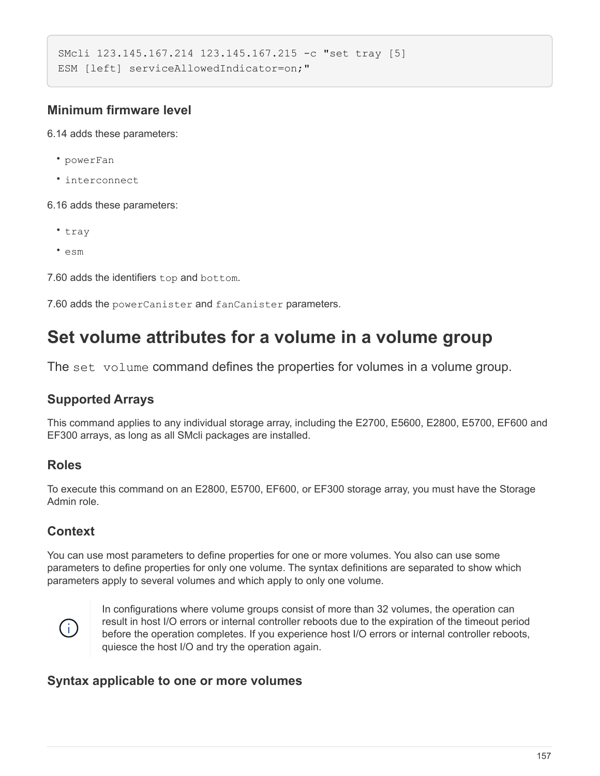```
SMcli 123.145.167.214 123.145.167.215 -c "set tray [5]
ESM [left] serviceAllowedIndicator=on;"
```
### **Minimum firmware level**

6.14 adds these parameters:

- powerFan
- interconnect
- 6.16 adds these parameters:
	- tray
	- esm

7.60 adds the identifiers top and bottom.

7.60 adds the powerCanister and fanCanister parameters.

## **Set volume attributes for a volume in a volume group**

The set volume command defines the properties for volumes in a volume group.

#### **Supported Arrays**

This command applies to any individual storage array, including the E2700, E5600, E2800, E5700, EF600 and EF300 arrays, as long as all SMcli packages are installed.

#### **Roles**

To execute this command on an E2800, E5700, EF600, or EF300 storage array, you must have the Storage Admin role.

#### **Context**

You can use most parameters to define properties for one or more volumes. You also can use some parameters to define properties for only one volume. The syntax definitions are separated to show which parameters apply to several volumes and which apply to only one volume.



In configurations where volume groups consist of more than 32 volumes, the operation can result in host I/O errors or internal controller reboots due to the expiration of the timeout period before the operation completes. If you experience host I/O errors or internal controller reboots, quiesce the host I/O and try the operation again.

#### **Syntax applicable to one or more volumes**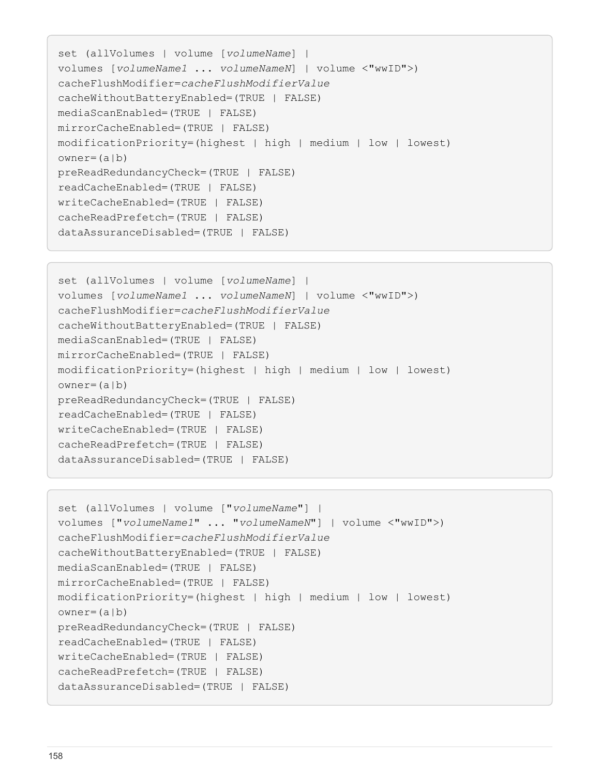```
set (allVolumes | volume [volumeName] |
volumes [volumeName1 ... volumeNameN] | volume <"wwID">)
cacheFlushModifier=cacheFlushModifierValue
cacheWithoutBatteryEnabled=(TRUE | FALSE)
mediaScanEnabled=(TRUE | FALSE)
mirrorCacheEnabled=(TRUE | FALSE)
modificationPriority=(highest | high | medium | low | lowest)
owner(a|b)preReadRedundancyCheck=(TRUE | FALSE)
readCacheEnabled=(TRUE | FALSE)
writeCacheEnabled=(TRUE | FALSE)
cacheReadPrefetch=(TRUE | FALSE)
dataAssuranceDisabled=(TRUE | FALSE)
```

```
set (allVolumes | volume [volumeName] |
volumes [volumeName1 ... volumeNameN] | volume <"wwID">)
cacheFlushModifier=cacheFlushModifierValue
cacheWithoutBatteryEnabled=(TRUE | FALSE)
mediaScanEnabled=(TRUE | FALSE)
mirrorCacheEnabled=(TRUE | FALSE)
modificationPriority=(highest | high | medium | low | lowest)
owner(a|b)preReadRedundancyCheck=(TRUE | FALSE)
readCacheEnabled=(TRUE | FALSE)
writeCacheEnabled=(TRUE | FALSE)
cacheReadPrefetch=(TRUE | FALSE)
dataAssuranceDisabled=(TRUE | FALSE)
```

```
set (allVolumes | volume ["volumeName"] |
volumes ["volumeName1" ... "volumeNameN"] | volume <"wwID">)
cacheFlushModifier=cacheFlushModifierValue
cacheWithoutBatteryEnabled=(TRUE | FALSE)
mediaScanEnabled=(TRUE | FALSE)
mirrorCacheEnabled=(TRUE | FALSE)
modificationPriority=(highest | high | medium | low | lowest)
ower=(a|b)preReadRedundancyCheck=(TRUE | FALSE)
readCacheEnabled=(TRUE | FALSE)
writeCacheEnabled=(TRUE | FALSE)
cacheReadPrefetch=(TRUE | FALSE)
dataAssuranceDisabled=(TRUE | FALSE)
```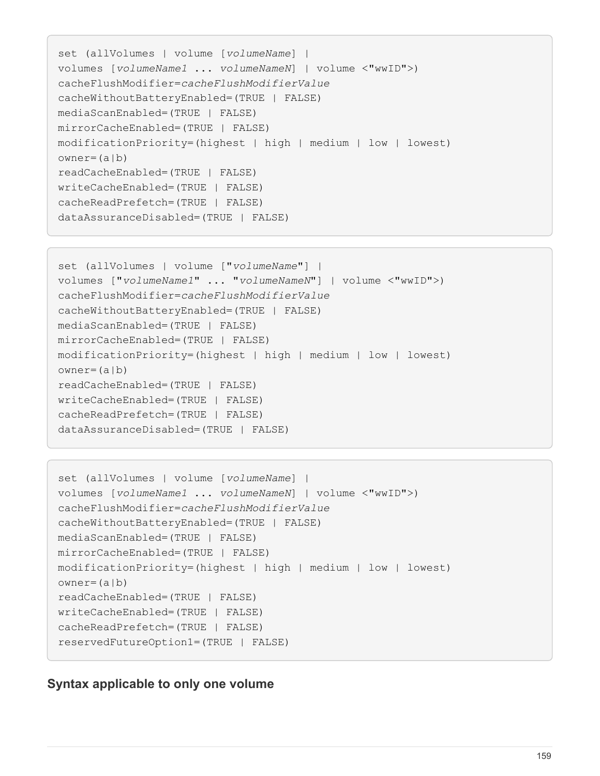```
set (allVolumes | volume [volumeName] |
volumes [volumeName1 ... volumeNameN] | volume <"wwID">)
cacheFlushModifier=cacheFlushModifierValue
cacheWithoutBatteryEnabled=(TRUE | FALSE)
mediaScanEnabled=(TRUE | FALSE)
mirrorCacheEnabled=(TRUE | FALSE)
modificationPriority=(highest | high | medium | low | lowest)
owner(a|b)readCacheEnabled=(TRUE | FALSE)
writeCacheEnabled=(TRUE | FALSE)
cacheReadPrefetch=(TRUE | FALSE)
dataAssuranceDisabled=(TRUE | FALSE)
```

```
set (allVolumes | volume ["volumeName"] |
volumes ["volumeName1" ... "volumeNameN"] | volume <"wwID">)
cacheFlushModifier=cacheFlushModifierValue
cacheWithoutBatteryEnabled=(TRUE | FALSE)
mediaScanEnabled=(TRUE | FALSE)
mirrorCacheEnabled=(TRUE | FALSE)
modificationPriority=(highest | high | medium | low | lowest)
owner(a|b)readCacheEnabled=(TRUE | FALSE)
writeCacheEnabled=(TRUE | FALSE)
cacheReadPrefetch=(TRUE | FALSE)
dataAssuranceDisabled=(TRUE | FALSE)
```

```
set (allVolumes | volume [volumeName] |
volumes [volumeName1 ... volumeNameN] | volume <"wwID">)
cacheFlushModifier=cacheFlushModifierValue
cacheWithoutBatteryEnabled=(TRUE | FALSE)
mediaScanEnabled=(TRUE | FALSE)
mirrorCacheEnabled=(TRUE | FALSE)
modificationPriority=(highest | high | medium | low | lowest)
owner(a|b)readCacheEnabled=(TRUE | FALSE)
writeCacheEnabled=(TRUE | FALSE)
cacheReadPrefetch=(TRUE | FALSE)
reservedFutureOption1=(TRUE | FALSE)
```
#### **Syntax applicable to only one volume**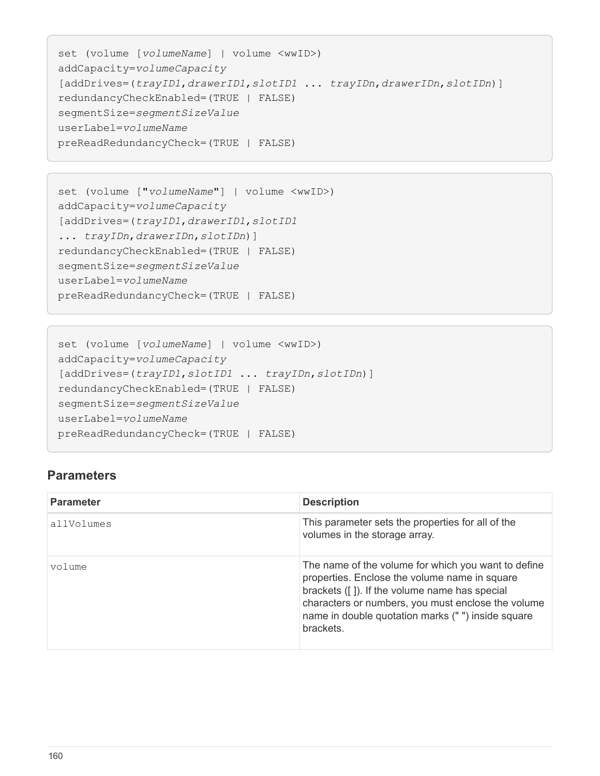```
set (volume [volumeName] | volume <wwID>)
addCapacity=volumeCapacity
[addDrives=(trayID1,drawerID1,slotID1 ... trayIDn,drawerIDn,slotIDn)]
redundancyCheckEnabled=(TRUE | FALSE)
segmentSize=segmentSizeValue
userLabel=volumeName
preReadRedundancyCheck=(TRUE | FALSE)
```

```
set (volume ["volumeName"] | volume <wwID>)
addCapacity=volumeCapacity
[addDrives=(trayID1,drawerID1,slotID1
... trayIDn,drawerIDn,slotIDn)]
redundancyCheckEnabled=(TRUE | FALSE)
segmentSize=segmentSizeValue
userLabel=volumeName
preReadRedundancyCheck=(TRUE | FALSE)
```

```
set (volume [volumeName] | volume <wwID>)
addCapacity=volumeCapacity
[addDrives=(trayID1,slotID1 ... trayIDn,slotIDn)]
redundancyCheckEnabled=(TRUE | FALSE)
segmentSize=segmentSizeValue
userLabel=volumeName
preReadRedundancyCheck=(TRUE | FALSE)
```

| <b>Parameter</b> | <b>Description</b>                                                                                                                                                                                                                                                            |
|------------------|-------------------------------------------------------------------------------------------------------------------------------------------------------------------------------------------------------------------------------------------------------------------------------|
| allVolumes       | This parameter sets the properties for all of the<br>volumes in the storage array.                                                                                                                                                                                            |
| volume           | The name of the volume for which you want to define<br>properties. Enclose the volume name in square<br>brackets ([]). If the volume name has special<br>characters or numbers, you must enclose the volume<br>name in double quotation marks ("") inside square<br>brackets. |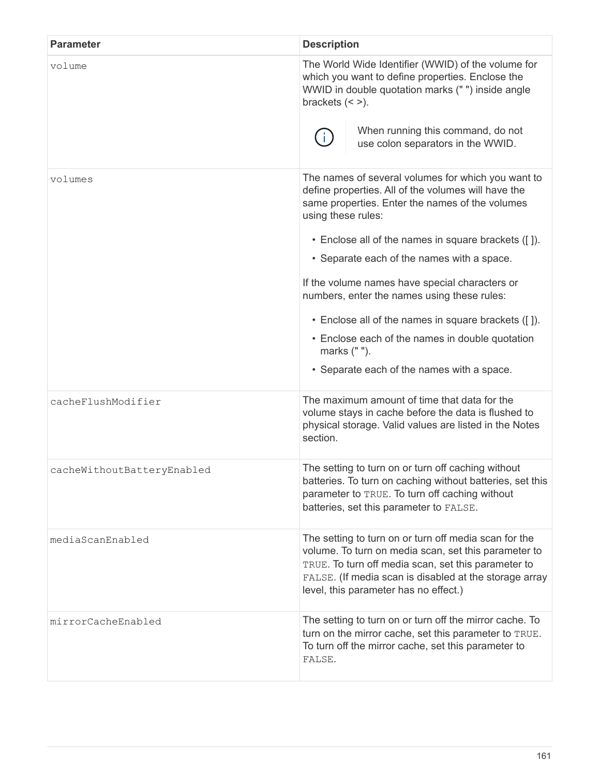| <b>Parameter</b>           | <b>Description</b>                                                                                                                                                                                                                                                                                                                                                                                                                                                                                                                                               |  |
|----------------------------|------------------------------------------------------------------------------------------------------------------------------------------------------------------------------------------------------------------------------------------------------------------------------------------------------------------------------------------------------------------------------------------------------------------------------------------------------------------------------------------------------------------------------------------------------------------|--|
| volume                     | The World Wide Identifier (WWID) of the volume for<br>which you want to define properties. Enclose the<br>WWID in double quotation marks (" ") inside angle<br>brackets $(<$ >).<br>When running this command, do not<br>$\mathbf{I}$<br>use colon separators in the WWID.                                                                                                                                                                                                                                                                                       |  |
| volumes                    | The names of several volumes for which you want to<br>define properties. All of the volumes will have the<br>same properties. Enter the names of the volumes<br>using these rules:<br>• Enclose all of the names in square brackets ([]).<br>• Separate each of the names with a space.<br>If the volume names have special characters or<br>numbers, enter the names using these rules:<br>• Enclose all of the names in square brackets ([]).<br>• Enclose each of the names in double quotation<br>marks (" ").<br>• Separate each of the names with a space. |  |
| cacheFlushModifier         | The maximum amount of time that data for the<br>volume stays in cache before the data is flushed to<br>physical storage. Valid values are listed in the Notes<br>section.                                                                                                                                                                                                                                                                                                                                                                                        |  |
| cacheWithoutBatteryEnabled | The setting to turn on or turn off caching without<br>batteries. To turn on caching without batteries, set this<br>parameter to TRUE. To turn off caching without<br>batteries, set this parameter to FALSE.                                                                                                                                                                                                                                                                                                                                                     |  |
| mediaScanEnabled           | The setting to turn on or turn off media scan for the<br>volume. To turn on media scan, set this parameter to<br>TRUE. To turn off media scan, set this parameter to<br>FALSE. (If media scan is disabled at the storage array<br>level, this parameter has no effect.)                                                                                                                                                                                                                                                                                          |  |
| mirrorCacheEnabled         | The setting to turn on or turn off the mirror cache. To<br>turn on the mirror cache, set this parameter to TRUE.<br>To turn off the mirror cache, set this parameter to<br>FALSE.                                                                                                                                                                                                                                                                                                                                                                                |  |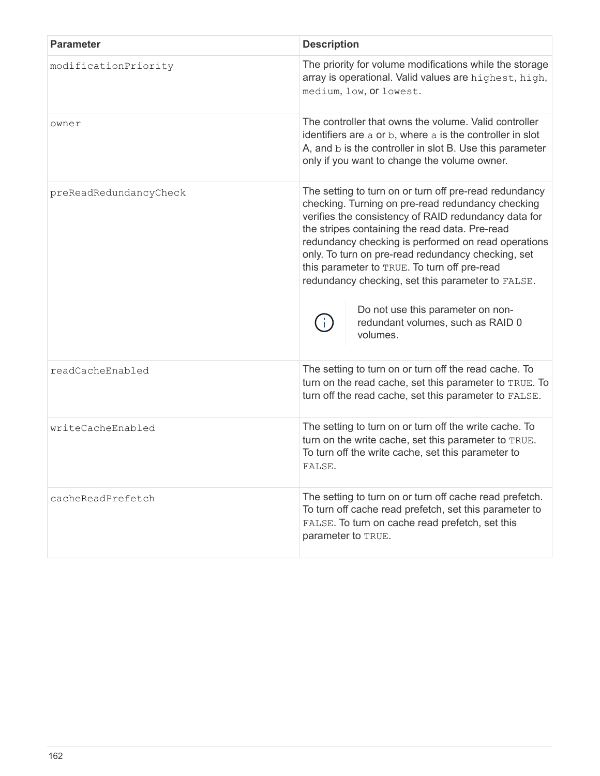| <b>Parameter</b>       | <b>Description</b>                                                                                                                                                                                                                                                                                                                                                                                                                                                                                                            |
|------------------------|-------------------------------------------------------------------------------------------------------------------------------------------------------------------------------------------------------------------------------------------------------------------------------------------------------------------------------------------------------------------------------------------------------------------------------------------------------------------------------------------------------------------------------|
| modificationPriority   | The priority for volume modifications while the storage<br>array is operational. Valid values are highest, high,<br>medium, low, or lowest.                                                                                                                                                                                                                                                                                                                                                                                   |
| owner                  | The controller that owns the volume. Valid controller<br>identifiers are a or b, where a is the controller in slot<br>A, and b is the controller in slot B. Use this parameter<br>only if you want to change the volume owner.                                                                                                                                                                                                                                                                                                |
| preReadRedundancyCheck | The setting to turn on or turn off pre-read redundancy<br>checking. Turning on pre-read redundancy checking<br>verifies the consistency of RAID redundancy data for<br>the stripes containing the read data. Pre-read<br>redundancy checking is performed on read operations<br>only. To turn on pre-read redundancy checking, set<br>this parameter to TRUE. To turn off pre-read<br>redundancy checking, set this parameter to FALSE.<br>Do not use this parameter on non-<br>redundant volumes, such as RAID 0<br>volumes. |
| readCacheEnabled       | The setting to turn on or turn off the read cache. To<br>turn on the read cache, set this parameter to TRUE. To<br>turn off the read cache, set this parameter to FALSE.                                                                                                                                                                                                                                                                                                                                                      |
| writeCacheEnabled      | The setting to turn on or turn off the write cache. To<br>turn on the write cache, set this parameter to TRUE.<br>To turn off the write cache, set this parameter to<br>FALSE.                                                                                                                                                                                                                                                                                                                                                |
| cacheReadPrefetch      | The setting to turn on or turn off cache read prefetch.<br>To turn off cache read prefetch, set this parameter to<br>FALSE. To turn on cache read prefetch, set this<br>parameter to TRUE.                                                                                                                                                                                                                                                                                                                                    |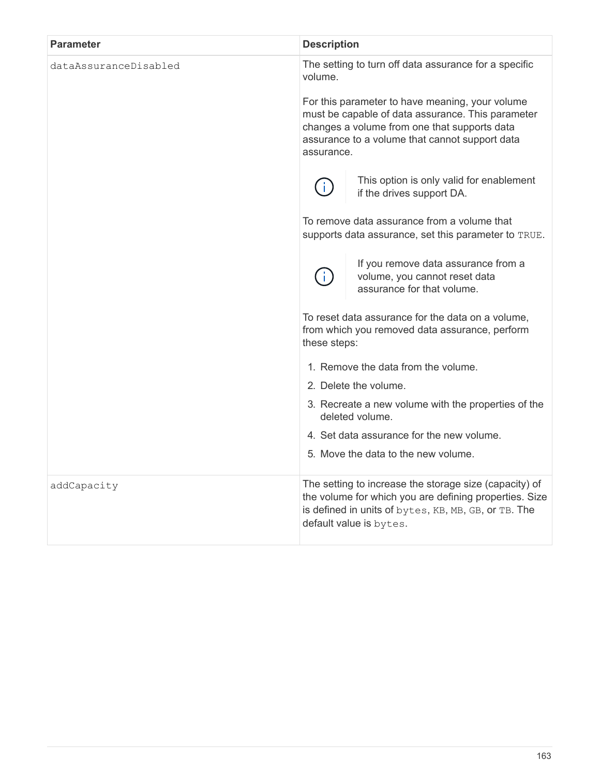| <b>Parameter</b>      | <b>Description</b>                                                                                                                                                                                  |
|-----------------------|-----------------------------------------------------------------------------------------------------------------------------------------------------------------------------------------------------|
| dataAssuranceDisabled | The setting to turn off data assurance for a specific<br>volume.<br>For this parameter to have meaning, your volume                                                                                 |
|                       | must be capable of data assurance. This parameter<br>changes a volume from one that supports data<br>assurance to a volume that cannot support data<br>assurance.                                   |
|                       | This option is only valid for enablement<br>T.<br>if the drives support DA.                                                                                                                         |
|                       | To remove data assurance from a volume that<br>supports data assurance, set this parameter to TRUE.                                                                                                 |
|                       | If you remove data assurance from a<br>volume, you cannot reset data<br>assurance for that volume.                                                                                                  |
|                       | To reset data assurance for the data on a volume,<br>from which you removed data assurance, perform<br>these steps:                                                                                 |
|                       | 1. Remove the data from the volume.                                                                                                                                                                 |
|                       | 2. Delete the volume.                                                                                                                                                                               |
|                       | 3. Recreate a new volume with the properties of the<br>deleted volume.                                                                                                                              |
|                       | 4. Set data assurance for the new volume.                                                                                                                                                           |
|                       | 5. Move the data to the new volume.                                                                                                                                                                 |
| addCapacity           | The setting to increase the storage size (capacity) of<br>the volume for which you are defining properties. Size<br>is defined in units of bytes, KB, MB, GB, or TB. The<br>default value is bytes. |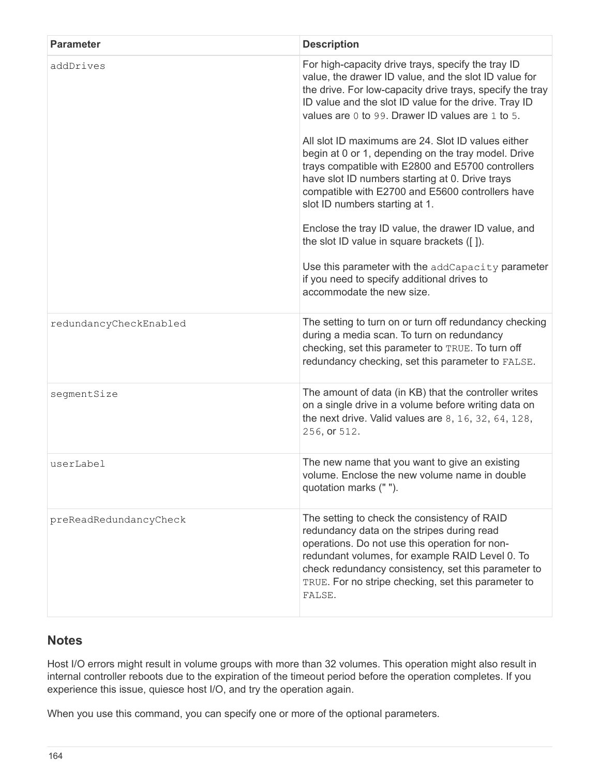| <b>Parameter</b>       | <b>Description</b>                                                                                                                                                                                                                                                                                                      |
|------------------------|-------------------------------------------------------------------------------------------------------------------------------------------------------------------------------------------------------------------------------------------------------------------------------------------------------------------------|
| addDrives              | For high-capacity drive trays, specify the tray ID<br>value, the drawer ID value, and the slot ID value for<br>the drive. For low-capacity drive trays, specify the tray<br>ID value and the slot ID value for the drive. Tray ID<br>values are 0 to 99. Drawer ID values are 1 to 5.                                   |
|                        | All slot ID maximums are 24. Slot ID values either<br>begin at 0 or 1, depending on the tray model. Drive<br>trays compatible with E2800 and E5700 controllers<br>have slot ID numbers starting at 0. Drive trays<br>compatible with E2700 and E5600 controllers have<br>slot ID numbers starting at 1.                 |
|                        | Enclose the tray ID value, the drawer ID value, and<br>the slot ID value in square brackets ([]).                                                                                                                                                                                                                       |
|                        | Use this parameter with the addCapacity parameter<br>if you need to specify additional drives to<br>accommodate the new size.                                                                                                                                                                                           |
| redundancyCheckEnabled | The setting to turn on or turn off redundancy checking<br>during a media scan. To turn on redundancy<br>checking, set this parameter to TRUE. To turn off<br>redundancy checking, set this parameter to FALSE.                                                                                                          |
| segmentSize            | The amount of data (in KB) that the controller writes<br>on a single drive in a volume before writing data on<br>the next drive. Valid values are $8, 16, 32, 64, 128,$<br>256, or 512.                                                                                                                                 |
| userLabel              | The new name that you want to give an existing<br>volume. Enclose the new volume name in double<br>quotation marks (" ").                                                                                                                                                                                               |
| preReadRedundancyCheck | The setting to check the consistency of RAID<br>redundancy data on the stripes during read<br>operations. Do not use this operation for non-<br>redundant volumes, for example RAID Level 0. To<br>check redundancy consistency, set this parameter to<br>TRUE. For no stripe checking, set this parameter to<br>FALSE. |

Host I/O errors might result in volume groups with more than 32 volumes. This operation might also result in internal controller reboots due to the expiration of the timeout period before the operation completes. If you experience this issue, quiesce host I/O, and try the operation again.

When you use this command, you can specify one or more of the optional parameters.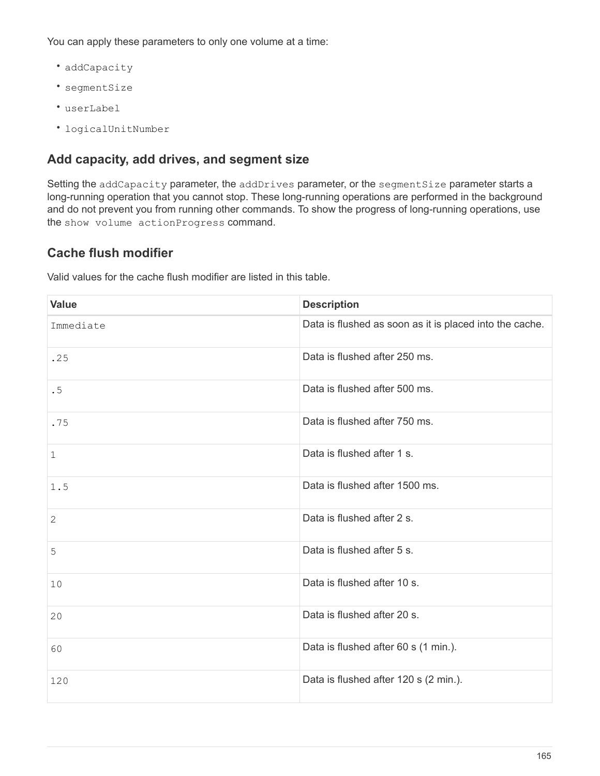You can apply these parameters to only one volume at a time:

- addCapacity
- segmentSize
- userLabel
- logicalUnitNumber

#### **Add capacity, add drives, and segment size**

Setting the addCapacity parameter, the addDrives parameter, or the segmentSize parameter starts a long-running operation that you cannot stop. These long-running operations are performed in the background and do not prevent you from running other commands. To show the progress of long-running operations, use the show volume actionProgress command.

## **Cache flush modifier**

Valid values for the cache flush modifier are listed in this table.

| <b>Value</b> | <b>Description</b>                                      |
|--------------|---------------------------------------------------------|
| Immediate    | Data is flushed as soon as it is placed into the cache. |
| .25          | Data is flushed after 250 ms.                           |
| .5           | Data is flushed after 500 ms.                           |
| .75          | Data is flushed after 750 ms.                           |
| 1            | Data is flushed after 1 s.                              |
| 1.5          | Data is flushed after 1500 ms.                          |
| 2            | Data is flushed after 2 s.                              |
| 5            | Data is flushed after 5 s.                              |
| 10           | Data is flushed after 10 s.                             |
| 20           | Data is flushed after 20 s.                             |
| 60           | Data is flushed after 60 s (1 min.).                    |
| 120          | Data is flushed after 120 s (2 min.).                   |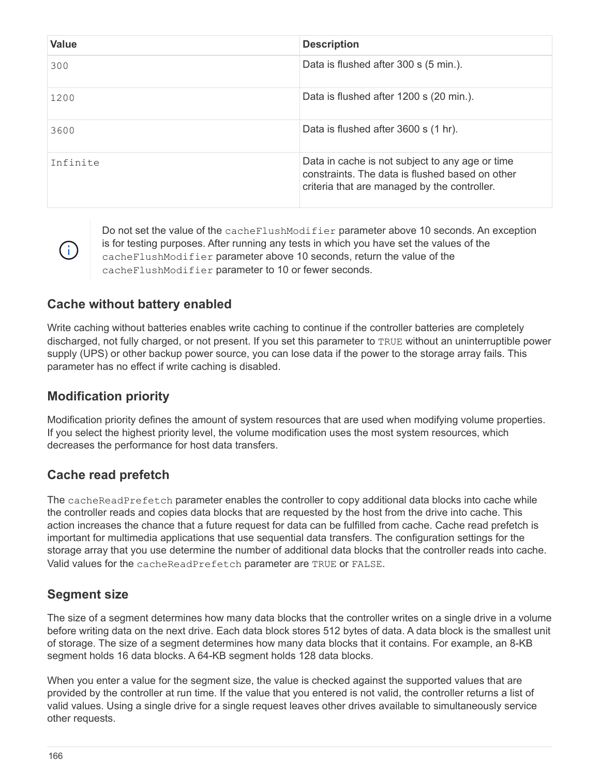| <b>Value</b> | <b>Description</b>                                                                                                                                 |
|--------------|----------------------------------------------------------------------------------------------------------------------------------------------------|
| 300          | Data is flushed after 300 s (5 min.).                                                                                                              |
| 1200         | Data is flushed after 1200 s (20 min.).                                                                                                            |
| 3600         | Data is flushed after 3600 s (1 hr).                                                                                                               |
| Infinite     | Data in cache is not subject to any age or time<br>constraints. The data is flushed based on other<br>criteria that are managed by the controller. |

Do not set the value of the cacheFlushModifier parameter above 10 seconds. An exception is for testing purposes. After running any tests in which you have set the values of the cacheFlushModifier parameter above 10 seconds, return the value of the cacheFlushModifier parameter to 10 or fewer seconds.

#### **Cache without battery enabled**

Write caching without batteries enables write caching to continue if the controller batteries are completely discharged, not fully charged, or not present. If you set this parameter to TRUE without an uninterruptible power supply (UPS) or other backup power source, you can lose data if the power to the storage array fails. This parameter has no effect if write caching is disabled.

#### **Modification priority**

G)

Modification priority defines the amount of system resources that are used when modifying volume properties. If you select the highest priority level, the volume modification uses the most system resources, which decreases the performance for host data transfers.

#### **Cache read prefetch**

The cacheReadPrefetch parameter enables the controller to copy additional data blocks into cache while the controller reads and copies data blocks that are requested by the host from the drive into cache. This action increases the chance that a future request for data can be fulfilled from cache. Cache read prefetch is important for multimedia applications that use sequential data transfers. The configuration settings for the storage array that you use determine the number of additional data blocks that the controller reads into cache. Valid values for the cacheReadPrefetch parameter are TRUE or FALSE.

## **Segment size**

The size of a segment determines how many data blocks that the controller writes on a single drive in a volume before writing data on the next drive. Each data block stores 512 bytes of data. A data block is the smallest unit of storage. The size of a segment determines how many data blocks that it contains. For example, an 8-KB segment holds 16 data blocks. A 64-KB segment holds 128 data blocks.

When you enter a value for the segment size, the value is checked against the supported values that are provided by the controller at run time. If the value that you entered is not valid, the controller returns a list of valid values. Using a single drive for a single request leaves other drives available to simultaneously service other requests.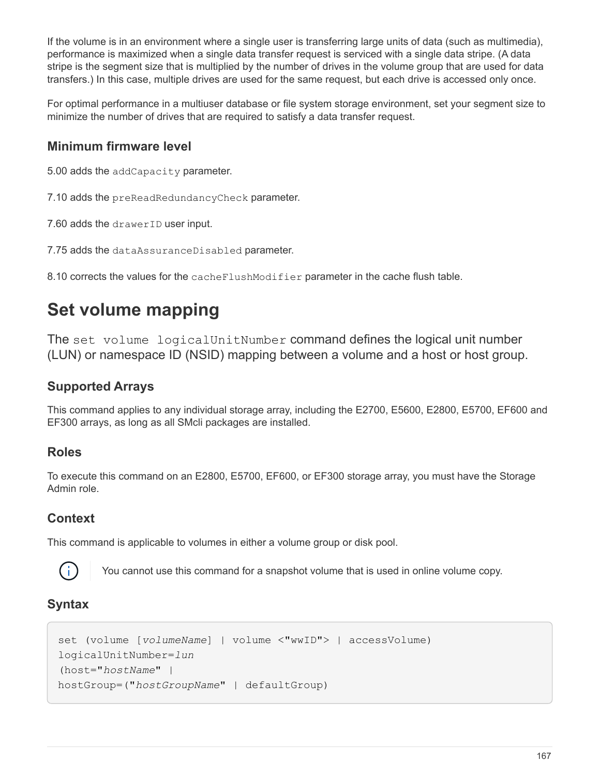If the volume is in an environment where a single user is transferring large units of data (such as multimedia), performance is maximized when a single data transfer request is serviced with a single data stripe. (A data stripe is the segment size that is multiplied by the number of drives in the volume group that are used for data transfers.) In this case, multiple drives are used for the same request, but each drive is accessed only once.

For optimal performance in a multiuser database or file system storage environment, set your segment size to minimize the number of drives that are required to satisfy a data transfer request.

## **Minimum firmware level**

5.00 adds the addCapacity parameter.

7.10 adds the preReadRedundancyCheck parameter.

7.60 adds the drawerID user input.

7.75 adds the dataAssuranceDisabled parameter.

8.10 corrects the values for the cacheFlushModifier parameter in the cache flush table.

# **Set volume mapping**

The set volume logicalUnitNumber command defines the logical unit number (LUN) or namespace ID (NSID) mapping between a volume and a host or host group.

## **Supported Arrays**

This command applies to any individual storage array, including the E2700, E5600, E2800, E5700, EF600 and EF300 arrays, as long as all SMcli packages are installed.

## **Roles**

To execute this command on an E2800, E5700, EF600, or EF300 storage array, you must have the Storage Admin role.

#### **Context**

This command is applicable to volumes in either a volume group or disk pool.



You cannot use this command for a snapshot volume that is used in online volume copy.

## **Syntax**

```
set (volume [volumeName] | volume <"wwID"> | accessVolume)
logicalUnitNumber=lun
(host="hostName" |
hostGroup=("hostGroupName" | defaultGroup)
```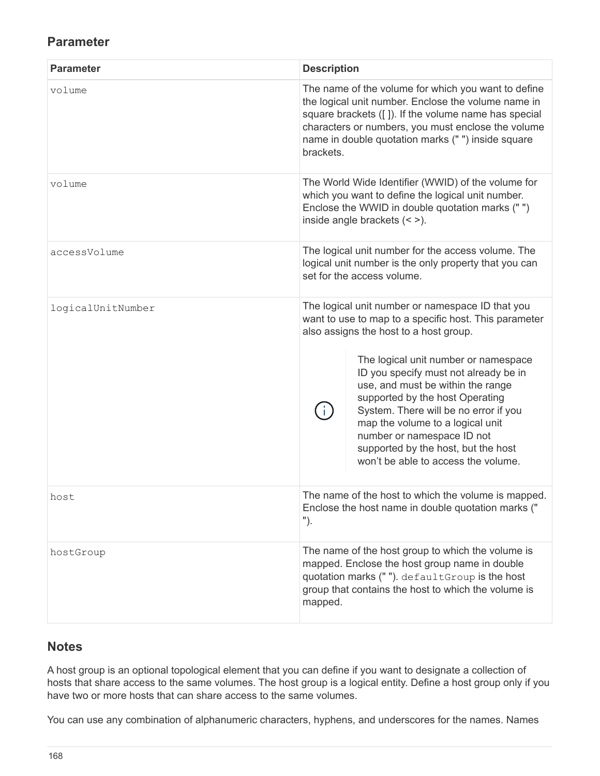#### **Parameter**

| <b>Parameter</b>  | <b>Description</b>                                                                                                                                                                                                                                                                                                                                                                                                                                                                                    |
|-------------------|-------------------------------------------------------------------------------------------------------------------------------------------------------------------------------------------------------------------------------------------------------------------------------------------------------------------------------------------------------------------------------------------------------------------------------------------------------------------------------------------------------|
| volume            | The name of the volume for which you want to define<br>the logical unit number. Enclose the volume name in<br>square brackets ([ ]). If the volume name has special<br>characters or numbers, you must enclose the volume<br>name in double quotation marks (" ") inside square<br>brackets.                                                                                                                                                                                                          |
| volume            | The World Wide Identifier (WWID) of the volume for<br>which you want to define the logical unit number.<br>Enclose the WWID in double quotation marks ("")<br>inside angle brackets $(<$ >).                                                                                                                                                                                                                                                                                                          |
| accessVolume      | The logical unit number for the access volume. The<br>logical unit number is the only property that you can<br>set for the access volume.                                                                                                                                                                                                                                                                                                                                                             |
| logicalUnitNumber | The logical unit number or namespace ID that you<br>want to use to map to a specific host. This parameter<br>also assigns the host to a host group.<br>The logical unit number or namespace<br>ID you specify must not already be in<br>use, and must be within the range<br>supported by the host Operating<br>System. There will be no error if you<br>map the volume to a logical unit<br>number or namespace ID not<br>supported by the host, but the host<br>won't be able to access the volume. |
| host              | The name of the host to which the volume is mapped.<br>Enclose the host name in double quotation marks ("<br>").                                                                                                                                                                                                                                                                                                                                                                                      |
| hostGroup         | The name of the host group to which the volume is<br>mapped. Enclose the host group name in double<br>quotation marks (""). defaultGroup is the host<br>group that contains the host to which the volume is<br>mapped.                                                                                                                                                                                                                                                                                |

#### **Notes**

A host group is an optional topological element that you can define if you want to designate a collection of hosts that share access to the same volumes. The host group is a logical entity. Define a host group only if you have two or more hosts that can share access to the same volumes.

You can use any combination of alphanumeric characters, hyphens, and underscores for the names. Names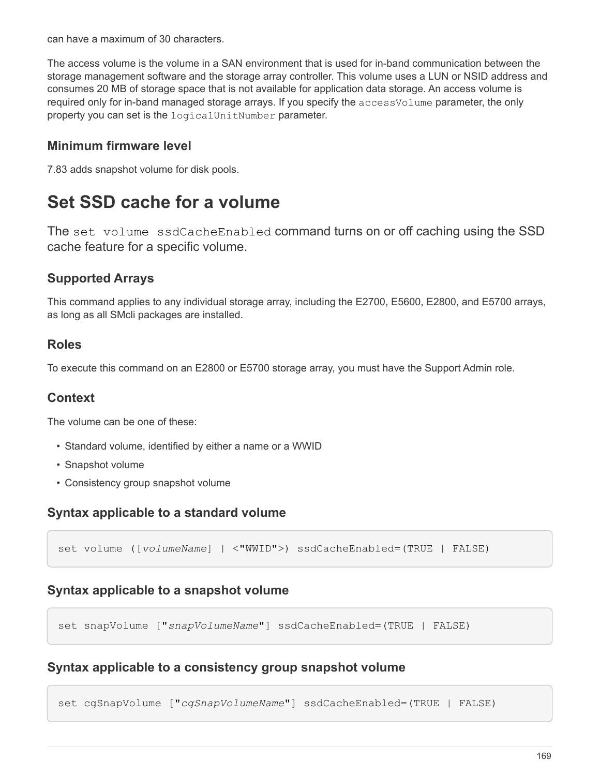can have a maximum of 30 characters.

The access volume is the volume in a SAN environment that is used for in-band communication between the storage management software and the storage array controller. This volume uses a LUN or NSID address and consumes 20 MB of storage space that is not available for application data storage. An access volume is required only for in-band managed storage arrays. If you specify the accessVolume parameter, the only property you can set is the logicalUnitNumber parameter.

#### **Minimum firmware level**

7.83 adds snapshot volume for disk pools.

## **Set SSD cache for a volume**

The set volume ssdCacheEnabled command turns on or off caching using the SSD cache feature for a specific volume.

#### **Supported Arrays**

This command applies to any individual storage array, including the E2700, E5600, E2800, and E5700 arrays, as long as all SMcli packages are installed.

#### **Roles**

To execute this command on an E2800 or E5700 storage array, you must have the Support Admin role.

#### **Context**

The volume can be one of these:

- Standard volume, identified by either a name or a WWID
- Snapshot volume
- Consistency group snapshot volume

#### **Syntax applicable to a standard volume**

set volume ([*volumeName*] | <"WWID">) ssdCacheEnabled=(TRUE | FALSE)

#### **Syntax applicable to a snapshot volume**

set snapVolume ["*snapVolumeName*"] ssdCacheEnabled=(TRUE | FALSE)

#### **Syntax applicable to a consistency group snapshot volume**

set cgSnapVolume ["*cgSnapVolumeName*"] ssdCacheEnabled=(TRUE | FALSE)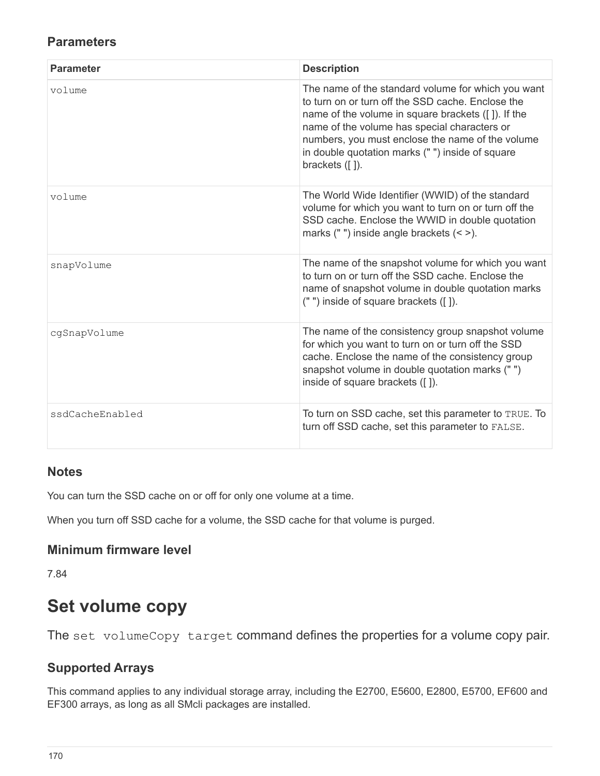#### **Parameters**

| <b>Parameter</b> | <b>Description</b>                                                                                                                                                                                                                                                                                                                         |
|------------------|--------------------------------------------------------------------------------------------------------------------------------------------------------------------------------------------------------------------------------------------------------------------------------------------------------------------------------------------|
| volume           | The name of the standard volume for which you want<br>to turn on or turn off the SSD cache. Enclose the<br>name of the volume in square brackets ([]). If the<br>name of the volume has special characters or<br>numbers, you must enclose the name of the volume<br>in double quotation marks ("") inside of square<br>brackets $( [ ]).$ |
| volume           | The World Wide Identifier (WWID) of the standard<br>volume for which you want to turn on or turn off the<br>SSD cache. Enclose the WWID in double quotation<br>marks (" ") inside angle brackets $($ < >).                                                                                                                                 |
| snapVolume       | The name of the snapshot volume for which you want<br>to turn on or turn off the SSD cache. Enclose the<br>name of snapshot volume in double quotation marks<br>(" ") inside of square brackets ([]).                                                                                                                                      |
| cgSnapVolume     | The name of the consistency group snapshot volume<br>for which you want to turn on or turn off the SSD<br>cache. Enclose the name of the consistency group<br>snapshot volume in double quotation marks ("")<br>inside of square brackets ([]).                                                                                            |
| ssdCacheEnabled  | To turn on SSD cache, set this parameter to TRUE. To<br>turn off SSD cache, set this parameter to FALSE.                                                                                                                                                                                                                                   |

#### **Notes**

You can turn the SSD cache on or off for only one volume at a time.

When you turn off SSD cache for a volume, the SSD cache for that volume is purged.

#### **Minimum firmware level**

7.84

# **Set volume copy**

The set volumeCopy target command defines the properties for a volume copy pair.

## **Supported Arrays**

This command applies to any individual storage array, including the E2700, E5600, E2800, E5700, EF600 and EF300 arrays, as long as all SMcli packages are installed.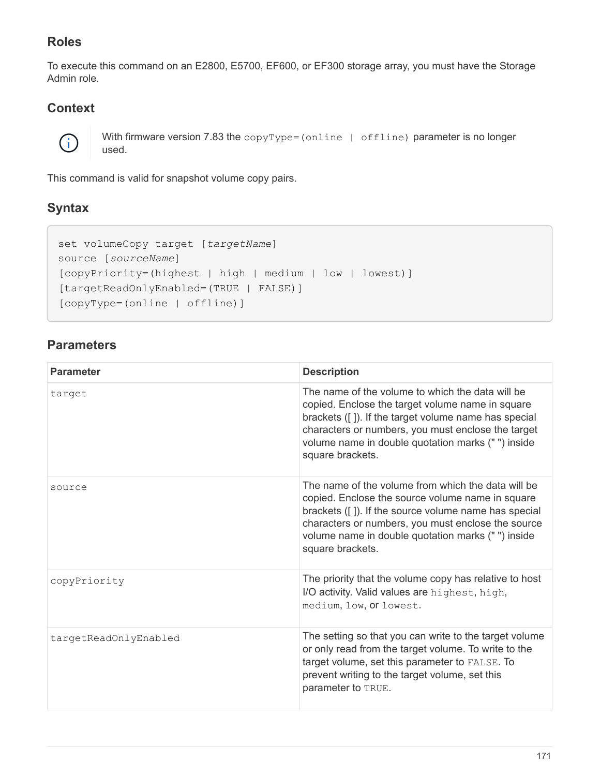## **Roles**

To execute this command on an E2800, E5700, EF600, or EF300 storage array, you must have the Storage Admin role.

## **Context**



With firmware version 7.83 the copyType=(online | offline) parameter is no longer used.

This command is valid for snapshot volume copy pairs.

## **Syntax**

```
set volumeCopy target [targetName]
source [sourceName]
[copyPriority=(highest | high | medium | low | lowest)]
[targetReadOnlyEnabled=(TRUE | FALSE)]
[copyType=(online | offline)]
```

| <b>Parameter</b>      | <b>Description</b>                                                                                                                                                                                                                                                                            |
|-----------------------|-----------------------------------------------------------------------------------------------------------------------------------------------------------------------------------------------------------------------------------------------------------------------------------------------|
| target                | The name of the volume to which the data will be<br>copied. Enclose the target volume name in square<br>brackets ([]). If the target volume name has special<br>characters or numbers, you must enclose the target<br>volume name in double quotation marks ("") inside<br>square brackets.   |
| source                | The name of the volume from which the data will be<br>copied. Enclose the source volume name in square<br>brackets ([]). If the source volume name has special<br>characters or numbers, you must enclose the source<br>volume name in double quotation marks ("") inside<br>square brackets. |
| copyPriority          | The priority that the volume copy has relative to host<br>I/O activity. Valid values are highest, high,<br>medium, low, or lowest.                                                                                                                                                            |
| targetReadOnlyEnabled | The setting so that you can write to the target volume<br>or only read from the target volume. To write to the<br>target volume, set this parameter to FALSE. To<br>prevent writing to the target volume, set this<br>parameter to TRUE.                                                      |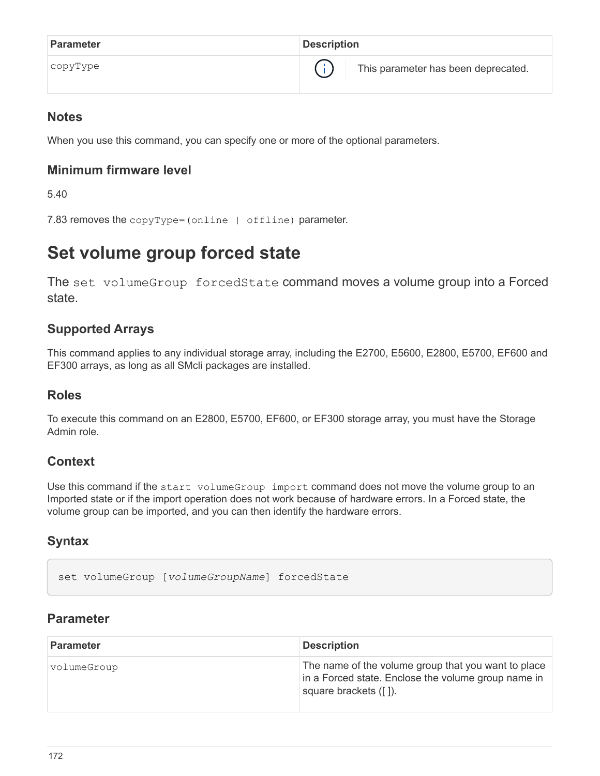| <b>Parameter</b> | <b>Description</b>                  |
|------------------|-------------------------------------|
| copyType         | This parameter has been deprecated. |

When you use this command, you can specify one or more of the optional parameters.

#### **Minimum firmware level**

5.40

```
7.83 removes the copyType=(online | offline) parameter.
```
## **Set volume group forced state**

The set volumeGroup forcedState command moves a volume group into a Forced state.

## **Supported Arrays**

This command applies to any individual storage array, including the E2700, E5600, E2800, E5700, EF600 and EF300 arrays, as long as all SMcli packages are installed.

#### **Roles**

To execute this command on an E2800, E5700, EF600, or EF300 storage array, you must have the Storage Admin role.

## **Context**

Use this command if the start volumeGroup import command does not move the volume group to an Imported state or if the import operation does not work because of hardware errors. In a Forced state, the volume group can be imported, and you can then identify the hardware errors.

## **Syntax**

set volumeGroup [*volumeGroupName*] forcedState

| <b>Parameter</b> | <b>Description</b>                                                                                                                  |
|------------------|-------------------------------------------------------------------------------------------------------------------------------------|
| volumeGroup      | The name of the volume group that you want to place<br>in a Forced state. Enclose the volume group name in<br>square brackets ([]). |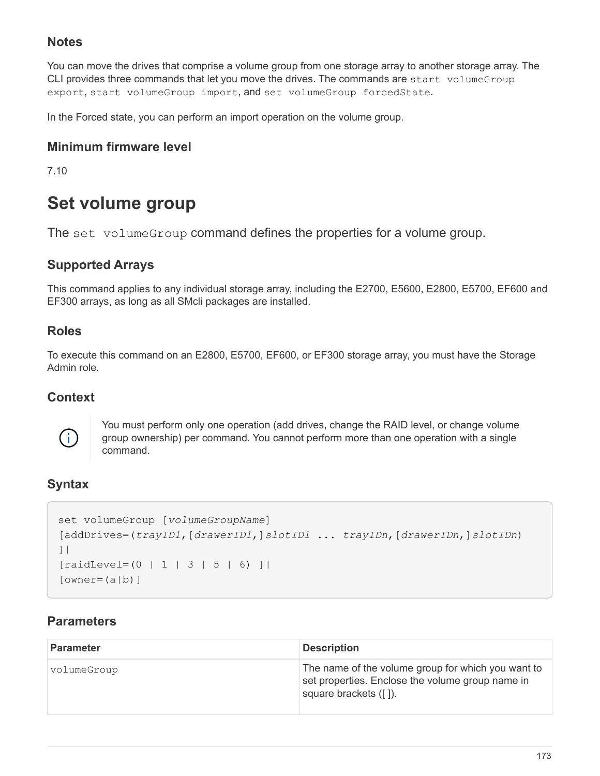You can move the drives that comprise a volume group from one storage array to another storage array. The CLI provides three commands that let you move the drives. The commands are start volumeGroup export, start volumeGroup import, and set volumeGroup forcedState.

In the Forced state, you can perform an import operation on the volume group.

#### **Minimum firmware level**

7.10

## **Set volume group**

The set volume Group command defines the properties for a volume group.

## **Supported Arrays**

This command applies to any individual storage array, including the E2700, E5600, E2800, E5700, EF600 and EF300 arrays, as long as all SMcli packages are installed.

## **Roles**

To execute this command on an E2800, E5700, EF600, or EF300 storage array, you must have the Storage Admin role.

#### **Context**



You must perform only one operation (add drives, change the RAID level, or change volume group ownership) per command. You cannot perform more than one operation with a single command.

## **Syntax**

```
set volumeGroup [volumeGroupName]
[addDrives=(trayID1,[drawerID1,]slotID1 ... trayIDn,[drawerIDn,]slotIDn)
]|
[raidLevel=(0 | 1 | 3 | 5 | 6)][owner(a|b)]
```

| <b>Parameter</b> | <b>Description</b>                                                                                                              |
|------------------|---------------------------------------------------------------------------------------------------------------------------------|
| volumeGroup      | The name of the volume group for which you want to<br>set properties. Enclose the volume group name in<br>square brackets ([]). |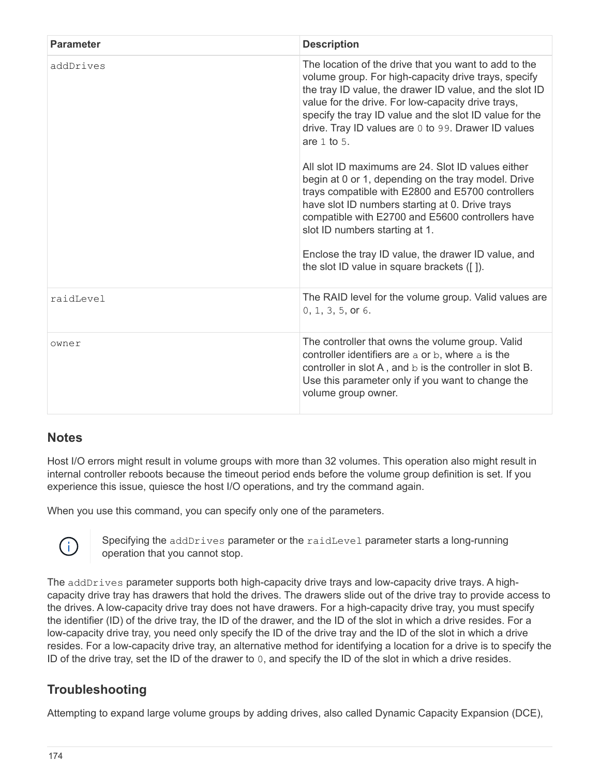| <b>Parameter</b> | <b>Description</b>                                                                                                                                                                                                                                                                                                                                                                                                         |
|------------------|----------------------------------------------------------------------------------------------------------------------------------------------------------------------------------------------------------------------------------------------------------------------------------------------------------------------------------------------------------------------------------------------------------------------------|
| addDrives        | The location of the drive that you want to add to the<br>volume group. For high-capacity drive trays, specify<br>the tray ID value, the drawer ID value, and the slot ID<br>value for the drive. For low-capacity drive trays,<br>specify the tray ID value and the slot ID value for the<br>drive. Tray ID values are 0 to 99. Drawer ID values<br>are $1$ to $5$ .<br>All slot ID maximums are 24. Slot ID values either |
|                  | begin at 0 or 1, depending on the tray model. Drive<br>trays compatible with E2800 and E5700 controllers<br>have slot ID numbers starting at 0. Drive trays<br>compatible with E2700 and E5600 controllers have<br>slot ID numbers starting at 1.<br>Enclose the tray ID value, the drawer ID value, and                                                                                                                   |
|                  | the slot ID value in square brackets ([]).                                                                                                                                                                                                                                                                                                                                                                                 |
| raidLevel        | The RAID level for the volume group. Valid values are<br>0, 1, 3, 5, or 6.                                                                                                                                                                                                                                                                                                                                                 |
| owner            | The controller that owns the volume group. Valid<br>controller identifiers are a or b, where a is the<br>controller in slot A, and b is the controller in slot B.<br>Use this parameter only if you want to change the<br>volume group owner.                                                                                                                                                                              |

Host I/O errors might result in volume groups with more than 32 volumes. This operation also might result in internal controller reboots because the timeout period ends before the volume group definition is set. If you experience this issue, quiesce the host I/O operations, and try the command again.

When you use this command, you can specify only one of the parameters.



Specifying the addDrives parameter or the raidLevel parameter starts a long-running operation that you cannot stop.

The addDrives parameter supports both high-capacity drive trays and low-capacity drive trays. A highcapacity drive tray has drawers that hold the drives. The drawers slide out of the drive tray to provide access to the drives. A low-capacity drive tray does not have drawers. For a high-capacity drive tray, you must specify the identifier (ID) of the drive tray, the ID of the drawer, and the ID of the slot in which a drive resides. For a low-capacity drive tray, you need only specify the ID of the drive tray and the ID of the slot in which a drive resides. For a low-capacity drive tray, an alternative method for identifying a location for a drive is to specify the ID of the drive tray, set the ID of the drawer to 0, and specify the ID of the slot in which a drive resides.

## **Troubleshooting**

Attempting to expand large volume groups by adding drives, also called Dynamic Capacity Expansion (DCE),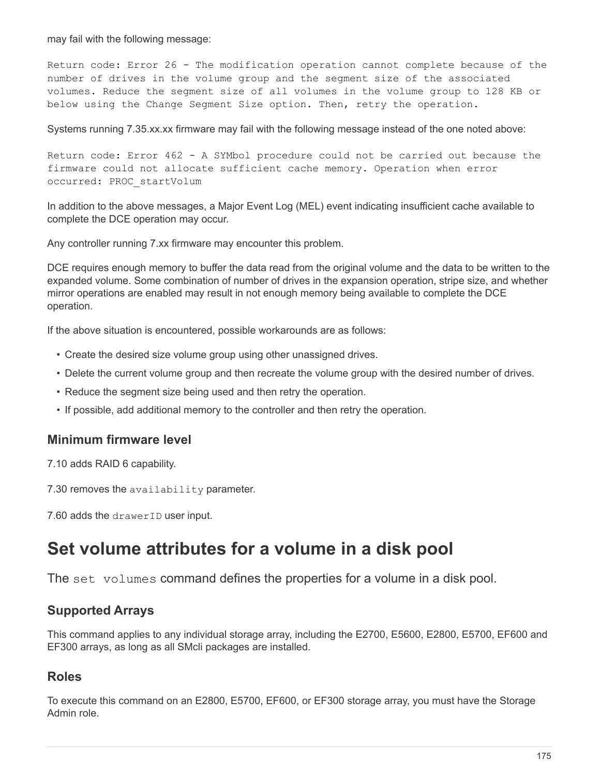may fail with the following message:

Return code: Error 26 - The modification operation cannot complete because of the number of drives in the volume group and the segment size of the associated volumes. Reduce the segment size of all volumes in the volume group to 128 KB or below using the Change Segment Size option. Then, retry the operation.

Systems running 7.35.xx.xx firmware may fail with the following message instead of the one noted above:

Return code: Error 462 - A SYMbol procedure could not be carried out because the firmware could not allocate sufficient cache memory. Operation when error occurred: PROC\_startVolum

In addition to the above messages, a Major Event Log (MEL) event indicating insufficient cache available to complete the DCE operation may occur.

Any controller running 7.xx firmware may encounter this problem.

DCE requires enough memory to buffer the data read from the original volume and the data to be written to the expanded volume. Some combination of number of drives in the expansion operation, stripe size, and whether mirror operations are enabled may result in not enough memory being available to complete the DCE operation.

If the above situation is encountered, possible workarounds are as follows:

- Create the desired size volume group using other unassigned drives.
- Delete the current volume group and then recreate the volume group with the desired number of drives.
- Reduce the segment size being used and then retry the operation.
- If possible, add additional memory to the controller and then retry the operation.

#### **Minimum firmware level**

7.10 adds RAID 6 capability.

7.30 removes the availability parameter.

7.60 adds the drawerID user input.

## **Set volume attributes for a volume in a disk pool**

The set volumes command defines the properties for a volume in a disk pool.

#### **Supported Arrays**

This command applies to any individual storage array, including the E2700, E5600, E2800, E5700, EF600 and EF300 arrays, as long as all SMcli packages are installed.

#### **Roles**

To execute this command on an E2800, E5700, EF600, or EF300 storage array, you must have the Storage Admin role.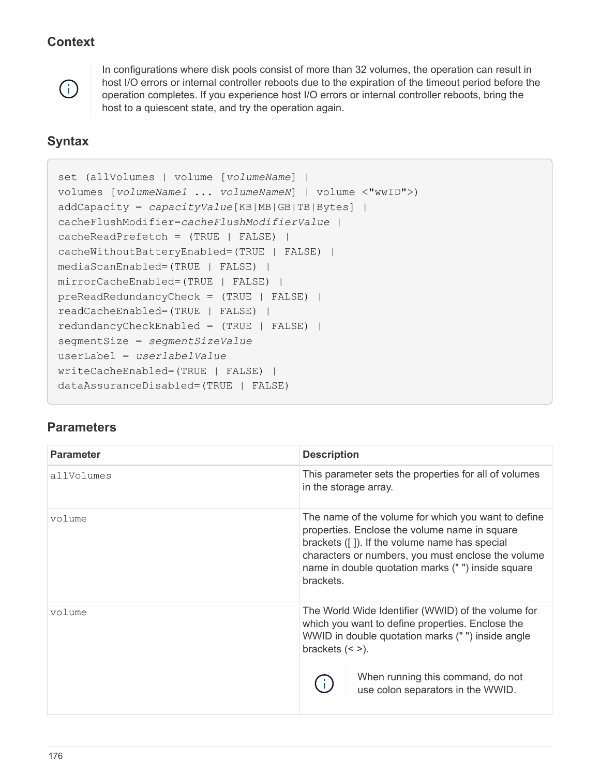## **Context**



In configurations where disk pools consist of more than 32 volumes, the operation can result in host I/O errors or internal controller reboots due to the expiration of the timeout period before the operation completes. If you experience host I/O errors or internal controller reboots, bring the host to a quiescent state, and try the operation again.

## **Syntax**

```
set (allVolumes | volume [volumeName] |
volumes [volumeName1 ... volumeNameN] | volume <"wwID">)
addCapacity = capacityValue[KB|MB|GB|TB|Bytes] |
cacheFlushModifier=cacheFlushModifierValue |
cacheReadPrefetch = (TRUE | FALSE) |
cacheWithoutBatteryEnabled=(TRUE | FALSE) |
mediaScanEnabled=(TRUE | FALSE) |
mirrorCacheEnabled=(TRUE | FALSE) |
preReadRedundancyCheck = (TRUE | FALSE) |
readCacheEnabled=(TRUE | FALSE) |
redundancyCheckEnabled = (TRUE | FALSE) |
segmentSize = segmentSizeValue
userLabel = userlabelValue
writeCacheEnabled=(TRUE | FALSE) |
dataAssuranceDisabled=(TRUE | FALSE)
```

| <b>Parameter</b> | <b>Description</b>                                                                                                                                                                                                                                                            |
|------------------|-------------------------------------------------------------------------------------------------------------------------------------------------------------------------------------------------------------------------------------------------------------------------------|
| allVolumes       | This parameter sets the properties for all of volumes<br>in the storage array.                                                                                                                                                                                                |
| volume           | The name of the volume for which you want to define<br>properties. Enclose the volume name in square<br>brackets ([]). If the volume name has special<br>characters or numbers, you must enclose the volume<br>name in double quotation marks ("") inside square<br>brackets. |
| volume           | The World Wide Identifier (WWID) of the volume for<br>which you want to define properties. Enclose the<br>WWID in double quotation marks ("") inside angle<br>brackets $(<$ >).<br>When running this command, do not<br>use colon separators in the WWID.                     |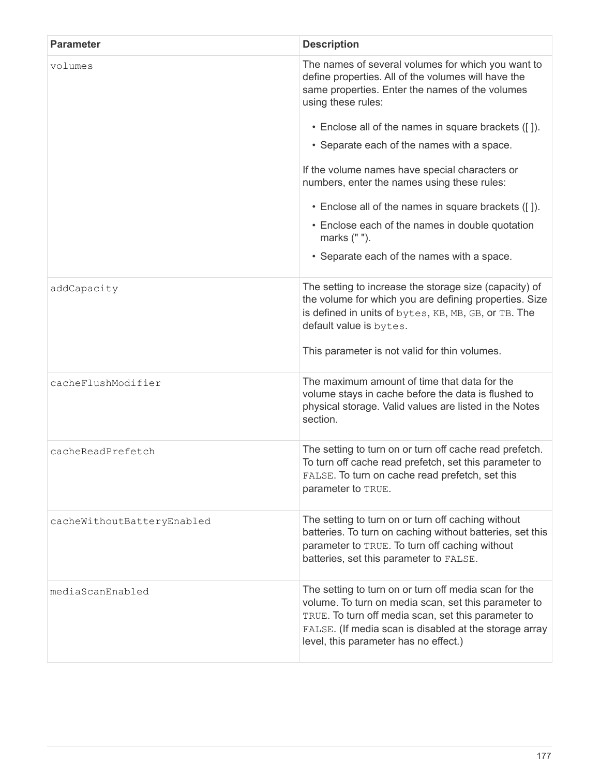| <b>Parameter</b>           | <b>Description</b>                                                                                                                                                                                                                                                      |
|----------------------------|-------------------------------------------------------------------------------------------------------------------------------------------------------------------------------------------------------------------------------------------------------------------------|
| volumes                    | The names of several volumes for which you want to<br>define properties. All of the volumes will have the<br>same properties. Enter the names of the volumes<br>using these rules:                                                                                      |
|                            | • Enclose all of the names in square brackets ([]).                                                                                                                                                                                                                     |
|                            | • Separate each of the names with a space.                                                                                                                                                                                                                              |
|                            | If the volume names have special characters or<br>numbers, enter the names using these rules:                                                                                                                                                                           |
|                            | • Enclose all of the names in square brackets ([]).                                                                                                                                                                                                                     |
|                            | • Enclose each of the names in double quotation<br>marks (" ").                                                                                                                                                                                                         |
|                            | • Separate each of the names with a space.                                                                                                                                                                                                                              |
| addCapacity                | The setting to increase the storage size (capacity) of<br>the volume for which you are defining properties. Size<br>is defined in units of bytes, KB, MB, GB, or TB. The<br>default value is bytes.                                                                     |
|                            | This parameter is not valid for thin volumes.                                                                                                                                                                                                                           |
| cacheFlushModifier         | The maximum amount of time that data for the<br>volume stays in cache before the data is flushed to<br>physical storage. Valid values are listed in the Notes<br>section.                                                                                               |
| cacheReadPrefetch          | The setting to turn on or turn off cache read prefetch.<br>To turn off cache read prefetch, set this parameter to<br>FALSE. To turn on cache read prefetch, set this<br>parameter to TRUE.                                                                              |
| cacheWithoutBatteryEnabled | The setting to turn on or turn off caching without<br>batteries. To turn on caching without batteries, set this<br>parameter to TRUE. To turn off caching without<br>batteries, set this parameter to FALSE.                                                            |
| mediaScanEnabled           | The setting to turn on or turn off media scan for the<br>volume. To turn on media scan, set this parameter to<br>TRUE. To turn off media scan, set this parameter to<br>FALSE. (If media scan is disabled at the storage array<br>level, this parameter has no effect.) |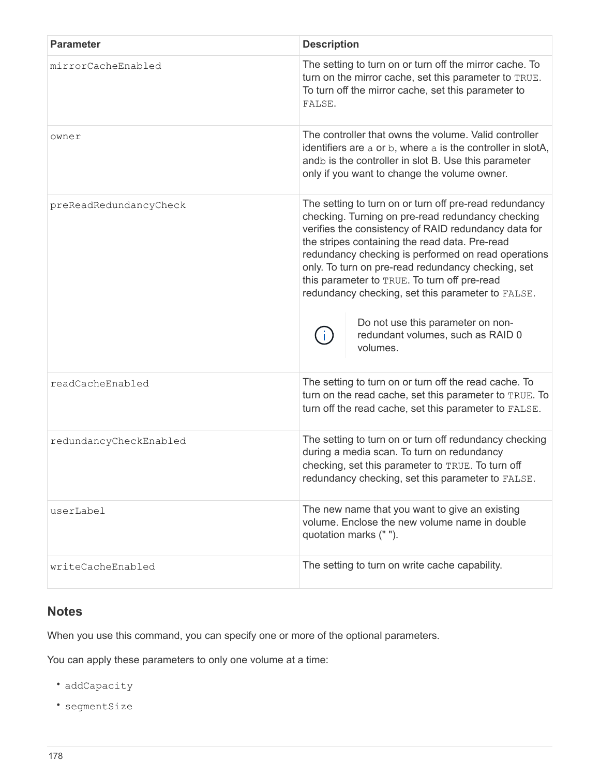| <b>Parameter</b>       | <b>Description</b>                                                                                                                                                                                                                                                                                                                                                                                                                                                                                                            |
|------------------------|-------------------------------------------------------------------------------------------------------------------------------------------------------------------------------------------------------------------------------------------------------------------------------------------------------------------------------------------------------------------------------------------------------------------------------------------------------------------------------------------------------------------------------|
| mirrorCacheEnabled     | The setting to turn on or turn off the mirror cache. To<br>turn on the mirror cache, set this parameter to TRUE.<br>To turn off the mirror cache, set this parameter to<br>FALSE.                                                                                                                                                                                                                                                                                                                                             |
| owner                  | The controller that owns the volume, Valid controller<br>identifiers are a or b, where a is the controller in slotA,<br>andb is the controller in slot B. Use this parameter<br>only if you want to change the volume owner.                                                                                                                                                                                                                                                                                                  |
| preReadRedundancyCheck | The setting to turn on or turn off pre-read redundancy<br>checking. Turning on pre-read redundancy checking<br>verifies the consistency of RAID redundancy data for<br>the stripes containing the read data. Pre-read<br>redundancy checking is performed on read operations<br>only. To turn on pre-read redundancy checking, set<br>this parameter to TRUE. To turn off pre-read<br>redundancy checking, set this parameter to FALSE.<br>Do not use this parameter on non-<br>redundant volumes, such as RAID 0<br>volumes. |
| readCacheEnabled       | The setting to turn on or turn off the read cache. To<br>turn on the read cache, set this parameter to TRUE. To<br>turn off the read cache, set this parameter to FALSE.                                                                                                                                                                                                                                                                                                                                                      |
| redundancyCheckEnabled | The setting to turn on or turn off redundancy checking<br>during a media scan. To turn on redundancy<br>checking, set this parameter to TRUE. To turn off<br>redundancy checking, set this parameter to FALSE.                                                                                                                                                                                                                                                                                                                |
| userLabel              | The new name that you want to give an existing<br>volume. Enclose the new volume name in double<br>quotation marks (" ").                                                                                                                                                                                                                                                                                                                                                                                                     |
| writeCacheEnabled      | The setting to turn on write cache capability.                                                                                                                                                                                                                                                                                                                                                                                                                                                                                |

# **Notes**

When you use this command, you can specify one or more of the optional parameters.

You can apply these parameters to only one volume at a time:

- addCapacity
- segmentSize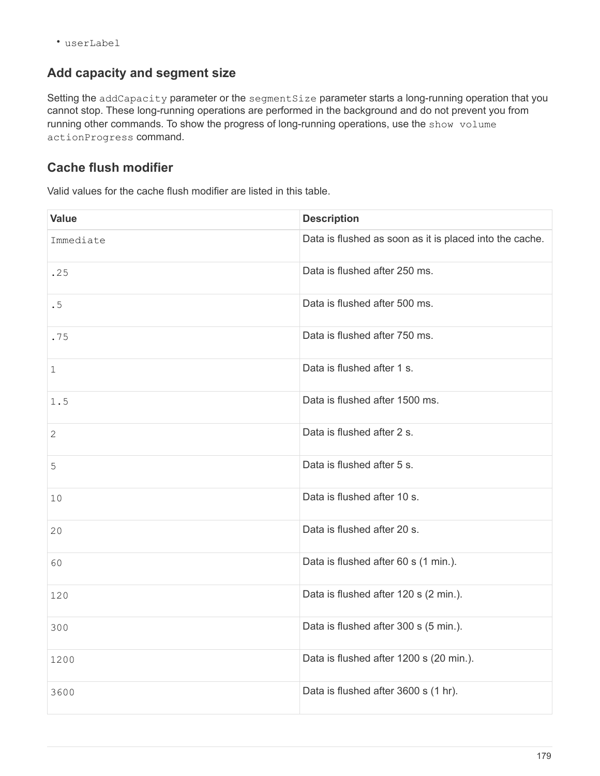• userLabel

#### **Add capacity and segment size**

Setting the addCapacity parameter or the segmentSize parameter starts a long-running operation that you cannot stop. These long-running operations are performed in the background and do not prevent you from running other commands. To show the progress of long-running operations, use the show volume actionProgress command.

### **Cache flush modifier**

Valid values for the cache flush modifier are listed in this table.

| <b>Value</b> | <b>Description</b>                                      |
|--------------|---------------------------------------------------------|
| Immediate    | Data is flushed as soon as it is placed into the cache. |
| .25          | Data is flushed after 250 ms.                           |
| .5           | Data is flushed after 500 ms.                           |
| .75          | Data is flushed after 750 ms.                           |
| 1            | Data is flushed after 1 s.                              |
| 1.5          | Data is flushed after 1500 ms.                          |
| $\sqrt{2}$   | Data is flushed after 2 s.                              |
| 5            | Data is flushed after 5 s.                              |
| 10           | Data is flushed after 10 s.                             |
| 20           | Data is flushed after 20 s.                             |
| 60           | Data is flushed after 60 s (1 min.).                    |
| 120          | Data is flushed after 120 s (2 min.).                   |
| 300          | Data is flushed after 300 s (5 min.).                   |
| 1200         | Data is flushed after 1200 s (20 min.).                 |
| 3600         | Data is flushed after 3600 s (1 hr).                    |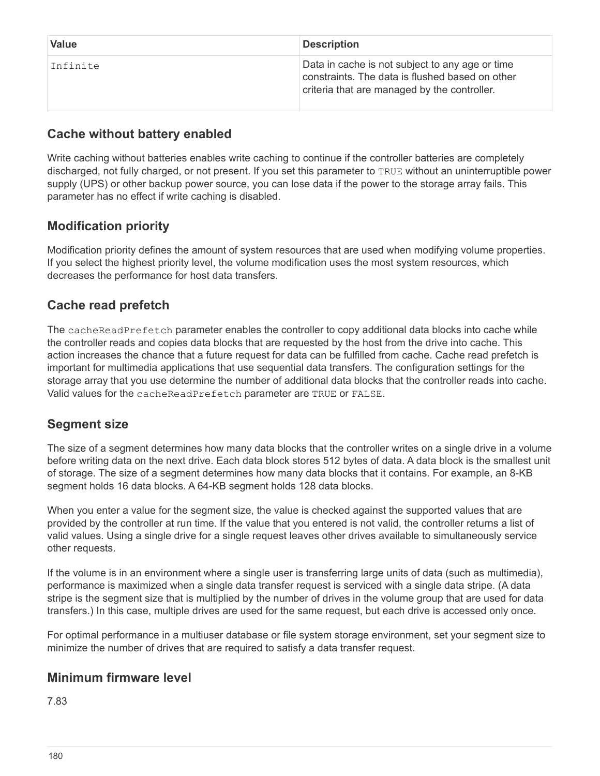| <b>Value</b> | <b>Description</b>                                                                                                                                 |
|--------------|----------------------------------------------------------------------------------------------------------------------------------------------------|
| Infinite     | Data in cache is not subject to any age or time<br>constraints. The data is flushed based on other<br>criteria that are managed by the controller. |

### **Cache without battery enabled**

Write caching without batteries enables write caching to continue if the controller batteries are completely discharged, not fully charged, or not present. If you set this parameter to TRUE without an uninterruptible power supply (UPS) or other backup power source, you can lose data if the power to the storage array fails. This parameter has no effect if write caching is disabled.

## **Modification priority**

Modification priority defines the amount of system resources that are used when modifying volume properties. If you select the highest priority level, the volume modification uses the most system resources, which decreases the performance for host data transfers.

## **Cache read prefetch**

The cacheReadPrefetch parameter enables the controller to copy additional data blocks into cache while the controller reads and copies data blocks that are requested by the host from the drive into cache. This action increases the chance that a future request for data can be fulfilled from cache. Cache read prefetch is important for multimedia applications that use sequential data transfers. The configuration settings for the storage array that you use determine the number of additional data blocks that the controller reads into cache. Valid values for the cacheReadPrefetch parameter are TRUE or FALSE.

# **Segment size**

The size of a segment determines how many data blocks that the controller writes on a single drive in a volume before writing data on the next drive. Each data block stores 512 bytes of data. A data block is the smallest unit of storage. The size of a segment determines how many data blocks that it contains. For example, an 8-KB segment holds 16 data blocks. A 64-KB segment holds 128 data blocks.

When you enter a value for the segment size, the value is checked against the supported values that are provided by the controller at run time. If the value that you entered is not valid, the controller returns a list of valid values. Using a single drive for a single request leaves other drives available to simultaneously service other requests.

If the volume is in an environment where a single user is transferring large units of data (such as multimedia), performance is maximized when a single data transfer request is serviced with a single data stripe. (A data stripe is the segment size that is multiplied by the number of drives in the volume group that are used for data transfers.) In this case, multiple drives are used for the same request, but each drive is accessed only once.

For optimal performance in a multiuser database or file system storage environment, set your segment size to minimize the number of drives that are required to satisfy a data transfer request.

## **Minimum firmware level**

7.83